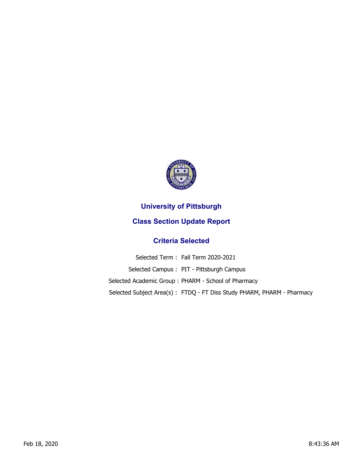

## **University of Pittsburgh**

## **Class Section Update Report**

## **Criteria Selected**

Selected Term : Fall Term 2020-2021 Selected Campus : PIT - Pittsburgh Campus Selected Academic Group : PHARM - School of Pharmacy Selected Subject Area(s) : FTDQ - FT Diss Study PHARM, PHARM - Pharmacy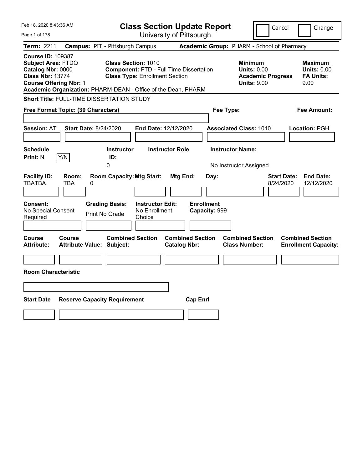| Feb 18, 2020 8:43:36 AM                                                                                                                                                                                 | <b>Class Section Update Report</b>                                                                                    |                                                        |                                                                                        | Cancel<br>Change                                                  |
|---------------------------------------------------------------------------------------------------------------------------------------------------------------------------------------------------------|-----------------------------------------------------------------------------------------------------------------------|--------------------------------------------------------|----------------------------------------------------------------------------------------|-------------------------------------------------------------------|
| Page 1 of 178                                                                                                                                                                                           |                                                                                                                       | University of Pittsburgh                               |                                                                                        |                                                                   |
| <b>Term: 2211</b>                                                                                                                                                                                       | <b>Campus: PIT - Pittsburgh Campus</b>                                                                                |                                                        | Academic Group: PHARM - School of Pharmacy                                             |                                                                   |
| <b>Course ID: 109387</b><br><b>Subject Area: FTDQ</b><br>Catalog Nbr: 0000<br><b>Class Nbr: 13774</b><br><b>Course Offering Nbr: 1</b><br>Academic Organization: PHARM-DEAN - Office of the Dean, PHARM | <b>Class Section: 1010</b><br><b>Component: FTD - Full Time Dissertation</b><br><b>Class Type: Enrollment Section</b> |                                                        | <b>Minimum</b><br><b>Units: 0.00</b><br><b>Academic Progress</b><br><b>Units: 9.00</b> | <b>Maximum</b><br><b>Units: 0.00</b><br><b>FA Units:</b><br>9.00  |
| Short Title: FULL-TIME DISSERTATION STUDY                                                                                                                                                               |                                                                                                                       |                                                        |                                                                                        |                                                                   |
| Free Format Topic: (30 Characters)                                                                                                                                                                      |                                                                                                                       |                                                        | Fee Type:                                                                              | <b>Fee Amount:</b>                                                |
| <b>Start Date: 8/24/2020</b><br><b>Session: AT</b>                                                                                                                                                      | End Date: 12/12/2020                                                                                                  |                                                        | <b>Associated Class: 1010</b>                                                          | Location: PGH                                                     |
| <b>Schedule</b>                                                                                                                                                                                         | <b>Instructor</b><br><b>Instructor Role</b>                                                                           |                                                        | <b>Instructor Name:</b>                                                                |                                                                   |
| <b>Print: N</b><br>Y/N                                                                                                                                                                                  | ID:<br>$\overline{0}$                                                                                                 |                                                        | No Instructor Assigned                                                                 |                                                                   |
| <b>Facility ID:</b><br>Room:<br><b>TBATBA</b><br>0<br>TBA<br><b>Consent:</b><br>No Special Consent                                                                                                      | <b>Room Capacity: Mtg Start:</b><br><b>Instructor Edit:</b><br><b>Grading Basis:</b><br>No Enrollment                 | Mtg End:<br>Day:<br><b>Enrollment</b><br>Capacity: 999 |                                                                                        | <b>End Date:</b><br><b>Start Date:</b><br>8/24/2020<br>12/12/2020 |
| Print No Grade<br>Required                                                                                                                                                                              | Choice                                                                                                                |                                                        |                                                                                        |                                                                   |
|                                                                                                                                                                                                         |                                                                                                                       |                                                        |                                                                                        |                                                                   |
| Course<br>Course<br><b>Attribute:</b><br>Attribute Value: Subject:                                                                                                                                      | <b>Combined Section</b>                                                                                               | <b>Combined Section</b><br><b>Catalog Nbr:</b>         | <b>Combined Section</b><br><b>Class Number:</b>                                        | <b>Combined Section</b><br><b>Enrollment Capacity:</b>            |
|                                                                                                                                                                                                         |                                                                                                                       |                                                        |                                                                                        |                                                                   |
| <b>Room Characteristic</b>                                                                                                                                                                              |                                                                                                                       |                                                        |                                                                                        |                                                                   |
|                                                                                                                                                                                                         |                                                                                                                       |                                                        |                                                                                        |                                                                   |
| <b>Start Date</b><br><b>Reserve Capacity Requirement</b>                                                                                                                                                |                                                                                                                       | <b>Cap Enrl</b>                                        |                                                                                        |                                                                   |
|                                                                                                                                                                                                         |                                                                                                                       |                                                        |                                                                                        |                                                                   |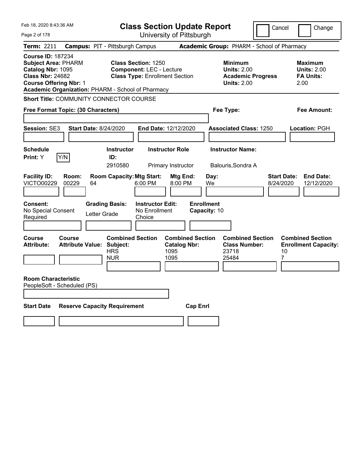| Feb 18, 2020 8:43:36 AM                                                                                                                                                                      | <b>Class Section Update Report</b>                                                                                                                                |                                                                                        | Cancel<br>Change                                                  |  |
|----------------------------------------------------------------------------------------------------------------------------------------------------------------------------------------------|-------------------------------------------------------------------------------------------------------------------------------------------------------------------|----------------------------------------------------------------------------------------|-------------------------------------------------------------------|--|
| Page 2 of 178                                                                                                                                                                                | University of Pittsburgh                                                                                                                                          |                                                                                        |                                                                   |  |
| <b>Term: 2211</b>                                                                                                                                                                            | <b>Campus: PIT - Pittsburgh Campus</b>                                                                                                                            | Academic Group: PHARM - School of Pharmacy                                             |                                                                   |  |
| <b>Course ID: 187234</b><br><b>Subject Area: PHARM</b><br>Catalog Nbr: 1095<br><b>Class Nbr: 24682</b><br><b>Course Offering Nbr: 1</b><br>Academic Organization: PHARM - School of Pharmacy | <b>Class Section: 1250</b><br><b>Component: LEC - Lecture</b><br><b>Class Type: Enrollment Section</b>                                                            | <b>Minimum</b><br><b>Units: 2.00</b><br><b>Academic Progress</b><br><b>Units: 2.00</b> | <b>Maximum</b><br><b>Units: 2.00</b><br><b>FA Units:</b><br>2.00  |  |
| Short Title: COMMUNITY CONNECTOR COURSE                                                                                                                                                      |                                                                                                                                                                   |                                                                                        |                                                                   |  |
| Free Format Topic: (30 Characters)                                                                                                                                                           |                                                                                                                                                                   | Fee Type:                                                                              | Fee Amount:                                                       |  |
| <b>Start Date: 8/24/2020</b><br><b>Session: SE3</b>                                                                                                                                          | End Date: 12/12/2020                                                                                                                                              | <b>Associated Class: 1250</b>                                                          | <b>Location: PGH</b>                                              |  |
| <b>Schedule</b>                                                                                                                                                                              | <b>Instructor Role</b><br><b>Instructor</b>                                                                                                                       | <b>Instructor Name:</b>                                                                |                                                                   |  |
| Print: Y<br>Y/N                                                                                                                                                                              | ID:<br>2910580<br>Primary Instructor                                                                                                                              | Balouris, Sondra A                                                                     |                                                                   |  |
| <b>Facility ID:</b><br>Room:<br><b>VICTO00229</b><br>00229<br>64<br><b>Consent:</b><br>No Special Consent<br>Required                                                                        | <b>Room Capacity: Mtg Start:</b><br>Mtg End:<br>6:00 PM<br>8:00 PM<br><b>Grading Basis:</b><br><b>Instructor Edit:</b><br>No Enrollment<br>Letter Grade<br>Choice | Day:<br>We<br><b>Enrollment</b><br>Capacity: 10                                        | <b>End Date:</b><br><b>Start Date:</b><br>8/24/2020<br>12/12/2020 |  |
| Course<br>Course<br><b>Attribute Value: Subject:</b><br><b>Attribute:</b>                                                                                                                    | <b>Combined Section</b><br><b>Combined Section</b><br><b>Catalog Nbr:</b><br><b>HRS</b><br>1095<br>1095<br><b>NUR</b>                                             | <b>Combined Section</b><br><b>Class Number:</b><br>23718<br>25484                      | <b>Combined Section</b><br><b>Enrollment Capacity:</b><br>10<br>7 |  |
| <b>Room Characteristic</b><br>PeopleSoft - Scheduled (PS)                                                                                                                                    |                                                                                                                                                                   |                                                                                        |                                                                   |  |
| <b>Start Date</b><br><b>Reserve Capacity Requirement</b><br><b>Cap Enrl</b>                                                                                                                  |                                                                                                                                                                   |                                                                                        |                                                                   |  |
|                                                                                                                                                                                              |                                                                                                                                                                   |                                                                                        |                                                                   |  |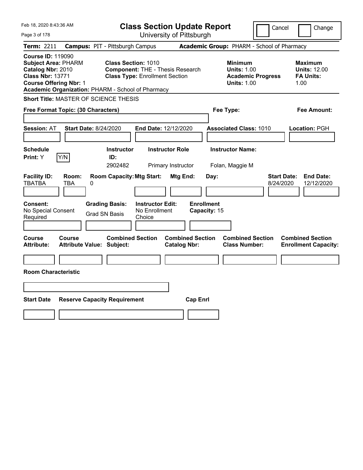| Feb 18, 2020 8:43:36 AM                                                                                                                                                                      | <b>Class Section Update Report</b>                                                                                                      |                                                                                        | Cancel<br>Change                                                  |
|----------------------------------------------------------------------------------------------------------------------------------------------------------------------------------------------|-----------------------------------------------------------------------------------------------------------------------------------------|----------------------------------------------------------------------------------------|-------------------------------------------------------------------|
| Page 3 of 178                                                                                                                                                                                | University of Pittsburgh                                                                                                                |                                                                                        |                                                                   |
| <b>Term: 2211</b><br><b>Campus: PIT - Pittsburgh Campus</b>                                                                                                                                  |                                                                                                                                         | Academic Group: PHARM - School of Pharmacy                                             |                                                                   |
| <b>Course ID: 119090</b><br><b>Subject Area: PHARM</b><br>Catalog Nbr: 2010<br><b>Class Nbr: 13771</b><br><b>Course Offering Nbr: 1</b><br>Academic Organization: PHARM - School of Pharmacy | <b>Class Section: 1010</b><br><b>Component: THE - Thesis Research</b><br><b>Class Type: Enrollment Section</b>                          | <b>Minimum</b><br><b>Units: 1.00</b><br><b>Academic Progress</b><br><b>Units: 1.00</b> | <b>Maximum</b><br><b>Units: 12.00</b><br><b>FA Units:</b><br>1.00 |
| <b>Short Title: MASTER OF SCIENCE THESIS</b>                                                                                                                                                 |                                                                                                                                         |                                                                                        |                                                                   |
| Free Format Topic: (30 Characters)                                                                                                                                                           |                                                                                                                                         | Fee Type:                                                                              | Fee Amount:                                                       |
| <b>Start Date: 8/24/2020</b><br><b>Session: AT</b>                                                                                                                                           | End Date: 12/12/2020                                                                                                                    | <b>Associated Class: 1010</b>                                                          | Location: PGH                                                     |
| <b>Schedule</b>                                                                                                                                                                              | <b>Instructor</b><br><b>Instructor Role</b>                                                                                             | <b>Instructor Name:</b>                                                                |                                                                   |
| Print: Y<br>Y/N<br>ID:                                                                                                                                                                       | 2902482<br>Primary Instructor                                                                                                           | Folan, Maggie M                                                                        |                                                                   |
| <b>Facility ID:</b><br>Room:<br><b>TBATBA</b><br>TBA<br>0<br><b>Grading Basis:</b><br>Consent:<br>No Special Consent<br><b>Grad SN Basis</b><br>Required                                     | <b>Room Capacity: Mtg Start:</b><br>Mtg End:<br><b>Enrollment</b><br><b>Instructor Edit:</b><br>No Enrollment<br>Capacity: 15<br>Choice | Day:                                                                                   | <b>Start Date:</b><br><b>End Date:</b><br>8/24/2020<br>12/12/2020 |
| <b>Course</b><br>Course<br><b>Attribute Value: Subject:</b><br><b>Attribute:</b>                                                                                                             | <b>Combined Section</b><br><b>Combined Section</b><br><b>Catalog Nbr:</b>                                                               | <b>Combined Section</b><br><b>Class Number:</b>                                        | <b>Combined Section</b><br><b>Enrollment Capacity:</b>            |
|                                                                                                                                                                                              |                                                                                                                                         |                                                                                        |                                                                   |
| <b>Room Characteristic</b>                                                                                                                                                                   |                                                                                                                                         |                                                                                        |                                                                   |
|                                                                                                                                                                                              |                                                                                                                                         |                                                                                        |                                                                   |
| <b>Start Date</b><br><b>Reserve Capacity Requirement</b>                                                                                                                                     | <b>Cap Enrl</b>                                                                                                                         |                                                                                        |                                                                   |
|                                                                                                                                                                                              |                                                                                                                                         |                                                                                        |                                                                   |
|                                                                                                                                                                                              |                                                                                                                                         |                                                                                        |                                                                   |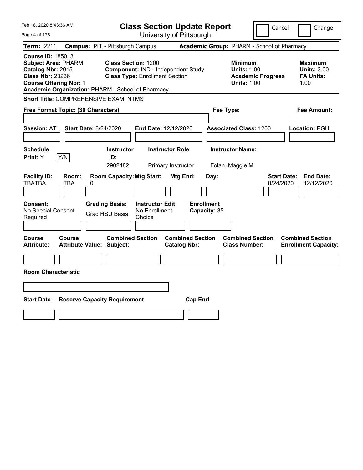| Feb 18, 2020 8:43:36 AM                                                                                                                                                                      | <b>Class Section Update Report</b>                                                                        | Cancel<br>Change                                                                                                                                           |
|----------------------------------------------------------------------------------------------------------------------------------------------------------------------------------------------|-----------------------------------------------------------------------------------------------------------|------------------------------------------------------------------------------------------------------------------------------------------------------------|
| Page 4 of 178                                                                                                                                                                                | University of Pittsburgh                                                                                  |                                                                                                                                                            |
| <b>Campus: PIT - Pittsburgh Campus</b><br>Term: 2211                                                                                                                                         |                                                                                                           | Academic Group: PHARM - School of Pharmacy                                                                                                                 |
| <b>Course ID: 185013</b><br><b>Subject Area: PHARM</b><br>Catalog Nbr: 2015<br><b>Class Nbr: 23236</b><br><b>Course Offering Nbr: 1</b><br>Academic Organization: PHARM - School of Pharmacy | <b>Class Section: 1200</b><br>Component: IND - Independent Study<br><b>Class Type: Enrollment Section</b> | <b>Minimum</b><br><b>Maximum</b><br><b>Units: 1.00</b><br><b>Units: 3.00</b><br><b>FA Units:</b><br><b>Academic Progress</b><br><b>Units: 1.00</b><br>1.00 |
| Short Title: COMPREHENSIVE EXAM: NTMS                                                                                                                                                        |                                                                                                           |                                                                                                                                                            |
| Free Format Topic: (30 Characters)                                                                                                                                                           | Fee Type:                                                                                                 | Fee Amount:                                                                                                                                                |
| <b>Start Date: 8/24/2020</b><br><b>Session: AT</b>                                                                                                                                           | End Date: 12/12/2020                                                                                      | <b>Associated Class: 1200</b><br>Location: PGH                                                                                                             |
| <b>Schedule</b><br>Print: Y<br>Y/N                                                                                                                                                           | <b>Instructor</b><br><b>Instructor Role</b><br>ID:<br>2902482<br>Primary Instructor                       | <b>Instructor Name:</b><br>Folan, Maggie M                                                                                                                 |
| <b>Facility ID:</b><br>Room:<br><b>TBATBA</b><br>0<br>TBA                                                                                                                                    | <b>Room Capacity: Mtg Start:</b><br>Mtg End:<br>Day:                                                      | <b>Start Date:</b><br><b>End Date:</b><br>8/24/2020<br>12/12/2020                                                                                          |
| <b>Grading Basis:</b><br>Consent:<br>No Special Consent<br><b>Grad HSU Basis</b><br>Required                                                                                                 | <b>Enrollment</b><br><b>Instructor Edit:</b><br>No Enrollment<br>Capacity: 35<br>Choice                   |                                                                                                                                                            |
| Course<br>Course<br><b>Attribute Value: Subject:</b><br><b>Attribute:</b>                                                                                                                    | <b>Combined Section</b><br><b>Combined Section</b><br><b>Catalog Nbr:</b>                                 | <b>Combined Section</b><br><b>Combined Section</b><br><b>Class Number:</b><br><b>Enrollment Capacity:</b>                                                  |
|                                                                                                                                                                                              |                                                                                                           |                                                                                                                                                            |
| <b>Room Characteristic</b>                                                                                                                                                                   |                                                                                                           |                                                                                                                                                            |
|                                                                                                                                                                                              |                                                                                                           |                                                                                                                                                            |
| <b>Start Date</b><br><b>Reserve Capacity Requirement</b>                                                                                                                                     | <b>Cap Enrl</b>                                                                                           |                                                                                                                                                            |
|                                                                                                                                                                                              |                                                                                                           |                                                                                                                                                            |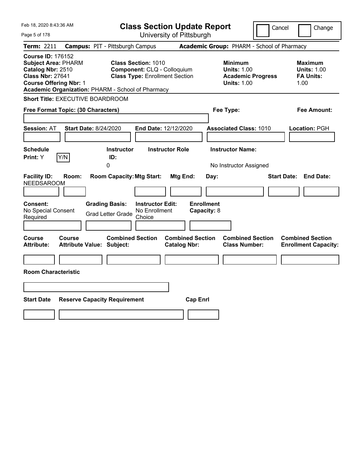| Feb 18, 2020 8:43:36 AM                                                                                                                                                                      |                                                                                                                                             | <b>Class Section Update Report</b>                   |                                                                                        | Cancel<br>Change                                                 |
|----------------------------------------------------------------------------------------------------------------------------------------------------------------------------------------------|---------------------------------------------------------------------------------------------------------------------------------------------|------------------------------------------------------|----------------------------------------------------------------------------------------|------------------------------------------------------------------|
| Page 5 of 178                                                                                                                                                                                |                                                                                                                                             | University of Pittsburgh                             |                                                                                        |                                                                  |
| <b>Term: 2211</b>                                                                                                                                                                            | <b>Campus: PIT - Pittsburgh Campus</b>                                                                                                      |                                                      | Academic Group: PHARM - School of Pharmacy                                             |                                                                  |
| <b>Course ID: 176152</b><br><b>Subject Area: PHARM</b><br>Catalog Nbr: 2510<br><b>Class Nbr: 27641</b><br><b>Course Offering Nbr: 1</b><br>Academic Organization: PHARM - School of Pharmacy | <b>Class Section: 1010</b><br>Component: CLQ - Colloquium<br><b>Class Type: Enrollment Section</b>                                          |                                                      | <b>Minimum</b><br><b>Units: 1.00</b><br><b>Academic Progress</b><br><b>Units: 1.00</b> | <b>Maximum</b><br><b>Units: 1.00</b><br><b>FA Units:</b><br>1.00 |
| <b>Short Title: EXECUTIVE BOARDROOM</b>                                                                                                                                                      |                                                                                                                                             |                                                      |                                                                                        |                                                                  |
| Free Format Topic: (30 Characters)                                                                                                                                                           |                                                                                                                                             |                                                      | Fee Type:                                                                              | Fee Amount:                                                      |
| <b>Session: AT</b>                                                                                                                                                                           | <b>Start Date: 8/24/2020</b>                                                                                                                | End Date: 12/12/2020                                 | <b>Associated Class: 1010</b>                                                          | Location: PGH                                                    |
| <b>Schedule</b>                                                                                                                                                                              | <b>Instructor</b>                                                                                                                           | <b>Instructor Role</b>                               | <b>Instructor Name:</b>                                                                |                                                                  |
| Print: Y<br>Y/N                                                                                                                                                                              | ID:<br>0                                                                                                                                    |                                                      | No Instructor Assigned                                                                 |                                                                  |
| <b>Facility ID:</b><br>Room:<br><b>NEEDSAROOM</b><br>Consent:<br>No Special Consent<br>Required                                                                                              | <b>Room Capacity: Mtg Start:</b><br><b>Grading Basis:</b><br><b>Instructor Edit:</b><br>No Enrollment<br><b>Grad Letter Grade</b><br>Choice | Mtg End:<br>Day:<br><b>Enrollment</b><br>Capacity: 8 |                                                                                        | <b>Start Date:</b><br><b>End Date:</b>                           |
| Course<br>Course<br><b>Attribute:</b>                                                                                                                                                        | <b>Combined Section</b><br><b>Attribute Value: Subject:</b>                                                                                 | <b>Combined Section</b><br><b>Catalog Nbr:</b>       | <b>Combined Section</b><br><b>Class Number:</b>                                        | <b>Combined Section</b><br><b>Enrollment Capacity:</b>           |
|                                                                                                                                                                                              |                                                                                                                                             |                                                      |                                                                                        |                                                                  |
| <b>Room Characteristic</b>                                                                                                                                                                   |                                                                                                                                             |                                                      |                                                                                        |                                                                  |
|                                                                                                                                                                                              |                                                                                                                                             |                                                      |                                                                                        |                                                                  |
| <b>Start Date</b>                                                                                                                                                                            | <b>Reserve Capacity Requirement</b>                                                                                                         | <b>Cap Enrl</b>                                      |                                                                                        |                                                                  |
|                                                                                                                                                                                              |                                                                                                                                             |                                                      |                                                                                        |                                                                  |
|                                                                                                                                                                                              |                                                                                                                                             |                                                      |                                                                                        |                                                                  |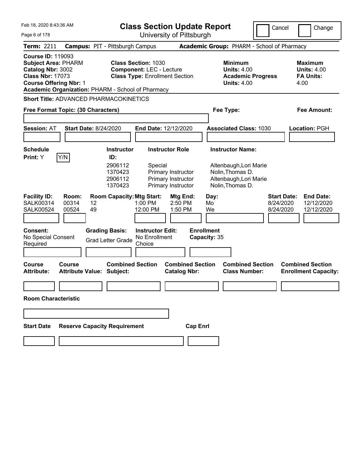| Feb 18, 2020 8:43:36 AM                                                                                                                                                                      | <b>Class Section Update Report</b>                                                                                                                                          | Cancel                                                                                                              | Change                                                           |
|----------------------------------------------------------------------------------------------------------------------------------------------------------------------------------------------|-----------------------------------------------------------------------------------------------------------------------------------------------------------------------------|---------------------------------------------------------------------------------------------------------------------|------------------------------------------------------------------|
| Page 6 of 178                                                                                                                                                                                | University of Pittsburgh                                                                                                                                                    |                                                                                                                     |                                                                  |
| <b>Term: 2211</b>                                                                                                                                                                            | <b>Campus: PIT - Pittsburgh Campus</b>                                                                                                                                      | Academic Group: PHARM - School of Pharmacy                                                                          |                                                                  |
| <b>Course ID: 119093</b><br><b>Subject Area: PHARM</b><br>Catalog Nbr: 3002<br><b>Class Nbr: 17073</b><br><b>Course Offering Nbr: 1</b><br>Academic Organization: PHARM - School of Pharmacy | <b>Class Section: 1030</b><br><b>Component: LEC - Lecture</b><br><b>Class Type: Enrollment Section</b>                                                                      | <b>Minimum</b><br><b>Units: 4.00</b><br><b>Academic Progress</b><br><b>Units: 4.00</b>                              | <b>Maximum</b><br><b>Units: 4.00</b><br><b>FA Units:</b><br>4.00 |
| <b>Short Title: ADVANCED PHARMACOKINETICS</b>                                                                                                                                                |                                                                                                                                                                             |                                                                                                                     |                                                                  |
| Free Format Topic: (30 Characters)                                                                                                                                                           |                                                                                                                                                                             | Fee Type:                                                                                                           | Fee Amount:                                                      |
| <b>Start Date: 8/24/2020</b><br><b>Session: AT</b>                                                                                                                                           | End Date: 12/12/2020                                                                                                                                                        | <b>Associated Class: 1030</b>                                                                                       | Location: PGH                                                    |
| <b>Schedule</b><br>Y/N<br>Print: Y                                                                                                                                                           | <b>Instructor Role</b><br><b>Instructor</b><br>ID:<br>2906112<br>Special<br>1370423<br>Primary Instructor<br>2906112<br>Primary Instructor<br>1370423<br>Primary Instructor | <b>Instructor Name:</b><br>Altenbaugh, Lori Marie<br>Nolin, Thomas D.<br>Altenbaugh, Lori Marie<br>Nolin, Thomas D. |                                                                  |
| <b>Facility ID:</b><br>Room:<br>00314<br><b>SALK00314</b><br>12<br>00524<br>49<br><b>SALK00524</b>                                                                                           | <b>Room Capacity: Mtg Start:</b><br>Mtg End:<br>$1:00$ PM<br>$2:50$ PM<br>12:00 PM<br>1:50 PM                                                                               | <b>Start Date:</b><br>Day:<br>Mo<br>8/24/2020<br>We<br>8/24/2020                                                    | <b>End Date:</b><br>12/12/2020<br>12/12/2020                     |
| <b>Consent:</b><br>No Special Consent<br>Required                                                                                                                                            | <b>Instructor Edit:</b><br><b>Grading Basis:</b><br>No Enrollment<br><b>Grad Letter Grade</b><br>Choice                                                                     | <b>Enrollment</b><br>Capacity: 35                                                                                   |                                                                  |
| <b>Course</b><br>Course<br>Attribute Value: Subject:<br><b>Attribute:</b>                                                                                                                    | <b>Combined Section</b><br><b>Combined Section</b><br><b>Catalog Nbr:</b>                                                                                                   | <b>Combined Section</b><br><b>Class Number:</b>                                                                     | <b>Combined Section</b><br><b>Enrollment Capacity:</b>           |
| <b>Room Characteristic</b>                                                                                                                                                                   |                                                                                                                                                                             |                                                                                                                     |                                                                  |
|                                                                                                                                                                                              |                                                                                                                                                                             |                                                                                                                     |                                                                  |
|                                                                                                                                                                                              |                                                                                                                                                                             |                                                                                                                     |                                                                  |
| <b>Reserve Capacity Requirement</b><br><b>Start Date</b>                                                                                                                                     | <b>Cap Enrl</b>                                                                                                                                                             |                                                                                                                     |                                                                  |
|                                                                                                                                                                                              |                                                                                                                                                                             |                                                                                                                     |                                                                  |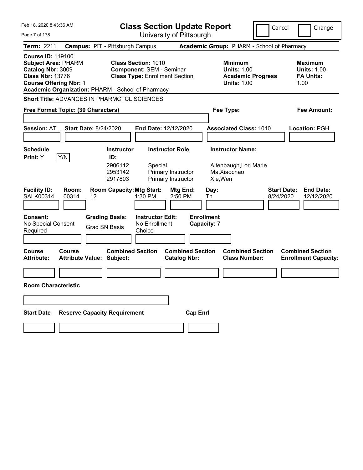| Feb 18, 2020 8:43:36 AM                                                                                                                                                                      | <b>Class Section Update Report</b>                                                                     |                                                |                                                                                        | Cancel                          | Change                                                           |
|----------------------------------------------------------------------------------------------------------------------------------------------------------------------------------------------|--------------------------------------------------------------------------------------------------------|------------------------------------------------|----------------------------------------------------------------------------------------|---------------------------------|------------------------------------------------------------------|
| Page 7 of 178                                                                                                                                                                                |                                                                                                        | University of Pittsburgh                       |                                                                                        |                                 |                                                                  |
| <b>Term: 2211</b>                                                                                                                                                                            | <b>Campus: PIT - Pittsburgh Campus</b>                                                                 |                                                | Academic Group: PHARM - School of Pharmacy                                             |                                 |                                                                  |
| <b>Course ID: 119100</b><br><b>Subject Area: PHARM</b><br>Catalog Nbr: 3009<br><b>Class Nbr: 13776</b><br><b>Course Offering Nbr: 1</b><br>Academic Organization: PHARM - School of Pharmacy | <b>Class Section: 1010</b><br><b>Component: SEM - Seminar</b><br><b>Class Type: Enrollment Section</b> |                                                | <b>Minimum</b><br><b>Units: 1.00</b><br><b>Academic Progress</b><br><b>Units: 1.00</b> |                                 | <b>Maximum</b><br><b>Units: 1.00</b><br><b>FA Units:</b><br>1.00 |
| Short Title: ADVANCES IN PHARMCTCL SCIENCES                                                                                                                                                  |                                                                                                        |                                                |                                                                                        |                                 |                                                                  |
| Free Format Topic: (30 Characters)                                                                                                                                                           |                                                                                                        |                                                | Fee Type:                                                                              |                                 | <b>Fee Amount:</b>                                               |
|                                                                                                                                                                                              |                                                                                                        |                                                |                                                                                        |                                 |                                                                  |
| <b>Session: AT</b><br><b>Start Date: 8/24/2020</b>                                                                                                                                           | End Date: 12/12/2020                                                                                   |                                                | <b>Associated Class: 1010</b>                                                          |                                 | Location: PGH                                                    |
|                                                                                                                                                                                              |                                                                                                        |                                                |                                                                                        |                                 |                                                                  |
| <b>Schedule</b>                                                                                                                                                                              | <b>Instructor Role</b><br><b>Instructor</b>                                                            |                                                | <b>Instructor Name:</b>                                                                |                                 |                                                                  |
| Y/N<br>Print: Y                                                                                                                                                                              | ID:                                                                                                    |                                                |                                                                                        |                                 |                                                                  |
|                                                                                                                                                                                              | 2906112<br>Special<br>2953142<br>Primary Instructor<br>2917803<br>Primary Instructor                   |                                                | Altenbaugh, Lori Marie<br>Ma, Xiaochao<br>Xie, Wen                                     |                                 |                                                                  |
| <b>Facility ID:</b><br>Room:<br><b>SALK00314</b><br>00314<br>12                                                                                                                              | <b>Room Capacity: Mtg Start:</b><br>1:30 PM                                                            | Mtg End:<br>Day:<br>2:50 PM<br>Th              |                                                                                        | <b>Start Date:</b><br>8/24/2020 | <b>End Date:</b><br>12/12/2020                                   |
| Consent:<br>No Special Consent<br>Required                                                                                                                                                   | <b>Grading Basis:</b><br><b>Instructor Edit:</b><br>No Enrollment<br><b>Grad SN Basis</b><br>Choice    | <b>Enrollment</b><br>Capacity: 7               |                                                                                        |                                 |                                                                  |
| Course<br>Course<br><b>Attribute Value: Subject:</b><br><b>Attribute:</b>                                                                                                                    | <b>Combined Section</b>                                                                                | <b>Combined Section</b><br><b>Catalog Nbr:</b> | <b>Combined Section</b><br><b>Class Number:</b>                                        |                                 | <b>Combined Section</b><br><b>Enrollment Capacity:</b>           |
|                                                                                                                                                                                              |                                                                                                        |                                                |                                                                                        |                                 |                                                                  |
| Room Characteristic                                                                                                                                                                          |                                                                                                        |                                                |                                                                                        |                                 |                                                                  |
|                                                                                                                                                                                              |                                                                                                        |                                                |                                                                                        |                                 |                                                                  |
| <b>Start Date</b>                                                                                                                                                                            | <b>Reserve Capacity Requirement</b>                                                                    | <b>Cap Enrl</b>                                |                                                                                        |                                 |                                                                  |
|                                                                                                                                                                                              |                                                                                                        |                                                |                                                                                        |                                 |                                                                  |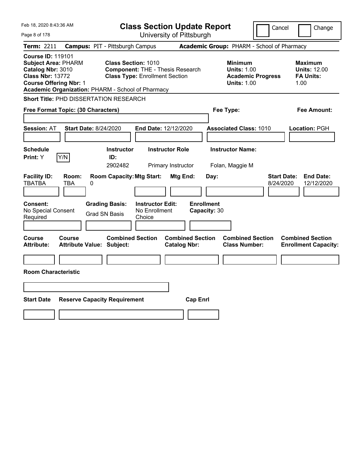| Feb 18, 2020 8:43:36 AM                                                                                                                                                                      | <b>Class Section Update Report</b>                                                                             | Cancel                                                                                 | Change                                                            |
|----------------------------------------------------------------------------------------------------------------------------------------------------------------------------------------------|----------------------------------------------------------------------------------------------------------------|----------------------------------------------------------------------------------------|-------------------------------------------------------------------|
| Page 8 of 178                                                                                                                                                                                | University of Pittsburgh                                                                                       |                                                                                        |                                                                   |
| <b>Term: 2211</b><br><b>Campus: PIT - Pittsburgh Campus</b>                                                                                                                                  |                                                                                                                | Academic Group: PHARM - School of Pharmacy                                             |                                                                   |
| <b>Course ID: 119101</b><br><b>Subject Area: PHARM</b><br>Catalog Nbr: 3010<br><b>Class Nbr: 13772</b><br><b>Course Offering Nbr: 1</b><br>Academic Organization: PHARM - School of Pharmacy | <b>Class Section: 1010</b><br><b>Component: THE - Thesis Research</b><br><b>Class Type: Enrollment Section</b> | <b>Minimum</b><br><b>Units: 1.00</b><br><b>Academic Progress</b><br><b>Units: 1.00</b> | <b>Maximum</b><br><b>Units: 12.00</b><br><b>FA Units:</b><br>1.00 |
| Short Title: PHD DISSERTATION RESEARCH                                                                                                                                                       |                                                                                                                |                                                                                        |                                                                   |
| Free Format Topic: (30 Characters)                                                                                                                                                           |                                                                                                                | Fee Type:                                                                              | Fee Amount:                                                       |
| <b>Session: AT</b><br><b>Start Date: 8/24/2020</b>                                                                                                                                           | <b>End Date: 12/12/2020</b>                                                                                    | <b>Associated Class: 1010</b>                                                          | Location: PGH                                                     |
| <b>Schedule</b><br>Print: Y<br>Y/N<br>ID:                                                                                                                                                    | <b>Instructor Role</b><br><b>Instructor</b><br>2902482<br>Primary Instructor                                   | <b>Instructor Name:</b><br>Folan, Maggie M                                             |                                                                   |
| <b>Facility ID:</b><br>Room:<br><b>TBATBA</b><br>0<br>TBA                                                                                                                                    | <b>Room Capacity: Mtg Start:</b><br>Mtg End:<br>Day:                                                           | <b>Start Date:</b><br>8/24/2020                                                        | <b>End Date:</b><br>12/12/2020                                    |
| Consent:<br><b>Grading Basis:</b><br>No Special Consent<br><b>Grad SN Basis</b><br>Required                                                                                                  | <b>Enrollment</b><br><b>Instructor Edit:</b><br>No Enrollment<br>Capacity: 30<br>Choice                        |                                                                                        |                                                                   |
| Course<br>Course<br><b>Attribute Value: Subject:</b><br><b>Attribute:</b>                                                                                                                    | <b>Combined Section</b><br><b>Combined Section</b><br><b>Catalog Nbr:</b>                                      | <b>Combined Section</b><br><b>Class Number:</b>                                        | <b>Combined Section</b><br><b>Enrollment Capacity:</b>            |
| <b>Room Characteristic</b>                                                                                                                                                                   |                                                                                                                |                                                                                        |                                                                   |
|                                                                                                                                                                                              |                                                                                                                |                                                                                        |                                                                   |
| <b>Start Date</b><br><b>Reserve Capacity Requirement</b>                                                                                                                                     | <b>Cap Enrl</b>                                                                                                |                                                                                        |                                                                   |
|                                                                                                                                                                                              |                                                                                                                |                                                                                        |                                                                   |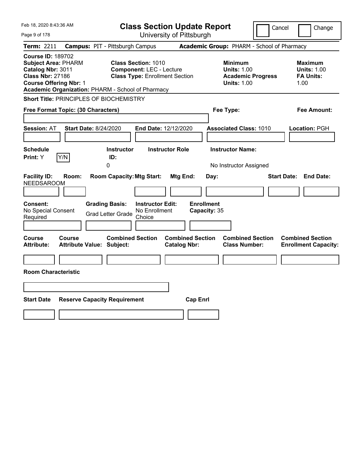| Feb 18, 2020 8:43:36 AM                                                                                                                 | <b>Class Section Update Report</b>                                                                                                                          |                                                                                                   | Cancel<br>Change                                                 |
|-----------------------------------------------------------------------------------------------------------------------------------------|-------------------------------------------------------------------------------------------------------------------------------------------------------------|---------------------------------------------------------------------------------------------------|------------------------------------------------------------------|
| Page 9 of 178                                                                                                                           | University of Pittsburgh                                                                                                                                    |                                                                                                   |                                                                  |
| <b>Term: 2211</b>                                                                                                                       | <b>Campus: PIT - Pittsburgh Campus</b>                                                                                                                      | Academic Group: PHARM - School of Pharmacy                                                        |                                                                  |
| <b>Course ID: 189702</b><br><b>Subject Area: PHARM</b><br>Catalog Nbr: 3011<br><b>Class Nbr: 27186</b><br><b>Course Offering Nbr: 1</b> | <b>Class Section: 1010</b><br><b>Component: LEC - Lecture</b><br><b>Class Type: Enrollment Section</b><br>Academic Organization: PHARM - School of Pharmacy | <b>Minimum</b><br><b>Units: 1.00</b><br><b>Academic Progress</b><br><b>Units: 1.00</b>            | <b>Maximum</b><br><b>Units: 1.00</b><br><b>FA Units:</b><br>1.00 |
| <b>Short Title: PRINCIPLES OF BIOCHEMISTRY</b>                                                                                          |                                                                                                                                                             |                                                                                                   |                                                                  |
| Free Format Topic: (30 Characters)                                                                                                      |                                                                                                                                                             | Fee Type:                                                                                         | Fee Amount:                                                      |
| <b>Session: AT</b><br><b>Start Date: 8/24/2020</b>                                                                                      | End Date: 12/12/2020                                                                                                                                        | <b>Associated Class: 1010</b>                                                                     | Location: PGH                                                    |
| <b>Schedule</b><br>Print: Y<br>Y/N                                                                                                      | <b>Instructor Role</b><br><b>Instructor</b><br>ID:<br>0                                                                                                     | <b>Instructor Name:</b><br>No Instructor Assigned                                                 |                                                                  |
| <b>Facility ID:</b><br>Room:<br><b>NEEDSAROOM</b>                                                                                       | <b>Room Capacity: Mtg Start:</b>                                                                                                                            | Mtg End:<br>Day:                                                                                  | <b>Start Date:</b><br><b>End Date:</b>                           |
| Consent:<br>No Special Consent<br>Required                                                                                              | <b>Instructor Edit:</b><br><b>Grading Basis:</b><br>No Enrollment<br><b>Grad Letter Grade</b><br>Choice                                                     | <b>Enrollment</b><br>Capacity: 35                                                                 |                                                                  |
| Course<br><b>Course</b><br><b>Attribute Value: Subject:</b><br><b>Attribute:</b>                                                        | <b>Combined Section</b>                                                                                                                                     | <b>Combined Section</b><br><b>Combined Section</b><br><b>Class Number:</b><br><b>Catalog Nbr:</b> | <b>Combined Section</b><br><b>Enrollment Capacity:</b>           |
|                                                                                                                                         |                                                                                                                                                             |                                                                                                   |                                                                  |
| <b>Room Characteristic</b>                                                                                                              |                                                                                                                                                             |                                                                                                   |                                                                  |
|                                                                                                                                         |                                                                                                                                                             |                                                                                                   |                                                                  |
| <b>Start Date</b>                                                                                                                       | <b>Reserve Capacity Requirement</b>                                                                                                                         | <b>Cap Enrl</b>                                                                                   |                                                                  |
|                                                                                                                                         |                                                                                                                                                             |                                                                                                   |                                                                  |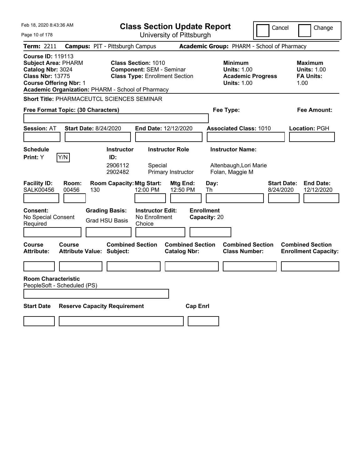| Feb 18, 2020 8:43:36 AM                                                                                                                                                                      | <b>Class Section Update Report</b>                                                                     | Cancel                                                                                 | Change                                                           |
|----------------------------------------------------------------------------------------------------------------------------------------------------------------------------------------------|--------------------------------------------------------------------------------------------------------|----------------------------------------------------------------------------------------|------------------------------------------------------------------|
| Page 10 of 178                                                                                                                                                                               | University of Pittsburgh                                                                               |                                                                                        |                                                                  |
| <b>Term: 2211</b>                                                                                                                                                                            | <b>Campus: PIT - Pittsburgh Campus</b>                                                                 | Academic Group: PHARM - School of Pharmacy                                             |                                                                  |
| <b>Course ID: 119113</b><br><b>Subject Area: PHARM</b><br>Catalog Nbr: 3024<br><b>Class Nbr: 13775</b><br><b>Course Offering Nbr: 1</b><br>Academic Organization: PHARM - School of Pharmacy | <b>Class Section: 1010</b><br><b>Component: SEM - Seminar</b><br><b>Class Type: Enrollment Section</b> | <b>Minimum</b><br><b>Units: 1.00</b><br><b>Academic Progress</b><br><b>Units: 1.00</b> | <b>Maximum</b><br><b>Units: 1.00</b><br><b>FA Units:</b><br>1.00 |
| <b>Short Title: PHARMACEUTCL SCIENCES SEMINAR</b>                                                                                                                                            |                                                                                                        |                                                                                        |                                                                  |
| Free Format Topic: (30 Characters)                                                                                                                                                           |                                                                                                        | Fee Type:                                                                              | Fee Amount:                                                      |
| <b>Session: AT</b><br><b>Start Date: 8/24/2020</b>                                                                                                                                           | End Date: 12/12/2020                                                                                   | <b>Associated Class: 1010</b>                                                          | <b>Location: PGH</b>                                             |
| <b>Schedule</b>                                                                                                                                                                              | <b>Instructor</b><br><b>Instructor Role</b>                                                            | <b>Instructor Name:</b>                                                                |                                                                  |
| Y/N<br>Print: Y                                                                                                                                                                              | ID:<br>2906112<br>Special<br>2902482<br>Primary Instructor                                             | Altenbaugh, Lori Marie<br>Folan, Maggie M                                              |                                                                  |
| <b>Facility ID:</b><br>Room:<br><b>SALK00456</b><br>00456<br>130                                                                                                                             | <b>Room Capacity: Mtg Start:</b><br>Mtg End:<br>12:00 PM<br>12:50 PM                                   | <b>Start Date:</b><br>Day:<br>8/24/2020<br>Th                                          | <b>End Date:</b><br>12/12/2020                                   |
| <b>Consent:</b><br>No Special Consent<br>Required                                                                                                                                            | <b>Grading Basis:</b><br><b>Instructor Edit:</b><br>No Enrollment<br><b>Grad HSU Basis</b><br>Choice   | <b>Enrollment</b><br>Capacity: 20                                                      |                                                                  |
| <b>Course</b><br>Course<br><b>Attribute:</b><br><b>Attribute Value: Subject:</b>                                                                                                             | <b>Combined Section</b><br><b>Combined Section</b><br><b>Catalog Nbr:</b>                              | <b>Combined Section</b><br><b>Class Number:</b>                                        | <b>Combined Section</b><br><b>Enrollment Capacity:</b>           |
|                                                                                                                                                                                              |                                                                                                        |                                                                                        |                                                                  |
| <b>Room Characteristic</b><br>PeopleSoft - Scheduled (PS)                                                                                                                                    |                                                                                                        |                                                                                        |                                                                  |
| <b>Reserve Capacity Requirement</b><br><b>Start Date</b>                                                                                                                                     | <b>Cap Enrl</b>                                                                                        |                                                                                        |                                                                  |
|                                                                                                                                                                                              |                                                                                                        |                                                                                        |                                                                  |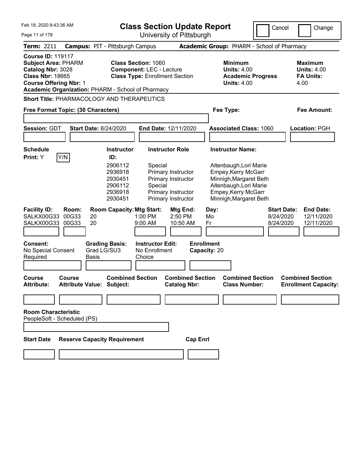Feb 18, 2020 8:43:36 AM

**Class Section Update Report**

Cancel **Change** 

| Page 11 of 178                                                                                                                          |                                            |                                                                                 | University of Pittsburgh                                                                                   |                                                                                                                                                    |                                              |                                                                  |
|-----------------------------------------------------------------------------------------------------------------------------------------|--------------------------------------------|---------------------------------------------------------------------------------|------------------------------------------------------------------------------------------------------------|----------------------------------------------------------------------------------------------------------------------------------------------------|----------------------------------------------|------------------------------------------------------------------|
| <b>Term: 2211</b>                                                                                                                       |                                            | <b>Campus: PIT - Pittsburgh Campus</b>                                          |                                                                                                            | Academic Group: PHARM - School of Pharmacy                                                                                                         |                                              |                                                                  |
| <b>Course ID: 119117</b><br><b>Subject Area: PHARM</b><br>Catalog Nbr: 3028<br><b>Class Nbr: 18665</b><br><b>Course Offering Nbr: 1</b> |                                            | <b>Class Section: 1060</b><br>Academic Organization: PHARM - School of Pharmacy | <b>Component: LEC - Lecture</b><br><b>Class Type: Enrollment Section</b>                                   | <b>Minimum</b><br><b>Units: 4.00</b><br><b>Academic Progress</b><br><b>Units: 4.00</b>                                                             |                                              | <b>Maximum</b><br><b>Units: 4.00</b><br><b>FA Units:</b><br>4.00 |
|                                                                                                                                         |                                            | <b>Short Title: PHARMACOLOGY AND THERAPEUTICS</b>                               |                                                                                                            |                                                                                                                                                    |                                              |                                                                  |
|                                                                                                                                         | Free Format Topic: (30 Characters)         |                                                                                 |                                                                                                            | Fee Type:                                                                                                                                          |                                              | Fee Amount:                                                      |
|                                                                                                                                         |                                            |                                                                                 |                                                                                                            |                                                                                                                                                    |                                              |                                                                  |
| <b>Session: GDT</b>                                                                                                                     |                                            | <b>Start Date: 8/24/2020</b>                                                    | End Date: 12/11/2020                                                                                       | <b>Associated Class: 1060</b>                                                                                                                      |                                              | Location: PGH                                                    |
| <b>Schedule</b>                                                                                                                         |                                            | <b>Instructor</b>                                                               | <b>Instructor Role</b>                                                                                     | <b>Instructor Name:</b>                                                                                                                            |                                              |                                                                  |
| Print: Y                                                                                                                                | Y/N                                        | ID:<br>2906112<br>2936918<br>2930451<br>2906112<br>2936918<br>2930451           | Special<br>Primary Instructor<br>Primary Instructor<br>Special<br>Primary Instructor<br>Primary Instructor | Altenbaugh, Lori Marie<br>Empey, Kerry McGarr<br>Minnigh, Margaret Beth<br>Altenbaugh, Lori Marie<br>Empey, Kerry McGarr<br>Minnigh, Margaret Beth |                                              |                                                                  |
| <b>Facility ID:</b><br>SALKX00G33 00G33<br>SALKX00G33 00G33                                                                             | Room:<br>20<br>20                          | <b>Room Capacity: Mtg Start:</b>                                                | Mtg End:<br>1:00 PM<br>2:50 PM<br>9:00 AM<br>10:50 AM                                                      | Day:<br>Mo<br>Fr                                                                                                                                   | <b>Start Date:</b><br>8/24/2020<br>8/24/2020 | <b>End Date:</b><br>12/11/2020<br>12/11/2020                     |
| Consent:<br>No Special Consent<br>Required                                                                                              | Basis                                      | <b>Grading Basis:</b><br>Grad LG/SU3                                            | <b>Instructor Edit:</b><br>No Enrollment<br>Choice                                                         | <b>Enrollment</b><br>Capacity: 20                                                                                                                  |                                              |                                                                  |
| <b>Course</b><br><b>Attribute:</b>                                                                                                      | Course<br><b>Attribute Value: Subject:</b> | <b>Combined Section</b>                                                         | <b>Combined Section</b><br><b>Catalog Nbr:</b>                                                             | <b>Combined Section</b><br><b>Class Number:</b>                                                                                                    |                                              | <b>Combined Section</b><br><b>Enrollment Capacity:</b>           |
|                                                                                                                                         |                                            |                                                                                 |                                                                                                            |                                                                                                                                                    |                                              |                                                                  |
| <b>Room Characteristic</b>                                                                                                              | PeopleSoft - Scheduled (PS)                |                                                                                 |                                                                                                            |                                                                                                                                                    |                                              |                                                                  |
| <b>Start Date</b>                                                                                                                       |                                            | <b>Reserve Capacity Requirement</b>                                             | <b>Cap Enrl</b>                                                                                            |                                                                                                                                                    |                                              |                                                                  |
|                                                                                                                                         |                                            |                                                                                 |                                                                                                            |                                                                                                                                                    |                                              |                                                                  |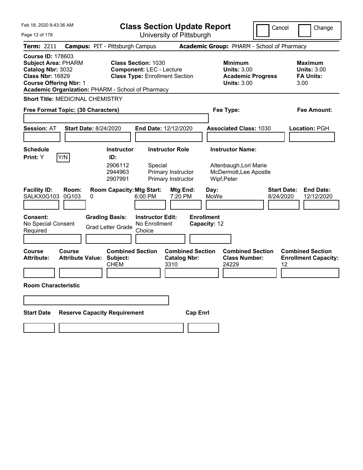| Feb 18, 2020 8:43:36 AM                                                                                                                                                                      | <b>Class Section Update Report</b>                                                                                                                                | Cancel                                                                                                             | Change                                                           |
|----------------------------------------------------------------------------------------------------------------------------------------------------------------------------------------------|-------------------------------------------------------------------------------------------------------------------------------------------------------------------|--------------------------------------------------------------------------------------------------------------------|------------------------------------------------------------------|
| Page 12 of 178                                                                                                                                                                               | University of Pittsburgh                                                                                                                                          |                                                                                                                    |                                                                  |
| <b>Term: 2211</b>                                                                                                                                                                            | <b>Campus: PIT - Pittsburgh Campus</b>                                                                                                                            | Academic Group: PHARM - School of Pharmacy                                                                         |                                                                  |
| <b>Course ID: 178603</b><br><b>Subject Area: PHARM</b><br>Catalog Nbr: 3032<br><b>Class Nbr: 16829</b><br><b>Course Offering Nbr: 1</b><br>Academic Organization: PHARM - School of Pharmacy | <b>Class Section: 1030</b><br><b>Component: LEC - Lecture</b><br><b>Class Type: Enrollment Section</b>                                                            | <b>Minimum</b><br><b>Units: 3.00</b><br><b>Academic Progress</b><br><b>Units: 3.00</b>                             | <b>Maximum</b><br><b>Units: 3.00</b><br><b>FA Units:</b><br>3.00 |
| <b>Short Title: MEDICINAL CHEMISTRY</b>                                                                                                                                                      |                                                                                                                                                                   |                                                                                                                    |                                                                  |
| Free Format Topic: (30 Characters)                                                                                                                                                           |                                                                                                                                                                   | Fee Type:                                                                                                          | Fee Amount:                                                      |
|                                                                                                                                                                                              |                                                                                                                                                                   |                                                                                                                    |                                                                  |
| <b>Session: AT</b><br><b>Start Date: 8/24/2020</b>                                                                                                                                           | End Date: 12/12/2020                                                                                                                                              | <b>Associated Class: 1030</b>                                                                                      | Location: PGH                                                    |
|                                                                                                                                                                                              |                                                                                                                                                                   |                                                                                                                    |                                                                  |
| Schedule                                                                                                                                                                                     | <b>Instructor Role</b><br><b>Instructor</b>                                                                                                                       | <b>Instructor Name:</b>                                                                                            |                                                                  |
| Y/N<br>Print: Y<br><b>Facility ID:</b><br>Room:<br>0G103<br>SALKX0G103<br>0                                                                                                                  | ID:<br>2906112<br>Special<br>Primary Instructor<br>2944963<br>2907991<br>Primary Instructor<br><b>Room Capacity: Mtg Start:</b><br>Mtg End:<br>6:00 PM<br>7:20 PM | Altenbaugh, Lori Marie<br>McDermott, Lee Apostle<br>Wipf, Peter<br><b>Start Date:</b><br>Day:<br>MoWe<br>8/24/2020 | <b>End Date:</b><br>12/12/2020                                   |
| <b>Consent:</b><br>No Special Consent<br>Required                                                                                                                                            | <b>Grading Basis:</b><br><b>Instructor Edit:</b><br>No Enrollment<br><b>Grad Letter Grade</b><br>Choice                                                           | <b>Enrollment</b><br>Capacity: 12                                                                                  |                                                                  |
| <b>Course</b><br>Course<br><b>Attribute Value: Subject:</b><br><b>Attribute:</b>                                                                                                             | <b>Combined Section</b><br><b>Combined Section</b><br><b>Catalog Nbr:</b><br><b>CHEM</b><br>3310                                                                  | <b>Combined Section</b><br><b>Class Number:</b><br>24229                                                           | <b>Combined Section</b><br><b>Enrollment Capacity:</b><br>12     |
| <b>Room Characteristic</b>                                                                                                                                                                   |                                                                                                                                                                   |                                                                                                                    |                                                                  |
| <b>Reserve Capacity Requirement</b><br><b>Start Date</b>                                                                                                                                     | <b>Cap Enrl</b>                                                                                                                                                   |                                                                                                                    |                                                                  |
|                                                                                                                                                                                              |                                                                                                                                                                   |                                                                                                                    |                                                                  |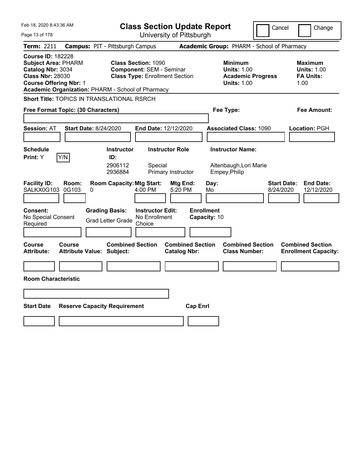| Feb 18, 2020 8:43:36 AM<br><b>Class Section Update Report</b>                                                                                                                                |                                                                                                                                                                               | Cancel                                                                                 | Change                                                           |
|----------------------------------------------------------------------------------------------------------------------------------------------------------------------------------------------|-------------------------------------------------------------------------------------------------------------------------------------------------------------------------------|----------------------------------------------------------------------------------------|------------------------------------------------------------------|
| Page 13 of 178<br>Term: 2211                                                                                                                                                                 | University of Pittsburgh<br><b>Campus: PIT - Pittsburgh Campus</b>                                                                                                            | Academic Group: PHARM - School of Pharmacy                                             |                                                                  |
| <b>Course ID: 182228</b><br><b>Subject Area: PHARM</b><br>Catalog Nbr: 3034<br><b>Class Nbr: 28030</b><br><b>Course Offering Nbr: 1</b><br>Academic Organization: PHARM - School of Pharmacy | <b>Class Section: 1090</b><br><b>Component: SEM - Seminar</b><br><b>Class Type: Enrollment Section</b>                                                                        | <b>Minimum</b><br><b>Units: 1.00</b><br><b>Academic Progress</b><br><b>Units: 1.00</b> | <b>Maximum</b><br><b>Units: 1.00</b><br><b>FA Units:</b><br>1.00 |
| Short Title: TOPICS IN TRANSLATIONAL RSRCH                                                                                                                                                   |                                                                                                                                                                               |                                                                                        |                                                                  |
| Free Format Topic: (30 Characters)                                                                                                                                                           |                                                                                                                                                                               | Fee Type:                                                                              | Fee Amount:                                                      |
| <b>Start Date: 8/24/2020</b><br><b>Session: AT</b>                                                                                                                                           | End Date: 12/12/2020                                                                                                                                                          | <b>Associated Class: 1090</b>                                                          | <b>Location: PGH</b>                                             |
| <b>Schedule</b><br>Y/N<br><b>Print:</b> Y                                                                                                                                                    | <b>Instructor Role</b><br><b>Instructor</b><br>ID:<br>2906112<br>Special<br>2936884<br>Primary Instructor                                                                     | <b>Instructor Name:</b><br>Altenbaugh, Lori Marie<br>Empey, Philip                     |                                                                  |
| <b>Facility ID:</b><br>Room:<br>SALKX0G103<br>0G103<br>0<br><b>Consent:</b><br>No Special Consent<br>Required                                                                                | <b>Room Capacity: Mtg Start:</b><br>Mtg End:<br>4:00 PM<br>5:20 PM<br><b>Grading Basis:</b><br><b>Instructor Edit:</b><br>No Enrollment<br><b>Grad Letter Grade</b><br>Choice | <b>Start Date:</b><br>Day:<br>8/24/2020<br>Mo<br><b>Enrollment</b><br>Capacity: 10     | <b>End Date:</b><br>12/12/2020                                   |
| <b>Course</b><br>Course<br><b>Attribute:</b><br><b>Attribute Value: Subject:</b>                                                                                                             | <b>Combined Section</b><br><b>Combined Section</b><br><b>Catalog Nbr:</b>                                                                                                     | <b>Combined Section</b><br><b>Class Number:</b>                                        | <b>Combined Section</b><br><b>Enrollment Capacity:</b>           |
|                                                                                                                                                                                              |                                                                                                                                                                               |                                                                                        |                                                                  |
| <b>Room Characteristic</b>                                                                                                                                                                   |                                                                                                                                                                               |                                                                                        |                                                                  |
|                                                                                                                                                                                              |                                                                                                                                                                               |                                                                                        |                                                                  |
| <b>Start Date</b><br><b>Reserve Capacity Requirement</b>                                                                                                                                     |                                                                                                                                                                               | <b>Cap Enri</b>                                                                        |                                                                  |
|                                                                                                                                                                                              |                                                                                                                                                                               |                                                                                        |                                                                  |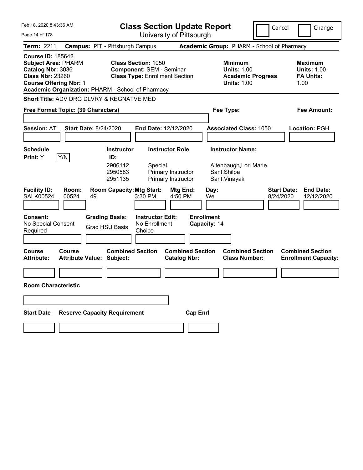| Feb 18, 2020 8:43:36 AM                                                                                                                                                                      | <b>Class Section Update Report</b>                                                                     |                                                |                                                                                        | Cancel<br>Change                                                  |
|----------------------------------------------------------------------------------------------------------------------------------------------------------------------------------------------|--------------------------------------------------------------------------------------------------------|------------------------------------------------|----------------------------------------------------------------------------------------|-------------------------------------------------------------------|
| Page 14 of 178                                                                                                                                                                               |                                                                                                        | University of Pittsburgh                       |                                                                                        |                                                                   |
| <b>Term: 2211</b>                                                                                                                                                                            | <b>Campus: PIT - Pittsburgh Campus</b>                                                                 |                                                | Academic Group: PHARM - School of Pharmacy                                             |                                                                   |
| <b>Course ID: 185642</b><br><b>Subject Area: PHARM</b><br>Catalog Nbr: 3036<br><b>Class Nbr: 23260</b><br><b>Course Offering Nbr: 1</b><br>Academic Organization: PHARM - School of Pharmacy | <b>Class Section: 1050</b><br><b>Component: SEM - Seminar</b><br><b>Class Type: Enrollment Section</b> |                                                | <b>Minimum</b><br><b>Units: 1.00</b><br><b>Academic Progress</b><br><b>Units: 1.00</b> | <b>Maximum</b><br><b>Units: 1.00</b><br><b>FA Units:</b><br>1.00  |
| Short Title: ADV DRG DLVRY & REGNATVE MED                                                                                                                                                    |                                                                                                        |                                                |                                                                                        |                                                                   |
| Free Format Topic: (30 Characters)                                                                                                                                                           |                                                                                                        |                                                | Fee Type:                                                                              | Fee Amount:                                                       |
|                                                                                                                                                                                              |                                                                                                        |                                                |                                                                                        |                                                                   |
| <b>Session: AT</b><br><b>Start Date: 8/24/2020</b>                                                                                                                                           | End Date: 12/12/2020                                                                                   |                                                | <b>Associated Class: 1050</b>                                                          | Location: PGH                                                     |
|                                                                                                                                                                                              |                                                                                                        |                                                |                                                                                        |                                                                   |
| <b>Schedule</b>                                                                                                                                                                              | <b>Instructor Role</b><br><b>Instructor</b>                                                            |                                                | <b>Instructor Name:</b>                                                                |                                                                   |
| Y/N<br>Print: Y                                                                                                                                                                              | ID:<br>2906112<br>Special<br>2950583<br>Primary Instructor<br>2951135<br>Primary Instructor            |                                                | Altenbaugh, Lori Marie<br>Sant, Shilpa<br>Sant, Vinayak                                |                                                                   |
| <b>Facility ID:</b><br>Room:<br>00524<br><b>SALK00524</b><br>49                                                                                                                              | <b>Room Capacity: Mtg Start:</b><br>3:30 PM                                                            | Mtg End:<br>Day:<br>4:50 PM<br>We              |                                                                                        | <b>End Date:</b><br><b>Start Date:</b><br>8/24/2020<br>12/12/2020 |
| <b>Consent:</b><br>No Special Consent<br>Required                                                                                                                                            | <b>Grading Basis:</b><br><b>Instructor Edit:</b><br>No Enrollment<br><b>Grad HSU Basis</b><br>Choice   | <b>Enrollment</b><br>Capacity: 14              |                                                                                        |                                                                   |
| <b>Course</b><br>Course<br><b>Attribute:</b><br><b>Attribute Value: Subject:</b>                                                                                                             | <b>Combined Section</b>                                                                                | <b>Combined Section</b><br><b>Catalog Nbr:</b> | <b>Combined Section</b><br><b>Class Number:</b>                                        | <b>Combined Section</b><br><b>Enrollment Capacity:</b>            |
|                                                                                                                                                                                              |                                                                                                        |                                                |                                                                                        |                                                                   |
| <b>Room Characteristic</b>                                                                                                                                                                   |                                                                                                        |                                                |                                                                                        |                                                                   |
|                                                                                                                                                                                              |                                                                                                        |                                                |                                                                                        |                                                                   |
| <b>Start Date</b>                                                                                                                                                                            | <b>Reserve Capacity Requirement</b>                                                                    | <b>Cap Enrl</b>                                |                                                                                        |                                                                   |
|                                                                                                                                                                                              |                                                                                                        |                                                |                                                                                        |                                                                   |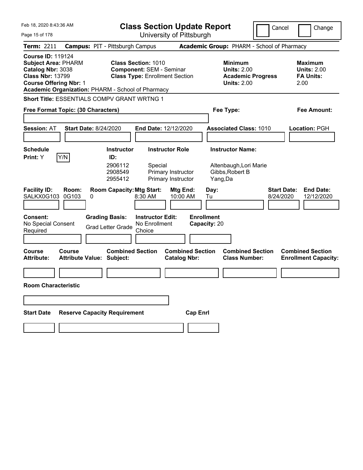| Feb 18, 2020 8:43:36 AM                                                                                                                                                                      | <b>Class Section Update Report</b>                                                                      | Cancel                                                                                 | Change                                                    |
|----------------------------------------------------------------------------------------------------------------------------------------------------------------------------------------------|---------------------------------------------------------------------------------------------------------|----------------------------------------------------------------------------------------|-----------------------------------------------------------|
| Page 15 of 178                                                                                                                                                                               | University of Pittsburgh                                                                                |                                                                                        |                                                           |
| Term: 2211                                                                                                                                                                                   | <b>Campus: PIT - Pittsburgh Campus</b>                                                                  | Academic Group: PHARM - School of Pharmacy                                             |                                                           |
| <b>Course ID: 119124</b><br><b>Subject Area: PHARM</b><br>Catalog Nbr: 3038<br><b>Class Nbr: 13799</b><br><b>Course Offering Nbr: 1</b><br>Academic Organization: PHARM - School of Pharmacy | <b>Class Section: 1010</b><br><b>Component: SEM - Seminar</b><br><b>Class Type: Enrollment Section</b>  | <b>Minimum</b><br><b>Units: 2.00</b><br><b>Academic Progress</b><br><b>Units: 2.00</b> | Maximum<br><b>Units: 2.00</b><br><b>FA Units:</b><br>2.00 |
| <b>Short Title: ESSENTIALS COMPV GRANT WRTNG 1</b>                                                                                                                                           |                                                                                                         |                                                                                        |                                                           |
| Free Format Topic: (30 Characters)                                                                                                                                                           |                                                                                                         | Fee Type:                                                                              | Fee Amount:                                               |
|                                                                                                                                                                                              |                                                                                                         |                                                                                        |                                                           |
| <b>Session: AT</b><br><b>Start Date: 8/24/2020</b>                                                                                                                                           | <b>End Date: 12/12/2020</b>                                                                             | <b>Associated Class: 1010</b>                                                          | Location: PGH                                             |
|                                                                                                                                                                                              |                                                                                                         |                                                                                        |                                                           |
| <b>Schedule</b>                                                                                                                                                                              | <b>Instructor Role</b><br><b>Instructor</b>                                                             | <b>Instructor Name:</b>                                                                |                                                           |
| Y/N<br><b>Print:</b> Y                                                                                                                                                                       | ID:<br>2906112<br>Special<br>2908549<br>Primary Instructor<br>2955412<br>Primary Instructor             | Altenbaugh, Lori Marie<br>Gibbs, Robert B<br>Yang,Da                                   |                                                           |
| <b>Facility ID:</b><br>Room:<br>SALKX0G103<br>0G103<br>0                                                                                                                                     | <b>Room Capacity: Mtg Start:</b><br>Mtg End:<br>8:30 AM<br>10:00 AM                                     | <b>Start Date:</b><br>Day:<br>8/24/2020<br>Tu                                          | <b>End Date:</b><br>12/12/2020                            |
| <b>Consent:</b><br>No Special Consent<br>Required                                                                                                                                            | <b>Grading Basis:</b><br><b>Instructor Edit:</b><br>No Enrollment<br><b>Grad Letter Grade</b><br>Choice | <b>Enrollment</b><br>Capacity: 20                                                      |                                                           |
| Course<br>Course<br><b>Attribute:</b><br><b>Attribute Value: Subject:</b>                                                                                                                    | <b>Combined Section</b><br><b>Combined Section</b><br><b>Catalog Nbr:</b>                               | <b>Combined Section</b><br><b>Class Number:</b>                                        | <b>Combined Section</b><br><b>Enrollment Capacity:</b>    |
|                                                                                                                                                                                              |                                                                                                         |                                                                                        |                                                           |
| <b>Room Characteristic</b>                                                                                                                                                                   |                                                                                                         |                                                                                        |                                                           |
|                                                                                                                                                                                              |                                                                                                         |                                                                                        |                                                           |
| <b>Reserve Capacity Requirement</b><br><b>Start Date</b>                                                                                                                                     |                                                                                                         | <b>Cap Enrl</b>                                                                        |                                                           |
|                                                                                                                                                                                              |                                                                                                         |                                                                                        |                                                           |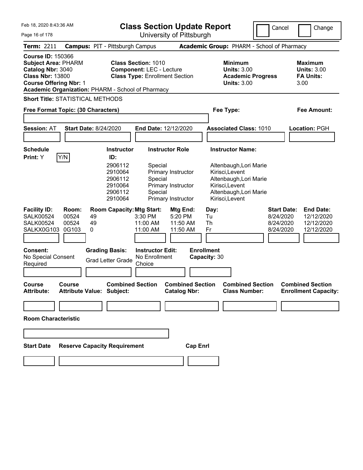Feb 18, 2020 8:43:36 AM

**Class Section Update Report**

Cancel Change

| Page 16 of 178                                                                                                                                                                               |                                                                                                                 | University of Pittsburgh                                                                                                          |                                                                                                                                                   |                                                                   |
|----------------------------------------------------------------------------------------------------------------------------------------------------------------------------------------------|-----------------------------------------------------------------------------------------------------------------|-----------------------------------------------------------------------------------------------------------------------------------|---------------------------------------------------------------------------------------------------------------------------------------------------|-------------------------------------------------------------------|
| <b>Term: 2211</b>                                                                                                                                                                            | <b>Campus: PIT - Pittsburgh Campus</b>                                                                          |                                                                                                                                   | Academic Group: PHARM - School of Pharmacy                                                                                                        |                                                                   |
| <b>Course ID: 150366</b><br><b>Subject Area: PHARM</b><br>Catalog Nbr: 3040<br><b>Class Nbr: 13800</b><br><b>Course Offering Nbr: 1</b><br>Academic Organization: PHARM - School of Pharmacy | <b>Class Section: 1010</b>                                                                                      | <b>Component: LEC - Lecture</b><br><b>Class Type: Enrollment Section</b>                                                          | <b>Minimum</b><br><b>Units: 3.00</b><br><b>Academic Progress</b><br><b>Units: 3.00</b>                                                            | <b>Maximum</b><br><b>Units: 3.00</b><br><b>FA Units:</b><br>3.00  |
| <b>Short Title: STATISTICAL METHODS</b>                                                                                                                                                      |                                                                                                                 |                                                                                                                                   |                                                                                                                                                   |                                                                   |
| Free Format Topic: (30 Characters)                                                                                                                                                           |                                                                                                                 |                                                                                                                                   | Fee Type:                                                                                                                                         | Fee Amount:                                                       |
|                                                                                                                                                                                              |                                                                                                                 |                                                                                                                                   |                                                                                                                                                   |                                                                   |
| <b>Session: AT</b>                                                                                                                                                                           | <b>Start Date: 8/24/2020</b>                                                                                    | End Date: 12/12/2020                                                                                                              | <b>Associated Class: 1010</b>                                                                                                                     | Location: PGH                                                     |
|                                                                                                                                                                                              |                                                                                                                 |                                                                                                                                   |                                                                                                                                                   |                                                                   |
| <b>Schedule</b>                                                                                                                                                                              | <b>Instructor</b>                                                                                               | <b>Instructor Role</b>                                                                                                            | <b>Instructor Name:</b>                                                                                                                           |                                                                   |
| Y/N<br>Print: Y<br><b>Facility ID:</b><br>Room:<br><b>SALK00524</b><br>00524                                                                                                                 | ID:<br>2906112<br>2910064<br>2906112<br>2910064<br>2906112<br>2910064<br><b>Room Capacity: Mtg Start:</b><br>49 | Special<br>Primary Instructor<br>Special<br>Primary Instructor<br>Special<br>Primary Instructor<br>Mtg End:<br>3:30 PM<br>5:20 PM | Altenbaugh, Lori Marie<br>Kirisci, Levent<br>Altenbaugh, Lori Marie<br>Kirisci, Levent<br>Altenbaugh, Lori Marie<br>Kirisci, Levent<br>Day:<br>Tu | <b>Start Date:</b><br><b>End Date:</b><br>12/12/2020<br>8/24/2020 |
| <b>SALK00524</b><br>00524<br>SALKX0G103<br>0G103                                                                                                                                             | 49<br>0                                                                                                         | 11:00 AM<br>11:50 AM<br>11:00 AM<br>11:50 AM                                                                                      | Th<br>Fr                                                                                                                                          | 8/24/2020<br>12/12/2020<br>8/24/2020<br>12/12/2020                |
| Consent:<br>No Special Consent<br>Required                                                                                                                                                   | <b>Grading Basis:</b><br><b>Grad Letter Grade</b>                                                               | <b>Instructor Edit:</b><br>No Enrollment<br>Choice                                                                                | <b>Enrollment</b><br>Capacity: 30                                                                                                                 |                                                                   |
| <b>Course</b><br>Course<br><b>Attribute:</b>                                                                                                                                                 | <b>Combined Section</b><br><b>Attribute Value: Subject:</b>                                                     | <b>Combined Section</b><br><b>Catalog Nbr:</b>                                                                                    | <b>Combined Section</b><br><b>Class Number:</b>                                                                                                   | <b>Combined Section</b><br><b>Enrollment Capacity:</b>            |
|                                                                                                                                                                                              |                                                                                                                 |                                                                                                                                   |                                                                                                                                                   |                                                                   |
| <b>Room Characteristic</b>                                                                                                                                                                   |                                                                                                                 |                                                                                                                                   |                                                                                                                                                   |                                                                   |
|                                                                                                                                                                                              |                                                                                                                 |                                                                                                                                   |                                                                                                                                                   |                                                                   |
| <b>Start Date</b>                                                                                                                                                                            | <b>Reserve Capacity Requirement</b>                                                                             | <b>Cap Enrl</b>                                                                                                                   |                                                                                                                                                   |                                                                   |
|                                                                                                                                                                                              |                                                                                                                 |                                                                                                                                   |                                                                                                                                                   |                                                                   |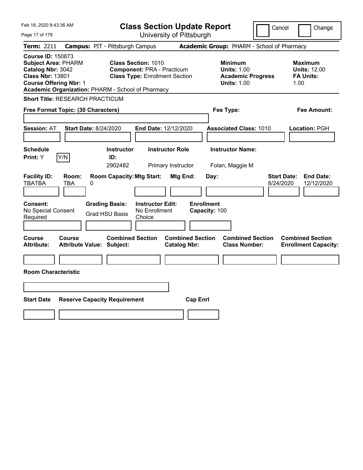| Feb 18, 2020 8:43:36 AM                                                                                                                                                                      | <b>Class Section Update Report</b>                                                                       |                                                |                                                                                        | Cancel<br>Change                                                  |
|----------------------------------------------------------------------------------------------------------------------------------------------------------------------------------------------|----------------------------------------------------------------------------------------------------------|------------------------------------------------|----------------------------------------------------------------------------------------|-------------------------------------------------------------------|
| Page 17 of 178                                                                                                                                                                               |                                                                                                          | University of Pittsburgh                       |                                                                                        |                                                                   |
| Term: 2211                                                                                                                                                                                   | <b>Campus: PIT - Pittsburgh Campus</b>                                                                   |                                                | Academic Group: PHARM - School of Pharmacy                                             |                                                                   |
| <b>Course ID: 150873</b><br><b>Subject Area: PHARM</b><br>Catalog Nbr: 3042<br><b>Class Nbr: 13801</b><br><b>Course Offering Nbr: 1</b><br>Academic Organization: PHARM - School of Pharmacy | <b>Class Section: 1010</b><br><b>Component: PRA - Practicum</b><br><b>Class Type: Enrollment Section</b> |                                                | <b>Minimum</b><br><b>Units: 1.00</b><br><b>Academic Progress</b><br><b>Units: 1.00</b> | <b>Maximum</b><br><b>Units: 12.00</b><br><b>FA Units:</b><br>1.00 |
| <b>Short Title: RESEARCH PRACTICUM</b>                                                                                                                                                       |                                                                                                          |                                                |                                                                                        |                                                                   |
| Free Format Topic: (30 Characters)                                                                                                                                                           |                                                                                                          |                                                | Fee Type:                                                                              | Fee Amount:                                                       |
| <b>Start Date: 8/24/2020</b><br><b>Session: AT</b>                                                                                                                                           | End Date: 12/12/2020                                                                                     |                                                | <b>Associated Class: 1010</b>                                                          | Location: PGH                                                     |
| <b>Schedule</b><br>Y/N<br>Print: Y                                                                                                                                                           | <b>Instructor Role</b><br><b>Instructor</b><br>ID:<br>2902482<br>Primary Instructor                      |                                                | <b>Instructor Name:</b><br>Folan, Maggie M                                             |                                                                   |
| <b>Facility ID:</b><br>Room:<br><b>TBATBA</b><br>TBA<br>0                                                                                                                                    | <b>Room Capacity: Mtg Start:</b>                                                                         | Mtg End:<br>Day:                               |                                                                                        | <b>Start Date:</b><br><b>End Date:</b><br>12/12/2020<br>8/24/2020 |
| Consent:<br>No Special Consent<br>Required                                                                                                                                                   | <b>Grading Basis:</b><br><b>Instructor Edit:</b><br>No Enrollment<br><b>Grad HSU Basis</b><br>Choice     | <b>Enrollment</b><br>Capacity: 100             |                                                                                        |                                                                   |
| Course<br>Course<br><b>Attribute Value: Subject:</b><br>Attribute:                                                                                                                           | <b>Combined Section</b>                                                                                  | <b>Combined Section</b><br><b>Catalog Nbr:</b> | <b>Combined Section</b><br><b>Class Number:</b>                                        | <b>Combined Section</b><br><b>Enrollment Capacity:</b>            |
| <b>Room Characteristic</b>                                                                                                                                                                   |                                                                                                          |                                                |                                                                                        |                                                                   |
| <b>Start Date</b><br><b>Reserve Capacity Requirement</b>                                                                                                                                     |                                                                                                          | <b>Cap Enrl</b>                                |                                                                                        |                                                                   |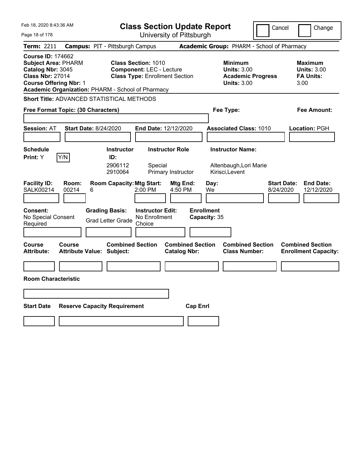| Feb 18, 2020 8:43:36 AM                                                                                                                                                                      | <b>Class Section Update Report</b>                                                                     | Cancel                                                                                 | Change                                                           |
|----------------------------------------------------------------------------------------------------------------------------------------------------------------------------------------------|--------------------------------------------------------------------------------------------------------|----------------------------------------------------------------------------------------|------------------------------------------------------------------|
| Page 18 of 178                                                                                                                                                                               | University of Pittsburgh                                                                               |                                                                                        |                                                                  |
| Term: 2211                                                                                                                                                                                   | <b>Campus: PIT - Pittsburgh Campus</b>                                                                 | Academic Group: PHARM - School of Pharmacy                                             |                                                                  |
| <b>Course ID: 174662</b><br><b>Subject Area: PHARM</b><br>Catalog Nbr: 3045<br><b>Class Nbr: 27014</b><br><b>Course Offering Nbr: 1</b><br>Academic Organization: PHARM - School of Pharmacy | <b>Class Section: 1010</b><br><b>Component: LEC - Lecture</b><br><b>Class Type: Enrollment Section</b> | <b>Minimum</b><br><b>Units: 3.00</b><br><b>Academic Progress</b><br><b>Units: 3.00</b> | <b>Maximum</b><br><b>Units: 3.00</b><br><b>FA Units:</b><br>3.00 |
| Short Title: ADVANCED STATISTICAL METHODS                                                                                                                                                    |                                                                                                        |                                                                                        |                                                                  |
| Free Format Topic: (30 Characters)                                                                                                                                                           |                                                                                                        | Fee Type:                                                                              | Fee Amount:                                                      |
| <b>Session: AT</b><br><b>Start Date: 8/24/2020</b>                                                                                                                                           | <b>End Date: 12/12/2020</b>                                                                            | <b>Associated Class: 1010</b>                                                          | Location: PGH                                                    |
| <b>Schedule</b>                                                                                                                                                                              | <b>Instructor</b><br><b>Instructor Role</b>                                                            | <b>Instructor Name:</b>                                                                |                                                                  |
| Y/N<br>Print: Y                                                                                                                                                                              | ID:<br>2906112<br>Special<br>2910064<br>Primary Instructor                                             | Altenbaugh, Lori Marie<br>Kirisci, Levent                                              |                                                                  |
| <b>Facility ID:</b><br>Room:<br><b>SALK00214</b><br>00214<br>6                                                                                                                               | <b>Room Capacity: Mtg Start:</b><br>Mtg End:<br>2:00 PM<br>4:50 PM                                     | <b>Start Date:</b><br>Day:<br>We<br>8/24/2020                                          | <b>End Date:</b><br>12/12/2020                                   |
| <b>Consent:</b><br><b>Grading Basis:</b><br>No Special Consent<br>Required                                                                                                                   | <b>Instructor Edit:</b><br>No Enrollment<br><b>Grad Letter Grade</b><br>Choice                         | <b>Enrollment</b><br>Capacity: 35                                                      |                                                                  |
| <b>Course</b><br><b>Course</b><br><b>Attribute:</b><br><b>Attribute Value: Subject:</b>                                                                                                      | <b>Combined Section</b><br><b>Combined Section</b><br><b>Catalog Nbr:</b>                              | <b>Combined Section</b><br><b>Class Number:</b>                                        | <b>Combined Section</b><br><b>Enrollment Capacity:</b>           |
|                                                                                                                                                                                              |                                                                                                        |                                                                                        |                                                                  |
| <b>Room Characteristic</b>                                                                                                                                                                   |                                                                                                        |                                                                                        |                                                                  |
|                                                                                                                                                                                              |                                                                                                        |                                                                                        |                                                                  |
| <b>Start Date</b><br><b>Reserve Capacity Requirement</b>                                                                                                                                     | <b>Cap Enri</b>                                                                                        |                                                                                        |                                                                  |
|                                                                                                                                                                                              |                                                                                                        |                                                                                        |                                                                  |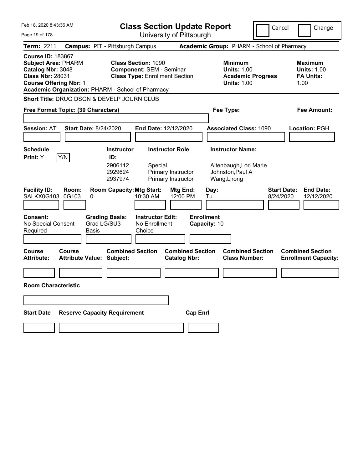| Feb 18, 2020 8:43:36 AM                                                                                                                                                                      | <b>Class Section Update Report</b>                                                                     | Cancel                                                                                 | Change                                                           |
|----------------------------------------------------------------------------------------------------------------------------------------------------------------------------------------------|--------------------------------------------------------------------------------------------------------|----------------------------------------------------------------------------------------|------------------------------------------------------------------|
| Page 19 of 178                                                                                                                                                                               | University of Pittsburgh                                                                               |                                                                                        |                                                                  |
| <b>Term: 2211</b>                                                                                                                                                                            | <b>Campus: PIT - Pittsburgh Campus</b>                                                                 | <b>Academic Group: PHARM - School of Pharmacy</b>                                      |                                                                  |
| <b>Course ID: 183867</b><br><b>Subject Area: PHARM</b><br>Catalog Nbr: 3048<br><b>Class Nbr: 28031</b><br><b>Course Offering Nbr: 1</b><br>Academic Organization: PHARM - School of Pharmacy | <b>Class Section: 1090</b><br><b>Component: SEM - Seminar</b><br><b>Class Type: Enrollment Section</b> | <b>Minimum</b><br><b>Units: 1.00</b><br><b>Academic Progress</b><br><b>Units: 1.00</b> | <b>Maximum</b><br><b>Units: 1.00</b><br><b>FA Units:</b><br>1.00 |
| Short Title: DRUG DSGN & DEVELP JOURN CLUB                                                                                                                                                   |                                                                                                        |                                                                                        |                                                                  |
| Free Format Topic: (30 Characters)                                                                                                                                                           |                                                                                                        | Fee Type:                                                                              | Fee Amount:                                                      |
|                                                                                                                                                                                              |                                                                                                        |                                                                                        |                                                                  |
| <b>Start Date: 8/24/2020</b><br><b>Session: AT</b>                                                                                                                                           | <b>End Date: 12/12/2020</b>                                                                            | <b>Associated Class: 1090</b>                                                          | Location: PGH                                                    |
|                                                                                                                                                                                              |                                                                                                        |                                                                                        |                                                                  |
| <b>Schedule</b><br>Y/N<br>Print: Y                                                                                                                                                           | <b>Instructor Role</b><br><b>Instructor</b><br>ID:                                                     | <b>Instructor Name:</b>                                                                |                                                                  |
|                                                                                                                                                                                              | 2906112<br>Special<br>2929624<br>Primary Instructor<br>2937974<br>Primary Instructor                   | Altenbaugh, Lori Marie<br>Johnston, Paul A<br>Wang, Lirong                             |                                                                  |
| <b>Facility ID:</b><br>Room:<br>0G103<br>SALKX0G103<br>0                                                                                                                                     | <b>Room Capacity: Mtg Start:</b><br>Mtg End:<br>10:30 AM<br>12:00 PM                                   | <b>Start Date:</b><br>Day:<br>8/24/2020<br>Tu                                          | <b>End Date:</b><br>12/12/2020                                   |
| Consent:<br>Grad LG/SU3<br>No Special Consent<br>Required<br><b>Basis</b>                                                                                                                    | <b>Grading Basis:</b><br><b>Instructor Edit:</b><br>No Enrollment<br>Choice                            | <b>Enrollment</b><br>Capacity: 10                                                      |                                                                  |
| <b>Course</b><br>Course<br><b>Attribute:</b><br><b>Attribute Value: Subject:</b>                                                                                                             | <b>Combined Section</b><br><b>Combined Section</b><br><b>Catalog Nbr:</b>                              | <b>Combined Section</b><br><b>Class Number:</b>                                        | <b>Combined Section</b><br><b>Enrollment Capacity:</b>           |
|                                                                                                                                                                                              |                                                                                                        |                                                                                        |                                                                  |
| <b>Room Characteristic</b>                                                                                                                                                                   |                                                                                                        |                                                                                        |                                                                  |
|                                                                                                                                                                                              |                                                                                                        |                                                                                        |                                                                  |
| <b>Reserve Capacity Requirement</b><br><b>Start Date</b>                                                                                                                                     |                                                                                                        | <b>Cap Enrl</b>                                                                        |                                                                  |
|                                                                                                                                                                                              |                                                                                                        |                                                                                        |                                                                  |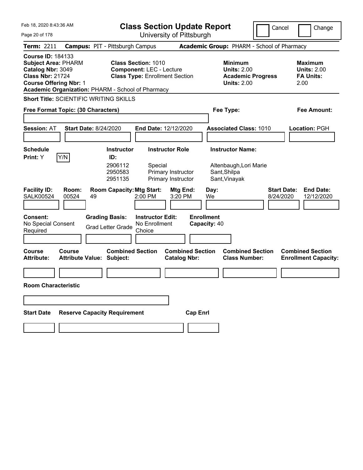| Feb 18, 2020 8:43:36 AM                                                                                                                                                                      | <b>Class Section Update Report</b>                                                                                                                                       | Cancel                                                                                                   | Change                                                    |
|----------------------------------------------------------------------------------------------------------------------------------------------------------------------------------------------|--------------------------------------------------------------------------------------------------------------------------------------------------------------------------|----------------------------------------------------------------------------------------------------------|-----------------------------------------------------------|
| Page 20 of 178                                                                                                                                                                               | University of Pittsburgh                                                                                                                                                 |                                                                                                          |                                                           |
| <b>Term: 2211</b>                                                                                                                                                                            | <b>Campus: PIT - Pittsburgh Campus</b>                                                                                                                                   | Academic Group: PHARM - School of Pharmacy                                                               |                                                           |
| <b>Course ID: 184133</b><br><b>Subject Area: PHARM</b><br>Catalog Nbr: 3049<br><b>Class Nbr: 21724</b><br><b>Course Offering Nbr: 1</b><br>Academic Organization: PHARM - School of Pharmacy | <b>Class Section: 1010</b><br><b>Component: LEC - Lecture</b><br><b>Class Type: Enrollment Section</b>                                                                   | <b>Minimum</b><br><b>Units: 2.00</b><br><b>Academic Progress</b><br><b>Units: 2.00</b>                   | Maximum<br><b>Units: 2.00</b><br><b>FA Units:</b><br>2.00 |
| <b>Short Title: SCIENTIFIC WRITING SKILLS</b>                                                                                                                                                |                                                                                                                                                                          |                                                                                                          |                                                           |
| Free Format Topic: (30 Characters)                                                                                                                                                           |                                                                                                                                                                          | Fee Type:                                                                                                | Fee Amount:                                               |
|                                                                                                                                                                                              |                                                                                                                                                                          |                                                                                                          |                                                           |
| <b>Session: AT</b><br><b>Start Date: 8/24/2020</b>                                                                                                                                           | <b>End Date: 12/12/2020</b>                                                                                                                                              | <b>Associated Class: 1010</b>                                                                            | Location: PGH                                             |
|                                                                                                                                                                                              |                                                                                                                                                                          |                                                                                                          |                                                           |
| Schedule                                                                                                                                                                                     | <b>Instructor Role</b><br><b>Instructor</b>                                                                                                                              | <b>Instructor Name:</b>                                                                                  |                                                           |
| Y/N<br><b>Print:</b> Y<br><b>Facility ID:</b><br>Room:<br>00524<br><b>SALK00524</b><br>49                                                                                                    | ID:<br>2906112<br>Special<br>2950583<br>Primary Instructor<br>Primary Instructor<br>2951135<br><b>Room Capacity: Mtg Start:</b><br><b>Mtg End:</b><br>2:00 PM<br>3:20 PM | Altenbaugh, Lori Marie<br>Sant, Shilpa<br>Sant, Vinayak<br><b>Start Date:</b><br>Day:<br>We<br>8/24/2020 | <b>End Date:</b><br>12/12/2020                            |
|                                                                                                                                                                                              |                                                                                                                                                                          |                                                                                                          |                                                           |
| <b>Consent:</b><br>No Special Consent<br>Required                                                                                                                                            | <b>Grading Basis:</b><br><b>Instructor Edit:</b><br>No Enrollment<br><b>Grad Letter Grade</b><br>Choice                                                                  | <b>Enrollment</b><br>Capacity: 40                                                                        |                                                           |
| <b>Course</b><br>Course<br><b>Attribute:</b><br><b>Attribute Value: Subject:</b>                                                                                                             | <b>Combined Section</b><br><b>Catalog Nbr:</b>                                                                                                                           | <b>Combined Section</b><br><b>Combined Section</b><br><b>Class Number:</b>                               | <b>Combined Section</b><br><b>Enrollment Capacity:</b>    |
|                                                                                                                                                                                              |                                                                                                                                                                          |                                                                                                          |                                                           |
| <b>Room Characteristic</b>                                                                                                                                                                   |                                                                                                                                                                          |                                                                                                          |                                                           |
|                                                                                                                                                                                              |                                                                                                                                                                          |                                                                                                          |                                                           |
| <b>Reserve Capacity Requirement</b><br><b>Start Date</b>                                                                                                                                     |                                                                                                                                                                          | <b>Cap Enrl</b>                                                                                          |                                                           |
|                                                                                                                                                                                              |                                                                                                                                                                          |                                                                                                          |                                                           |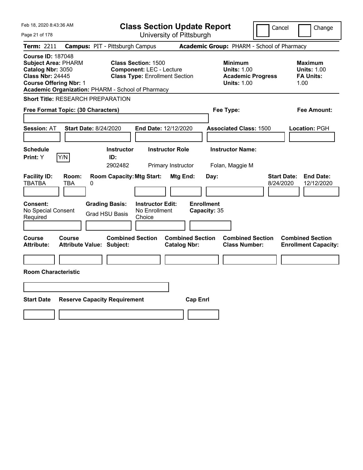| Feb 18, 2020 8:43:36 AM                                                                                                                                                                      |                                                                                                               | <b>Class Section Update Report</b>             |                                                                                        | Cancel                          | Change                                                           |
|----------------------------------------------------------------------------------------------------------------------------------------------------------------------------------------------|---------------------------------------------------------------------------------------------------------------|------------------------------------------------|----------------------------------------------------------------------------------------|---------------------------------|------------------------------------------------------------------|
| Page 21 of 178                                                                                                                                                                               |                                                                                                               | University of Pittsburgh                       |                                                                                        |                                 |                                                                  |
| Term: 2211                                                                                                                                                                                   | <b>Campus: PIT - Pittsburgh Campus</b>                                                                        |                                                | Academic Group: PHARM - School of Pharmacy                                             |                                 |                                                                  |
| <b>Course ID: 187048</b><br><b>Subject Area: PHARM</b><br>Catalog Nbr: 3050<br><b>Class Nbr: 24445</b><br><b>Course Offering Nbr: 1</b><br>Academic Organization: PHARM - School of Pharmacy | <b>Class Section: 1500</b><br><b>Component: LEC - Lecture</b><br><b>Class Type: Enrollment Section</b>        |                                                | <b>Minimum</b><br><b>Units: 1.00</b><br><b>Academic Progress</b><br><b>Units: 1.00</b> |                                 | <b>Maximum</b><br><b>Units: 1.00</b><br><b>FA Units:</b><br>1.00 |
| <b>Short Title: RESEARCH PREPARATION</b>                                                                                                                                                     |                                                                                                               |                                                |                                                                                        |                                 |                                                                  |
| Free Format Topic: (30 Characters)                                                                                                                                                           |                                                                                                               |                                                | Fee Type:                                                                              |                                 | Fee Amount:                                                      |
| <b>Session: AT</b><br>Start Date: 8/24/2020<br><b>Schedule</b>                                                                                                                               | <b>Instructor</b>                                                                                             | End Date: 12/12/2020<br><b>Instructor Role</b> | <b>Associated Class: 1500</b><br><b>Instructor Name:</b>                               |                                 | Location: PGH                                                    |
| Y/N<br>Print: Y                                                                                                                                                                              | ID:<br>2902482                                                                                                | Primary Instructor                             | Folan, Maggie M                                                                        |                                 |                                                                  |
| <b>Facility ID:</b><br>Room:<br><b>TBATBA</b><br>TBA<br>0<br><b>Consent:</b><br>No Special Consent<br>Required                                                                               | <b>Room Capacity: Mtg Start:</b><br><b>Grading Basis:</b><br>No Enrollment<br><b>Grad HSU Basis</b><br>Choice | <b>Mtg End:</b><br><b>Instructor Edit:</b>     | Day:<br><b>Enrollment</b><br>Capacity: 35                                              | <b>Start Date:</b><br>8/24/2020 | <b>End Date:</b><br>12/12/2020                                   |
| <b>Course</b><br>Course<br><b>Attribute Value: Subject:</b><br><b>Attribute:</b><br><b>Room Characteristic</b>                                                                               | <b>Combined Section</b>                                                                                       | <b>Combined Section</b><br><b>Catalog Nbr:</b> | <b>Combined Section</b><br><b>Class Number:</b>                                        |                                 | <b>Combined Section</b><br><b>Enrollment Capacity:</b>           |
| <b>Start Date</b>                                                                                                                                                                            | <b>Reserve Capacity Requirement</b>                                                                           | <b>Cap Enrl</b>                                |                                                                                        |                                 |                                                                  |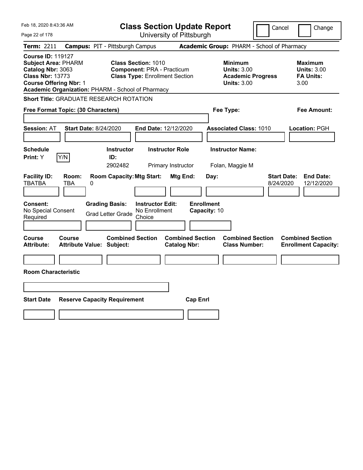| Feb 18, 2020 8:43:36 AM                                                                                                                                                                      |                                                                                                          | <b>Class Section Update Report</b>             |                                                                                        | Cancel<br>Change                                                  |
|----------------------------------------------------------------------------------------------------------------------------------------------------------------------------------------------|----------------------------------------------------------------------------------------------------------|------------------------------------------------|----------------------------------------------------------------------------------------|-------------------------------------------------------------------|
| Page 22 of 178                                                                                                                                                                               |                                                                                                          | University of Pittsburgh                       |                                                                                        |                                                                   |
| Term: 2211                                                                                                                                                                                   | <b>Campus: PIT - Pittsburgh Campus</b>                                                                   |                                                | Academic Group: PHARM - School of Pharmacy                                             |                                                                   |
| <b>Course ID: 119127</b><br><b>Subject Area: PHARM</b><br>Catalog Nbr: 3063<br><b>Class Nbr: 13773</b><br><b>Course Offering Nbr: 1</b><br>Academic Organization: PHARM - School of Pharmacy | <b>Class Section: 1010</b><br><b>Component: PRA - Practicum</b><br><b>Class Type: Enrollment Section</b> |                                                | <b>Minimum</b><br><b>Units: 3.00</b><br><b>Academic Progress</b><br><b>Units: 3.00</b> | <b>Maximum</b><br><b>Units: 3.00</b><br><b>FA Units:</b><br>3.00  |
| <b>Short Title: GRADUATE RESEARCH ROTATION</b>                                                                                                                                               |                                                                                                          |                                                |                                                                                        |                                                                   |
| Free Format Topic: (30 Characters)                                                                                                                                                           |                                                                                                          |                                                | Fee Type:                                                                              | Fee Amount:                                                       |
| <b>Session: AT</b><br><b>Start Date: 8/24/2020</b>                                                                                                                                           | End Date: 12/12/2020                                                                                     |                                                | <b>Associated Class: 1010</b>                                                          | Location: PGH                                                     |
| <b>Schedule</b>                                                                                                                                                                              | <b>Instructor</b>                                                                                        | <b>Instructor Role</b>                         | <b>Instructor Name:</b>                                                                |                                                                   |
| Y/N<br><b>Print:</b> Y                                                                                                                                                                       | ID:<br>2902482                                                                                           | Primary Instructor                             | Folan, Maggie M                                                                        |                                                                   |
| <b>Facility ID:</b><br>Room:<br><b>TBATBA</b><br>TBA<br>0                                                                                                                                    | <b>Room Capacity: Mtg Start:</b>                                                                         | Mtg End:<br>Day:                               |                                                                                        | <b>Start Date:</b><br><b>End Date:</b><br>8/24/2020<br>12/12/2020 |
| <b>Consent:</b><br>No Special Consent<br>Required                                                                                                                                            | <b>Grading Basis:</b><br><b>Instructor Edit:</b><br>No Enrollment<br><b>Grad Letter Grade</b><br>Choice  | <b>Enrollment</b><br>Capacity: 10              |                                                                                        |                                                                   |
| <b>Course</b><br><b>Course</b><br><b>Attribute Value: Subject:</b><br><b>Attribute:</b>                                                                                                      | <b>Combined Section</b>                                                                                  | <b>Combined Section</b><br><b>Catalog Nbr:</b> | <b>Combined Section</b><br><b>Class Number:</b>                                        | <b>Combined Section</b><br><b>Enrollment Capacity:</b>            |
|                                                                                                                                                                                              |                                                                                                          |                                                |                                                                                        |                                                                   |
| <b>Room Characteristic</b>                                                                                                                                                                   |                                                                                                          |                                                |                                                                                        |                                                                   |
|                                                                                                                                                                                              |                                                                                                          |                                                |                                                                                        |                                                                   |
| <b>Start Date</b><br><b>Reserve Capacity Requirement</b>                                                                                                                                     |                                                                                                          | <b>Cap Enrl</b>                                |                                                                                        |                                                                   |
|                                                                                                                                                                                              |                                                                                                          |                                                |                                                                                        |                                                                   |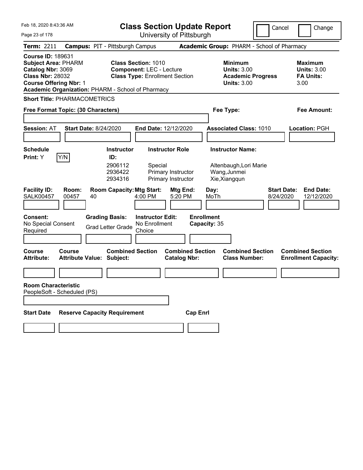| Feb 18, 2020 8:43:36 AM                                                                                                                                                                      | <b>Class Section Update Report</b>                                                                      | Cancel                                                                                 | Change                                                    |
|----------------------------------------------------------------------------------------------------------------------------------------------------------------------------------------------|---------------------------------------------------------------------------------------------------------|----------------------------------------------------------------------------------------|-----------------------------------------------------------|
| Page 23 of 178                                                                                                                                                                               | University of Pittsburgh                                                                                |                                                                                        |                                                           |
| <b>Term: 2211</b>                                                                                                                                                                            | <b>Campus: PIT - Pittsburgh Campus</b>                                                                  | Academic Group: PHARM - School of Pharmacy                                             |                                                           |
| <b>Course ID: 189631</b><br><b>Subject Area: PHARM</b><br>Catalog Nbr: 3069<br><b>Class Nbr: 28032</b><br><b>Course Offering Nbr: 1</b><br>Academic Organization: PHARM - School of Pharmacy | <b>Class Section: 1010</b><br><b>Component: LEC - Lecture</b><br><b>Class Type: Enrollment Section</b>  | <b>Minimum</b><br><b>Units: 3.00</b><br><b>Academic Progress</b><br><b>Units: 3.00</b> | Maximum<br><b>Units: 3.00</b><br><b>FA Units:</b><br>3.00 |
| <b>Short Title: PHARMACOMETRICS</b>                                                                                                                                                          |                                                                                                         |                                                                                        |                                                           |
| Free Format Topic: (30 Characters)                                                                                                                                                           |                                                                                                         | Fee Type:                                                                              | Fee Amount:                                               |
|                                                                                                                                                                                              |                                                                                                         |                                                                                        |                                                           |
| <b>Session: AT</b><br><b>Start Date: 8/24/2020</b>                                                                                                                                           | <b>End Date: 12/12/2020</b>                                                                             | <b>Associated Class: 1010</b>                                                          | Location: PGH                                             |
|                                                                                                                                                                                              |                                                                                                         |                                                                                        |                                                           |
| Schedule<br>Y/N<br><b>Print:</b> Y                                                                                                                                                           | <b>Instructor Role</b><br><b>Instructor</b><br>ID:                                                      | <b>Instructor Name:</b>                                                                |                                                           |
|                                                                                                                                                                                              | 2906112<br>Special<br>2936422<br>Primary Instructor<br>2934316<br>Primary Instructor                    | Altenbaugh, Lori Marie<br>Wang, Junmei<br>Xie, Xiangqun                                |                                                           |
| <b>Facility ID:</b><br>Room:<br><b>SALK00457</b><br>00457<br>40                                                                                                                              | <b>Room Capacity: Mtg Start:</b><br><b>Mtg End:</b><br>4:00 PM<br>5:20 PM                               | Day:<br>MoTh<br>8/24/2020                                                              | <b>Start Date:</b><br><b>End Date:</b><br>12/12/2020      |
| <b>Consent:</b><br>No Special Consent<br>Required                                                                                                                                            | <b>Grading Basis:</b><br><b>Instructor Edit:</b><br>No Enrollment<br><b>Grad Letter Grade</b><br>Choice | <b>Enrollment</b><br>Capacity: 35                                                      |                                                           |
| <b>Course</b><br>Course<br><b>Attribute:</b><br><b>Attribute Value: Subject:</b>                                                                                                             | <b>Combined Section</b><br><b>Combined Section</b><br><b>Catalog Nbr:</b>                               | <b>Combined Section</b><br><b>Class Number:</b>                                        | <b>Combined Section</b><br><b>Enrollment Capacity:</b>    |
|                                                                                                                                                                                              |                                                                                                         |                                                                                        |                                                           |
| <b>Room Characteristic</b><br>PeopleSoft - Scheduled (PS)                                                                                                                                    |                                                                                                         |                                                                                        |                                                           |
|                                                                                                                                                                                              |                                                                                                         |                                                                                        |                                                           |
| <b>Start Date</b>                                                                                                                                                                            | <b>Reserve Capacity Requirement</b>                                                                     | <b>Cap Enrl</b>                                                                        |                                                           |
|                                                                                                                                                                                              |                                                                                                         |                                                                                        |                                                           |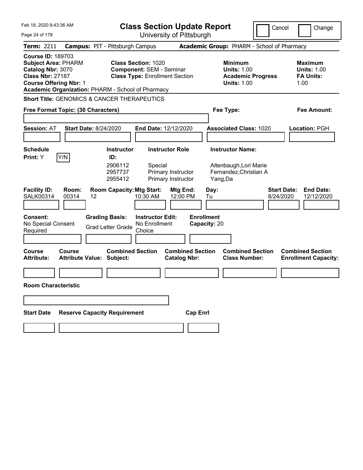| Feb 18, 2020 8:43:36 AM                                                                                                                                                                      |                                            |                                                   | <b>Class Section Update Report</b>                                                                     |                                                |                                   |                                                                                        | Cancel                                     | Change                                                    |
|----------------------------------------------------------------------------------------------------------------------------------------------------------------------------------------------|--------------------------------------------|---------------------------------------------------|--------------------------------------------------------------------------------------------------------|------------------------------------------------|-----------------------------------|----------------------------------------------------------------------------------------|--------------------------------------------|-----------------------------------------------------------|
| Page 24 of 178                                                                                                                                                                               |                                            |                                                   | University of Pittsburgh                                                                               |                                                |                                   |                                                                                        |                                            |                                                           |
| Term: 2211                                                                                                                                                                                   |                                            | <b>Campus: PIT - Pittsburgh Campus</b>            |                                                                                                        |                                                |                                   |                                                                                        | Academic Group: PHARM - School of Pharmacy |                                                           |
| <b>Course ID: 189703</b><br><b>Subject Area: PHARM</b><br>Catalog Nbr: 3070<br><b>Class Nbr: 27187</b><br><b>Course Offering Nbr: 1</b><br>Academic Organization: PHARM - School of Pharmacy |                                            |                                                   | <b>Class Section: 1020</b><br><b>Component: SEM - Seminar</b><br><b>Class Type: Enrollment Section</b> |                                                |                                   | <b>Minimum</b><br><b>Units: 1.00</b><br><b>Academic Progress</b><br><b>Units: 1.00</b> |                                            | Maximum<br><b>Units: 1.00</b><br><b>FA Units:</b><br>1.00 |
| <b>Short Title: GENOMICS &amp; CANCER THERAPEUTICS</b>                                                                                                                                       |                                            |                                                   |                                                                                                        |                                                |                                   |                                                                                        |                                            |                                                           |
| Free Format Topic: (30 Characters)                                                                                                                                                           |                                            |                                                   |                                                                                                        |                                                |                                   | Fee Type:                                                                              |                                            | Fee Amount:                                               |
|                                                                                                                                                                                              |                                            |                                                   |                                                                                                        |                                                |                                   |                                                                                        |                                            |                                                           |
| <b>Session: AT</b>                                                                                                                                                                           | <b>Start Date: 8/24/2020</b>               |                                                   | <b>End Date: 12/12/2020</b>                                                                            |                                                |                                   | <b>Associated Class: 1020</b>                                                          |                                            | Location: PGH                                             |
|                                                                                                                                                                                              |                                            |                                                   |                                                                                                        |                                                |                                   |                                                                                        |                                            |                                                           |
| <b>Schedule</b>                                                                                                                                                                              |                                            | <b>Instructor</b>                                 | <b>Instructor Role</b>                                                                                 |                                                |                                   | <b>Instructor Name:</b>                                                                |                                            |                                                           |
| <b>Print:</b> Y                                                                                                                                                                              | Y/N                                        | ID:<br>2906112<br>2957737<br>2955412              | Special<br>Primary Instructor<br>Primary Instructor                                                    |                                                | Yang,Da                           | Altenbaugh, Lori Marie<br>Fernandez, Christian A                                       |                                            |                                                           |
| <b>Facility ID:</b><br><b>SALK00314</b>                                                                                                                                                      | Room:<br>00314<br>$12 \overline{ }$        | <b>Room Capacity: Mtg Start:</b>                  | 10:30 AM                                                                                               | Mtg End:<br>12:00 PM                           | Day:<br>Tu                        |                                                                                        | <b>Start Date:</b><br>8/24/2020            | <b>End Date:</b><br>12/12/2020                            |
| <b>Consent:</b><br>No Special Consent<br>Required                                                                                                                                            |                                            | <b>Grading Basis:</b><br><b>Grad Letter Grade</b> | <b>Instructor Edit:</b><br>No Enrollment<br>Choice                                                     |                                                | <b>Enrollment</b><br>Capacity: 20 |                                                                                        |                                            |                                                           |
| Course<br><b>Attribute:</b>                                                                                                                                                                  | Course<br><b>Attribute Value: Subject:</b> | <b>Combined Section</b>                           |                                                                                                        | <b>Combined Section</b><br><b>Catalog Nbr:</b> |                                   | <b>Combined Section</b><br><b>Class Number:</b>                                        |                                            | <b>Combined Section</b><br><b>Enrollment Capacity:</b>    |
|                                                                                                                                                                                              |                                            |                                                   |                                                                                                        |                                                |                                   |                                                                                        |                                            |                                                           |
| <b>Room Characteristic</b>                                                                                                                                                                   |                                            |                                                   |                                                                                                        |                                                |                                   |                                                                                        |                                            |                                                           |
|                                                                                                                                                                                              |                                            |                                                   |                                                                                                        |                                                |                                   |                                                                                        |                                            |                                                           |
|                                                                                                                                                                                              |                                            |                                                   |                                                                                                        |                                                |                                   |                                                                                        |                                            |                                                           |
| <b>Start Date</b>                                                                                                                                                                            |                                            | <b>Reserve Capacity Requirement</b>               |                                                                                                        | <b>Cap Enrl</b>                                |                                   |                                                                                        |                                            |                                                           |
|                                                                                                                                                                                              |                                            |                                                   |                                                                                                        |                                                |                                   |                                                                                        |                                            |                                                           |
|                                                                                                                                                                                              |                                            |                                                   |                                                                                                        |                                                |                                   |                                                                                        |                                            |                                                           |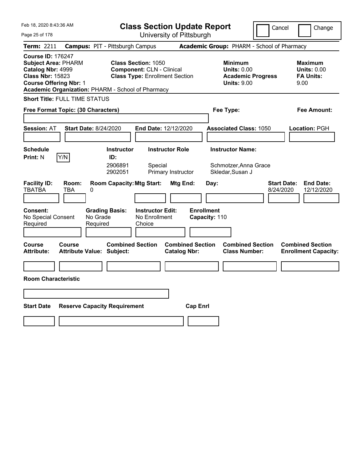| Feb 18, 2020 8:43:36 AM                                                                                                                                                                      | <b>Class Section Update Report</b>                                                                              |                                                            | Cancel                                          | Change                                                           |
|----------------------------------------------------------------------------------------------------------------------------------------------------------------------------------------------|-----------------------------------------------------------------------------------------------------------------|------------------------------------------------------------|-------------------------------------------------|------------------------------------------------------------------|
| Page 25 of 178                                                                                                                                                                               | University of Pittsburgh                                                                                        |                                                            |                                                 |                                                                  |
| Term: 2211                                                                                                                                                                                   | <b>Campus: PIT - Pittsburgh Campus</b>                                                                          | Academic Group: PHARM - School of Pharmacy                 |                                                 |                                                                  |
| <b>Course ID: 176247</b><br><b>Subject Area: PHARM</b><br>Catalog Nbr: 4999<br><b>Class Nbr: 15823</b><br><b>Course Offering Nbr: 1</b><br>Academic Organization: PHARM - School of Pharmacy | <b>Class Section: 1050</b><br><b>Component: CLN - Clinical</b><br><b>Class Type: Enrollment Section</b>         | <b>Minimum</b><br><b>Units: 0.00</b><br><b>Units: 9.00</b> | <b>Academic Progress</b>                        | <b>Maximum</b><br><b>Units: 0.00</b><br><b>FA Units:</b><br>9.00 |
| <b>Short Title: FULL TIME STATUS</b>                                                                                                                                                         |                                                                                                                 |                                                            |                                                 |                                                                  |
| Free Format Topic: (30 Characters)                                                                                                                                                           |                                                                                                                 | Fee Type:                                                  |                                                 | Fee Amount:                                                      |
|                                                                                                                                                                                              |                                                                                                                 |                                                            |                                                 |                                                                  |
| <b>Session: AT</b><br><b>Start Date: 8/24/2020</b>                                                                                                                                           | End Date: 12/12/2020                                                                                            |                                                            | <b>Associated Class: 1050</b>                   | Location: PGH                                                    |
| <b>Schedule</b>                                                                                                                                                                              | <b>Instructor Role</b><br><b>Instructor</b>                                                                     | <b>Instructor Name:</b>                                    |                                                 |                                                                  |
| Y/N<br><b>Print: N</b>                                                                                                                                                                       | ID:                                                                                                             |                                                            |                                                 |                                                                  |
|                                                                                                                                                                                              | 2906891<br>Special<br>2902051<br>Primary Instructor                                                             | Skledar, Susan J                                           | Schmotzer, Anna Grace                           |                                                                  |
| <b>Facility ID:</b><br>Room:<br><b>TBATBA</b><br>TBA<br>0<br>Consent:<br>No Special Consent<br>No Grade<br>Required<br>Required                                                              | <b>Room Capacity: Mtg Start:</b><br><b>Grading Basis:</b><br><b>Instructor Edit:</b><br>No Enrollment<br>Choice | Mtg End:<br>Day:<br><b>Enrollment</b><br>Capacity: 110     | <b>Start Date:</b><br>8/24/2020                 | <b>End Date:</b><br>12/12/2020                                   |
| Course<br>Course<br><b>Attribute:</b><br><b>Attribute Value: Subject:</b>                                                                                                                    | <b>Combined Section</b>                                                                                         | <b>Combined Section</b><br><b>Catalog Nbr:</b>             | <b>Combined Section</b><br><b>Class Number:</b> | <b>Combined Section</b><br><b>Enrollment Capacity:</b>           |
|                                                                                                                                                                                              |                                                                                                                 |                                                            |                                                 |                                                                  |
| <b>Room Characteristic</b>                                                                                                                                                                   |                                                                                                                 |                                                            |                                                 |                                                                  |
|                                                                                                                                                                                              |                                                                                                                 |                                                            |                                                 |                                                                  |
| <b>Start Date</b><br><b>Reserve Capacity Requirement</b>                                                                                                                                     |                                                                                                                 | <b>Cap Enri</b>                                            |                                                 |                                                                  |
|                                                                                                                                                                                              |                                                                                                                 |                                                            |                                                 |                                                                  |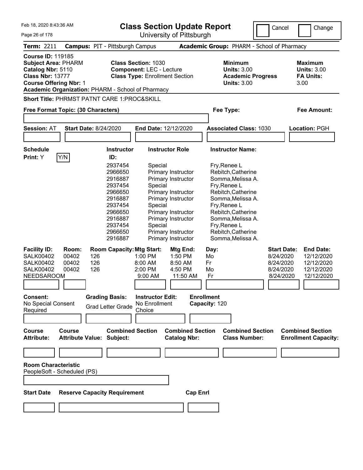| Feb 18, 2020 8:43:36 AM                                                                                                                                                                      |                                                                                                                                                                                                      | <b>Class Section Update Report</b>                                                                                                                                                                                                                                                                                                                       |                                                                                                                                                                                                                                                                                               | Cancel<br>Change                                                                                                                                   |
|----------------------------------------------------------------------------------------------------------------------------------------------------------------------------------------------|------------------------------------------------------------------------------------------------------------------------------------------------------------------------------------------------------|----------------------------------------------------------------------------------------------------------------------------------------------------------------------------------------------------------------------------------------------------------------------------------------------------------------------------------------------------------|-----------------------------------------------------------------------------------------------------------------------------------------------------------------------------------------------------------------------------------------------------------------------------------------------|----------------------------------------------------------------------------------------------------------------------------------------------------|
| Page 26 of 178                                                                                                                                                                               | University of Pittsburgh                                                                                                                                                                             |                                                                                                                                                                                                                                                                                                                                                          |                                                                                                                                                                                                                                                                                               |                                                                                                                                                    |
| <b>Campus: PIT - Pittsburgh Campus</b><br><b>Term: 2211</b>                                                                                                                                  |                                                                                                                                                                                                      |                                                                                                                                                                                                                                                                                                                                                          | Academic Group: PHARM - School of Pharmacy                                                                                                                                                                                                                                                    |                                                                                                                                                    |
| <b>Course ID: 119185</b><br><b>Subject Area: PHARM</b><br>Catalog Nbr: 5110<br><b>Class Nbr: 13777</b><br><b>Course Offering Nbr: 1</b><br>Academic Organization: PHARM - School of Pharmacy | <b>Class Section: 1030</b>                                                                                                                                                                           | <b>Component: LEC - Lecture</b><br><b>Class Type: Enrollment Section</b>                                                                                                                                                                                                                                                                                 | <b>Minimum</b><br><b>Units: 3.00</b><br><b>Academic Progress</b><br><b>Units: 3.00</b>                                                                                                                                                                                                        | <b>Maximum</b><br><b>Units: 3.00</b><br><b>FA Units:</b><br>3.00                                                                                   |
| Short Title: PHRMST PATNT CARE 1:PROC&SKILL                                                                                                                                                  |                                                                                                                                                                                                      |                                                                                                                                                                                                                                                                                                                                                          |                                                                                                                                                                                                                                                                                               |                                                                                                                                                    |
| Free Format Topic: (30 Characters)                                                                                                                                                           |                                                                                                                                                                                                      |                                                                                                                                                                                                                                                                                                                                                          | Fee Type:                                                                                                                                                                                                                                                                                     | <b>Fee Amount:</b>                                                                                                                                 |
| <b>Session: AT</b><br><b>Start Date: 8/24/2020</b>                                                                                                                                           |                                                                                                                                                                                                      | End Date: 12/12/2020                                                                                                                                                                                                                                                                                                                                     | <b>Associated Class: 1030</b>                                                                                                                                                                                                                                                                 | Location: PGH                                                                                                                                      |
|                                                                                                                                                                                              |                                                                                                                                                                                                      |                                                                                                                                                                                                                                                                                                                                                          |                                                                                                                                                                                                                                                                                               |                                                                                                                                                    |
| <b>Schedule</b>                                                                                                                                                                              | <b>Instructor</b>                                                                                                                                                                                    | <b>Instructor Role</b>                                                                                                                                                                                                                                                                                                                                   | <b>Instructor Name:</b>                                                                                                                                                                                                                                                                       |                                                                                                                                                    |
| Y/N<br>Print: Y<br><b>Facility ID:</b><br>Room:<br><b>SALK00402</b><br>00402<br>126<br>00402<br>126<br><b>SALK00402</b><br>126<br><b>SALK00402</b><br>00402<br>NEEDSAROOM<br>Consent:        | ID:<br>2937454<br>2966650<br>2916887<br>2937454<br>2966650<br>2916887<br>2937454<br>2966650<br>2916887<br>2937454<br>2966650<br>2916887<br><b>Room Capacity: Mtg Start:</b><br><b>Grading Basis:</b> | Special<br>Primary Instructor<br>Primary Instructor<br>Special<br>Primary Instructor<br>Primary Instructor<br>Special<br>Primary Instructor<br>Primary Instructor<br>Special<br>Primary Instructor<br>Primary Instructor<br>Mtg End:<br>1:00 PM<br>1:50 PM<br>8:00 AM<br>8:50 AM<br>2:00 PM<br>4:50 PM<br>11:50 AM<br>9:00 AM<br><b>Instructor Edit:</b> | Fry, Renee L<br>Rebitch, Catherine<br>Somma, Melissa A.<br>Fry, Renee L<br>Rebitch, Catherine<br>Somma, Melissa A.<br>Fry, Renee L<br>Rebitch, Catherine<br>Somma, Melissa A.<br>Fry, Renee L<br>Rebitch, Catherine<br>Somma, Melissa A.<br>Day:<br>Mo<br>Fr<br>Mo<br>Fr<br><b>Enrollment</b> | <b>End Date:</b><br><b>Start Date:</b><br>8/24/2020<br>12/12/2020<br>8/24/2020<br>12/12/2020<br>8/24/2020<br>12/12/2020<br>8/24/2020<br>12/12/2020 |
| No Special Consent<br>Required                                                                                                                                                               | <b>Grad Letter Grade</b><br>Choice                                                                                                                                                                   | No Enrollment                                                                                                                                                                                                                                                                                                                                            | Capacity: 120                                                                                                                                                                                                                                                                                 |                                                                                                                                                    |
|                                                                                                                                                                                              |                                                                                                                                                                                                      |                                                                                                                                                                                                                                                                                                                                                          |                                                                                                                                                                                                                                                                                               |                                                                                                                                                    |
| <b>Course</b><br>Course<br>Attribute:<br><b>Attribute Value: Subject:</b>                                                                                                                    | <b>Combined Section</b>                                                                                                                                                                              | <b>Combined Section</b><br><b>Catalog Nbr:</b>                                                                                                                                                                                                                                                                                                           | <b>Combined Section</b><br><b>Class Number:</b>                                                                                                                                                                                                                                               | <b>Combined Section</b><br><b>Enrollment Capacity:</b>                                                                                             |
|                                                                                                                                                                                              |                                                                                                                                                                                                      |                                                                                                                                                                                                                                                                                                                                                          |                                                                                                                                                                                                                                                                                               |                                                                                                                                                    |
| <b>Room Characteristic</b><br>PeopleSoft - Scheduled (PS)                                                                                                                                    |                                                                                                                                                                                                      |                                                                                                                                                                                                                                                                                                                                                          |                                                                                                                                                                                                                                                                                               |                                                                                                                                                    |
| <b>Start Date</b><br><b>Reserve Capacity Requirement</b>                                                                                                                                     |                                                                                                                                                                                                      | <b>Cap Enrl</b>                                                                                                                                                                                                                                                                                                                                          |                                                                                                                                                                                                                                                                                               |                                                                                                                                                    |
|                                                                                                                                                                                              |                                                                                                                                                                                                      |                                                                                                                                                                                                                                                                                                                                                          |                                                                                                                                                                                                                                                                                               |                                                                                                                                                    |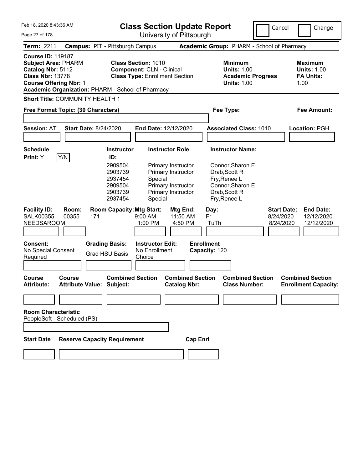| Feb 18, 2020 8:43:36 AM<br><b>Class Section Update Report</b><br>University of Pittsburgh<br>Page 27 of 178                                                                                  |                                                                                            |                                                                                                         |                                                                                                                | Cancel                                                                                                                            | Change                                       |                                                           |
|----------------------------------------------------------------------------------------------------------------------------------------------------------------------------------------------|--------------------------------------------------------------------------------------------|---------------------------------------------------------------------------------------------------------|----------------------------------------------------------------------------------------------------------------|-----------------------------------------------------------------------------------------------------------------------------------|----------------------------------------------|-----------------------------------------------------------|
| <b>Term: 2211</b>                                                                                                                                                                            | <b>Campus: PIT - Pittsburgh Campus</b>                                                     |                                                                                                         |                                                                                                                | Academic Group: PHARM - School of Pharmacy                                                                                        |                                              |                                                           |
| <b>Course ID: 119187</b><br><b>Subject Area: PHARM</b><br>Catalog Nbr: 5112<br><b>Class Nbr: 13778</b><br><b>Course Offering Nbr: 1</b><br>Academic Organization: PHARM - School of Pharmacy |                                                                                            | <b>Class Section: 1010</b><br><b>Component: CLN - Clinical</b><br><b>Class Type: Enrollment Section</b> |                                                                                                                | <b>Minimum</b><br><b>Units: 1.00</b><br><b>Academic Progress</b><br><b>Units: 1.00</b>                                            |                                              | Maximum<br><b>Units: 1.00</b><br><b>FA Units:</b><br>1.00 |
| Short Title: COMMUNITY HEALTH 1                                                                                                                                                              |                                                                                            |                                                                                                         |                                                                                                                |                                                                                                                                   |                                              |                                                           |
| Free Format Topic: (30 Characters)                                                                                                                                                           |                                                                                            |                                                                                                         |                                                                                                                | Fee Type:                                                                                                                         |                                              | Fee Amount:                                               |
| <b>Session: AT</b>                                                                                                                                                                           | <b>Start Date: 8/24/2020</b>                                                               | <b>End Date: 12/12/2020</b>                                                                             |                                                                                                                | <b>Associated Class: 1010</b>                                                                                                     |                                              | Location: PGH                                             |
| <b>Schedule</b><br>Y/N<br><b>Print:</b> Y                                                                                                                                                    | <b>Instructor</b><br>ID:<br>2909504<br>2903739<br>2937454<br>2909504<br>2903739<br>2937454 | Special<br>Special                                                                                      | <b>Instructor Role</b><br>Primary Instructor<br>Primary Instructor<br>Primary Instructor<br>Primary Instructor | <b>Instructor Name:</b><br>Connor, Sharon E<br>Drab, Scott R<br>Fry, Renee L<br>Connor, Sharon E<br>Drab, Scott R<br>Fry, Renee L |                                              |                                                           |
| <b>Facility ID:</b><br>Room:<br><b>SALK00355</b><br>00355<br><b>NEEDSAROOM</b><br>Consent:<br>No Special Consent<br>Required                                                                 | <b>Room Capacity: Mtg Start:</b><br>171<br><b>Grading Basis:</b><br><b>Grad HSU Basis</b>  | 9:00 AM<br>1:00 PM<br><b>Instructor Edit:</b><br>No Enrollment<br>Choice                                | Mtg End:<br>11:50 AM<br>4:50 PM                                                                                | Day:<br>Fr<br>TuTh<br><b>Enrollment</b><br>Capacity: 120                                                                          | <b>Start Date:</b><br>8/24/2020<br>8/24/2020 | <b>End Date:</b><br>12/12/2020<br>12/12/2020              |
| <b>Course</b><br><b>Course</b><br><b>Attribute:</b>                                                                                                                                          | <b>Combined Section</b><br><b>Attribute Value: Subject:</b>                                |                                                                                                         | <b>Combined Section</b><br><b>Catalog Nbr:</b>                                                                 | <b>Combined Section</b><br><b>Class Number:</b>                                                                                   |                                              | <b>Combined Section</b><br><b>Enrollment Capacity:</b>    |
| <b>Room Characteristic</b><br>PeopleSoft - Scheduled (PS)                                                                                                                                    |                                                                                            |                                                                                                         |                                                                                                                |                                                                                                                                   |                                              |                                                           |
| <b>Start Date</b>                                                                                                                                                                            | <b>Reserve Capacity Requirement</b>                                                        |                                                                                                         | <b>Cap Enrl</b>                                                                                                |                                                                                                                                   |                                              |                                                           |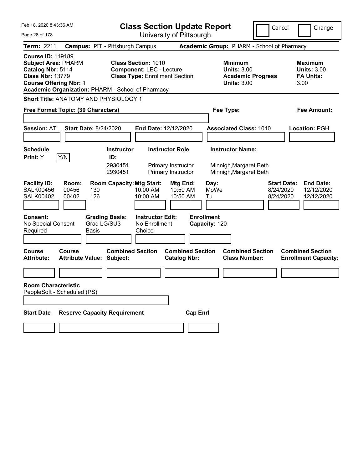| Feb 18, 2020 8:43:36 AM                                                                                                                                                                      | <b>Class Section Update Report</b>                                                                     | Cancel                                                                                 | Change                                                           |
|----------------------------------------------------------------------------------------------------------------------------------------------------------------------------------------------|--------------------------------------------------------------------------------------------------------|----------------------------------------------------------------------------------------|------------------------------------------------------------------|
| Page 28 of 178                                                                                                                                                                               | University of Pittsburgh                                                                               |                                                                                        |                                                                  |
| Term: 2211                                                                                                                                                                                   | <b>Campus: PIT - Pittsburgh Campus</b>                                                                 | <b>Academic Group: PHARM - School of Pharmacy</b>                                      |                                                                  |
| <b>Course ID: 119189</b><br><b>Subject Area: PHARM</b><br>Catalog Nbr: 5114<br><b>Class Nbr: 13779</b><br><b>Course Offering Nbr: 1</b><br>Academic Organization: PHARM - School of Pharmacy | <b>Class Section: 1010</b><br><b>Component: LEC - Lecture</b><br><b>Class Type: Enrollment Section</b> | <b>Minimum</b><br><b>Units: 3.00</b><br><b>Academic Progress</b><br><b>Units: 3.00</b> | <b>Maximum</b><br><b>Units: 3.00</b><br><b>FA Units:</b><br>3.00 |
| <b>Short Title: ANATOMY AND PHYSIOLOGY 1</b>                                                                                                                                                 |                                                                                                        |                                                                                        |                                                                  |
| Free Format Topic: (30 Characters)                                                                                                                                                           |                                                                                                        | Fee Type:                                                                              | Fee Amount:                                                      |
|                                                                                                                                                                                              |                                                                                                        |                                                                                        |                                                                  |
| <b>Session: AT</b><br><b>Start Date: 8/24/2020</b>                                                                                                                                           | <b>End Date: 12/12/2020</b>                                                                            | <b>Associated Class: 1010</b>                                                          | Location: PGH                                                    |
|                                                                                                                                                                                              |                                                                                                        |                                                                                        |                                                                  |
| <b>Schedule</b>                                                                                                                                                                              | <b>Instructor Role</b><br><b>Instructor</b>                                                            | <b>Instructor Name:</b>                                                                |                                                                  |
| Y/N<br>Print: Y                                                                                                                                                                              | ID:<br>2930451<br>Primary Instructor<br>2930451<br>Primary Instructor                                  | Minnigh, Margaret Beth<br>Minnigh, Margaret Beth                                       |                                                                  |
| <b>Facility ID:</b><br>Room:<br><b>SALK00456</b><br>00456<br>130<br>126<br><b>SALK00402</b><br>00402                                                                                         | <b>Room Capacity: Mtg Start:</b><br>Mtg End:<br>10:00 AM<br>10:50 AM<br>10:00 AM<br>10:50 AM           | <b>Start Date:</b><br>Day:<br>MoWe<br>8/24/2020<br>8/24/2020<br>Tu                     | <b>End Date:</b><br>12/12/2020<br>12/12/2020                     |
| Consent:<br><b>Grading Basis:</b><br>Grad LG/SU3<br>No Special Consent<br>Required<br><b>Basis</b>                                                                                           | <b>Instructor Edit:</b><br>No Enrollment<br>Choice                                                     | <b>Enrollment</b><br>Capacity: 120                                                     |                                                                  |
| <b>Course</b><br>Course<br><b>Attribute:</b><br><b>Attribute Value: Subject:</b>                                                                                                             | <b>Combined Section</b><br><b>Catalog Nbr:</b>                                                         | <b>Combined Section</b><br><b>Combined Section</b><br><b>Class Number:</b>             | <b>Combined Section</b><br><b>Enrollment Capacity:</b>           |
|                                                                                                                                                                                              |                                                                                                        |                                                                                        |                                                                  |
| <b>Room Characteristic</b><br>PeopleSoft - Scheduled (PS)                                                                                                                                    |                                                                                                        |                                                                                        |                                                                  |
| <b>Reserve Capacity Requirement</b><br><b>Start Date</b>                                                                                                                                     |                                                                                                        | <b>Cap Enrl</b>                                                                        |                                                                  |
|                                                                                                                                                                                              |                                                                                                        |                                                                                        |                                                                  |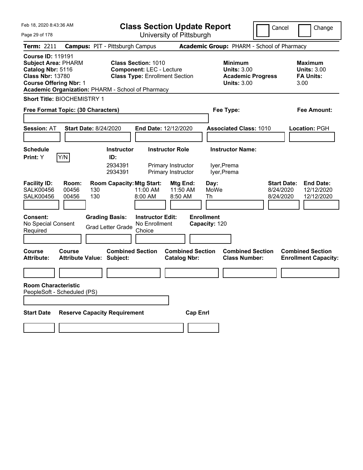| Feb 18, 2020 8:43:36 AM                                                                                                                                                                      | <b>Class Section Update Report</b>                                                                      |                                                                                        | Cancel<br>Change                                                                             |
|----------------------------------------------------------------------------------------------------------------------------------------------------------------------------------------------|---------------------------------------------------------------------------------------------------------|----------------------------------------------------------------------------------------|----------------------------------------------------------------------------------------------|
| Page 29 of 178                                                                                                                                                                               | University of Pittsburgh                                                                                |                                                                                        |                                                                                              |
| <b>Term: 2211</b>                                                                                                                                                                            | <b>Campus: PIT - Pittsburgh Campus</b>                                                                  | Academic Group: PHARM - School of Pharmacy                                             |                                                                                              |
| <b>Course ID: 119191</b><br><b>Subject Area: PHARM</b><br>Catalog Nbr: 5116<br><b>Class Nbr: 13780</b><br><b>Course Offering Nbr: 1</b><br>Academic Organization: PHARM - School of Pharmacy | <b>Class Section: 1010</b><br><b>Component: LEC - Lecture</b><br><b>Class Type: Enrollment Section</b>  | <b>Minimum</b><br><b>Units: 3.00</b><br><b>Academic Progress</b><br><b>Units: 3.00</b> | Maximum<br><b>Units: 3.00</b><br><b>FA Units:</b><br>3.00                                    |
| <b>Short Title: BIOCHEMISTRY 1</b>                                                                                                                                                           |                                                                                                         |                                                                                        |                                                                                              |
| Free Format Topic: (30 Characters)                                                                                                                                                           |                                                                                                         | Fee Type:                                                                              | Fee Amount:                                                                                  |
|                                                                                                                                                                                              |                                                                                                         |                                                                                        |                                                                                              |
| <b>Session: AT</b><br><b>Start Date: 8/24/2020</b>                                                                                                                                           | <b>End Date: 12/12/2020</b>                                                                             | <b>Associated Class: 1010</b>                                                          | Location: PGH                                                                                |
|                                                                                                                                                                                              |                                                                                                         |                                                                                        |                                                                                              |
| <b>Schedule</b>                                                                                                                                                                              | <b>Instructor Role</b><br><b>Instructor</b>                                                             | <b>Instructor Name:</b>                                                                |                                                                                              |
| Y/N<br><b>Print:</b> Y                                                                                                                                                                       | ID:<br>2934391<br>Primary Instructor<br>2934391<br>Primary Instructor                                   | lyer, Prema<br>lyer, Prema                                                             |                                                                                              |
| <b>Facility ID:</b><br>Room:<br><b>SALK00456</b><br>00456<br>130<br>130<br><b>SALK00456</b><br>00456                                                                                         | <b>Room Capacity: Mtg Start:</b><br>Mtg End:<br>11:00 AM<br>11:50 AM<br>8:00 AM<br>8:50 AM              | Day:<br>MoWe<br>Th                                                                     | <b>Start Date:</b><br><b>End Date:</b><br>8/24/2020<br>12/12/2020<br>8/24/2020<br>12/12/2020 |
| <b>Consent:</b><br>No Special Consent<br>Required                                                                                                                                            | <b>Grading Basis:</b><br><b>Instructor Edit:</b><br>No Enrollment<br><b>Grad Letter Grade</b><br>Choice | <b>Enrollment</b><br>Capacity: 120                                                     |                                                                                              |
| <b>Course</b><br>Course<br><b>Attribute:</b><br><b>Attribute Value: Subject:</b>                                                                                                             | <b>Combined Section</b><br><b>Combined Section</b><br><b>Catalog Nbr:</b>                               | <b>Combined Section</b><br><b>Class Number:</b>                                        | <b>Combined Section</b><br><b>Enrollment Capacity:</b>                                       |
|                                                                                                                                                                                              |                                                                                                         |                                                                                        |                                                                                              |
| <b>Room Characteristic</b><br>PeopleSoft - Scheduled (PS)                                                                                                                                    |                                                                                                         |                                                                                        |                                                                                              |
|                                                                                                                                                                                              |                                                                                                         |                                                                                        |                                                                                              |
| <b>Reserve Capacity Requirement</b><br><b>Start Date</b>                                                                                                                                     |                                                                                                         | <b>Cap Enrl</b>                                                                        |                                                                                              |
|                                                                                                                                                                                              |                                                                                                         |                                                                                        |                                                                                              |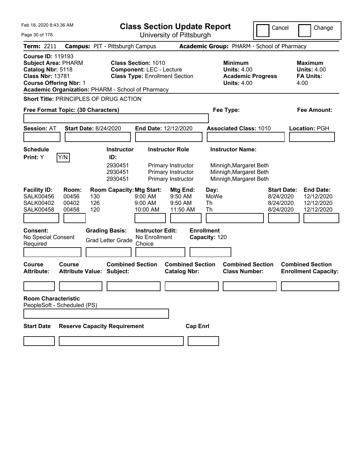| Feb 18, 2020 8:43:36 AM                                                                                                                 |                                    |                                                             | <b>Class Section Update Report</b>                                                                     |                                                                |                                                                                        | Cancel                                                    | Change                                                           |
|-----------------------------------------------------------------------------------------------------------------------------------------|------------------------------------|-------------------------------------------------------------|--------------------------------------------------------------------------------------------------------|----------------------------------------------------------------|----------------------------------------------------------------------------------------|-----------------------------------------------------------|------------------------------------------------------------------|
| Page 30 of 178                                                                                                                          |                                    |                                                             |                                                                                                        | University of Pittsburgh                                       |                                                                                        |                                                           |                                                                  |
| <b>Term: 2211</b>                                                                                                                       |                                    | <b>Campus: PIT - Pittsburgh Campus</b>                      |                                                                                                        |                                                                | Academic Group: PHARM - School of Pharmacy                                             |                                                           |                                                                  |
| <b>Course ID: 119193</b><br><b>Subject Area: PHARM</b><br>Catalog Nbr: 5118<br><b>Class Nbr: 13781</b><br><b>Course Offering Nbr: 1</b> |                                    | Academic Organization: PHARM - School of Pharmacy           | <b>Class Section: 1010</b><br><b>Component: LEC - Lecture</b><br><b>Class Type: Enrollment Section</b> |                                                                | <b>Minimum</b><br><b>Units: 4.00</b><br><b>Academic Progress</b><br><b>Units: 4.00</b> |                                                           | <b>Maximum</b><br><b>Units: 4.00</b><br><b>FA Units:</b><br>4.00 |
|                                                                                                                                         |                                    | <b>Short Title: PRINCIPLES OF DRUG ACTION</b>               |                                                                                                        |                                                                |                                                                                        |                                                           |                                                                  |
|                                                                                                                                         | Free Format Topic: (30 Characters) |                                                             |                                                                                                        |                                                                | Fee Type:                                                                              |                                                           | Fee Amount:                                                      |
|                                                                                                                                         |                                    |                                                             |                                                                                                        |                                                                |                                                                                        |                                                           |                                                                  |
| <b>Session: AT</b>                                                                                                                      |                                    | <b>Start Date: 8/24/2020</b>                                | End Date: 12/12/2020                                                                                   |                                                                | <b>Associated Class: 1010</b>                                                          |                                                           | Location: PGH                                                    |
|                                                                                                                                         |                                    |                                                             |                                                                                                        |                                                                |                                                                                        |                                                           |                                                                  |
| <b>Schedule</b>                                                                                                                         |                                    | <b>Instructor</b>                                           | <b>Instructor Role</b>                                                                                 |                                                                | <b>Instructor Name:</b>                                                                |                                                           |                                                                  |
| Print: Y                                                                                                                                | Y/N                                | ID:<br>2930451<br>2930451<br>2930451                        |                                                                                                        | Primary Instructor<br>Primary Instructor<br>Primary Instructor | Minnigh, Margaret Beth<br>Minnigh, Margaret Beth<br>Minnigh, Margaret Beth             |                                                           |                                                                  |
| <b>Facility ID:</b><br><b>SALK00456</b><br><b>SALK00402</b><br><b>SALK00458</b>                                                         | Room:<br>00456<br>00402<br>00458   | <b>Room Capacity: Mtg Start:</b><br>130<br>126<br>120       | 9:00 AM<br>9:00 AM<br>10:00 AM                                                                         | Mtg End:<br>9:50 AM<br>9:50 AM<br>11:50 AM                     | Day:<br>MoWe<br>Th<br>Th                                                               | <b>Start Date:</b><br>8/24/2020<br>8/24/2020<br>8/24/2020 | <b>End Date:</b><br>12/12/2020<br>12/12/2020<br>12/12/2020       |
| <b>Consent:</b><br>No Special Consent<br>Required                                                                                       |                                    | <b>Grading Basis:</b><br><b>Grad Letter Grade</b>           | <b>Instructor Edit:</b><br>No Enrollment<br>Choice                                                     |                                                                | <b>Enrollment</b><br>Capacity: 120                                                     |                                                           |                                                                  |
|                                                                                                                                         |                                    |                                                             |                                                                                                        |                                                                |                                                                                        |                                                           |                                                                  |
| <b>Course</b><br><b>Attribute:</b>                                                                                                      | Course                             | <b>Combined Section</b><br><b>Attribute Value: Subject:</b> |                                                                                                        | <b>Combined Section</b><br><b>Catalog Nbr:</b>                 | <b>Combined Section</b><br><b>Class Number:</b>                                        |                                                           | <b>Combined Section</b><br><b>Enrollment Capacity:</b>           |
|                                                                                                                                         |                                    |                                                             |                                                                                                        |                                                                |                                                                                        |                                                           |                                                                  |
| <b>Room Characteristic</b>                                                                                                              | PeopleSoft - Scheduled (PS)        |                                                             |                                                                                                        |                                                                |                                                                                        |                                                           |                                                                  |
| <b>Start Date</b>                                                                                                                       |                                    | <b>Reserve Capacity Requirement</b>                         |                                                                                                        | <b>Cap Enrl</b>                                                |                                                                                        |                                                           |                                                                  |
|                                                                                                                                         |                                    |                                                             |                                                                                                        |                                                                |                                                                                        |                                                           |                                                                  |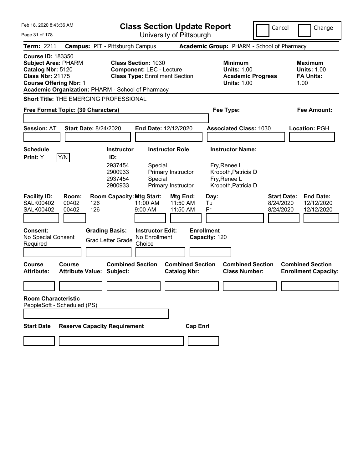| Feb 18, 2020 8:43:36 AM<br><b>Class Section Update Report</b>                                                                           |                              |                                                                                                     |                                                                                                        |                                                                    | Cancel                                                                                                | Change                                          |                                                                    |
|-----------------------------------------------------------------------------------------------------------------------------------------|------------------------------|-----------------------------------------------------------------------------------------------------|--------------------------------------------------------------------------------------------------------|--------------------------------------------------------------------|-------------------------------------------------------------------------------------------------------|-------------------------------------------------|--------------------------------------------------------------------|
| Page 31 of 178                                                                                                                          |                              |                                                                                                     | University of Pittsburgh                                                                               |                                                                    |                                                                                                       |                                                 |                                                                    |
| <b>Term: 2211</b>                                                                                                                       |                              | <b>Campus: PIT - Pittsburgh Campus</b>                                                              |                                                                                                        |                                                                    |                                                                                                       | Academic Group: PHARM - School of Pharmacy      |                                                                    |
| <b>Course ID: 183350</b><br><b>Subject Area: PHARM</b><br>Catalog Nbr: 5120<br><b>Class Nbr: 21175</b><br><b>Course Offering Nbr: 1</b> |                              | Academic Organization: PHARM - School of Pharmacy                                                   | <b>Class Section: 1030</b><br><b>Component: LEC - Lecture</b><br><b>Class Type: Enrollment Section</b> |                                                                    | <b>Minimum</b><br><b>Units: 1.00</b><br><b>Units: 1.00</b>                                            | <b>Academic Progress</b>                        | Maximum<br><b>Units: 1.00</b><br><b>FA Units:</b><br>1.00          |
|                                                                                                                                         |                              | <b>Short Title: THE EMERGING PROFESSIONAL</b>                                                       |                                                                                                        |                                                                    |                                                                                                       |                                                 |                                                                    |
| Free Format Topic: (30 Characters)                                                                                                      |                              |                                                                                                     |                                                                                                        |                                                                    | Fee Type:                                                                                             |                                                 | Fee Amount:                                                        |
| <b>Session: AT</b>                                                                                                                      | <b>Start Date: 8/24/2020</b> |                                                                                                     | End Date: 12/12/2020                                                                                   |                                                                    | <b>Associated Class: 1030</b>                                                                         |                                                 | Location: PGH                                                      |
| <b>Schedule</b><br><b>Print:</b> Y                                                                                                      | Y/N                          | <b>Instructor</b><br>ID:<br>2937454<br>2900933<br>2937454<br>2900933                                | Special<br>Special                                                                                     | <b>Instructor Role</b><br>Primary Instructor<br>Primary Instructor | <b>Instructor Name:</b><br>Fry, Renee L<br>Kroboth, Patricia D<br>Fry, Renee L<br>Kroboth, Patricia D |                                                 |                                                                    |
| <b>Facility ID:</b><br><b>SALK00402</b><br><b>SALK00402</b><br><b>Consent:</b><br>No Special Consent<br>Required                        | Room:<br>00402<br>00402      | <b>Room Capacity: Mtg Start:</b><br>126<br>126<br><b>Grading Basis:</b><br><b>Grad Letter Grade</b> | 11:00 AM<br>9:00 AM<br><b>Instructor Edit:</b><br>No Enrollment<br>Choice                              | Mtg End:<br>11:50 AM<br>11:50 AM                                   | Day:<br>Tu<br>Fr<br><b>Enrollment</b><br>Capacity: 120                                                | 8/24/2020<br>8/24/2020                          | <b>End Date:</b><br><b>Start Date:</b><br>12/12/2020<br>12/12/2020 |
| <b>Course</b><br><b>Attribute:</b>                                                                                                      | Course                       | <b>Combined Section</b><br><b>Attribute Value: Subject:</b>                                         |                                                                                                        | <b>Combined Section</b><br><b>Catalog Nbr:</b>                     |                                                                                                       | <b>Combined Section</b><br><b>Class Number:</b> | <b>Combined Section</b><br><b>Enrollment Capacity:</b>             |
| <b>Room Characteristic</b><br>PeopleSoft - Scheduled (PS)                                                                               |                              |                                                                                                     |                                                                                                        |                                                                    |                                                                                                       |                                                 |                                                                    |
| <b>Start Date</b>                                                                                                                       |                              | <b>Reserve Capacity Requirement</b>                                                                 |                                                                                                        | <b>Cap Enrl</b>                                                    |                                                                                                       |                                                 |                                                                    |
|                                                                                                                                         |                              |                                                                                                     |                                                                                                        |                                                                    |                                                                                                       |                                                 |                                                                    |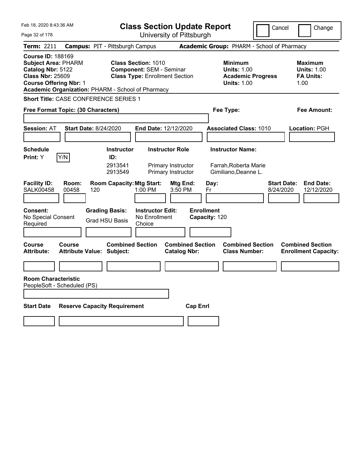| Feb 18, 2020 8:43:36 AM                                                                                                                                                                      | <b>Class Section Update Report</b>                                                                                   | Cancel                                                                                 | Change                                                    |
|----------------------------------------------------------------------------------------------------------------------------------------------------------------------------------------------|----------------------------------------------------------------------------------------------------------------------|----------------------------------------------------------------------------------------|-----------------------------------------------------------|
| Page 32 of 178                                                                                                                                                                               | University of Pittsburgh                                                                                             |                                                                                        |                                                           |
| Term: 2211                                                                                                                                                                                   | <b>Campus: PIT - Pittsburgh Campus</b>                                                                               | Academic Group: PHARM - School of Pharmacy                                             |                                                           |
| <b>Course ID: 188169</b><br><b>Subject Area: PHARM</b><br>Catalog Nbr: 5122<br><b>Class Nbr: 25609</b><br><b>Course Offering Nbr: 1</b><br>Academic Organization: PHARM - School of Pharmacy | <b>Class Section: 1010</b><br><b>Component: SEM - Seminar</b><br><b>Class Type: Enrollment Section</b>               | <b>Minimum</b><br><b>Units: 1.00</b><br><b>Academic Progress</b><br><b>Units: 1.00</b> | Maximum<br><b>Units: 1.00</b><br><b>FA Units:</b><br>1.00 |
| <b>Short Title: CASE CONFERENCE SERIES 1</b>                                                                                                                                                 |                                                                                                                      |                                                                                        |                                                           |
| Free Format Topic: (30 Characters)                                                                                                                                                           |                                                                                                                      | Fee Type:                                                                              | Fee Amount:                                               |
| <b>Session: AT</b><br><b>Start Date: 8/24/2020</b>                                                                                                                                           | End Date: 12/12/2020                                                                                                 | <b>Associated Class: 1010</b>                                                          | Location: PGH                                             |
| <b>Schedule</b><br>Y/N<br>Print: Y                                                                                                                                                           | <b>Instructor Role</b><br><b>Instructor</b><br>ID:<br>2913541<br>Primary Instructor<br>Primary Instructor<br>2913549 | <b>Instructor Name:</b><br>Farrah, Roberta Marie<br>Gimiliano, Deanne L.               |                                                           |
| <b>Facility ID:</b><br>Room:<br><b>SALK00458</b><br>00458<br>120                                                                                                                             | <b>Room Capacity: Mtg Start:</b><br>Mtg End:<br>1:00 PM<br>3:50 PM                                                   | Day:<br>8/24/2020<br>Fr                                                                | <b>Start Date:</b><br><b>End Date:</b><br>12/12/2020      |
| <b>Consent:</b><br>No Special Consent<br>Required                                                                                                                                            | <b>Grading Basis:</b><br><b>Instructor Edit:</b><br>No Enrollment<br><b>Grad HSU Basis</b><br>Choice                 | <b>Enrollment</b><br>Capacity: 120                                                     |                                                           |
| <b>Course</b><br><b>Course</b><br>Attribute:<br><b>Attribute Value: Subject:</b>                                                                                                             | <b>Combined Section</b><br><b>Catalog Nbr:</b>                                                                       | <b>Combined Section</b><br><b>Combined Section</b><br><b>Class Number:</b>             | <b>Combined Section</b><br><b>Enrollment Capacity:</b>    |
|                                                                                                                                                                                              |                                                                                                                      |                                                                                        |                                                           |
| <b>Room Characteristic</b><br>PeopleSoft - Scheduled (PS)                                                                                                                                    |                                                                                                                      |                                                                                        |                                                           |
| <b>Start Date</b><br><b>Reserve Capacity Requirement</b>                                                                                                                                     |                                                                                                                      | <b>Cap Enrl</b>                                                                        |                                                           |
|                                                                                                                                                                                              |                                                                                                                      |                                                                                        |                                                           |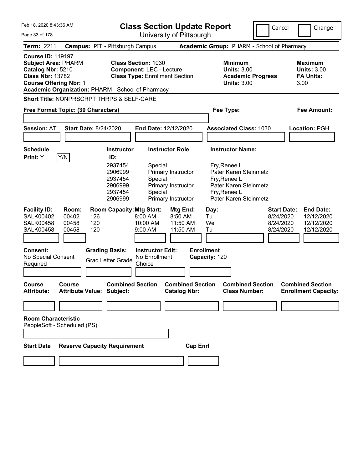Feb 18, 2020 8:43:36 AM Page 33 of 178 **Class Section Update Report** University of Pittsburgh Cancel Change **Term:** 2211 **Campus:** PIT - Pittsburgh Campus **Academic Group:** PHARM - School of Pharmacy **Course ID:** 119197 **Subject Area:** PHARM **Class Section:** 1030 **Minimum Maximum Catalog Nbr:** 5210 **Component:** LEC - Lecture **Units:** 3.00 **Units:** 3.00 **Class Nbr:** 13782 **Class Type:** Enrollment Section **Academic Progress FA Units: Course Offering Nbr: 1 Units: 3.00** 3.00 **Academic Organization:** PHARM - School of Pharmacy **Short Title:** NONPRSCRPT THRPS & SELF-CARE **Free Format Topic: (30 Characters) Fee Type: Fee Amount: Session:** AT **Start Date:** 8/24/2020 **End Date:** 12/12/2020 **Associated Class:** 1030 **Location:** PGH **Schedule Instructor Instructor Role Instructor Name: Print:**  $Y$   $|Y/N|$  **ID:** 2937454 Special Fry, Renee L 2906999 Primary Instructor Pater,Karen Steinmetz 2937454 Special Fry,Renee L 2906999 Primary Instructor Pater,Karen Steinmetz 2937454 Special Fry,Renee L 2906999 Primary Instructor Pater,Karen Steinmetz **Facility ID: Room: Room Capacity:Mtg Start: Mtg End: Day: Start Date: End Date:** SALK00402 00402 126 8:00 AM 8:50 AM Tu 8/24/2020 12/12/2020 SALK00458 00458 120 10:00 AM 11:50 AM We 8/24/2020 12/12/2020 SALK00458 00458 120 9:00 AM 11:50 AM Tu 8/24/2020 12/12/2020 **Consent: Grading Basis: Instructor Edit: Enrollment** No Special Consent No Special Consent<br>Required Grad Letter Grade Choice Choice **Capacity:** 120 **Course Course Combined Section Combined Section Combined Section Combined Section**  Attribute: Attribute Value: Subject: Catalog Nbr: Class Number: Enrollment Capacity: **Room Characteristic** PeopleSoft - Scheduled (PS) **Start Date Reserve Capacity Requirement Cap Enrl**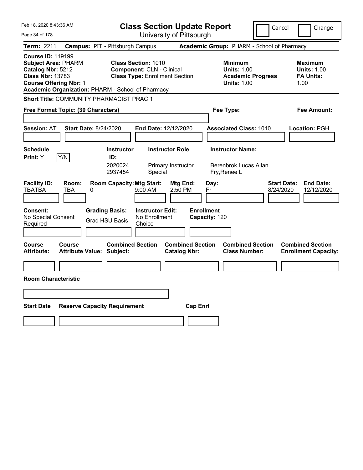| Feb 18, 2020 8:43:36 AM                                                                                                                                                                      | <b>Class Section Update Report</b>                                                                      | Cancel                                                                                 | Change                                                           |  |
|----------------------------------------------------------------------------------------------------------------------------------------------------------------------------------------------|---------------------------------------------------------------------------------------------------------|----------------------------------------------------------------------------------------|------------------------------------------------------------------|--|
| Page 34 of 178                                                                                                                                                                               | University of Pittsburgh                                                                                |                                                                                        |                                                                  |  |
| Term: 2211                                                                                                                                                                                   | <b>Campus: PIT - Pittsburgh Campus</b>                                                                  | Academic Group: PHARM - School of Pharmacy                                             |                                                                  |  |
| <b>Course ID: 119199</b><br><b>Subject Area: PHARM</b><br>Catalog Nbr: 5212<br><b>Class Nbr: 13783</b><br><b>Course Offering Nbr: 1</b><br>Academic Organization: PHARM - School of Pharmacy | <b>Class Section: 1010</b><br><b>Component: CLN - Clinical</b><br><b>Class Type: Enrollment Section</b> | <b>Minimum</b><br><b>Units: 1.00</b><br><b>Academic Progress</b><br><b>Units: 1.00</b> | <b>Maximum</b><br><b>Units: 1.00</b><br><b>FA Units:</b><br>1.00 |  |
| Short Title: COMMUNITY PHARMACIST PRAC 1                                                                                                                                                     |                                                                                                         |                                                                                        |                                                                  |  |
| Free Format Topic: (30 Characters)                                                                                                                                                           |                                                                                                         | Fee Type:                                                                              | Fee Amount:                                                      |  |
| <b>Session: AT</b><br><b>Start Date: 8/24/2020</b>                                                                                                                                           | <b>End Date: 12/12/2020</b>                                                                             | <b>Associated Class: 1010</b>                                                          | Location: PGH                                                    |  |
| <b>Schedule</b>                                                                                                                                                                              | <b>Instructor</b><br><b>Instructor Role</b>                                                             | <b>Instructor Name:</b>                                                                |                                                                  |  |
| Y/N<br>Print: Y                                                                                                                                                                              | ID:<br>2020024<br>Primary Instructor<br>2937454<br>Special                                              | Berenbrok, Lucas Allan<br>Fry, Renee L                                                 |                                                                  |  |
| <b>Facility ID:</b><br>Room:<br><b>TBATBA</b><br>TBA<br>0                                                                                                                                    | <b>Room Capacity: Mtg Start:</b><br>Mtg End:<br>9:00 AM<br>2:50 PM                                      | <b>Start Date:</b><br>Day:<br>Fr<br>8/24/2020                                          | <b>End Date:</b><br>12/12/2020                                   |  |
| <b>Consent:</b><br>No Special Consent<br>Required                                                                                                                                            | <b>Grading Basis:</b><br><b>Instructor Edit:</b><br>No Enrollment<br><b>Grad HSU Basis</b><br>Choice    | <b>Enrollment</b><br>Capacity: 120                                                     |                                                                  |  |
| <b>Course</b><br><b>Course</b><br><b>Attribute:</b><br><b>Attribute Value: Subject:</b>                                                                                                      | <b>Combined Section</b><br><b>Combined Section</b><br><b>Catalog Nbr:</b>                               | <b>Combined Section</b><br><b>Class Number:</b>                                        | <b>Combined Section</b><br><b>Enrollment Capacity:</b>           |  |
|                                                                                                                                                                                              |                                                                                                         |                                                                                        |                                                                  |  |
| <b>Room Characteristic</b>                                                                                                                                                                   |                                                                                                         |                                                                                        |                                                                  |  |
|                                                                                                                                                                                              |                                                                                                         |                                                                                        |                                                                  |  |
| <b>Start Date</b><br><b>Reserve Capacity Requirement</b>                                                                                                                                     |                                                                                                         | <b>Cap Enri</b>                                                                        |                                                                  |  |
|                                                                                                                                                                                              |                                                                                                         |                                                                                        |                                                                  |  |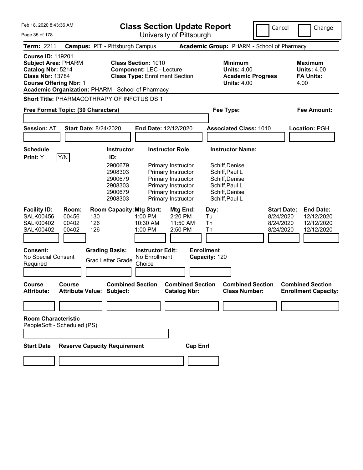Feb 18, 2020 8:43:36 AM Page 35 of 178 **Class Section Update Report** University of Pittsburgh Cancel Change **Term:** 2211 **Campus:** PIT - Pittsburgh Campus **Academic Group:** PHARM - School of Pharmacy **Course ID:** 119201 **Subject Area:** PHARM **Class Section:** 1010 **Minimum Maximum Catalog Nbr:** 5214 **Component:** LEC - Lecture **Units:** 4.00 **Units:** 4.00 **Class Nbr:** 13784 **Class Type:** Enrollment Section **Academic Progress FA Units: Course Offering Nbr:** 1 **Units:** 4.00 4.00 **Academic Organization:** PHARM - School of Pharmacy **Short Title:** PHARMACOTHRAPY OF INFCTUS DS 1 **Free Format Topic: (30 Characters) Fee Type: Fee Amount: Session:** AT **Start Date:** 8/24/2020 **End Date:** 12/12/2020 **Associated Class:** 1010 **Location:** PGH **Schedule Instructor Instructor Role Instructor Name: Print:**  $Y$   $|Y/N|$  **ID:** 2900679 Primary Instructor Schiff,Denise 2908303 Primary Instructor Schiff,Paul L 2900679 Primary Instructor Schiff,Denise 2908303 Primary Instructor Schiff,Paul L 2900679 Primary Instructor Schiff,Denise 2908303 Primary Instructor Schiff,Paul L **Facility ID: Room: Room Capacity:Mtg Start: Mtg End: Day: Start Date: End Date:** SALK00456 00456 130 1:00 PM 2:20 PM Tu 8/24/2020 12/12/2020 SALK00402 00402 126 10:30 AM 11:50 AM Th 8/24/2020 12/12/2020 SALK00402 00402 126 1:00 PM 2:50 PM Th 8/24/2020 12/12/2020 **Consent: Grading Basis: Instructor Edit: Enrollment** No Special Consent No Special Consent<br>Required Grad Letter Grade Choice Choice **Capacity:** 120 **Course Course Combined Section Combined Section Combined Section Combined Section**  Attribute: Attribute Value: Subject: Catalog Nbr: Class Number: Enrollment Capacity: **Room Characteristic** PeopleSoft - Scheduled (PS) **Start Date Reserve Capacity Requirement Cap Enrl**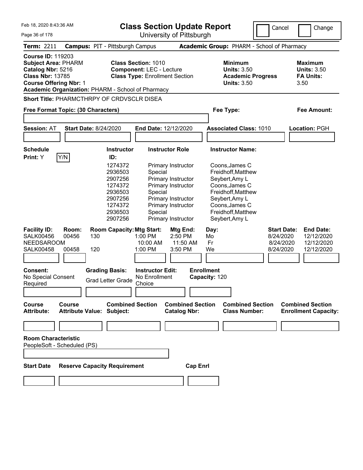Feb 18, 2020 8:43:36 AM Page 36 of 178 **Class Section Update Report** University of Pittsburgh **Term:** 2211 **Campus:** PIT - Pittsburgh Campus **Academic Group:** PHARM - School of Pharmacy **Course ID:** 119203 **Subject Area:** PHARM **Class Section:** 1010 **Minimum Maximum Catalog Nbr:** 5216 **Component:** LEC - Lecture **Units:** 3.50 **Units:** 3.50 **Class Nbr:** 13785 **Class Type:** Enrollment Section **Academic Progress FA Units: Course Offering Nbr: 1** 3.50 3.50 **Academic Organization:** PHARM - School of Pharmacy **Short Title:** PHARMCTHRPY OF CRDVSCLR DISEA **Free Format Topic: (30 Characters) Fee Type: Fee Amount: Session:** AT **Start Date:** 8/24/2020 **End Date:** 12/12/2020 **Associated Class:** 1010 **Location:** PGH **Schedule Instructor Instructor Role Instructor Name: Print:**  $Y$   $|Y/N|$  **ID:** 1274372 Primary Instructor Coons,James C 2936503 Special Freidhoff,Matthew 2907256 Primary Instructor Seybert,Amy L 1274372 Primary Instructor Coons,James C 2936503 Special Freidhoff,Matthew 2907256 Primary Instructor Seybert,Amy L 1274372 Primary Instructor Coons,James C 2936503 Special Freidhoff,Matthew 2907256 Primary Instructor Seybert,Amy L **Facility ID: Room: Room Capacity:Mtg Start: Mtg End: Day: Start Date: End Date:** SALK00456 00456 130 1:00 PM 2:50 PM Mo 8/24/2020 12/12/2020 NEEDSAROOM 10:00 AM 11:50 AM Fr 8/24/2020 12/12/2020<br>SALK00458 00458 120 1:00 PM 3:50 PM We 8/24/2020 12/12/2020 SALK00458 00458 120 1:00 PM 3:50 PM We 8/24/2020 12/12/2020 **Consent: Grading Basis: Instructor Edit: Enrollment** No Special Consent Required Grad Letter Grade No Enrollment **Choice Capacity:** 120 **Course Course Combined Section Combined Section Combined Section Combined Section** 

**Room Characteristic** PeopleSoft - Scheduled (PS)

**Start Date Reserve Capacity Requirement Cap Enrl**

**Attribute: Attribute Value: Subject: Catalog Nbr: Class Number: Enrollment Capacity:** 

Cancel Change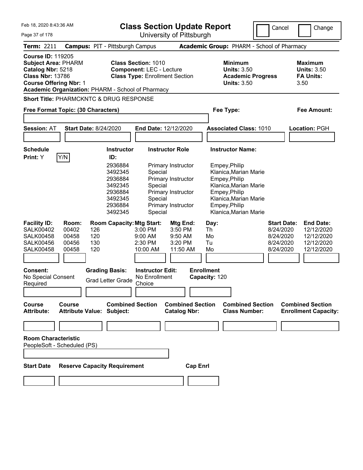| Feb 18, 2020 8:43:36 AM<br>Page 37 of 178                                                                                                                                                             | <b>Class Section Update Report</b>                                                                                                                                                                                   |                                                                                                                |                                                                                                                                                                                                 | Cancel                                                                 | Change                                                                   |
|-------------------------------------------------------------------------------------------------------------------------------------------------------------------------------------------------------|----------------------------------------------------------------------------------------------------------------------------------------------------------------------------------------------------------------------|----------------------------------------------------------------------------------------------------------------|-------------------------------------------------------------------------------------------------------------------------------------------------------------------------------------------------|------------------------------------------------------------------------|--------------------------------------------------------------------------|
| Term: 2211                                                                                                                                                                                            | <b>Campus: PIT - Pittsburgh Campus</b>                                                                                                                                                                               | University of Pittsburgh                                                                                       | Academic Group: PHARM - School of Pharmacy                                                                                                                                                      |                                                                        |                                                                          |
| <b>Course ID: 119205</b><br><b>Subject Area: PHARM</b><br>Catalog Nbr: 5218<br><b>Class Nbr: 13786</b><br><b>Course Offering Nbr: 1</b>                                                               | <b>Class Section: 1010</b><br><b>Component: LEC - Lecture</b><br><b>Class Type: Enrollment Section</b><br>Academic Organization: PHARM - School of Pharmacy                                                          |                                                                                                                | <b>Minimum</b><br><b>Units: 3.50</b><br><b>Academic Progress</b><br><b>Units: 3.50</b>                                                                                                          |                                                                        | <b>Maximum</b><br><b>Units: 3.50</b><br><b>FA Units:</b><br>3.50         |
| <b>Short Title: PHARMCKNTC &amp; DRUG RESPONSE</b>                                                                                                                                                    |                                                                                                                                                                                                                      |                                                                                                                |                                                                                                                                                                                                 |                                                                        |                                                                          |
| Free Format Topic: (30 Characters)                                                                                                                                                                    |                                                                                                                                                                                                                      |                                                                                                                | Fee Type:                                                                                                                                                                                       |                                                                        | <b>Fee Amount:</b>                                                       |
| <b>Session: AT</b>                                                                                                                                                                                    | <b>Start Date: 8/24/2020</b><br>End Date: 12/12/2020                                                                                                                                                                 |                                                                                                                | <b>Associated Class: 1010</b>                                                                                                                                                                   |                                                                        | Location: PGH                                                            |
| <b>Schedule</b><br>Y/N<br>Print: Y                                                                                                                                                                    | <b>Instructor</b><br>ID:<br>2936884<br>3492345<br>Special<br>2936884<br>3492345<br>Special<br>2936884<br>3492345<br>Special<br>2936884<br>3492345<br>Special                                                         | <b>Instructor Role</b><br>Primary Instructor<br>Primary Instructor<br>Primary Instructor<br>Primary Instructor | <b>Instructor Name:</b><br>Empey, Philip<br>Klanica, Marian Marie<br>Empey, Philip<br>Klanica, Marian Marie<br>Empey, Philip<br>Klanica, Marian Marie<br>Empey, Philip<br>Klanica, Marian Marie |                                                                        |                                                                          |
| <b>Facility ID:</b><br>Room:<br><b>SALK00402</b><br>00402<br>00458<br><b>SALK00458</b><br><b>SALK00456</b><br>00456<br>00458<br><b>SALK00458</b><br><b>Consent:</b><br>No Special Consent<br>Required | <b>Room Capacity: Mtg Start:</b><br>3:00 PM<br>126<br>120<br>9:00 AM<br>130<br>2:30 PM<br>120<br>10:00 AM<br><b>Grading Basis:</b><br><b>Instructor Edit:</b><br>No Enrollment<br><b>Grad Letter Grade</b><br>Choice | Mtg End:<br>3:50 PM<br>9:50 AM<br>3:20 PM<br>11:50 AM                                                          | Day:<br>Th<br>Mo<br>Tu<br>Mo<br><b>Enrollment</b><br>Capacity: 120                                                                                                                              | <b>Start Date:</b><br>8/24/2020<br>8/24/2020<br>8/24/2020<br>8/24/2020 | <b>End Date:</b><br>12/12/2020<br>12/12/2020<br>12/12/2020<br>12/12/2020 |
| <b>Course</b><br><b>Course</b><br><b>Attribute:</b>                                                                                                                                                   | <b>Combined Section</b><br><b>Attribute Value: Subject:</b>                                                                                                                                                          | <b>Combined Section</b><br><b>Catalog Nbr:</b>                                                                 | <b>Combined Section</b><br><b>Class Number:</b>                                                                                                                                                 |                                                                        | <b>Combined Section</b><br><b>Enrollment Capacity:</b>                   |
|                                                                                                                                                                                                       |                                                                                                                                                                                                                      |                                                                                                                |                                                                                                                                                                                                 |                                                                        |                                                                          |
| <b>Room Characteristic</b><br>PeopleSoft - Scheduled (PS)                                                                                                                                             |                                                                                                                                                                                                                      |                                                                                                                |                                                                                                                                                                                                 |                                                                        |                                                                          |
| <b>Start Date</b>                                                                                                                                                                                     | <b>Reserve Capacity Requirement</b>                                                                                                                                                                                  | <b>Cap Enrl</b>                                                                                                |                                                                                                                                                                                                 |                                                                        |                                                                          |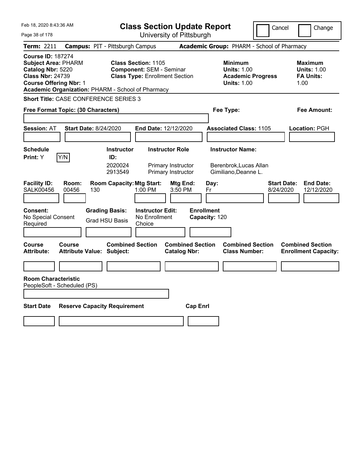| Feb 18, 2020 8:43:36 AM<br>Page 38 of 178                                                                                                                                                    | <b>Class Section Update Report</b>                                                                                   | Cancel                                                                                 | Change                                                           |
|----------------------------------------------------------------------------------------------------------------------------------------------------------------------------------------------|----------------------------------------------------------------------------------------------------------------------|----------------------------------------------------------------------------------------|------------------------------------------------------------------|
|                                                                                                                                                                                              | University of Pittsburgh                                                                                             |                                                                                        |                                                                  |
| <b>Term: 2211</b>                                                                                                                                                                            | <b>Campus: PIT - Pittsburgh Campus</b>                                                                               | Academic Group: PHARM - School of Pharmacy                                             |                                                                  |
| <b>Course ID: 187274</b><br><b>Subject Area: PHARM</b><br>Catalog Nbr: 5220<br><b>Class Nbr: 24739</b><br><b>Course Offering Nbr: 1</b><br>Academic Organization: PHARM - School of Pharmacy | <b>Class Section: 1105</b><br><b>Component: SEM - Seminar</b><br><b>Class Type: Enrollment Section</b>               | <b>Minimum</b><br><b>Units: 1.00</b><br><b>Academic Progress</b><br><b>Units: 1.00</b> | <b>Maximum</b><br><b>Units: 1.00</b><br><b>FA Units:</b><br>1.00 |
| <b>Short Title: CASE CONFERENCE SERIES 3</b>                                                                                                                                                 |                                                                                                                      |                                                                                        |                                                                  |
| Free Format Topic: (30 Characters)                                                                                                                                                           |                                                                                                                      | Fee Type:                                                                              | <b>Fee Amount:</b>                                               |
| <b>Session: AT</b><br><b>Start Date: 8/24/2020</b>                                                                                                                                           | End Date: 12/12/2020                                                                                                 | <b>Associated Class: 1105</b>                                                          | Location: PGH                                                    |
| <b>Schedule</b><br>Y/N<br><b>Print:</b> Y                                                                                                                                                    | <b>Instructor Role</b><br><b>Instructor</b><br>ID:<br>2020024<br>Primary Instructor<br>2913549<br>Primary Instructor | <b>Instructor Name:</b><br>Berenbrok, Lucas Allan<br>Gimiliano, Deanne L.              |                                                                  |
| <b>Facility ID:</b><br>Room:<br><b>SALK00456</b><br>00456<br>130                                                                                                                             | <b>Room Capacity: Mtg Start:</b><br>Mtg End:<br>1:00 PM<br>3:50 PM                                                   | Day:<br>8/24/2020<br>Fr                                                                | <b>Start Date:</b><br><b>End Date:</b><br>12/12/2020             |
| Consent:<br>No Special Consent<br>Required                                                                                                                                                   | <b>Grading Basis:</b><br><b>Instructor Edit:</b><br>No Enrollment<br><b>Grad HSU Basis</b><br>Choice                 | <b>Enrollment</b><br>Capacity: 120                                                     |                                                                  |
| Course<br><b>Course</b><br><b>Attribute:</b><br><b>Attribute Value: Subject:</b>                                                                                                             | <b>Combined Section</b><br><b>Catalog Nbr:</b>                                                                       | <b>Combined Section</b><br><b>Combined Section</b><br><b>Class Number:</b>             | <b>Combined Section</b><br><b>Enrollment Capacity:</b>           |
|                                                                                                                                                                                              |                                                                                                                      |                                                                                        |                                                                  |
| <b>Room Characteristic</b><br>PeopleSoft - Scheduled (PS)                                                                                                                                    |                                                                                                                      |                                                                                        |                                                                  |
| <b>Reserve Capacity Requirement</b><br><b>Start Date</b>                                                                                                                                     |                                                                                                                      | <b>Cap Enrl</b>                                                                        |                                                                  |
|                                                                                                                                                                                              |                                                                                                                      |                                                                                        |                                                                  |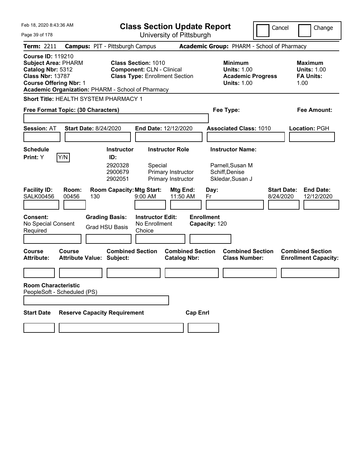| Feb 18, 2020 8:43:36 AM                                                                                                                 |                                                   |                                                | <b>Class Section Update Report</b>                                                                      |                                                |                                                            | Cancel                                          | Change                                                           |
|-----------------------------------------------------------------------------------------------------------------------------------------|---------------------------------------------------|------------------------------------------------|---------------------------------------------------------------------------------------------------------|------------------------------------------------|------------------------------------------------------------|-------------------------------------------------|------------------------------------------------------------------|
| Page 39 of 178                                                                                                                          |                                                   |                                                | University of Pittsburgh                                                                                |                                                |                                                            |                                                 |                                                                  |
| <b>Term: 2211</b>                                                                                                                       |                                                   | <b>Campus: PIT - Pittsburgh Campus</b>         |                                                                                                         |                                                |                                                            | Academic Group: PHARM - School of Pharmacy      |                                                                  |
| <b>Course ID: 119210</b><br><b>Subject Area: PHARM</b><br>Catalog Nbr: 5312<br><b>Class Nbr: 13787</b><br><b>Course Offering Nbr: 1</b> | Academic Organization: PHARM - School of Pharmacy |                                                | <b>Class Section: 1010</b><br><b>Component: CLN - Clinical</b><br><b>Class Type: Enrollment Section</b> |                                                | <b>Minimum</b><br><b>Units: 1.00</b><br><b>Units: 1.00</b> | <b>Academic Progress</b>                        | <b>Maximum</b><br><b>Units: 1.00</b><br><b>FA Units:</b><br>1.00 |
|                                                                                                                                         | Short Title: HEALTH SYSTEM PHARMACY 1             |                                                |                                                                                                         |                                                |                                                            |                                                 |                                                                  |
|                                                                                                                                         | Free Format Topic: (30 Characters)                |                                                |                                                                                                         |                                                | Fee Type:                                                  |                                                 | Fee Amount:                                                      |
|                                                                                                                                         |                                                   |                                                |                                                                                                         |                                                |                                                            |                                                 |                                                                  |
| <b>Session: AT</b>                                                                                                                      | <b>Start Date: 8/24/2020</b>                      |                                                | <b>End Date: 12/12/2020</b>                                                                             |                                                | <b>Associated Class: 1010</b>                              |                                                 | Location: PGH                                                    |
|                                                                                                                                         |                                                   |                                                |                                                                                                         |                                                |                                                            |                                                 |                                                                  |
| <b>Schedule</b>                                                                                                                         |                                                   | <b>Instructor</b>                              | <b>Instructor Role</b>                                                                                  |                                                | <b>Instructor Name:</b>                                    |                                                 |                                                                  |
| Print: Y                                                                                                                                | Y/N                                               | ID:<br>2920328<br>2900679<br>2902051           | Special<br>Primary Instructor<br>Primary Instructor                                                     |                                                | Parnell, Susan M<br>Schiff, Denise<br>Skledar, Susan J     |                                                 |                                                                  |
| <b>Facility ID:</b><br><b>SALK00456</b>                                                                                                 | Room:<br>00456<br>130                             | <b>Room Capacity: Mtg Start:</b>               | 9:00 AM                                                                                                 | Mtg End:<br>11:50 AM                           | Day:<br>Fr                                                 | <b>Start Date:</b><br>8/24/2020                 | <b>End Date:</b><br>12/12/2020                                   |
| <b>Consent:</b><br>No Special Consent<br>Required                                                                                       |                                                   | <b>Grading Basis:</b><br><b>Grad HSU Basis</b> | <b>Instructor Edit:</b><br>No Enrollment<br>Choice                                                      |                                                | <b>Enrollment</b><br>Capacity: 120                         |                                                 |                                                                  |
| <b>Course</b><br><b>Attribute:</b>                                                                                                      | Course<br><b>Attribute Value: Subject:</b>        | <b>Combined Section</b>                        |                                                                                                         | <b>Combined Section</b><br><b>Catalog Nbr:</b> |                                                            | <b>Combined Section</b><br><b>Class Number:</b> | <b>Combined Section</b><br><b>Enrollment Capacity:</b>           |
|                                                                                                                                         |                                                   |                                                |                                                                                                         |                                                |                                                            |                                                 |                                                                  |
| <b>Room Characteristic</b>                                                                                                              | PeopleSoft - Scheduled (PS)                       |                                                |                                                                                                         |                                                |                                                            |                                                 |                                                                  |
|                                                                                                                                         |                                                   |                                                |                                                                                                         |                                                |                                                            |                                                 |                                                                  |
| <b>Start Date</b>                                                                                                                       | <b>Reserve Capacity Requirement</b>               |                                                |                                                                                                         | <b>Cap Enrl</b>                                |                                                            |                                                 |                                                                  |
|                                                                                                                                         |                                                   |                                                |                                                                                                         |                                                |                                                            |                                                 |                                                                  |
|                                                                                                                                         |                                                   |                                                |                                                                                                         |                                                |                                                            |                                                 |                                                                  |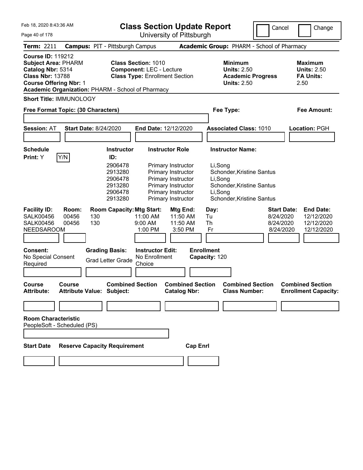Feb 18, 2020 8:43:36 AM

**Class Section Update Report**

University of Pittsburgh

Cancel | Change

Page 40 of 178

|                                                                                                                                         |                         |                                                                                                     |                                                                                                        | UNIVUJJIY UN NIJIJUNGI                                                                                                                                            |                                                              |                                                                                                                                                 |                                                           |                                                                  |
|-----------------------------------------------------------------------------------------------------------------------------------------|-------------------------|-----------------------------------------------------------------------------------------------------|--------------------------------------------------------------------------------------------------------|-------------------------------------------------------------------------------------------------------------------------------------------------------------------|--------------------------------------------------------------|-------------------------------------------------------------------------------------------------------------------------------------------------|-----------------------------------------------------------|------------------------------------------------------------------|
| <b>Term: 2211</b>                                                                                                                       |                         | <b>Campus: PIT - Pittsburgh Campus</b>                                                              |                                                                                                        |                                                                                                                                                                   |                                                              | Academic Group: PHARM - School of Pharmacy                                                                                                      |                                                           |                                                                  |
| <b>Course ID: 119212</b><br><b>Subject Area: PHARM</b><br>Catalog Nbr: 5314<br><b>Class Nbr: 13788</b><br><b>Course Offering Nbr: 1</b> |                         | Academic Organization: PHARM - School of Pharmacy                                                   | <b>Class Section: 1010</b><br><b>Component: LEC - Lecture</b><br><b>Class Type: Enrollment Section</b> |                                                                                                                                                                   |                                                              | <b>Minimum</b><br><b>Units: 2.50</b><br><b>Academic Progress</b><br><b>Units: 2.50</b>                                                          |                                                           | <b>Maximum</b><br><b>Units: 2.50</b><br><b>FA Units:</b><br>2.50 |
| <b>Short Title: IMMUNOLOGY</b>                                                                                                          |                         |                                                                                                     |                                                                                                        |                                                                                                                                                                   |                                                              |                                                                                                                                                 |                                                           |                                                                  |
| Free Format Topic: (30 Characters)                                                                                                      |                         |                                                                                                     |                                                                                                        |                                                                                                                                                                   |                                                              | Fee Type:                                                                                                                                       |                                                           | <b>Fee Amount:</b>                                               |
| <b>Session: AT</b>                                                                                                                      |                         | <b>Start Date: 8/24/2020</b>                                                                        | <b>End Date: 12/12/2020</b>                                                                            |                                                                                                                                                                   |                                                              | <b>Associated Class: 1010</b>                                                                                                                   |                                                           | <b>Location: PGH</b>                                             |
| <b>Schedule</b><br>Print: Y                                                                                                             | Y/N                     | <b>Instructor</b><br>ID:<br>2906478<br>2913280<br>2906478<br>2913280<br>2906478<br>2913280          |                                                                                                        | <b>Instructor Role</b><br>Primary Instructor<br>Primary Instructor<br>Primary Instructor<br>Primary Instructor<br>Primary Instructor<br><b>Primary Instructor</b> |                                                              | <b>Instructor Name:</b><br>Li,Song<br>Schonder, Kristine Santus<br>Li,Song<br>Schonder, Kristine Santus<br>Li,Song<br>Schonder, Kristine Santus |                                                           |                                                                  |
| <b>Facility ID:</b><br><b>SALK00456</b><br><b>SALK00456</b><br><b>NEEDSAROOM</b><br><b>Consent:</b><br>No Special Consent<br>Required   | Room:<br>00456<br>00456 | <b>Room Capacity: Mtg Start:</b><br>130<br>130<br><b>Grading Basis:</b><br><b>Grad Letter Grade</b> | 11:00 AM<br>9:00 AM<br>1:00 PM<br><b>Instructor Edit:</b><br>No Enrollment<br>Choice                   | Mtg End:<br>11:50 AM<br>11:50 AM<br>3:50 PM                                                                                                                       | Day:<br>Tu<br>Th<br>Fr<br><b>Enrollment</b><br>Capacity: 120 |                                                                                                                                                 | <b>Start Date:</b><br>8/24/2020<br>8/24/2020<br>8/24/2020 | <b>End Date:</b><br>12/12/2020<br>12/12/2020<br>12/12/2020       |
| Course<br><b>Attribute:</b>                                                                                                             | <b>Course</b>           | <b>Combined Section</b><br><b>Attribute Value: Subject:</b>                                         |                                                                                                        | <b>Combined Section</b><br><b>Catalog Nbr:</b>                                                                                                                    |                                                              | <b>Combined Section</b><br><b>Class Number:</b>                                                                                                 |                                                           | <b>Combined Section</b><br><b>Enrollment Capacity:</b>           |
| <b>Room Characteristic</b><br>PeopleSoft - Scheduled (PS)                                                                               |                         |                                                                                                     |                                                                                                        |                                                                                                                                                                   |                                                              |                                                                                                                                                 |                                                           |                                                                  |
| <b>Start Date</b>                                                                                                                       |                         | <b>Reserve Capacity Requirement</b>                                                                 |                                                                                                        | <b>Cap Enrl</b>                                                                                                                                                   |                                                              |                                                                                                                                                 |                                                           |                                                                  |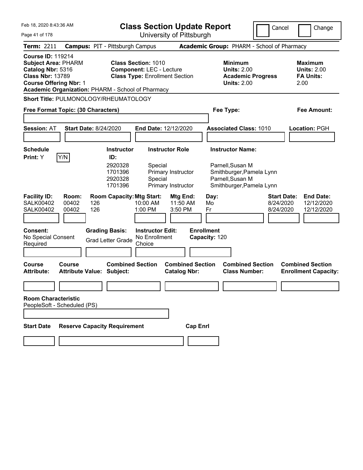| Feb 18. 2020 8:43:36 AM                                                                                                                 |                                                             | <b>Class Section Update Report</b>                                                                     |                                                                                              | Cancel<br>Change                                                                             |
|-----------------------------------------------------------------------------------------------------------------------------------------|-------------------------------------------------------------|--------------------------------------------------------------------------------------------------------|----------------------------------------------------------------------------------------------|----------------------------------------------------------------------------------------------|
| Page 41 of 178                                                                                                                          |                                                             | University of Pittsburgh                                                                               |                                                                                              |                                                                                              |
| <b>Term: 2211</b>                                                                                                                       | <b>Campus: PIT - Pittsburgh Campus</b>                      |                                                                                                        | Academic Group: PHARM - School of Pharmacy                                                   |                                                                                              |
| <b>Course ID: 119214</b><br><b>Subject Area: PHARM</b><br>Catalog Nbr: 5316<br><b>Class Nbr: 13789</b><br><b>Course Offering Nbr: 1</b> | Academic Organization: PHARM - School of Pharmacy           | <b>Class Section: 1010</b><br><b>Component: LEC - Lecture</b><br><b>Class Type: Enrollment Section</b> | <b>Minimum</b><br><b>Units: 2.00</b><br><b>Academic Progress</b><br><b>Units: 2.00</b>       | Maximum<br><b>Units: 2.00</b><br><b>FA Units:</b><br>2.00                                    |
|                                                                                                                                         | Short Title: PULMONOLOGY/RHEUMATOLOGY                       |                                                                                                        |                                                                                              |                                                                                              |
| Free Format Topic: (30 Characters)                                                                                                      |                                                             |                                                                                                        | Fee Type:                                                                                    | Fee Amount:                                                                                  |
|                                                                                                                                         |                                                             |                                                                                                        |                                                                                              |                                                                                              |
| <b>Session: AT</b>                                                                                                                      | <b>Start Date: 8/24/2020</b>                                | End Date: 12/12/2020                                                                                   | <b>Associated Class: 1010</b>                                                                | Location: PGH                                                                                |
|                                                                                                                                         |                                                             |                                                                                                        |                                                                                              |                                                                                              |
| <b>Schedule</b>                                                                                                                         | <b>Instructor</b>                                           | <b>Instructor Role</b>                                                                                 | <b>Instructor Name:</b>                                                                      |                                                                                              |
| Y/N<br><b>Print:</b> Y                                                                                                                  | ID:<br>2920328<br>1701396<br>2920328<br>1701396             | Special<br>Primary Instructor<br>Special<br><b>Primary Instructor</b>                                  | Parnell, Susan M<br>Smithburger, Pamela Lynn<br>Parnell, Susan M<br>Smithburger, Pamela Lynn |                                                                                              |
| <b>Facility ID:</b><br>Room:<br><b>SALK00402</b><br>00402<br><b>SALK00402</b><br>00402                                                  | <b>Room Capacity: Mtg Start:</b><br>126<br>126              | Mtg End:<br>10:00 AM<br>11:50 AM<br>1:00 PM<br>3:50 PM                                                 | Day:<br>Mo<br>Fr                                                                             | <b>End Date:</b><br><b>Start Date:</b><br>8/24/2020<br>12/12/2020<br>8/24/2020<br>12/12/2020 |
| <b>Consent:</b><br>No Special Consent<br>Required                                                                                       | <b>Grading Basis:</b><br><b>Grad Letter Grade</b>           | <b>Instructor Edit:</b><br>No Enrollment<br>Choice                                                     | <b>Enrollment</b><br>Capacity: 120                                                           |                                                                                              |
| Course<br>Course<br><b>Attribute:</b>                                                                                                   | <b>Combined Section</b><br><b>Attribute Value: Subject:</b> | <b>Combined Section</b><br><b>Catalog Nbr:</b>                                                         | <b>Combined Section</b><br><b>Class Number:</b>                                              | <b>Combined Section</b><br><b>Enrollment Capacity:</b>                                       |
|                                                                                                                                         |                                                             |                                                                                                        |                                                                                              |                                                                                              |
| <b>Room Characteristic</b><br>PeopleSoft - Scheduled (PS)                                                                               |                                                             |                                                                                                        |                                                                                              |                                                                                              |
| <b>Start Date</b>                                                                                                                       | <b>Reserve Capacity Requirement</b>                         | <b>Cap Enrl</b>                                                                                        |                                                                                              |                                                                                              |
|                                                                                                                                         |                                                             |                                                                                                        |                                                                                              |                                                                                              |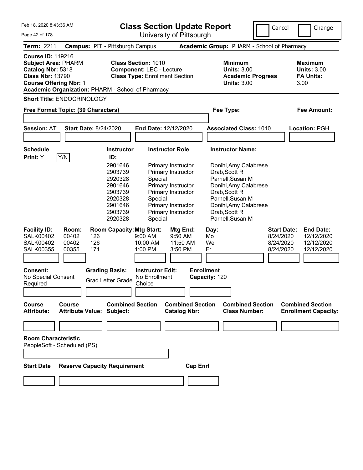Feb 18, 2020 8:43:36 AM

**Class Section Update Report**

Page 42 of 178 University of Pittsburgh Cancel Change **Term:** 2211 **Campus:** PIT - Pittsburgh Campus **Academic Group:** PHARM - School of Pharmacy **Course ID:** 119216 **Subject Area:** PHARM **Class Section:** 1010 **Minimum Maximum Catalog Nbr:** 5318 **Component:** LEC - Lecture **Units:** 3.00 **Units:** 3.00 **Class Nbr:** 13790 **Class Type:** Enrollment Section **Academic Progress FA Units: Course Offering Nbr: 1 Units: 3.00** 3.00 **Academic Organization:** PHARM - School of Pharmacy **Short Title:** ENDOCRINOLOGY **Free Format Topic: (30 Characters) Fee Type: Fee Amount: Session:** AT **Start Date:** 8/24/2020 **End Date:** 12/12/2020 **Associated Class:** 1010 **Location:** PGH **Schedule Instructor Instructor Role Instructor Name: Print:**  $Y$   $|Y/N|$  **ID:** 2901646 Primary Instructor Donihi,Amy Calabrese 2903739 Primary Instructor Drab,Scott R 2920328 Special Parnell,Susan M 2901646 Primary Instructor Donihi,Amy Calabrese 2903739 Primary Instructor Drab,Scott R 2920328 Special Parnell,Susan M 2901646 Primary Instructor Donihi, Amy Calabrese<br>2903739 Primary Instructor Drab, Scott R 2903739 Primary Instructor 2920328 Special Parnell,Susan M **Facility ID: Room: Room Capacity:Mtg Start: Mtg End: Day: Start Date: End Date:** SALK00402 00402 126 9:00 AM 9:50 AM Mo 8/24/2020 12/12/2020 SALK00402 00402 126 10:00 AM 11:50 AM We 8/24/2020 12/12/2020 SALK00355 00355 171 1:00 PM 3:50 PM Fr 8/24/2020 12/12/2020 **Consent: Grading Basis: Instructor Edit: Enrollment** No Special Consent Required Grad Letter Grade No Enrollment **Choice Capacity:** 120 **Course Course Combined Section Combined Section Combined Section Combined Section Attribute: Attribute Value: Subject: Catalog Nbr: Class Number: Enrollment Capacity: Room Characteristic** PeopleSoft - Scheduled (PS) **Start Date Reserve Capacity Requirement Cap Enrl**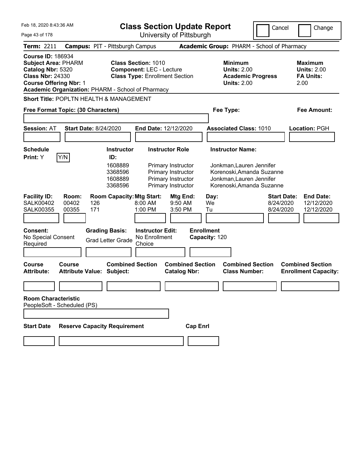| Feb 18, 2020 8:43:36 AM                                                                                                                                                                      | <b>Class Section Update Report</b>                                                                                                      | Cancel                                                                                                         | Change                                                    |
|----------------------------------------------------------------------------------------------------------------------------------------------------------------------------------------------|-----------------------------------------------------------------------------------------------------------------------------------------|----------------------------------------------------------------------------------------------------------------|-----------------------------------------------------------|
| Page 43 of 178                                                                                                                                                                               | University of Pittsburgh                                                                                                                |                                                                                                                |                                                           |
| <b>Term: 2211</b>                                                                                                                                                                            | <b>Campus: PIT - Pittsburgh Campus</b>                                                                                                  | Academic Group: PHARM - School of Pharmacy                                                                     |                                                           |
| <b>Course ID: 186934</b><br><b>Subject Area: PHARM</b><br>Catalog Nbr: 5320<br><b>Class Nbr: 24330</b><br><b>Course Offering Nbr: 1</b><br>Academic Organization: PHARM - School of Pharmacy | <b>Class Section: 1010</b><br><b>Component: LEC - Lecture</b><br><b>Class Type: Enrollment Section</b>                                  | <b>Minimum</b><br><b>Units: 2.00</b><br><b>Academic Progress</b><br><b>Units: 2.00</b>                         | Maximum<br><b>Units: 2.00</b><br><b>FA Units:</b><br>2.00 |
| <b>Short Title: POPLTN HEALTH &amp; MANAGEMENT</b>                                                                                                                                           |                                                                                                                                         |                                                                                                                |                                                           |
| Free Format Topic: (30 Characters)                                                                                                                                                           |                                                                                                                                         | Fee Type:                                                                                                      | Fee Amount:                                               |
|                                                                                                                                                                                              |                                                                                                                                         |                                                                                                                |                                                           |
| <b>Session: AT</b><br><b>Start Date: 8/24/2020</b>                                                                                                                                           | End Date: 12/12/2020                                                                                                                    | <b>Associated Class: 1010</b>                                                                                  | Location: PGH                                             |
|                                                                                                                                                                                              |                                                                                                                                         |                                                                                                                |                                                           |
| <b>Schedule</b>                                                                                                                                                                              | <b>Instructor Role</b><br><b>Instructor</b>                                                                                             | <b>Instructor Name:</b>                                                                                        |                                                           |
| Y/N<br><b>Print:</b> Y                                                                                                                                                                       | ID:<br>1608889<br>Primary Instructor<br>Primary Instructor<br>3368596<br>1608889<br>Primary Instructor<br>3368596<br>Primary Instructor | Jonkman, Lauren Jennifer<br>Korenoski, Amanda Suzanne<br>Jonkman, Lauren Jennifer<br>Korenoski, Amanda Suzanne |                                                           |
| <b>Facility ID:</b><br>Room:<br><b>SALK00402</b><br>00402<br>126<br>171<br><b>SALK00355</b><br>00355                                                                                         | <b>Room Capacity: Mtg Start:</b><br>Mtg End:<br>$8:00$ AM<br>$9:50$ AM<br>1:00 PM<br>3:50 PM                                            | <b>Start Date:</b><br>Day:<br>8/24/2020<br>We<br>8/24/2020<br>Tu                                               | <b>End Date:</b><br>12/12/2020<br>12/12/2020              |
| <b>Consent:</b><br>No Special Consent<br>Required                                                                                                                                            | <b>Grading Basis:</b><br><b>Instructor Edit:</b><br>No Enrollment<br><b>Grad Letter Grade</b><br>Choice                                 | <b>Enrollment</b><br>Capacity: 120                                                                             |                                                           |
| Course<br>Course<br><b>Attribute Value: Subject:</b><br><b>Attribute:</b>                                                                                                                    | <b>Combined Section</b><br><b>Combined Section</b><br><b>Catalog Nbr:</b>                                                               | <b>Combined Section</b><br><b>Class Number:</b>                                                                | <b>Combined Section</b><br><b>Enrollment Capacity:</b>    |
|                                                                                                                                                                                              |                                                                                                                                         |                                                                                                                |                                                           |
| <b>Room Characteristic</b><br>PeopleSoft - Scheduled (PS)                                                                                                                                    |                                                                                                                                         |                                                                                                                |                                                           |
| <b>Start Date</b>                                                                                                                                                                            | <b>Reserve Capacity Requirement</b>                                                                                                     | <b>Cap Enrl</b>                                                                                                |                                                           |
|                                                                                                                                                                                              |                                                                                                                                         |                                                                                                                |                                                           |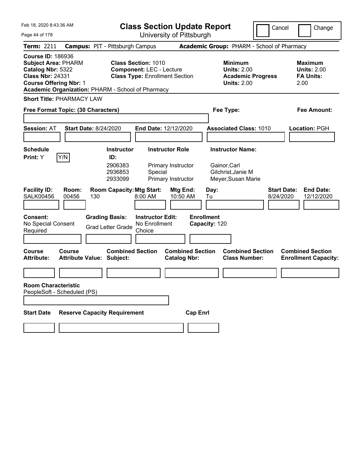Feb 18, 2020 8:43:36 AM Page 44 of 178 **Class Section Update Report** University of Pittsburgh Cancel Change **Term:** 2211 **Campus:** PIT - Pittsburgh Campus **Academic Group:** PHARM - School of Pharmacy **Course ID:** 186936 **Subject Area:** PHARM **Class Section:** 1010 **Minimum Maximum Catalog Nbr:** 5322 **Component:** LEC - Lecture **Units:** 2.00 **Units:** 2.00 **Class Nbr:** 24331 **Class Type:** Enrollment Section **Academic Progress FA Units: Course Offering Nbr:** 1 **Units:** 2.00 2.00 **Academic Organization:** PHARM - School of Pharmacy **Short Title:** PHARMACY LAW **Free Format Topic: (30 Characters) Fee Type: Fee Amount: Session:** AT **Start Date:** 8/24/2020 **End Date:** 12/12/2020 **Associated Class:** 1010 **Location:** PGH **Schedule Instructor Instructor Role Instructor Name: Print:**  $Y$   $|Y/N|$  **ID:** 2906383 Primary Instructor Gainor,Carl 2936853 Special Gilchrist,Janie M 2933099 Primary Instructor Meyer,Susan Marie **Facility ID: Room: Room Capacity:Mtg Start: Mtg End: Day: Start Date: End Date:** SALK00456 00456 130 8:00 AM 10:50 AM Tu 8/24/2020 12/12/2020 **Consent: Grading Basis: Instructor Edit: Enrollment** No Special Consent Required Grad Letter Grade No Enrollment **Choice Capacity:** 120 **Course Course Combined Section Combined Section Combined Section Combined Section**  Attribute Value: Subject: Catalog Nbr: Class Number: Enrollment Capacity: **Room Characteristic** PeopleSoft - Scheduled (PS) **Start Date Reserve Capacity Requirement Cap Enrl**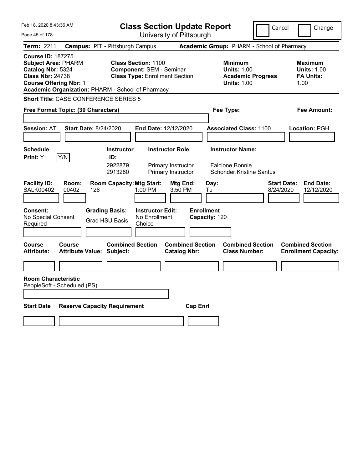| Feb 18, 2020 8:43:36 AM                                                                                                                                                                      | <b>Class Section Update Report</b>                                                                     |                                                                                                   | Cancel<br>Change                                                  |
|----------------------------------------------------------------------------------------------------------------------------------------------------------------------------------------------|--------------------------------------------------------------------------------------------------------|---------------------------------------------------------------------------------------------------|-------------------------------------------------------------------|
| Page 45 of 178                                                                                                                                                                               | University of Pittsburgh                                                                               |                                                                                                   |                                                                   |
| <b>Term: 2211</b>                                                                                                                                                                            | <b>Campus: PIT - Pittsburgh Campus</b>                                                                 | Academic Group: PHARM - School of Pharmacy                                                        |                                                                   |
| <b>Course ID: 187275</b><br><b>Subject Area: PHARM</b><br>Catalog Nbr: 5324<br><b>Class Nbr: 24738</b><br><b>Course Offering Nbr: 1</b><br>Academic Organization: PHARM - School of Pharmacy | <b>Class Section: 1100</b><br><b>Component: SEM - Seminar</b><br><b>Class Type: Enrollment Section</b> | <b>Minimum</b><br><b>Units: 1.00</b><br><b>Academic Progress</b><br><b>Units: 1.00</b>            | <b>Maximum</b><br><b>Units: 1.00</b><br><b>FA Units:</b><br>1.00  |
| <b>Short Title: CASE CONFERENCE SERIES 5</b>                                                                                                                                                 |                                                                                                        |                                                                                                   |                                                                   |
| Free Format Topic: (30 Characters)                                                                                                                                                           |                                                                                                        | Fee Type:                                                                                         | <b>Fee Amount:</b>                                                |
| <b>Session: AT</b><br><b>Start Date: 8/24/2020</b>                                                                                                                                           | End Date: 12/12/2020                                                                                   | <b>Associated Class: 1100</b>                                                                     | Location: PGH                                                     |
| <b>Schedule</b>                                                                                                                                                                              | <b>Instructor Role</b><br><b>Instructor</b>                                                            | <b>Instructor Name:</b>                                                                           |                                                                   |
| Y/N<br><b>Print:</b> Y                                                                                                                                                                       | ID:<br>2922879<br>Primary Instructor<br>2913280<br>Primary Instructor                                  | Falcione, Bonnie<br>Schonder, Kristine Santus                                                     |                                                                   |
| <b>Facility ID:</b><br>Room:<br><b>SALK00402</b><br>00402<br>126                                                                                                                             | <b>Room Capacity: Mtg Start:</b><br>1:00 PM<br>3:50 PM                                                 | Mtg End:<br>Day:<br>Tu                                                                            | <b>Start Date:</b><br><b>End Date:</b><br>8/24/2020<br>12/12/2020 |
| Consent:<br>No Special Consent<br>Required                                                                                                                                                   | <b>Grading Basis:</b><br><b>Instructor Edit:</b><br>No Enrollment<br><b>Grad HSU Basis</b><br>Choice   | <b>Enrollment</b><br>Capacity: 120                                                                |                                                                   |
| Course<br><b>Course</b><br><b>Attribute:</b><br><b>Attribute Value: Subject:</b>                                                                                                             | <b>Combined Section</b>                                                                                | <b>Combined Section</b><br><b>Combined Section</b><br><b>Catalog Nbr:</b><br><b>Class Number:</b> | <b>Combined Section</b><br><b>Enrollment Capacity:</b>            |
|                                                                                                                                                                                              |                                                                                                        |                                                                                                   |                                                                   |
| <b>Room Characteristic</b><br>PeopleSoft - Scheduled (PS)                                                                                                                                    |                                                                                                        |                                                                                                   |                                                                   |
| <b>Reserve Capacity Requirement</b><br><b>Start Date</b>                                                                                                                                     |                                                                                                        | <b>Cap Enrl</b>                                                                                   |                                                                   |
|                                                                                                                                                                                              |                                                                                                        |                                                                                                   |                                                                   |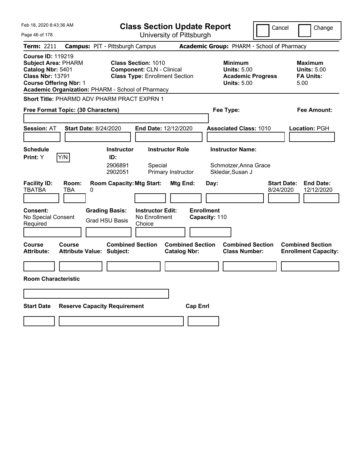| Feb 18, 2020 8:43:36 AM                                                                                                                                                                      | <b>Class Section Update Report</b>                                                                      |                                                                                        | Cancel<br>Change                                                  |
|----------------------------------------------------------------------------------------------------------------------------------------------------------------------------------------------|---------------------------------------------------------------------------------------------------------|----------------------------------------------------------------------------------------|-------------------------------------------------------------------|
| Page 46 of 178                                                                                                                                                                               | University of Pittsburgh                                                                                |                                                                                        |                                                                   |
| <b>Term: 2211</b>                                                                                                                                                                            | <b>Campus: PIT - Pittsburgh Campus</b>                                                                  | Academic Group: PHARM - School of Pharmacy                                             |                                                                   |
| <b>Course ID: 119219</b><br><b>Subject Area: PHARM</b><br>Catalog Nbr: 5401<br><b>Class Nbr: 13791</b><br><b>Course Offering Nbr: 1</b><br>Academic Organization: PHARM - School of Pharmacy | <b>Class Section: 1010</b><br><b>Component: CLN - Clinical</b><br><b>Class Type: Enrollment Section</b> | <b>Minimum</b><br><b>Units: 5.00</b><br><b>Academic Progress</b><br><b>Units: 5.00</b> | Maximum<br><b>Units: 5.00</b><br><b>FA Units:</b><br>5.00         |
| <b>Short Title: PHARMD ADV PHARM PRACT EXPRN 1</b>                                                                                                                                           |                                                                                                         |                                                                                        |                                                                   |
| Free Format Topic: (30 Characters)                                                                                                                                                           |                                                                                                         | Fee Type:                                                                              | Fee Amount:                                                       |
| <b>Session: AT</b><br><b>Start Date: 8/24/2020</b>                                                                                                                                           | End Date: 12/12/2020                                                                                    | <b>Associated Class: 1010</b>                                                          | Location: PGH                                                     |
| <b>Schedule</b>                                                                                                                                                                              | <b>Instructor</b><br><b>Instructor Role</b>                                                             | <b>Instructor Name:</b>                                                                |                                                                   |
| Y/N<br>Print: Y                                                                                                                                                                              | ID:<br>2906891<br>Special<br>2902051<br>Primary Instructor                                              | Schmotzer, Anna Grace<br>Skledar, Susan J                                              |                                                                   |
| <b>Facility ID:</b><br>Room:<br><b>TBATBA</b><br>TBA<br>0                                                                                                                                    | <b>Room Capacity: Mtg Start:</b><br>Mtg End:                                                            | Day:                                                                                   | <b>Start Date:</b><br><b>End Date:</b><br>8/24/2020<br>12/12/2020 |
| <b>Consent:</b><br>No Special Consent<br>Required                                                                                                                                            | <b>Grading Basis:</b><br><b>Instructor Edit:</b><br>No Enrollment<br><b>Grad HSU Basis</b><br>Choice    | <b>Enrollment</b><br>Capacity: 110                                                     |                                                                   |
| Course<br>Course<br><b>Attribute:</b><br>Attribute Value: Subject:                                                                                                                           | <b>Combined Section</b><br><b>Catalog Nbr:</b>                                                          | <b>Combined Section</b><br><b>Combined Section</b><br><b>Class Number:</b>             | <b>Combined Section</b><br><b>Enrollment Capacity:</b>            |
|                                                                                                                                                                                              |                                                                                                         |                                                                                        |                                                                   |
| <b>Room Characteristic</b>                                                                                                                                                                   |                                                                                                         |                                                                                        |                                                                   |
|                                                                                                                                                                                              |                                                                                                         |                                                                                        |                                                                   |
| <b>Start Date</b><br><b>Reserve Capacity Requirement</b>                                                                                                                                     |                                                                                                         | <b>Cap Enrl</b>                                                                        |                                                                   |
|                                                                                                                                                                                              |                                                                                                         |                                                                                        |                                                                   |
|                                                                                                                                                                                              |                                                                                                         |                                                                                        |                                                                   |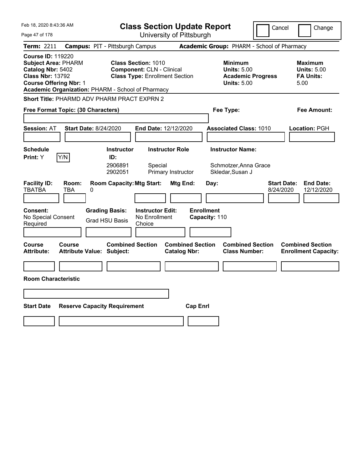| Feb 18, 2020 8:43:36 AM                                                                                                                                                                      | <b>Class Section Update Report</b>                                                                      | Cancel                                                                                 | Change                                                           |
|----------------------------------------------------------------------------------------------------------------------------------------------------------------------------------------------|---------------------------------------------------------------------------------------------------------|----------------------------------------------------------------------------------------|------------------------------------------------------------------|
| Page 47 of 178                                                                                                                                                                               | University of Pittsburgh                                                                                |                                                                                        |                                                                  |
| Term: 2211                                                                                                                                                                                   | <b>Campus: PIT - Pittsburgh Campus</b>                                                                  | Academic Group: PHARM - School of Pharmacy                                             |                                                                  |
| <b>Course ID: 119220</b><br><b>Subject Area: PHARM</b><br>Catalog Nbr: 5402<br><b>Class Nbr: 13792</b><br><b>Course Offering Nbr: 1</b><br>Academic Organization: PHARM - School of Pharmacy | <b>Class Section: 1010</b><br><b>Component: CLN - Clinical</b><br><b>Class Type: Enrollment Section</b> | <b>Minimum</b><br><b>Units: 5.00</b><br><b>Academic Progress</b><br><b>Units: 5.00</b> | <b>Maximum</b><br><b>Units: 5.00</b><br><b>FA Units:</b><br>5.00 |
| Short Title: PHARMD ADV PHARM PRACT EXPRN 2                                                                                                                                                  |                                                                                                         |                                                                                        |                                                                  |
| Free Format Topic: (30 Characters)                                                                                                                                                           |                                                                                                         | Fee Type:                                                                              | Fee Amount:                                                      |
| <b>Session: AT</b><br><b>Start Date: 8/24/2020</b>                                                                                                                                           | <b>End Date: 12/12/2020</b>                                                                             | <b>Associated Class: 1010</b>                                                          | Location: PGH                                                    |
| <b>Schedule</b>                                                                                                                                                                              | <b>Instructor</b><br><b>Instructor Role</b>                                                             | <b>Instructor Name:</b>                                                                |                                                                  |
| Y/N<br>Print: Y                                                                                                                                                                              | ID:<br>2906891<br>Special<br>2902051<br>Primary Instructor                                              | Schmotzer, Anna Grace<br>Skledar, Susan J                                              |                                                                  |
| <b>Facility ID:</b><br>Room:<br><b>TBATBA</b><br>TBA<br>0                                                                                                                                    | <b>Room Capacity: Mtg Start:</b><br>Mtg End:                                                            | <b>Start Date:</b><br>Day:<br>8/24/2020                                                | <b>End Date:</b><br>12/12/2020                                   |
| <b>Consent:</b><br><b>Grading Basis:</b><br>No Special Consent<br>Required                                                                                                                   | <b>Instructor Edit:</b><br>No Enrollment<br><b>Grad HSU Basis</b><br>Choice                             | <b>Enrollment</b><br>Capacity: 110                                                     |                                                                  |
| <b>Course</b><br><b>Course</b><br><b>Attribute:</b><br><b>Attribute Value: Subject:</b>                                                                                                      | <b>Combined Section</b><br><b>Combined Section</b><br><b>Catalog Nbr:</b>                               | <b>Combined Section</b><br><b>Class Number:</b>                                        | <b>Combined Section</b><br><b>Enrollment Capacity:</b>           |
|                                                                                                                                                                                              |                                                                                                         |                                                                                        |                                                                  |
| <b>Room Characteristic</b>                                                                                                                                                                   |                                                                                                         |                                                                                        |                                                                  |
|                                                                                                                                                                                              |                                                                                                         |                                                                                        |                                                                  |
| <b>Start Date</b><br><b>Reserve Capacity Requirement</b>                                                                                                                                     |                                                                                                         | <b>Cap Enri</b>                                                                        |                                                                  |
|                                                                                                                                                                                              |                                                                                                         |                                                                                        |                                                                  |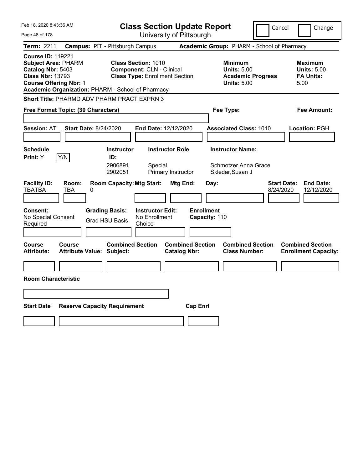| Feb 18, 2020 8:43:36 AM                                                                                                                 | <b>Class Section Update Report</b>                                                                                                                           |                                                | Cancel                                                                                 | Change                                                    |
|-----------------------------------------------------------------------------------------------------------------------------------------|--------------------------------------------------------------------------------------------------------------------------------------------------------------|------------------------------------------------|----------------------------------------------------------------------------------------|-----------------------------------------------------------|
| Page 48 of 178                                                                                                                          |                                                                                                                                                              | University of Pittsburgh                       |                                                                                        |                                                           |
| <b>Term: 2211</b>                                                                                                                       | <b>Campus: PIT - Pittsburgh Campus</b>                                                                                                                       |                                                | Academic Group: PHARM - School of Pharmacy                                             |                                                           |
| <b>Course ID: 119221</b><br><b>Subject Area: PHARM</b><br>Catalog Nbr: 5403<br><b>Class Nbr: 13793</b><br><b>Course Offering Nbr: 1</b> | <b>Class Section: 1010</b><br><b>Component: CLN - Clinical</b><br><b>Class Type: Enrollment Section</b><br>Academic Organization: PHARM - School of Pharmacy |                                                | <b>Minimum</b><br><b>Units: 5.00</b><br><b>Academic Progress</b><br><b>Units: 5.00</b> | Maximum<br><b>Units: 5.00</b><br><b>FA Units:</b><br>5.00 |
| <b>Short Title: PHARMD ADV PHARM PRACT EXPRN 3</b>                                                                                      |                                                                                                                                                              |                                                |                                                                                        |                                                           |
| Free Format Topic: (30 Characters)                                                                                                      |                                                                                                                                                              | Fee Type:                                      |                                                                                        | Fee Amount:                                               |
| <b>Session: AT</b><br><b>Start Date: 8/24/2020</b>                                                                                      | End Date: 12/12/2020                                                                                                                                         |                                                | <b>Associated Class: 1010</b>                                                          | Location: PGH                                             |
| <b>Schedule</b>                                                                                                                         | <b>Instructor</b><br><b>Instructor Role</b>                                                                                                                  |                                                | <b>Instructor Name:</b>                                                                |                                                           |
| Y/N<br>Print: Y                                                                                                                         | ID:<br>2906891<br>Special<br>2902051<br>Primary Instructor                                                                                                   |                                                | Schmotzer, Anna Grace<br>Skledar, Susan J                                              |                                                           |
| <b>Facility ID:</b><br>Room:<br><b>TBATBA</b><br>TBA<br>0                                                                               | <b>Room Capacity: Mtg Start:</b>                                                                                                                             | Mtg End:<br>Day:                               | <b>Start Date:</b><br>8/24/2020                                                        | <b>End Date:</b><br>12/12/2020                            |
| <b>Consent:</b><br>No Special Consent<br>Required                                                                                       | <b>Grading Basis:</b><br><b>Instructor Edit:</b><br>No Enrollment<br><b>Grad HSU Basis</b><br>Choice                                                         | <b>Enrollment</b><br>Capacity: 110             |                                                                                        |                                                           |
| Course<br>Course<br><b>Attribute:</b>                                                                                                   | <b>Combined Section</b><br>Attribute Value: Subject:                                                                                                         | <b>Combined Section</b><br><b>Catalog Nbr:</b> | <b>Combined Section</b><br><b>Class Number:</b>                                        | <b>Combined Section</b><br><b>Enrollment Capacity:</b>    |
|                                                                                                                                         |                                                                                                                                                              |                                                |                                                                                        |                                                           |
| <b>Room Characteristic</b>                                                                                                              |                                                                                                                                                              |                                                |                                                                                        |                                                           |
|                                                                                                                                         |                                                                                                                                                              |                                                |                                                                                        |                                                           |
|                                                                                                                                         |                                                                                                                                                              |                                                |                                                                                        |                                                           |
| <b>Start Date</b>                                                                                                                       | <b>Reserve Capacity Requirement</b>                                                                                                                          | <b>Cap Enrl</b>                                |                                                                                        |                                                           |
|                                                                                                                                         |                                                                                                                                                              |                                                |                                                                                        |                                                           |
|                                                                                                                                         |                                                                                                                                                              |                                                |                                                                                        |                                                           |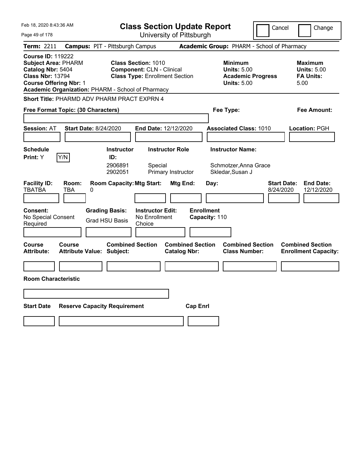| Feb 18, 2020 8:43:36 AM                                                                                                                                                                      | <b>Class Section Update Report</b>                                                                      | Cancel                                                                                 | Change                                                    |
|----------------------------------------------------------------------------------------------------------------------------------------------------------------------------------------------|---------------------------------------------------------------------------------------------------------|----------------------------------------------------------------------------------------|-----------------------------------------------------------|
| Page 49 of 178                                                                                                                                                                               | University of Pittsburgh                                                                                |                                                                                        |                                                           |
| <b>Term: 2211</b>                                                                                                                                                                            | <b>Campus: PIT - Pittsburgh Campus</b>                                                                  | Academic Group: PHARM - School of Pharmacy                                             |                                                           |
| <b>Course ID: 119222</b><br><b>Subject Area: PHARM</b><br>Catalog Nbr: 5404<br><b>Class Nbr: 13794</b><br><b>Course Offering Nbr: 1</b><br>Academic Organization: PHARM - School of Pharmacy | <b>Class Section: 1010</b><br><b>Component: CLN - Clinical</b><br><b>Class Type: Enrollment Section</b> | <b>Minimum</b><br><b>Units: 5.00</b><br><b>Academic Progress</b><br><b>Units: 5.00</b> | Maximum<br><b>Units: 5.00</b><br><b>FA Units:</b><br>5.00 |
| Short Title: PHARMD ADV PHARM PRACT EXPRN 4                                                                                                                                                  |                                                                                                         |                                                                                        |                                                           |
| Free Format Topic: (30 Characters)                                                                                                                                                           |                                                                                                         | Fee Type:                                                                              | Fee Amount:                                               |
| <b>Session: AT</b><br><b>Start Date: 8/24/2020</b>                                                                                                                                           | End Date: 12/12/2020                                                                                    | <b>Associated Class: 1010</b>                                                          | Location: PGH                                             |
| <b>Schedule</b>                                                                                                                                                                              | <b>Instructor</b><br><b>Instructor Role</b>                                                             | <b>Instructor Name:</b>                                                                |                                                           |
| Y/N<br>Print: Y                                                                                                                                                                              | ID:<br>2906891<br>Special<br>2902051<br>Primary Instructor                                              | Schmotzer, Anna Grace<br>Skledar, Susan J                                              |                                                           |
| <b>Facility ID:</b><br>Room:<br><b>TBATBA</b><br>TBA<br>0                                                                                                                                    | <b>Room Capacity: Mtg Start:</b><br>Mtg End:                                                            | <b>Start Date:</b><br>Day:<br>8/24/2020                                                | <b>End Date:</b><br>12/12/2020                            |
| <b>Grading Basis:</b><br><b>Consent:</b><br>No Special Consent<br><b>Grad HSU Basis</b><br>Required                                                                                          | <b>Instructor Edit:</b><br>No Enrollment<br>Choice                                                      | <b>Enrollment</b><br>Capacity: 110                                                     |                                                           |
| Course<br>Course<br><b>Attribute:</b><br><b>Attribute Value: Subject:</b>                                                                                                                    | <b>Combined Section</b><br><b>Combined Section</b><br><b>Catalog Nbr:</b>                               | <b>Combined Section</b><br><b>Class Number:</b>                                        | <b>Combined Section</b><br><b>Enrollment Capacity:</b>    |
|                                                                                                                                                                                              |                                                                                                         |                                                                                        |                                                           |
| <b>Room Characteristic</b>                                                                                                                                                                   |                                                                                                         |                                                                                        |                                                           |
|                                                                                                                                                                                              |                                                                                                         |                                                                                        |                                                           |
| <b>Start Date</b><br><b>Reserve Capacity Requirement</b>                                                                                                                                     |                                                                                                         | <b>Cap Enrl</b>                                                                        |                                                           |
|                                                                                                                                                                                              |                                                                                                         |                                                                                        |                                                           |
|                                                                                                                                                                                              |                                                                                                         |                                                                                        |                                                           |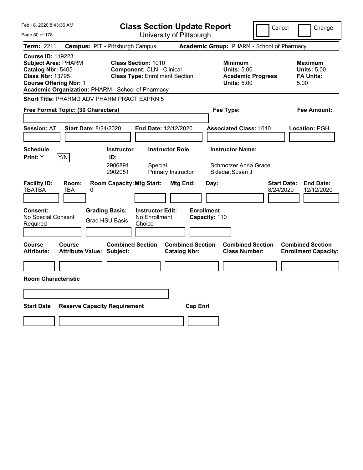| Feb 18, 2020 8:43:36 AM                                                                                                                                                                      | <b>Class Section Update Report</b>                                                                      | Cancel                                                                                 | Change                                                    |
|----------------------------------------------------------------------------------------------------------------------------------------------------------------------------------------------|---------------------------------------------------------------------------------------------------------|----------------------------------------------------------------------------------------|-----------------------------------------------------------|
| Page 50 of 178                                                                                                                                                                               | University of Pittsburgh                                                                                |                                                                                        |                                                           |
| <b>Term: 2211</b>                                                                                                                                                                            | <b>Campus: PIT - Pittsburgh Campus</b>                                                                  | Academic Group: PHARM - School of Pharmacy                                             |                                                           |
| <b>Course ID: 119223</b><br><b>Subject Area: PHARM</b><br>Catalog Nbr: 5405<br><b>Class Nbr: 13795</b><br><b>Course Offering Nbr: 1</b><br>Academic Organization: PHARM - School of Pharmacy | <b>Class Section: 1010</b><br><b>Component: CLN - Clinical</b><br><b>Class Type: Enrollment Section</b> | <b>Minimum</b><br><b>Units: 5.00</b><br><b>Academic Progress</b><br><b>Units: 5.00</b> | Maximum<br><b>Units: 5.00</b><br><b>FA Units:</b><br>5.00 |
| <b>Short Title: PHARMD ADV PHARM PRACT EXPRN 5</b>                                                                                                                                           |                                                                                                         |                                                                                        |                                                           |
| Free Format Topic: (30 Characters)                                                                                                                                                           |                                                                                                         | Fee Type:                                                                              | Fee Amount:                                               |
| <b>Session: AT</b><br><b>Start Date: 8/24/2020</b>                                                                                                                                           | End Date: 12/12/2020                                                                                    | <b>Associated Class: 1010</b>                                                          | Location: PGH                                             |
| <b>Schedule</b>                                                                                                                                                                              | <b>Instructor</b><br><b>Instructor Role</b>                                                             | <b>Instructor Name:</b>                                                                |                                                           |
| Y/N<br>Print: Y                                                                                                                                                                              | ID:<br>2906891<br>Special<br>2902051<br>Primary Instructor                                              | Schmotzer, Anna Grace<br>Skledar, Susan J                                              |                                                           |
| <b>Facility ID:</b><br>Room:<br><b>TBATBA</b><br>TBA<br>0                                                                                                                                    | <b>Room Capacity: Mtg Start:</b><br>Mtg End:                                                            | Day:<br>8/24/2020                                                                      | <b>Start Date:</b><br><b>End Date:</b><br>12/12/2020      |
| <b>Grading Basis:</b><br><b>Consent:</b><br>No Special Consent<br>Required                                                                                                                   | <b>Instructor Edit:</b><br>No Enrollment<br><b>Grad HSU Basis</b><br>Choice                             | <b>Enrollment</b><br>Capacity: 110                                                     |                                                           |
| Course<br>Course<br><b>Attribute:</b><br><b>Attribute Value: Subject:</b>                                                                                                                    | <b>Combined Section</b><br><b>Catalog Nbr:</b>                                                          | <b>Combined Section</b><br><b>Combined Section</b><br><b>Class Number:</b>             | <b>Combined Section</b><br><b>Enrollment Capacity:</b>    |
|                                                                                                                                                                                              |                                                                                                         |                                                                                        |                                                           |
| <b>Room Characteristic</b>                                                                                                                                                                   |                                                                                                         |                                                                                        |                                                           |
|                                                                                                                                                                                              |                                                                                                         |                                                                                        |                                                           |
| <b>Start Date</b><br><b>Reserve Capacity Requirement</b>                                                                                                                                     |                                                                                                         | <b>Cap Enrl</b>                                                                        |                                                           |
|                                                                                                                                                                                              |                                                                                                         |                                                                                        |                                                           |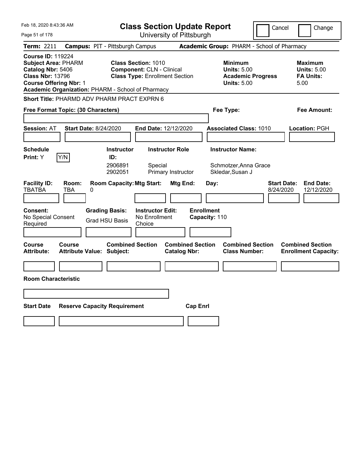| Feb 18, 2020 8:43:36 AM                                                                                                                                                                      | <b>Class Section Update Report</b>                                                                      | Cancel                                                                                 | Change                                                           |
|----------------------------------------------------------------------------------------------------------------------------------------------------------------------------------------------|---------------------------------------------------------------------------------------------------------|----------------------------------------------------------------------------------------|------------------------------------------------------------------|
| Page 51 of 178                                                                                                                                                                               | University of Pittsburgh                                                                                |                                                                                        |                                                                  |
| Term: 2211                                                                                                                                                                                   | <b>Campus: PIT - Pittsburgh Campus</b>                                                                  | Academic Group: PHARM - School of Pharmacy                                             |                                                                  |
| <b>Course ID: 119224</b><br><b>Subject Area: PHARM</b><br>Catalog Nbr: 5406<br><b>Class Nbr: 13796</b><br><b>Course Offering Nbr: 1</b><br>Academic Organization: PHARM - School of Pharmacy | <b>Class Section: 1010</b><br><b>Component: CLN - Clinical</b><br><b>Class Type: Enrollment Section</b> | <b>Minimum</b><br><b>Units: 5.00</b><br><b>Academic Progress</b><br><b>Units: 5.00</b> | <b>Maximum</b><br><b>Units: 5.00</b><br><b>FA Units:</b><br>5.00 |
| <b>Short Title: PHARMD ADV PHARM PRACT EXPRN 6</b>                                                                                                                                           |                                                                                                         |                                                                                        |                                                                  |
| Free Format Topic: (30 Characters)                                                                                                                                                           |                                                                                                         | Fee Type:                                                                              | Fee Amount:                                                      |
| <b>Session: AT</b><br><b>Start Date: 8/24/2020</b>                                                                                                                                           | End Date: 12/12/2020                                                                                    | <b>Associated Class: 1010</b>                                                          | <b>Location: PGH</b>                                             |
| <b>Schedule</b>                                                                                                                                                                              | <b>Instructor Role</b><br><b>Instructor</b>                                                             | <b>Instructor Name:</b>                                                                |                                                                  |
| Y/N<br>Print: Y                                                                                                                                                                              | ID:<br>2906891<br>Special<br>2902051<br>Primary Instructor                                              | Schmotzer, Anna Grace<br>Skledar, Susan J                                              |                                                                  |
| <b>Facility ID:</b><br>Room:<br><b>TBATBA</b><br>TBA<br>0                                                                                                                                    | <b>Room Capacity: Mtg Start:</b><br>Mtg End:                                                            | <b>Start Date:</b><br>Day:<br>8/24/2020                                                | <b>End Date:</b><br>12/12/2020                                   |
| <b>Consent:</b><br>No Special Consent<br>Required                                                                                                                                            | <b>Grading Basis:</b><br><b>Instructor Edit:</b><br>No Enrollment<br><b>Grad HSU Basis</b><br>Choice    | <b>Enrollment</b><br>Capacity: 110                                                     |                                                                  |
| <b>Course</b><br>Course<br><b>Attribute:</b><br><b>Attribute Value: Subject:</b>                                                                                                             | <b>Combined Section</b><br><b>Combined Section</b><br><b>Catalog Nbr:</b>                               | <b>Combined Section</b><br><b>Class Number:</b>                                        | <b>Combined Section</b><br><b>Enrollment Capacity:</b>           |
|                                                                                                                                                                                              |                                                                                                         |                                                                                        |                                                                  |
| <b>Room Characteristic</b>                                                                                                                                                                   |                                                                                                         |                                                                                        |                                                                  |
|                                                                                                                                                                                              |                                                                                                         |                                                                                        |                                                                  |
| <b>Start Date</b><br><b>Reserve Capacity Requirement</b>                                                                                                                                     |                                                                                                         | <b>Cap Enri</b>                                                                        |                                                                  |
|                                                                                                                                                                                              |                                                                                                         |                                                                                        |                                                                  |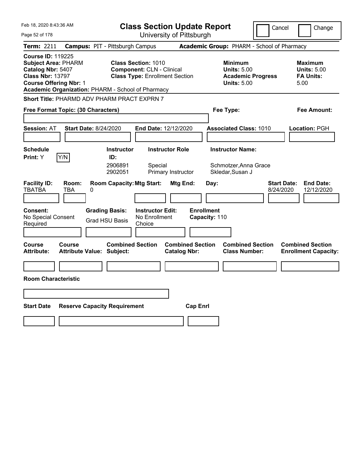| Feb 18, 2020 8:43:36 AM                                                                                                                                                                      | <b>Class Section Update Report</b>                                                                      | Cancel                                                                                 | Change                                                           |
|----------------------------------------------------------------------------------------------------------------------------------------------------------------------------------------------|---------------------------------------------------------------------------------------------------------|----------------------------------------------------------------------------------------|------------------------------------------------------------------|
| Page 52 of 178                                                                                                                                                                               | University of Pittsburgh                                                                                |                                                                                        |                                                                  |
| Term: 2211                                                                                                                                                                                   | <b>Campus: PIT - Pittsburgh Campus</b>                                                                  | Academic Group: PHARM - School of Pharmacy                                             |                                                                  |
| <b>Course ID: 119225</b><br><b>Subject Area: PHARM</b><br>Catalog Nbr: 5407<br><b>Class Nbr: 13797</b><br><b>Course Offering Nbr: 1</b><br>Academic Organization: PHARM - School of Pharmacy | <b>Class Section: 1010</b><br><b>Component: CLN - Clinical</b><br><b>Class Type: Enrollment Section</b> | <b>Minimum</b><br><b>Units: 5.00</b><br><b>Academic Progress</b><br><b>Units: 5.00</b> | <b>Maximum</b><br><b>Units: 5.00</b><br><b>FA Units:</b><br>5.00 |
| <b>Short Title: PHARMD ADV PHARM PRACT EXPRN 7</b>                                                                                                                                           |                                                                                                         |                                                                                        |                                                                  |
| Free Format Topic: (30 Characters)                                                                                                                                                           |                                                                                                         | Fee Type:                                                                              | Fee Amount:                                                      |
| <b>Session: AT</b><br><b>Start Date: 8/24/2020</b>                                                                                                                                           | End Date: 12/12/2020                                                                                    | <b>Associated Class: 1010</b>                                                          | <b>Location: PGH</b>                                             |
| <b>Schedule</b>                                                                                                                                                                              | <b>Instructor Role</b><br><b>Instructor</b>                                                             | <b>Instructor Name:</b>                                                                |                                                                  |
| Y/N<br>Print: Y                                                                                                                                                                              | ID:<br>2906891<br>Special<br>2902051<br>Primary Instructor                                              | Schmotzer, Anna Grace<br>Skledar, Susan J                                              |                                                                  |
| <b>Facility ID:</b><br>Room:<br><b>TBATBA</b><br>TBA<br>0                                                                                                                                    | <b>Room Capacity: Mtg Start:</b><br>Mtg End:                                                            | Day:<br>8/24/2020                                                                      | <b>End Date:</b><br><b>Start Date:</b><br>12/12/2020             |
| <b>Consent:</b><br>No Special Consent<br>Required                                                                                                                                            | <b>Grading Basis:</b><br><b>Instructor Edit:</b><br>No Enrollment<br><b>Grad HSU Basis</b><br>Choice    | <b>Enrollment</b><br>Capacity: 110                                                     |                                                                  |
| <b>Course</b><br>Course<br><b>Attribute:</b><br><b>Attribute Value: Subject:</b>                                                                                                             | <b>Combined Section</b><br><b>Catalog Nbr:</b>                                                          | <b>Combined Section</b><br><b>Combined Section</b><br><b>Class Number:</b>             | <b>Combined Section</b><br><b>Enrollment Capacity:</b>           |
|                                                                                                                                                                                              |                                                                                                         |                                                                                        |                                                                  |
| <b>Room Characteristic</b>                                                                                                                                                                   |                                                                                                         |                                                                                        |                                                                  |
|                                                                                                                                                                                              |                                                                                                         |                                                                                        |                                                                  |
| <b>Start Date</b><br><b>Reserve Capacity Requirement</b>                                                                                                                                     |                                                                                                         | <b>Cap Enri</b>                                                                        |                                                                  |
|                                                                                                                                                                                              |                                                                                                         |                                                                                        |                                                                  |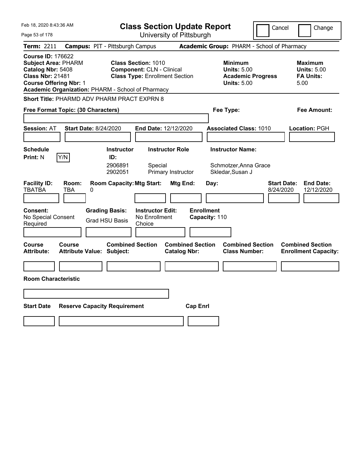| Feb 18, 2020 8:43:36 AM                                                                                                                                                                      | <b>Class Section Update Report</b>                                                                      | Cancel                                                                                 | Change                                                    |
|----------------------------------------------------------------------------------------------------------------------------------------------------------------------------------------------|---------------------------------------------------------------------------------------------------------|----------------------------------------------------------------------------------------|-----------------------------------------------------------|
| Page 53 of 178                                                                                                                                                                               | University of Pittsburgh                                                                                |                                                                                        |                                                           |
| <b>Term: 2211</b>                                                                                                                                                                            | <b>Campus: PIT - Pittsburgh Campus</b>                                                                  | Academic Group: PHARM - School of Pharmacy                                             |                                                           |
| <b>Course ID: 176622</b><br><b>Subject Area: PHARM</b><br>Catalog Nbr: 5408<br><b>Class Nbr: 21481</b><br><b>Course Offering Nbr: 1</b><br>Academic Organization: PHARM - School of Pharmacy | <b>Class Section: 1010</b><br><b>Component: CLN - Clinical</b><br><b>Class Type: Enrollment Section</b> | <b>Minimum</b><br><b>Units: 5.00</b><br><b>Academic Progress</b><br><b>Units: 5.00</b> | Maximum<br><b>Units: 5.00</b><br><b>FA Units:</b><br>5.00 |
| <b>Short Title: PHARMD ADV PHARM PRACT EXPRN 8</b>                                                                                                                                           |                                                                                                         |                                                                                        |                                                           |
| Free Format Topic: (30 Characters)                                                                                                                                                           |                                                                                                         | Fee Type:                                                                              | Fee Amount:                                               |
| <b>Session: AT</b><br><b>Start Date: 8/24/2020</b>                                                                                                                                           | End Date: 12/12/2020                                                                                    | <b>Associated Class: 1010</b>                                                          | Location: PGH                                             |
| <b>Schedule</b>                                                                                                                                                                              | <b>Instructor</b><br><b>Instructor Role</b>                                                             | <b>Instructor Name:</b>                                                                |                                                           |
| Y/N<br><b>Print: N</b>                                                                                                                                                                       | ID:<br>2906891<br>Special<br>2902051<br>Primary Instructor                                              | Schmotzer, Anna Grace<br>Skledar, Susan J                                              |                                                           |
| <b>Facility ID:</b><br>Room:<br><b>TBATBA</b><br>TBA<br>0                                                                                                                                    | <b>Room Capacity: Mtg Start:</b><br>Mtg End:                                                            | <b>Start Date:</b><br>Day:<br>8/24/2020                                                | <b>End Date:</b><br>12/12/2020                            |
| <b>Grading Basis:</b><br><b>Consent:</b><br>No Special Consent<br>Required                                                                                                                   | <b>Instructor Edit:</b><br>No Enrollment<br><b>Grad HSU Basis</b><br>Choice                             | <b>Enrollment</b><br>Capacity: 110                                                     |                                                           |
| Course<br>Course<br><b>Attribute:</b><br><b>Attribute Value: Subject:</b>                                                                                                                    | <b>Combined Section</b><br><b>Catalog Nbr:</b>                                                          | <b>Combined Section</b><br><b>Combined Section</b><br><b>Class Number:</b>             | <b>Combined Section</b><br><b>Enrollment Capacity:</b>    |
|                                                                                                                                                                                              |                                                                                                         |                                                                                        |                                                           |
| <b>Room Characteristic</b>                                                                                                                                                                   |                                                                                                         |                                                                                        |                                                           |
|                                                                                                                                                                                              |                                                                                                         |                                                                                        |                                                           |
| <b>Start Date</b><br><b>Reserve Capacity Requirement</b>                                                                                                                                     |                                                                                                         | <b>Cap Enrl</b>                                                                        |                                                           |
|                                                                                                                                                                                              |                                                                                                         |                                                                                        |                                                           |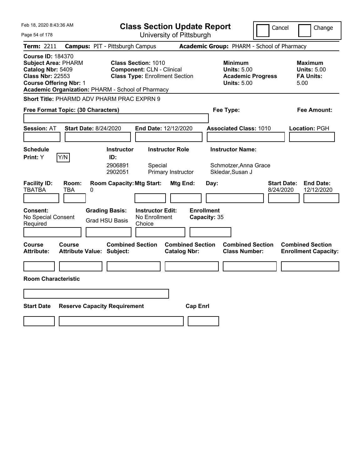| Feb 18, 2020 8:43:36 AM                                                                                                                                                                      | <b>Class Section Update Report</b>                                                                      | Cancel                                                                                 | Change                                                           |
|----------------------------------------------------------------------------------------------------------------------------------------------------------------------------------------------|---------------------------------------------------------------------------------------------------------|----------------------------------------------------------------------------------------|------------------------------------------------------------------|
| Page 54 of 178                                                                                                                                                                               | University of Pittsburgh                                                                                |                                                                                        |                                                                  |
| Term: 2211                                                                                                                                                                                   | <b>Campus: PIT - Pittsburgh Campus</b>                                                                  | Academic Group: PHARM - School of Pharmacy                                             |                                                                  |
| <b>Course ID: 184370</b><br><b>Subject Area: PHARM</b><br>Catalog Nbr: 5409<br><b>Class Nbr: 22553</b><br><b>Course Offering Nbr: 1</b><br>Academic Organization: PHARM - School of Pharmacy | <b>Class Section: 1010</b><br><b>Component: CLN - Clinical</b><br><b>Class Type: Enrollment Section</b> | <b>Minimum</b><br><b>Units: 5.00</b><br><b>Academic Progress</b><br><b>Units: 5.00</b> | <b>Maximum</b><br><b>Units: 5.00</b><br><b>FA Units:</b><br>5.00 |
| <b>Short Title: PHARMD ADV PHARM PRAC EXPRN 9</b>                                                                                                                                            |                                                                                                         |                                                                                        |                                                                  |
| Free Format Topic: (30 Characters)                                                                                                                                                           |                                                                                                         | Fee Type:                                                                              | Fee Amount:                                                      |
| <b>Session: AT</b><br><b>Start Date: 8/24/2020</b>                                                                                                                                           | End Date: 12/12/2020                                                                                    | <b>Associated Class: 1010</b>                                                          | <b>Location: PGH</b>                                             |
| <b>Schedule</b>                                                                                                                                                                              | <b>Instructor Role</b><br><b>Instructor</b>                                                             | <b>Instructor Name:</b>                                                                |                                                                  |
| Y/N<br>Print: Y                                                                                                                                                                              | ID:<br>2906891<br>Special<br>2902051<br>Primary Instructor                                              | Schmotzer, Anna Grace<br>Skledar, Susan J                                              |                                                                  |
| <b>Facility ID:</b><br>Room:<br><b>TBATBA</b><br>TBA<br>0                                                                                                                                    | <b>Room Capacity: Mtg Start:</b><br>Mtg End:                                                            | <b>Start Date:</b><br>Day:<br>8/24/2020                                                | <b>End Date:</b><br>12/12/2020                                   |
| <b>Consent:</b><br>No Special Consent<br>Required                                                                                                                                            | <b>Grading Basis:</b><br><b>Instructor Edit:</b><br>No Enrollment<br><b>Grad HSU Basis</b><br>Choice    | <b>Enrollment</b><br>Capacity: 35                                                      |                                                                  |
| <b>Course</b><br>Course<br><b>Attribute:</b><br><b>Attribute Value: Subject:</b>                                                                                                             | <b>Combined Section</b><br><b>Combined Section</b><br><b>Catalog Nbr:</b>                               | <b>Combined Section</b><br><b>Class Number:</b>                                        | <b>Combined Section</b><br><b>Enrollment Capacity:</b>           |
|                                                                                                                                                                                              |                                                                                                         |                                                                                        |                                                                  |
| <b>Room Characteristic</b>                                                                                                                                                                   |                                                                                                         |                                                                                        |                                                                  |
|                                                                                                                                                                                              |                                                                                                         |                                                                                        |                                                                  |
| <b>Start Date</b><br><b>Reserve Capacity Requirement</b>                                                                                                                                     |                                                                                                         | <b>Cap Enri</b>                                                                        |                                                                  |
|                                                                                                                                                                                              |                                                                                                         |                                                                                        |                                                                  |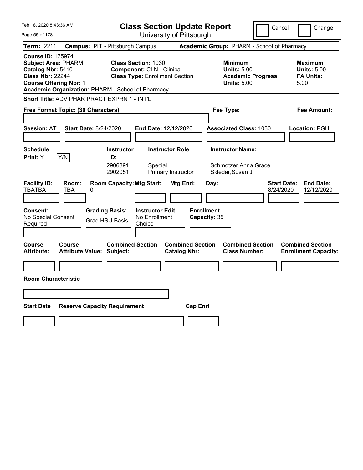| Feb 18, 2020 8:43:36 AM                                                                                                                                                                      | <b>Class Section Update Report</b>                                                                                                                                                                                                | Cancel                                                                                                    | Change                                                                                                         |
|----------------------------------------------------------------------------------------------------------------------------------------------------------------------------------------------|-----------------------------------------------------------------------------------------------------------------------------------------------------------------------------------------------------------------------------------|-----------------------------------------------------------------------------------------------------------|----------------------------------------------------------------------------------------------------------------|
| Page 55 of 178                                                                                                                                                                               | University of Pittsburgh                                                                                                                                                                                                          |                                                                                                           |                                                                                                                |
| <b>Term: 2211</b>                                                                                                                                                                            | <b>Campus: PIT - Pittsburgh Campus</b>                                                                                                                                                                                            | Academic Group: PHARM - School of Pharmacy                                                                |                                                                                                                |
| <b>Course ID: 175974</b><br><b>Subject Area: PHARM</b><br>Catalog Nbr: 5410<br><b>Class Nbr: 22244</b><br><b>Course Offering Nbr: 1</b><br>Academic Organization: PHARM - School of Pharmacy | <b>Class Section: 1030</b><br><b>Component: CLN - Clinical</b><br><b>Class Type: Enrollment Section</b>                                                                                                                           | <b>Minimum</b><br><b>Units: 5.00</b><br><b>Academic Progress</b><br><b>Units: 5.00</b>                    | <b>Maximum</b><br><b>Units: 5.00</b><br><b>FA Units:</b><br>5.00                                               |
| <b>Short Title: ADV PHAR PRACT EXPRN 1 - INT'L</b>                                                                                                                                           |                                                                                                                                                                                                                                   |                                                                                                           |                                                                                                                |
| Free Format Topic: (30 Characters)                                                                                                                                                           |                                                                                                                                                                                                                                   | Fee Type:                                                                                                 | Fee Amount:                                                                                                    |
|                                                                                                                                                                                              |                                                                                                                                                                                                                                   |                                                                                                           |                                                                                                                |
| <b>Session: AT</b><br><b>Start Date: 8/24/2020</b>                                                                                                                                           | End Date: 12/12/2020                                                                                                                                                                                                              | <b>Associated Class: 1030</b>                                                                             | <b>Location: PGH</b>                                                                                           |
|                                                                                                                                                                                              |                                                                                                                                                                                                                                   |                                                                                                           |                                                                                                                |
| <b>Schedule</b>                                                                                                                                                                              | <b>Instructor Role</b><br><b>Instructor</b>                                                                                                                                                                                       | <b>Instructor Name:</b>                                                                                   |                                                                                                                |
| Y/N<br><b>Print:</b> Y                                                                                                                                                                       | ID:                                                                                                                                                                                                                               |                                                                                                           |                                                                                                                |
|                                                                                                                                                                                              | 2906891<br>Special<br>2902051<br>Primary Instructor                                                                                                                                                                               | Schmotzer, Anna Grace<br>Skledar, Susan J                                                                 |                                                                                                                |
| <b>Facility ID:</b><br>Room:<br>TBATBA<br>TBA<br>0<br><b>Consent:</b><br>No Special Consent<br>Required<br>Course<br>Course<br><b>Attribute:</b><br><b>Attribute Value: Subject:</b>         | <b>Room Capacity: Mtg Start:</b><br>Mtg End:<br><b>Grading Basis:</b><br><b>Instructor Edit:</b><br>No Enrollment<br><b>Grad HSU Basis</b><br>Choice<br><b>Combined Section</b><br><b>Combined Section</b><br><b>Catalog Nbr:</b> | Day:<br>8/24/2020<br><b>Enrollment</b><br>Capacity: 35<br><b>Combined Section</b><br><b>Class Number:</b> | <b>Start Date:</b><br><b>End Date:</b><br>12/12/2020<br><b>Combined Section</b><br><b>Enrollment Capacity:</b> |
|                                                                                                                                                                                              |                                                                                                                                                                                                                                   |                                                                                                           |                                                                                                                |
| <b>Room Characteristic</b>                                                                                                                                                                   |                                                                                                                                                                                                                                   |                                                                                                           |                                                                                                                |
|                                                                                                                                                                                              |                                                                                                                                                                                                                                   |                                                                                                           |                                                                                                                |
|                                                                                                                                                                                              |                                                                                                                                                                                                                                   |                                                                                                           |                                                                                                                |
| <b>Start Date</b><br><b>Reserve Capacity Requirement</b>                                                                                                                                     |                                                                                                                                                                                                                                   | <b>Cap Enrl</b>                                                                                           |                                                                                                                |
|                                                                                                                                                                                              |                                                                                                                                                                                                                                   |                                                                                                           |                                                                                                                |
|                                                                                                                                                                                              |                                                                                                                                                                                                                                   |                                                                                                           |                                                                                                                |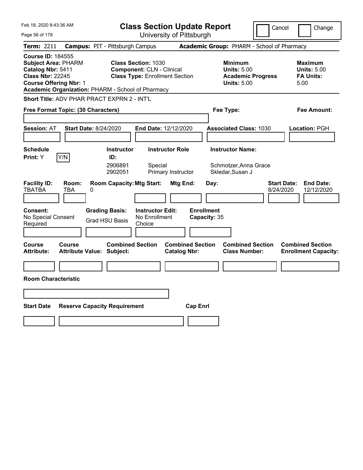| Feb 18, 2020 8:43:36 AM                                                                                                                                                                      | <b>Class Section Update Report</b>                                                                      | Cancel                                                                                 | Change                                                           |
|----------------------------------------------------------------------------------------------------------------------------------------------------------------------------------------------|---------------------------------------------------------------------------------------------------------|----------------------------------------------------------------------------------------|------------------------------------------------------------------|
| Page 56 of 178                                                                                                                                                                               | University of Pittsburgh                                                                                |                                                                                        |                                                                  |
| Term: 2211                                                                                                                                                                                   | <b>Campus: PIT - Pittsburgh Campus</b>                                                                  | Academic Group: PHARM - School of Pharmacy                                             |                                                                  |
| <b>Course ID: 184555</b><br><b>Subject Area: PHARM</b><br>Catalog Nbr: 5411<br><b>Class Nbr: 22245</b><br><b>Course Offering Nbr: 1</b><br>Academic Organization: PHARM - School of Pharmacy | <b>Class Section: 1030</b><br><b>Component: CLN - Clinical</b><br><b>Class Type: Enrollment Section</b> | <b>Minimum</b><br><b>Units: 5.00</b><br><b>Academic Progress</b><br><b>Units: 5.00</b> | <b>Maximum</b><br><b>Units: 5.00</b><br><b>FA Units:</b><br>5.00 |
| Short Title: ADV PHAR PRACT EXPRN 2 - INT'L                                                                                                                                                  |                                                                                                         |                                                                                        |                                                                  |
| Free Format Topic: (30 Characters)                                                                                                                                                           |                                                                                                         | Fee Type:                                                                              | Fee Amount:                                                      |
| <b>Session: AT</b><br><b>Start Date: 8/24/2020</b>                                                                                                                                           | <b>End Date: 12/12/2020</b>                                                                             | <b>Associated Class: 1030</b>                                                          | <b>Location: PGH</b>                                             |
| <b>Schedule</b>                                                                                                                                                                              | <b>Instructor</b><br><b>Instructor Role</b>                                                             | <b>Instructor Name:</b>                                                                |                                                                  |
| Y/N<br>Print: Y                                                                                                                                                                              | ID:<br>2906891<br>Special<br>2902051<br>Primary Instructor                                              | Schmotzer, Anna Grace<br>Skledar, Susan J                                              |                                                                  |
| <b>Facility ID:</b><br>Room:<br><b>TBATBA</b><br>TBA<br>0                                                                                                                                    | <b>Room Capacity: Mtg Start:</b><br>Mtg End:                                                            | <b>Start Date:</b><br>Day:<br>8/24/2020                                                | <b>End Date:</b><br>12/12/2020                                   |
| Consent:<br>No Special Consent<br>Required                                                                                                                                                   | <b>Grading Basis:</b><br><b>Instructor Edit:</b><br>No Enrollment<br><b>Grad HSU Basis</b><br>Choice    | <b>Enrollment</b><br>Capacity: 35                                                      |                                                                  |
| <b>Course</b><br>Course<br><b>Attribute:</b><br><b>Attribute Value: Subject:</b>                                                                                                             | <b>Combined Section</b><br><b>Combined Section</b><br><b>Catalog Nbr:</b>                               | <b>Combined Section</b><br><b>Class Number:</b>                                        | <b>Combined Section</b><br><b>Enrollment Capacity:</b>           |
|                                                                                                                                                                                              |                                                                                                         |                                                                                        |                                                                  |
| <b>Room Characteristic</b>                                                                                                                                                                   |                                                                                                         |                                                                                        |                                                                  |
|                                                                                                                                                                                              |                                                                                                         |                                                                                        |                                                                  |
| <b>Start Date</b><br><b>Reserve Capacity Requirement</b>                                                                                                                                     |                                                                                                         | <b>Cap Enrl</b>                                                                        |                                                                  |
|                                                                                                                                                                                              |                                                                                                         |                                                                                        |                                                                  |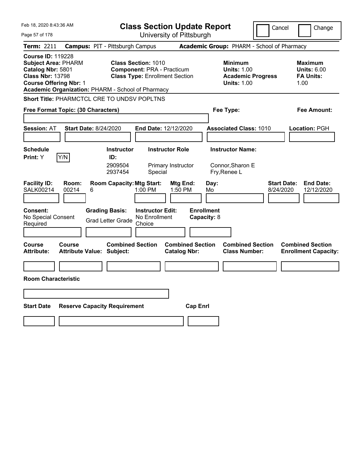| Feb 18, 2020 8:43:36 AM                                                                                                                                                                      |                                                   | <b>Class Section Update Report</b>                                                                       |                                                |                                                                                        | Cancel                          | Change                                                           |
|----------------------------------------------------------------------------------------------------------------------------------------------------------------------------------------------|---------------------------------------------------|----------------------------------------------------------------------------------------------------------|------------------------------------------------|----------------------------------------------------------------------------------------|---------------------------------|------------------------------------------------------------------|
| Page 57 of 178                                                                                                                                                                               |                                                   | University of Pittsburgh                                                                                 |                                                |                                                                                        |                                 |                                                                  |
| <b>Term: 2211</b>                                                                                                                                                                            | <b>Campus: PIT - Pittsburgh Campus</b>            |                                                                                                          |                                                | Academic Group: PHARM - School of Pharmacy                                             |                                 |                                                                  |
| <b>Course ID: 119228</b><br><b>Subject Area: PHARM</b><br>Catalog Nbr: 5801<br><b>Class Nbr: 13798</b><br><b>Course Offering Nbr: 1</b><br>Academic Organization: PHARM - School of Pharmacy |                                                   | <b>Class Section: 1010</b><br><b>Component: PRA - Practicum</b><br><b>Class Type: Enrollment Section</b> |                                                | <b>Minimum</b><br><b>Units: 1.00</b><br><b>Academic Progress</b><br><b>Units: 1.00</b> |                                 | <b>Maximum</b><br><b>Units: 6.00</b><br><b>FA Units:</b><br>1.00 |
| Short Title: PHARMCTCL CRE TO UNDSV POPLTNS                                                                                                                                                  |                                                   |                                                                                                          |                                                |                                                                                        |                                 |                                                                  |
| Free Format Topic: (30 Characters)                                                                                                                                                           |                                                   |                                                                                                          |                                                | Fee Type:                                                                              |                                 | Fee Amount:                                                      |
|                                                                                                                                                                                              |                                                   |                                                                                                          |                                                |                                                                                        |                                 |                                                                  |
| <b>Session: AT</b>                                                                                                                                                                           | <b>Start Date: 8/24/2020</b>                      | End Date: 12/12/2020                                                                                     |                                                | <b>Associated Class: 1010</b>                                                          |                                 | <b>Location: PGH</b>                                             |
|                                                                                                                                                                                              |                                                   |                                                                                                          |                                                |                                                                                        |                                 |                                                                  |
| <b>Schedule</b>                                                                                                                                                                              | <b>Instructor</b>                                 | <b>Instructor Role</b>                                                                                   |                                                | <b>Instructor Name:</b>                                                                |                                 |                                                                  |
| Y/N<br>Print: Y                                                                                                                                                                              | ID:<br>2909504<br>2937454                         | Primary Instructor<br>Special                                                                            |                                                | Connor, Sharon E<br>Fry, Renee L                                                       |                                 |                                                                  |
| <b>Facility ID:</b><br>Room:<br><b>SALK00214</b><br>00214                                                                                                                                    | <b>Room Capacity: Mtg Start:</b><br>6             | 1:00 PM                                                                                                  | Mtg End:<br>Day:<br>1:50 PM<br>Mo              |                                                                                        | <b>Start Date:</b><br>8/24/2020 | <b>End Date:</b><br>12/12/2020                                   |
| <b>Consent:</b><br>No Special Consent<br>Required                                                                                                                                            | <b>Grading Basis:</b><br><b>Grad Letter Grade</b> | <b>Instructor Edit:</b><br>No Enrollment<br>Choice                                                       | <b>Enrollment</b><br>Capacity: 8               |                                                                                        |                                 |                                                                  |
| Course<br>Course<br><b>Attribute:</b>                                                                                                                                                        | <b>Attribute Value: Subject:</b>                  | <b>Combined Section</b>                                                                                  | <b>Combined Section</b><br><b>Catalog Nbr:</b> | <b>Combined Section</b><br><b>Class Number:</b>                                        |                                 | <b>Combined Section</b><br><b>Enrollment Capacity:</b>           |
|                                                                                                                                                                                              |                                                   |                                                                                                          |                                                |                                                                                        |                                 |                                                                  |
| <b>Room Characteristic</b>                                                                                                                                                                   |                                                   |                                                                                                          |                                                |                                                                                        |                                 |                                                                  |
|                                                                                                                                                                                              |                                                   |                                                                                                          |                                                |                                                                                        |                                 |                                                                  |
| <b>Start Date</b>                                                                                                                                                                            | <b>Reserve Capacity Requirement</b>               |                                                                                                          | <b>Cap Enrl</b>                                |                                                                                        |                                 |                                                                  |
|                                                                                                                                                                                              |                                                   |                                                                                                          |                                                |                                                                                        |                                 |                                                                  |
|                                                                                                                                                                                              |                                                   |                                                                                                          |                                                |                                                                                        |                                 |                                                                  |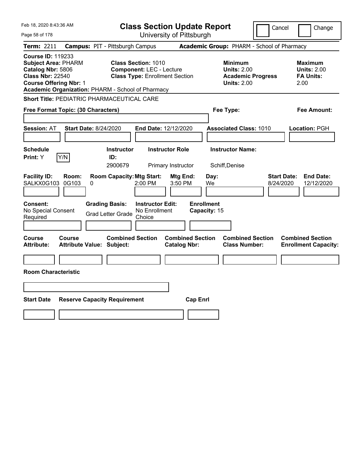| Feb 18, 2020 8:43:36 AM                                                                                                                                                                      | <b>Class Section Update Report</b>                                                                      |                                                                                        | Cancel<br>Change                                                  |
|----------------------------------------------------------------------------------------------------------------------------------------------------------------------------------------------|---------------------------------------------------------------------------------------------------------|----------------------------------------------------------------------------------------|-------------------------------------------------------------------|
| Page 58 of 178                                                                                                                                                                               | University of Pittsburgh                                                                                |                                                                                        |                                                                   |
| Term: 2211                                                                                                                                                                                   | <b>Campus: PIT - Pittsburgh Campus</b>                                                                  | Academic Group: PHARM - School of Pharmacy                                             |                                                                   |
| <b>Course ID: 119233</b><br><b>Subject Area: PHARM</b><br>Catalog Nbr: 5806<br><b>Class Nbr: 22540</b><br><b>Course Offering Nbr: 1</b><br>Academic Organization: PHARM - School of Pharmacy | <b>Class Section: 1010</b><br><b>Component: LEC - Lecture</b><br><b>Class Type: Enrollment Section</b>  | <b>Minimum</b><br><b>Units: 2.00</b><br><b>Academic Progress</b><br><b>Units: 2.00</b> | <b>Maximum</b><br><b>Units: 2.00</b><br><b>FA Units:</b><br>2.00  |
| Short Title: PEDIATRIC PHARMACEUTICAL CARE                                                                                                                                                   |                                                                                                         |                                                                                        |                                                                   |
| Free Format Topic: (30 Characters)                                                                                                                                                           |                                                                                                         | Fee Type:                                                                              | Fee Amount:                                                       |
| <b>Session: AT</b><br>Start Date: 8/24/2020<br><b>Schedule</b><br>Y/N<br>Print: Y                                                                                                            | End Date: 12/12/2020<br><b>Instructor Role</b><br><b>Instructor</b><br>ID:                              | <b>Associated Class: 1010</b><br><b>Instructor Name:</b>                               | Location: PGH                                                     |
|                                                                                                                                                                                              | 2900679<br>Primary Instructor                                                                           | Schiff, Denise                                                                         |                                                                   |
| <b>Facility ID:</b><br>Room:<br>SALKX0G103<br>0G103<br>0                                                                                                                                     | <b>Room Capacity: Mtg Start:</b><br>Mtg End:<br>2:00 PM<br>3:50 PM                                      | Day:<br>We                                                                             | <b>Start Date:</b><br><b>End Date:</b><br>8/24/2020<br>12/12/2020 |
| Consent:<br>No Special Consent<br>Required                                                                                                                                                   | <b>Instructor Edit:</b><br><b>Grading Basis:</b><br>No Enrollment<br><b>Grad Letter Grade</b><br>Choice | <b>Enrollment</b><br>Capacity: 15                                                      |                                                                   |
| <b>Course</b><br>Course<br><b>Attribute Value: Subject:</b><br><b>Attribute:</b>                                                                                                             | <b>Combined Section</b><br><b>Catalog Nbr:</b>                                                          | <b>Combined Section</b><br><b>Combined Section</b><br><b>Class Number:</b>             | <b>Combined Section</b><br><b>Enrollment Capacity:</b>            |
|                                                                                                                                                                                              |                                                                                                         |                                                                                        |                                                                   |
| <b>Room Characteristic</b>                                                                                                                                                                   |                                                                                                         |                                                                                        |                                                                   |
|                                                                                                                                                                                              |                                                                                                         |                                                                                        |                                                                   |
| <b>Start Date</b><br><b>Reserve Capacity Requirement</b>                                                                                                                                     |                                                                                                         | <b>Cap Enrl</b>                                                                        |                                                                   |
|                                                                                                                                                                                              |                                                                                                         |                                                                                        |                                                                   |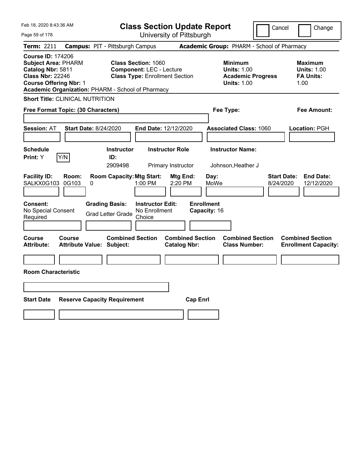| Feb 18, 2020 8:43:36 AM                                                                                                                                                                      |                                                                                                         | <b>Class Section Update Report</b>             |                                                                                        | Cancel<br>Change                                                  |
|----------------------------------------------------------------------------------------------------------------------------------------------------------------------------------------------|---------------------------------------------------------------------------------------------------------|------------------------------------------------|----------------------------------------------------------------------------------------|-------------------------------------------------------------------|
| Page 59 of 178                                                                                                                                                                               |                                                                                                         | University of Pittsburgh                       |                                                                                        |                                                                   |
| Term: 2211                                                                                                                                                                                   | <b>Campus: PIT - Pittsburgh Campus</b>                                                                  |                                                | Academic Group: PHARM - School of Pharmacy                                             |                                                                   |
| <b>Course ID: 174206</b><br><b>Subject Area: PHARM</b><br>Catalog Nbr: 5811<br><b>Class Nbr: 22246</b><br><b>Course Offering Nbr: 1</b><br>Academic Organization: PHARM - School of Pharmacy | <b>Class Section: 1060</b><br><b>Component: LEC - Lecture</b><br><b>Class Type: Enrollment Section</b>  |                                                | <b>Minimum</b><br><b>Units: 1.00</b><br><b>Academic Progress</b><br><b>Units: 1.00</b> | Maximum<br><b>Units: 1.00</b><br><b>FA Units:</b><br>1.00         |
| <b>Short Title: CLINICAL NUTRITION</b>                                                                                                                                                       |                                                                                                         |                                                |                                                                                        |                                                                   |
| Free Format Topic: (30 Characters)                                                                                                                                                           |                                                                                                         |                                                | Fee Type:                                                                              | Fee Amount:                                                       |
| <b>Session: AT</b><br><b>Start Date: 8/24/2020</b>                                                                                                                                           | End Date: 12/12/2020                                                                                    |                                                | <b>Associated Class: 1060</b>                                                          | Location: PGH                                                     |
| <b>Schedule</b><br>Y/N<br>Print: Y                                                                                                                                                           | <b>Instructor</b><br>ID:<br>2909498                                                                     | <b>Instructor Role</b><br>Primary Instructor   | <b>Instructor Name:</b><br>Johnson, Heather J                                          |                                                                   |
| <b>Facility ID:</b><br>Room:<br>SALKX0G103<br>0G103<br>0                                                                                                                                     | <b>Room Capacity: Mtg Start:</b><br>1:00 PM                                                             | Mtg End:<br>Day:<br>2:20 PM<br>MoWe            |                                                                                        | <b>Start Date:</b><br><b>End Date:</b><br>8/24/2020<br>12/12/2020 |
| Consent:<br>No Special Consent<br>Required                                                                                                                                                   | <b>Grading Basis:</b><br><b>Instructor Edit:</b><br>No Enrollment<br><b>Grad Letter Grade</b><br>Choice | <b>Enrollment</b><br>Capacity: 16              |                                                                                        |                                                                   |
| Course<br>Course<br><b>Attribute Value: Subject:</b><br>Attribute:                                                                                                                           | <b>Combined Section</b>                                                                                 | <b>Combined Section</b><br><b>Catalog Nbr:</b> | <b>Combined Section</b><br><b>Class Number:</b>                                        | <b>Combined Section</b><br><b>Enrollment Capacity:</b>            |
|                                                                                                                                                                                              |                                                                                                         |                                                |                                                                                        |                                                                   |
| <b>Room Characteristic</b>                                                                                                                                                                   |                                                                                                         |                                                |                                                                                        |                                                                   |
|                                                                                                                                                                                              |                                                                                                         |                                                |                                                                                        |                                                                   |
| <b>Start Date</b><br><b>Reserve Capacity Requirement</b>                                                                                                                                     |                                                                                                         | <b>Cap Enrl</b>                                |                                                                                        |                                                                   |
|                                                                                                                                                                                              |                                                                                                         |                                                |                                                                                        |                                                                   |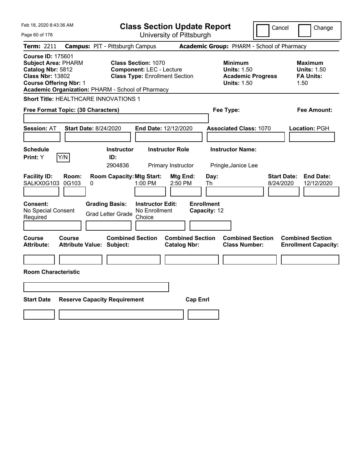| Feb 18, 2020 8:43:36 AM                                                                                                                                                                      | <b>Class Section Update Report</b>                                                                                                                                              |                                                                                        | Cancel<br>Change                                                  |
|----------------------------------------------------------------------------------------------------------------------------------------------------------------------------------------------|---------------------------------------------------------------------------------------------------------------------------------------------------------------------------------|----------------------------------------------------------------------------------------|-------------------------------------------------------------------|
| Page 60 of 178                                                                                                                                                                               | University of Pittsburgh                                                                                                                                                        |                                                                                        |                                                                   |
| Term: 2211                                                                                                                                                                                   | <b>Campus: PIT - Pittsburgh Campus</b>                                                                                                                                          | Academic Group: PHARM - School of Pharmacy                                             |                                                                   |
| <b>Course ID: 175601</b><br><b>Subject Area: PHARM</b><br>Catalog Nbr: 5812<br><b>Class Nbr: 13802</b><br><b>Course Offering Nbr: 1</b><br>Academic Organization: PHARM - School of Pharmacy | <b>Class Section: 1070</b><br><b>Component: LEC - Lecture</b><br><b>Class Type: Enrollment Section</b>                                                                          | <b>Minimum</b><br><b>Units: 1.50</b><br><b>Academic Progress</b><br><b>Units: 1.50</b> | <b>Maximum</b><br><b>Units: 1.50</b><br><b>FA Units:</b><br>1.50  |
| <b>Short Title: HEALTHCARE INNOVATIONS 1</b>                                                                                                                                                 |                                                                                                                                                                                 |                                                                                        |                                                                   |
| Free Format Topic: (30 Characters)                                                                                                                                                           |                                                                                                                                                                                 | Fee Type:                                                                              | Fee Amount:                                                       |
| <b>Session: AT</b><br>Start Date: 8/24/2020<br><b>Schedule</b><br>Y/N<br>Print: Y                                                                                                            | End Date: 12/12/2020<br><b>Instructor Role</b><br><b>Instructor</b><br>ID:<br>2904836<br>Primary Instructor                                                                     | <b>Associated Class: 1070</b><br><b>Instructor Name:</b><br>Pringle, Janice Lee        | Location: PGH                                                     |
| <b>Facility ID:</b><br>Room:<br>SALKX0G103<br>0G103<br>0<br><b>Consent:</b><br>No Special Consent<br>Required                                                                                | <b>Room Capacity: Mtg Start:</b><br>Mtg End:<br>$1:00$ PM<br>2:50 PM<br><b>Grading Basis:</b><br><b>Instructor Edit:</b><br>No Enrollment<br><b>Grad Letter Grade</b><br>Choice | Day:<br>Th<br><b>Enrollment</b><br>Capacity: 12                                        | <b>Start Date:</b><br><b>End Date:</b><br>8/24/2020<br>12/12/2020 |
| Course<br><b>Course</b><br><b>Attribute Value: Subject:</b><br><b>Attribute:</b><br><b>Room Characteristic</b>                                                                               | <b>Combined Section</b><br><b>Catalog Nbr:</b>                                                                                                                                  | <b>Combined Section</b><br><b>Combined Section</b><br><b>Class Number:</b>             | <b>Combined Section</b><br><b>Enrollment Capacity:</b>            |
| <b>Start Date</b><br><b>Reserve Capacity Requirement</b>                                                                                                                                     |                                                                                                                                                                                 | <b>Cap Enrl</b>                                                                        |                                                                   |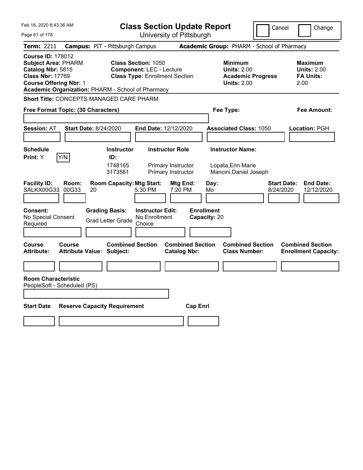| Feb 18, 2020 8:43:36 AM                                                                                                                                                                      | <b>Class Section Update Report</b>                                                                                   | Cancel                                                                                 | Change                                                    |
|----------------------------------------------------------------------------------------------------------------------------------------------------------------------------------------------|----------------------------------------------------------------------------------------------------------------------|----------------------------------------------------------------------------------------|-----------------------------------------------------------|
| Page 61 of 178                                                                                                                                                                               | University of Pittsburgh                                                                                             |                                                                                        |                                                           |
| Term: 2211                                                                                                                                                                                   | <b>Campus: PIT - Pittsburgh Campus</b>                                                                               | Academic Group: PHARM - School of Pharmacy                                             |                                                           |
| <b>Course ID: 178012</b><br><b>Subject Area: PHARM</b><br>Catalog Nbr: 5815<br><b>Class Nbr: 17769</b><br><b>Course Offering Nbr: 1</b><br>Academic Organization: PHARM - School of Pharmacy | <b>Class Section: 1050</b><br><b>Component: LEC - Lecture</b><br><b>Class Type: Enrollment Section</b>               | <b>Minimum</b><br><b>Units: 2.00</b><br><b>Academic Progress</b><br><b>Units: 2.00</b> | Maximum<br><b>Units: 2.00</b><br><b>FA Units:</b><br>2.00 |
| <b>Short Title: CONCEPTS MANAGED CARE PHARM</b>                                                                                                                                              |                                                                                                                      |                                                                                        |                                                           |
| Free Format Topic: (30 Characters)                                                                                                                                                           |                                                                                                                      | Fee Type:                                                                              | Fee Amount:                                               |
| <b>Session: AT</b><br><b>Start Date: 8/24/2020</b>                                                                                                                                           | End Date: 12/12/2020                                                                                                 | <b>Associated Class: 1050</b>                                                          | Location: PGH                                             |
| <b>Schedule</b><br>Y/N<br>Print: Y                                                                                                                                                           | <b>Instructor Role</b><br><b>Instructor</b><br>ID:<br>1748165<br>Primary Instructor<br>Primary Instructor<br>3173561 | <b>Instructor Name:</b><br>Lopata, Erin Marie<br>Mancini, Daniel Joseph                |                                                           |
| <b>Facility ID:</b><br>Room:<br>SALKX00G33<br>00G33<br>20                                                                                                                                    | <b>Room Capacity: Mtg Start:</b><br>Mtg End:<br>5:30 PM<br>7:20 PM                                                   | <b>Start Date:</b><br>Day:<br>8/24/2020<br>Mo                                          | <b>End Date:</b><br>12/12/2020                            |
| <b>Consent:</b><br>No Special Consent<br>Required                                                                                                                                            | <b>Grading Basis:</b><br><b>Instructor Edit:</b><br>No Enrollment<br><b>Grad Letter Grade</b><br>Choice              | <b>Enrollment</b><br>Capacity: 20                                                      |                                                           |
| <b>Course</b><br><b>Course</b><br>Attribute:<br><b>Attribute Value: Subject:</b>                                                                                                             | <b>Combined Section</b><br><b>Combined Section</b><br><b>Catalog Nbr:</b>                                            | <b>Combined Section</b><br><b>Class Number:</b>                                        | <b>Combined Section</b><br><b>Enrollment Capacity:</b>    |
|                                                                                                                                                                                              |                                                                                                                      |                                                                                        |                                                           |
| <b>Room Characteristic</b><br>PeopleSoft - Scheduled (PS)                                                                                                                                    |                                                                                                                      |                                                                                        |                                                           |
| <b>Start Date</b><br><b>Reserve Capacity Requirement</b>                                                                                                                                     |                                                                                                                      | <b>Cap Enrl</b>                                                                        |                                                           |
|                                                                                                                                                                                              |                                                                                                                      |                                                                                        |                                                           |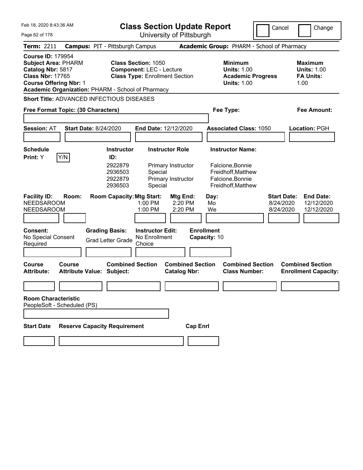| Feb 18. 2020 8:43:36 AM                                                                                                                                                                      | <b>Class Section Update Report</b>                                                                                |                                                                                        | Cancel<br>Change                                                                             |
|----------------------------------------------------------------------------------------------------------------------------------------------------------------------------------------------|-------------------------------------------------------------------------------------------------------------------|----------------------------------------------------------------------------------------|----------------------------------------------------------------------------------------------|
| Page 62 of 178                                                                                                                                                                               | University of Pittsburgh                                                                                          |                                                                                        |                                                                                              |
| <b>Term: 2211</b>                                                                                                                                                                            | <b>Campus: PIT - Pittsburgh Campus</b>                                                                            | Academic Group: PHARM - School of Pharmacy                                             |                                                                                              |
| <b>Course ID: 179954</b><br><b>Subject Area: PHARM</b><br>Catalog Nbr: 5817<br><b>Class Nbr: 17765</b><br><b>Course Offering Nbr: 1</b><br>Academic Organization: PHARM - School of Pharmacy | <b>Class Section: 1050</b><br><b>Component: LEC - Lecture</b><br><b>Class Type: Enrollment Section</b>            | <b>Minimum</b><br><b>Units: 1.00</b><br><b>Academic Progress</b><br><b>Units: 1.00</b> | <b>Maximum</b><br><b>Units: 1.00</b><br><b>FA Units:</b><br>1.00                             |
| Short Title: ADVANCED INFECTIOUS DISEASES                                                                                                                                                    |                                                                                                                   |                                                                                        |                                                                                              |
| Free Format Topic: (30 Characters)                                                                                                                                                           |                                                                                                                   | Fee Type:                                                                              | Fee Amount:                                                                                  |
|                                                                                                                                                                                              |                                                                                                                   |                                                                                        |                                                                                              |
| <b>Session: AT</b><br><b>Start Date: 8/24/2020</b>                                                                                                                                           | End Date: 12/12/2020                                                                                              | <b>Associated Class: 1050</b>                                                          | Location: PGH                                                                                |
|                                                                                                                                                                                              |                                                                                                                   |                                                                                        |                                                                                              |
| Schedule                                                                                                                                                                                     | <b>Instructor Role</b><br><b>Instructor</b>                                                                       | <b>Instructor Name:</b>                                                                |                                                                                              |
| Y/N<br><b>Print:</b> Y                                                                                                                                                                       | ID:<br>2922879<br>Primary Instructor<br>2936503<br>Special<br>2922879<br>Primary Instructor<br>2936503<br>Special | Falcione, Bonnie<br>Freidhoff, Matthew<br>Falcione, Bonnie<br>Freidhoff, Matthew       |                                                                                              |
| <b>Facility ID:</b><br>Room:<br><b>NEEDSAROOM</b><br><b>NEEDSAROOM</b>                                                                                                                       | <b>Room Capacity: Mtg Start:</b><br>Mtg End:<br>1:00 PM<br>2:20 PM<br>1:00 PM<br>2:20 PM                          | Day:<br>Mo<br>We                                                                       | <b>Start Date:</b><br><b>End Date:</b><br>8/24/2020<br>12/12/2020<br>8/24/2020<br>12/12/2020 |
| <b>Consent:</b><br>No Special Consent<br>Required                                                                                                                                            | <b>Grading Basis:</b><br><b>Instructor Edit:</b><br>No Enrollment<br><b>Grad Letter Grade</b><br>Choice           | <b>Enrollment</b><br>Capacity: 10                                                      |                                                                                              |
| <b>Course</b><br>Course<br><b>Attribute Value: Subject:</b><br><b>Attribute:</b>                                                                                                             | <b>Combined Section</b><br><b>Catalog Nbr:</b>                                                                    | <b>Combined Section</b><br><b>Combined Section</b><br><b>Class Number:</b>             | <b>Combined Section</b><br><b>Enrollment Capacity:</b>                                       |
|                                                                                                                                                                                              |                                                                                                                   |                                                                                        |                                                                                              |
| <b>Room Characteristic</b><br>PeopleSoft - Scheduled (PS)                                                                                                                                    |                                                                                                                   |                                                                                        |                                                                                              |
| <b>Reserve Capacity Requirement</b><br><b>Start Date</b>                                                                                                                                     |                                                                                                                   | <b>Cap Enrl</b>                                                                        |                                                                                              |
|                                                                                                                                                                                              |                                                                                                                   |                                                                                        |                                                                                              |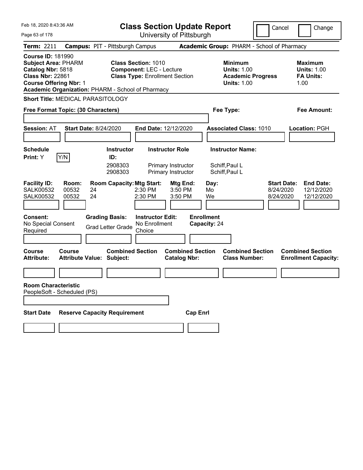| Feb 18, 2020 8:43:36 AM                                                                                                                 |                                          |                                                             | <b>Class Section Update Report</b><br>University of Pittsburgh                                         |                                                |                                   | Cancel                                                                                 | Change                                       |                                                           |
|-----------------------------------------------------------------------------------------------------------------------------------------|------------------------------------------|-------------------------------------------------------------|--------------------------------------------------------------------------------------------------------|------------------------------------------------|-----------------------------------|----------------------------------------------------------------------------------------|----------------------------------------------|-----------------------------------------------------------|
| Page 63 of 178                                                                                                                          |                                          |                                                             |                                                                                                        |                                                |                                   |                                                                                        |                                              |                                                           |
| Term: 2211                                                                                                                              |                                          | <b>Campus: PIT - Pittsburgh Campus</b>                      |                                                                                                        |                                                |                                   | Academic Group: PHARM - School of Pharmacy                                             |                                              |                                                           |
| <b>Course ID: 181990</b><br><b>Subject Area: PHARM</b><br>Catalog Nbr: 5818<br><b>Class Nbr: 22861</b><br><b>Course Offering Nbr: 1</b> |                                          | Academic Organization: PHARM - School of Pharmacy           | <b>Class Section: 1010</b><br><b>Component: LEC - Lecture</b><br><b>Class Type: Enrollment Section</b> |                                                |                                   | <b>Minimum</b><br><b>Units: 1.00</b><br><b>Academic Progress</b><br><b>Units: 1.00</b> |                                              | Maximum<br><b>Units: 1.00</b><br><b>FA Units:</b><br>1.00 |
|                                                                                                                                         | <b>Short Title: MEDICAL PARASITOLOGY</b> |                                                             |                                                                                                        |                                                |                                   |                                                                                        |                                              |                                                           |
|                                                                                                                                         | Free Format Topic: (30 Characters)       |                                                             |                                                                                                        |                                                | Fee Type:                         |                                                                                        |                                              | Fee Amount:                                               |
|                                                                                                                                         |                                          |                                                             |                                                                                                        |                                                |                                   |                                                                                        |                                              |                                                           |
| <b>Session: AT</b>                                                                                                                      |                                          | <b>Start Date: 8/24/2020</b>                                | End Date: 12/12/2020                                                                                   |                                                |                                   | <b>Associated Class: 1010</b>                                                          |                                              | Location: PGH                                             |
| <b>Schedule</b>                                                                                                                         |                                          | <b>Instructor</b>                                           | <b>Instructor Role</b>                                                                                 |                                                |                                   | <b>Instructor Name:</b>                                                                |                                              |                                                           |
| <b>Print:</b> Y                                                                                                                         | Y/N                                      | ID:                                                         |                                                                                                        |                                                |                                   |                                                                                        |                                              |                                                           |
|                                                                                                                                         |                                          | 2908303<br>2908303                                          |                                                                                                        | Primary Instructor<br>Primary Instructor       | Schiff, Paul L<br>Schiff, Paul L  |                                                                                        |                                              |                                                           |
| <b>Facility ID:</b><br><b>SALK00532</b><br><b>SALK00532</b>                                                                             | Room:<br>00532<br>00532                  | <b>Room Capacity: Mtg Start:</b><br>24<br>24                | $2:30$ PM<br>2:30 PM                                                                                   | Mtg End:<br>3:50 PM<br>3:50 PM                 | Day:<br>Mo.<br>We                 |                                                                                        | <b>Start Date:</b><br>8/24/2020<br>8/24/2020 | <b>End Date:</b><br>12/12/2020<br>12/12/2020              |
| <b>Consent:</b><br>No Special Consent<br>Required                                                                                       |                                          | <b>Grading Basis:</b><br><b>Grad Letter Grade</b>           | <b>Instructor Edit:</b><br>No Enrollment<br>Choice                                                     |                                                | <b>Enrollment</b><br>Capacity: 24 |                                                                                        |                                              |                                                           |
| Course<br><b>Attribute:</b>                                                                                                             | Course                                   | <b>Combined Section</b><br><b>Attribute Value: Subject:</b> |                                                                                                        | <b>Combined Section</b><br><b>Catalog Nbr:</b> |                                   | <b>Combined Section</b><br><b>Class Number:</b>                                        |                                              | <b>Combined Section</b><br><b>Enrollment Capacity:</b>    |
|                                                                                                                                         |                                          |                                                             |                                                                                                        |                                                |                                   |                                                                                        |                                              |                                                           |
| <b>Room Characteristic</b>                                                                                                              | PeopleSoft - Scheduled (PS)              |                                                             |                                                                                                        |                                                |                                   |                                                                                        |                                              |                                                           |
|                                                                                                                                         |                                          |                                                             |                                                                                                        |                                                |                                   |                                                                                        |                                              |                                                           |
| <b>Start Date</b>                                                                                                                       |                                          | <b>Reserve Capacity Requirement</b>                         |                                                                                                        | <b>Cap Enrl</b>                                |                                   |                                                                                        |                                              |                                                           |
|                                                                                                                                         |                                          |                                                             |                                                                                                        |                                                |                                   |                                                                                        |                                              |                                                           |
|                                                                                                                                         |                                          |                                                             |                                                                                                        |                                                |                                   |                                                                                        |                                              |                                                           |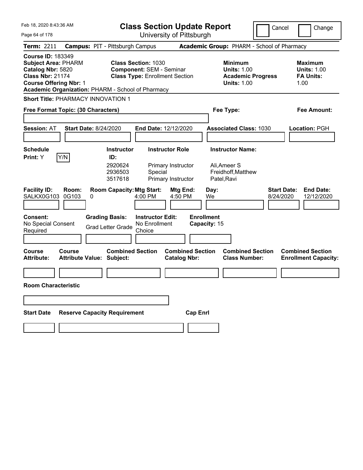| Feb 18, 2020 8:43:36 AM                                                                                                                                                                      | <b>Class Section Update Report</b>                                                                      | Cancel                                                                                 | Change                                                           |  |
|----------------------------------------------------------------------------------------------------------------------------------------------------------------------------------------------|---------------------------------------------------------------------------------------------------------|----------------------------------------------------------------------------------------|------------------------------------------------------------------|--|
| Page 64 of 178                                                                                                                                                                               | University of Pittsburgh                                                                                |                                                                                        |                                                                  |  |
| <b>Term: 2211</b>                                                                                                                                                                            | <b>Campus: PIT - Pittsburgh Campus</b>                                                                  | Academic Group: PHARM - School of Pharmacy                                             |                                                                  |  |
| <b>Course ID: 183349</b><br><b>Subject Area: PHARM</b><br>Catalog Nbr: 5820<br><b>Class Nbr: 21174</b><br><b>Course Offering Nbr: 1</b><br>Academic Organization: PHARM - School of Pharmacy | <b>Class Section: 1030</b><br><b>Component: SEM - Seminar</b><br><b>Class Type: Enrollment Section</b>  | <b>Minimum</b><br><b>Units: 1.00</b><br><b>Academic Progress</b><br><b>Units: 1.00</b> | <b>Maximum</b><br><b>Units: 1.00</b><br><b>FA Units:</b><br>1.00 |  |
| <b>Short Title: PHARMACY INNOVATION 1</b>                                                                                                                                                    |                                                                                                         |                                                                                        |                                                                  |  |
| Free Format Topic: (30 Characters)                                                                                                                                                           |                                                                                                         | Fee Type:                                                                              | Fee Amount:                                                      |  |
|                                                                                                                                                                                              |                                                                                                         |                                                                                        |                                                                  |  |
| <b>Session: AT</b><br><b>Start Date: 8/24/2020</b>                                                                                                                                           | End Date: 12/12/2020                                                                                    | <b>Associated Class: 1030</b>                                                          | Location: PGH                                                    |  |
|                                                                                                                                                                                              |                                                                                                         |                                                                                        |                                                                  |  |
| <b>Schedule</b><br>Y/N<br>Print: Y                                                                                                                                                           | <b>Instructor Role</b><br><b>Instructor</b><br>ID:                                                      | <b>Instructor Name:</b>                                                                |                                                                  |  |
| <b>Facility ID:</b><br>Room:                                                                                                                                                                 | 2920624<br>Primary Instructor<br>2936503<br>Special<br>3517618<br>Primary Instructor<br><b>Mtg End:</b> | Ali, Ameer S<br>Freidhoff, Matthew<br>Patel, Ravi<br><b>Start Date:</b>                | <b>End Date:</b>                                                 |  |
| SALKX0G103<br>0G103<br>0                                                                                                                                                                     | <b>Room Capacity: Mtg Start:</b><br>4:00 PM<br>4:50 PM                                                  | Day:<br>8/24/2020<br>We                                                                | 12/12/2020                                                       |  |
| Consent:<br>No Special Consent<br>Required                                                                                                                                                   | <b>Grading Basis:</b><br><b>Instructor Edit:</b><br>No Enrollment<br><b>Grad Letter Grade</b><br>Choice | <b>Enrollment</b><br>Capacity: 15                                                      |                                                                  |  |
| <b>Course</b><br>Course<br><b>Attribute:</b><br><b>Attribute Value: Subject:</b>                                                                                                             | <b>Combined Section</b><br><b>Combined Section</b><br><b>Catalog Nbr:</b>                               | <b>Combined Section</b><br><b>Class Number:</b>                                        | <b>Combined Section</b><br><b>Enrollment Capacity:</b>           |  |
|                                                                                                                                                                                              |                                                                                                         |                                                                                        |                                                                  |  |
| <b>Room Characteristic</b>                                                                                                                                                                   |                                                                                                         |                                                                                        |                                                                  |  |
|                                                                                                                                                                                              |                                                                                                         |                                                                                        |                                                                  |  |
| <b>Reserve Capacity Requirement</b><br><b>Start Date</b>                                                                                                                                     |                                                                                                         | <b>Cap Enrl</b>                                                                        |                                                                  |  |
|                                                                                                                                                                                              |                                                                                                         |                                                                                        |                                                                  |  |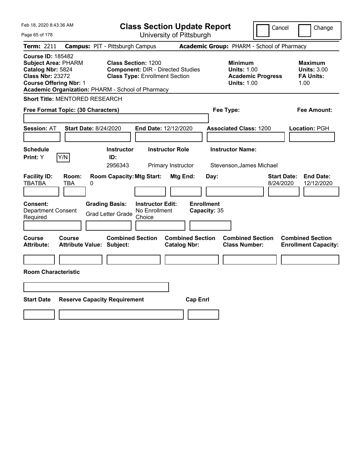| Feb 18, 2020 8:43:36 AM                                                                                                                                                                      | <b>Class Section Update Report</b>                                                                              |                                                |                                                                                        | Cancel<br>Change                                                  |
|----------------------------------------------------------------------------------------------------------------------------------------------------------------------------------------------|-----------------------------------------------------------------------------------------------------------------|------------------------------------------------|----------------------------------------------------------------------------------------|-------------------------------------------------------------------|
| Page 65 of 178                                                                                                                                                                               |                                                                                                                 | University of Pittsburgh                       |                                                                                        |                                                                   |
| Term: 2211                                                                                                                                                                                   | <b>Campus: PIT - Pittsburgh Campus</b>                                                                          |                                                | Academic Group: PHARM - School of Pharmacy                                             |                                                                   |
| <b>Course ID: 185482</b><br><b>Subject Area: PHARM</b><br>Catalog Nbr: 5824<br><b>Class Nbr: 23272</b><br><b>Course Offering Nbr: 1</b><br>Academic Organization: PHARM - School of Pharmacy | <b>Class Section: 1200</b><br><b>Component: DIR - Directed Studies</b><br><b>Class Type: Enrollment Section</b> |                                                | <b>Minimum</b><br><b>Units: 1.00</b><br><b>Academic Progress</b><br><b>Units: 1.00</b> | <b>Maximum</b><br><b>Units: 3.00</b><br><b>FA Units:</b><br>1.00  |
| Short Title: MENTORED RESEARCH                                                                                                                                                               |                                                                                                                 |                                                |                                                                                        |                                                                   |
| Free Format Topic: (30 Characters)                                                                                                                                                           |                                                                                                                 |                                                | Fee Type:                                                                              | Fee Amount:                                                       |
| <b>Start Date: 8/24/2020</b><br><b>Session: AT</b>                                                                                                                                           | End Date: 12/12/2020                                                                                            |                                                | <b>Associated Class: 1200</b>                                                          | Location: PGH                                                     |
| <b>Schedule</b><br>Y/N<br>Print: Y                                                                                                                                                           | <b>Instructor</b><br>ID:<br>2956343                                                                             | <b>Instructor Role</b><br>Primary Instructor   | <b>Instructor Name:</b><br>Stevenson, James Michael                                    |                                                                   |
| <b>Facility ID:</b><br>Room:<br><b>TBATBA</b><br>TBA<br>0                                                                                                                                    | <b>Room Capacity: Mtg Start:</b>                                                                                | Mtg End:<br>Day:                               |                                                                                        | <b>Start Date:</b><br><b>End Date:</b><br>8/24/2020<br>12/12/2020 |
| <b>Consent:</b><br>Department Consent<br>Required                                                                                                                                            | <b>Grading Basis:</b><br><b>Instructor Edit:</b><br>No Enrollment<br><b>Grad Letter Grade</b><br>Choice         | <b>Enrollment</b><br>Capacity: 35              |                                                                                        |                                                                   |
| Course<br>Course<br><b>Attribute Value: Subject:</b><br>Attribute:                                                                                                                           | <b>Combined Section</b>                                                                                         | <b>Combined Section</b><br><b>Catalog Nbr:</b> | <b>Combined Section</b><br><b>Class Number:</b>                                        | <b>Combined Section</b><br><b>Enrollment Capacity:</b>            |
| <b>Room Characteristic</b>                                                                                                                                                                   |                                                                                                                 |                                                |                                                                                        |                                                                   |
|                                                                                                                                                                                              |                                                                                                                 |                                                |                                                                                        |                                                                   |
| <b>Start Date</b><br><b>Reserve Capacity Requirement</b>                                                                                                                                     |                                                                                                                 | <b>Cap Enrl</b>                                |                                                                                        |                                                                   |
|                                                                                                                                                                                              |                                                                                                                 |                                                |                                                                                        |                                                                   |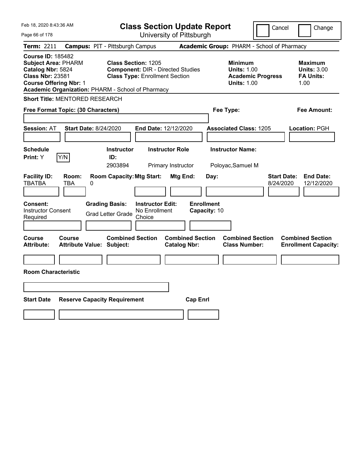| Feb 18, 2020 8:43:36 AM                                                                                                                                                                      | <b>Class Section Update Report</b>                                                                                                                                                       | Cancel                                                                                            | Change                                                           |
|----------------------------------------------------------------------------------------------------------------------------------------------------------------------------------------------|------------------------------------------------------------------------------------------------------------------------------------------------------------------------------------------|---------------------------------------------------------------------------------------------------|------------------------------------------------------------------|
| Page 66 of 178                                                                                                                                                                               | University of Pittsburgh                                                                                                                                                                 |                                                                                                   |                                                                  |
| Term: 2211                                                                                                                                                                                   | <b>Campus: PIT - Pittsburgh Campus</b>                                                                                                                                                   | Academic Group: PHARM - School of Pharmacy                                                        |                                                                  |
| <b>Course ID: 185482</b><br><b>Subject Area: PHARM</b><br>Catalog Nbr: 5824<br><b>Class Nbr: 23581</b><br><b>Course Offering Nbr: 1</b><br>Academic Organization: PHARM - School of Pharmacy | <b>Class Section: 1205</b><br><b>Component: DIR - Directed Studies</b><br><b>Class Type: Enrollment Section</b>                                                                          | <b>Minimum</b><br><b>Units: 1.00</b><br><b>Academic Progress</b><br><b>Units: 1.00</b>            | <b>Maximum</b><br><b>Units: 3.00</b><br><b>FA Units:</b><br>1.00 |
| Short Title: MENTORED RESEARCH                                                                                                                                                               |                                                                                                                                                                                          |                                                                                                   |                                                                  |
| Free Format Topic: (30 Characters)                                                                                                                                                           |                                                                                                                                                                                          | Fee Type:                                                                                         | Fee Amount:                                                      |
| <b>Start Date: 8/24/2020</b><br><b>Session: AT</b>                                                                                                                                           | End Date: 12/12/2020                                                                                                                                                                     | <b>Associated Class: 1205</b>                                                                     | Location: PGH                                                    |
| <b>Schedule</b><br>Y/N<br><b>Print:</b> Y                                                                                                                                                    | <b>Instructor Role</b><br><b>Instructor</b><br>ID:                                                                                                                                       | <b>Instructor Name:</b>                                                                           |                                                                  |
| <b>Facility ID:</b><br>Room:<br><b>TBATBA</b><br>TBA<br>0<br>Consent:<br><b>Instructor Consent</b><br>Required                                                                               | 2903894<br>Primary Instructor<br><b>Room Capacity: Mtg Start:</b><br>Mtg End:<br><b>Grading Basis:</b><br><b>Instructor Edit:</b><br>No Enrollment<br><b>Grad Letter Grade</b><br>Choice | Poloyac, Samuel M<br><b>Start Date:</b><br>Day:<br>8/24/2020<br><b>Enrollment</b><br>Capacity: 10 | <b>End Date:</b><br>12/12/2020                                   |
| <b>Course</b><br>Course<br><b>Attribute:</b><br><b>Attribute Value: Subject:</b><br><b>Room Characteristic</b>                                                                               | <b>Combined Section</b><br><b>Combined Section</b><br><b>Catalog Nbr:</b>                                                                                                                | <b>Combined Section</b><br><b>Class Number:</b>                                                   | <b>Combined Section</b><br><b>Enrollment Capacity:</b>           |
| <b>Start Date</b><br><b>Reserve Capacity Requirement</b>                                                                                                                                     | <b>Cap Enrl</b>                                                                                                                                                                          |                                                                                                   |                                                                  |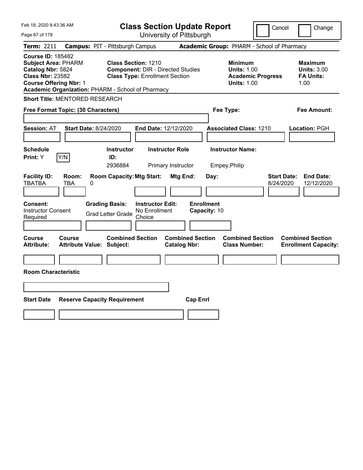| Feb 18, 2020 8:43:36 AM<br>Page 67 of 178                                                                                                                                                    | <b>Class Section Update Report</b><br>University of Pittsburgh                                                  |                                                |                                                                                        | Cancel<br>Change                                                  |
|----------------------------------------------------------------------------------------------------------------------------------------------------------------------------------------------|-----------------------------------------------------------------------------------------------------------------|------------------------------------------------|----------------------------------------------------------------------------------------|-------------------------------------------------------------------|
| <b>Term: 2211</b>                                                                                                                                                                            | <b>Campus: PIT - Pittsburgh Campus</b>                                                                          |                                                | Academic Group: PHARM - School of Pharmacy                                             |                                                                   |
| <b>Course ID: 185482</b><br><b>Subject Area: PHARM</b><br>Catalog Nbr: 5824<br><b>Class Nbr: 23582</b><br><b>Course Offering Nbr: 1</b><br>Academic Organization: PHARM - School of Pharmacy | <b>Class Section: 1210</b><br><b>Component: DIR - Directed Studies</b><br><b>Class Type: Enrollment Section</b> |                                                | <b>Minimum</b><br><b>Units: 1.00</b><br><b>Academic Progress</b><br><b>Units: 1.00</b> | Maximum<br><b>Units: 3.00</b><br><b>FA Units:</b><br>1.00         |
| Short Title: MENTORED RESEARCH                                                                                                                                                               |                                                                                                                 |                                                |                                                                                        |                                                                   |
| Free Format Topic: (30 Characters)                                                                                                                                                           |                                                                                                                 |                                                | Fee Type:                                                                              | Fee Amount:                                                       |
| <b>Session: AT</b><br><b>Start Date: 8/24/2020</b>                                                                                                                                           | End Date: 12/12/2020                                                                                            |                                                | <b>Associated Class: 1210</b>                                                          | Location: PGH                                                     |
| <b>Schedule</b><br>Y/N<br><b>Print:</b> Y                                                                                                                                                    | <b>Instructor</b><br>ID:<br>2936884                                                                             | <b>Instructor Role</b><br>Primary Instructor   | <b>Instructor Name:</b><br>Empey, Philip                                               |                                                                   |
| <b>Facility ID:</b><br>Room:<br><b>TBATBA</b><br>0<br>TBA                                                                                                                                    | <b>Room Capacity: Mtg Start:</b>                                                                                | Mtg End:<br>Day:                               |                                                                                        | <b>Start Date:</b><br><b>End Date:</b><br>8/24/2020<br>12/12/2020 |
| <b>Consent:</b><br><b>Instructor Consent</b><br>Required                                                                                                                                     | <b>Grading Basis:</b><br><b>Instructor Edit:</b><br>No Enrollment<br><b>Grad Letter Grade</b><br>Choice         | <b>Enrollment</b><br>Capacity: 10              |                                                                                        |                                                                   |
| Course<br>Course<br><b>Attribute:</b><br><b>Attribute Value: Subject:</b>                                                                                                                    | <b>Combined Section</b>                                                                                         | <b>Combined Section</b><br><b>Catalog Nbr:</b> | <b>Combined Section</b><br><b>Class Number:</b>                                        | <b>Combined Section</b><br><b>Enrollment Capacity:</b>            |
| <b>Room Characteristic</b>                                                                                                                                                                   |                                                                                                                 |                                                |                                                                                        |                                                                   |
|                                                                                                                                                                                              |                                                                                                                 |                                                |                                                                                        |                                                                   |
| <b>Start Date</b><br><b>Reserve Capacity Requirement</b>                                                                                                                                     |                                                                                                                 | <b>Cap Enrl</b>                                |                                                                                        |                                                                   |
|                                                                                                                                                                                              |                                                                                                                 |                                                |                                                                                        |                                                                   |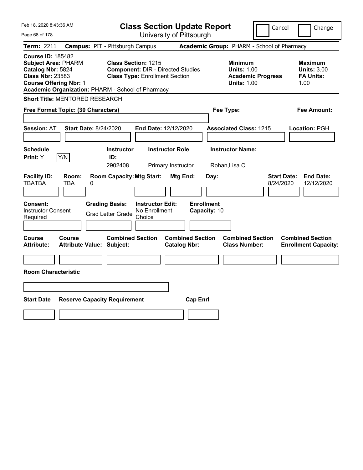| Feb 18, 2020 8:43:36 AM                                                                                                                                                                      | <b>Class Section Update Report</b>                                                                              |                                                                            | Cancel                          | Change                                                           |
|----------------------------------------------------------------------------------------------------------------------------------------------------------------------------------------------|-----------------------------------------------------------------------------------------------------------------|----------------------------------------------------------------------------|---------------------------------|------------------------------------------------------------------|
| Page 68 of 178                                                                                                                                                                               | University of Pittsburgh                                                                                        |                                                                            |                                 |                                                                  |
| Term: 2211                                                                                                                                                                                   | <b>Campus: PIT - Pittsburgh Campus</b>                                                                          | Academic Group: PHARM - School of Pharmacy                                 |                                 |                                                                  |
| <b>Course ID: 185482</b><br><b>Subject Area: PHARM</b><br>Catalog Nbr: 5824<br><b>Class Nbr: 23583</b><br><b>Course Offering Nbr: 1</b><br>Academic Organization: PHARM - School of Pharmacy | <b>Class Section: 1215</b><br><b>Component: DIR - Directed Studies</b><br><b>Class Type: Enrollment Section</b> | <b>Minimum</b><br><b>Units: 1.00</b><br><b>Units: 1.00</b>                 | <b>Academic Progress</b>        | <b>Maximum</b><br><b>Units: 3.00</b><br><b>FA Units:</b><br>1.00 |
| Short Title: MENTORED RESEARCH                                                                                                                                                               |                                                                                                                 |                                                                            |                                 |                                                                  |
| Free Format Topic: (30 Characters)                                                                                                                                                           |                                                                                                                 | Fee Type:                                                                  |                                 | Fee Amount:                                                      |
| Start Date: 8/24/2020<br><b>Session: AT</b>                                                                                                                                                  | End Date: 12/12/2020                                                                                            | <b>Associated Class: 1215</b>                                              |                                 | Location: PGH                                                    |
| <b>Schedule</b><br>Y/N<br><b>Print:</b> Y                                                                                                                                                    | <b>Instructor Role</b><br><b>Instructor</b><br>ID:<br>2902408<br>Primary Instructor                             | <b>Instructor Name:</b><br>Rohan, Lisa C.                                  |                                 |                                                                  |
| <b>Facility ID:</b><br>Room:<br><b>TBATBA</b><br>TBA<br>0                                                                                                                                    | <b>Room Capacity: Mtg Start:</b><br>Mtg End:                                                                    | Day:                                                                       | <b>Start Date:</b><br>8/24/2020 | <b>End Date:</b><br>12/12/2020                                   |
| Consent:<br><b>Instructor Consent</b><br>Required                                                                                                                                            | <b>Instructor Edit:</b><br><b>Grading Basis:</b><br>No Enrollment<br><b>Grad Letter Grade</b><br>Choice         | <b>Enrollment</b><br>Capacity: 10                                          |                                 |                                                                  |
| <b>Course</b><br>Course<br>Attribute Value: Subject:<br>Attribute:                                                                                                                           | <b>Combined Section</b><br><b>Catalog Nbr:</b>                                                                  | <b>Combined Section</b><br><b>Combined Section</b><br><b>Class Number:</b> |                                 | <b>Combined Section</b><br><b>Enrollment Capacity:</b>           |
| <b>Room Characteristic</b>                                                                                                                                                                   |                                                                                                                 |                                                                            |                                 |                                                                  |
| <b>Start Date</b><br><b>Reserve Capacity Requirement</b>                                                                                                                                     |                                                                                                                 | <b>Cap Enrl</b>                                                            |                                 |                                                                  |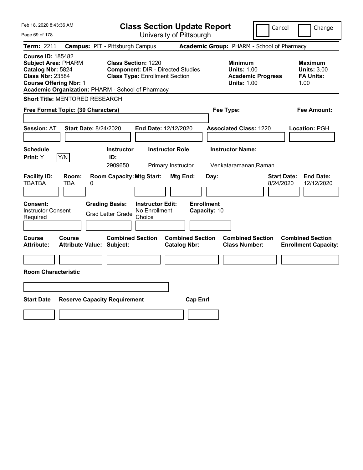| Feb 18, 2020 8:43:36 AM                                                                                                                                                                      | <b>Class Section Update Report</b>                                                                              |                                                |                                                                                        | Cancel<br>Change                                                  |
|----------------------------------------------------------------------------------------------------------------------------------------------------------------------------------------------|-----------------------------------------------------------------------------------------------------------------|------------------------------------------------|----------------------------------------------------------------------------------------|-------------------------------------------------------------------|
| Page 69 of 178                                                                                                                                                                               |                                                                                                                 | University of Pittsburgh                       |                                                                                        |                                                                   |
| Term: 2211                                                                                                                                                                                   | <b>Campus: PIT - Pittsburgh Campus</b>                                                                          |                                                | Academic Group: PHARM - School of Pharmacy                                             |                                                                   |
| <b>Course ID: 185482</b><br><b>Subject Area: PHARM</b><br>Catalog Nbr: 5824<br><b>Class Nbr: 23584</b><br><b>Course Offering Nbr: 1</b><br>Academic Organization: PHARM - School of Pharmacy | <b>Class Section: 1220</b><br><b>Component: DIR - Directed Studies</b><br><b>Class Type: Enrollment Section</b> |                                                | <b>Minimum</b><br><b>Units: 1.00</b><br><b>Academic Progress</b><br><b>Units: 1.00</b> | <b>Maximum</b><br><b>Units: 3.00</b><br><b>FA Units:</b><br>1.00  |
| Short Title: MENTORED RESEARCH                                                                                                                                                               |                                                                                                                 |                                                |                                                                                        |                                                                   |
| Free Format Topic: (30 Characters)                                                                                                                                                           |                                                                                                                 |                                                | Fee Type:                                                                              | Fee Amount:                                                       |
| <b>Start Date: 8/24/2020</b><br><b>Session: AT</b>                                                                                                                                           | End Date: 12/12/2020                                                                                            |                                                | <b>Associated Class: 1220</b>                                                          | Location: PGH                                                     |
| <b>Schedule</b><br>Y/N<br>Print: Y                                                                                                                                                           | <b>Instructor</b><br>ID:<br>2909650                                                                             | <b>Instructor Role</b><br>Primary Instructor   | <b>Instructor Name:</b><br>Venkataramanan, Raman                                       |                                                                   |
| <b>Facility ID:</b><br>Room:<br><b>TBATBA</b><br>TBA<br>0                                                                                                                                    | <b>Room Capacity: Mtg Start:</b>                                                                                | Mtg End:<br>Day:                               |                                                                                        | <b>Start Date:</b><br><b>End Date:</b><br>8/24/2020<br>12/12/2020 |
| <b>Consent:</b><br><b>Instructor Consent</b><br>Required                                                                                                                                     | <b>Grading Basis:</b><br><b>Instructor Edit:</b><br>No Enrollment<br><b>Grad Letter Grade</b><br>Choice         | <b>Enrollment</b><br>Capacity: 10              |                                                                                        |                                                                   |
| Course<br>Course<br><b>Attribute Value: Subject:</b><br>Attribute:                                                                                                                           | <b>Combined Section</b>                                                                                         | <b>Combined Section</b><br><b>Catalog Nbr:</b> | <b>Combined Section</b><br><b>Class Number:</b>                                        | <b>Combined Section</b><br><b>Enrollment Capacity:</b>            |
| <b>Room Characteristic</b>                                                                                                                                                                   |                                                                                                                 |                                                |                                                                                        |                                                                   |
|                                                                                                                                                                                              |                                                                                                                 |                                                |                                                                                        |                                                                   |
| <b>Start Date</b><br><b>Reserve Capacity Requirement</b>                                                                                                                                     |                                                                                                                 | <b>Cap Enrl</b>                                |                                                                                        |                                                                   |
|                                                                                                                                                                                              |                                                                                                                 |                                                |                                                                                        |                                                                   |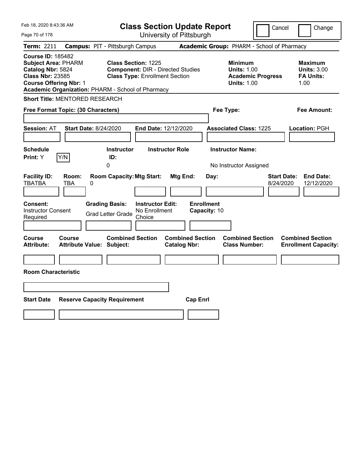| Feb 18, 2020 8:43:36 AM                                                                                                                                                                      | <b>Class Section Update Report</b>                                                                              |                                                |                                                                                        | Cancel<br>Change                                                  |
|----------------------------------------------------------------------------------------------------------------------------------------------------------------------------------------------|-----------------------------------------------------------------------------------------------------------------|------------------------------------------------|----------------------------------------------------------------------------------------|-------------------------------------------------------------------|
| Page 70 of 178                                                                                                                                                                               |                                                                                                                 | University of Pittsburgh                       |                                                                                        |                                                                   |
| Term: 2211                                                                                                                                                                                   | <b>Campus: PIT - Pittsburgh Campus</b>                                                                          |                                                | Academic Group: PHARM - School of Pharmacy                                             |                                                                   |
| <b>Course ID: 185482</b><br><b>Subject Area: PHARM</b><br>Catalog Nbr: 5824<br><b>Class Nbr: 23585</b><br><b>Course Offering Nbr: 1</b><br>Academic Organization: PHARM - School of Pharmacy | <b>Class Section: 1225</b><br><b>Component: DIR - Directed Studies</b><br><b>Class Type: Enrollment Section</b> |                                                | <b>Minimum</b><br><b>Units: 1.00</b><br><b>Academic Progress</b><br><b>Units: 1.00</b> | <b>Maximum</b><br><b>Units: 3.00</b><br><b>FA Units:</b><br>1.00  |
| <b>Short Title: MENTORED RESEARCH</b>                                                                                                                                                        |                                                                                                                 |                                                |                                                                                        |                                                                   |
| Free Format Topic: (30 Characters)                                                                                                                                                           |                                                                                                                 |                                                | Fee Type:                                                                              | Fee Amount:                                                       |
| Start Date: 8/24/2020<br><b>Session: AT</b>                                                                                                                                                  | End Date: 12/12/2020                                                                                            |                                                | <b>Associated Class: 1225</b>                                                          | Location: PGH                                                     |
| <b>Schedule</b><br>Y/N<br>Print: Y                                                                                                                                                           | <b>Instructor</b><br>ID:<br>0                                                                                   | <b>Instructor Role</b>                         | <b>Instructor Name:</b><br>No Instructor Assigned                                      |                                                                   |
| <b>Facility ID:</b><br>Room:<br><b>TBATBA</b><br>TBA<br>0                                                                                                                                    | <b>Room Capacity: Mtg Start:</b>                                                                                | Mtg End:<br>Day:                               |                                                                                        | <b>End Date:</b><br><b>Start Date:</b><br>8/24/2020<br>12/12/2020 |
| Consent:<br><b>Instructor Consent</b><br>Required                                                                                                                                            | <b>Grading Basis:</b><br><b>Instructor Edit:</b><br>No Enrollment<br><b>Grad Letter Grade</b><br>Choice         | <b>Enrollment</b><br>Capacity: 10              |                                                                                        |                                                                   |
| Course<br><b>Course</b><br><b>Attribute:</b><br><b>Attribute Value: Subject:</b>                                                                                                             | <b>Combined Section</b>                                                                                         | <b>Combined Section</b><br><b>Catalog Nbr:</b> | <b>Combined Section</b><br><b>Class Number:</b>                                        | <b>Combined Section</b><br><b>Enrollment Capacity:</b>            |
| <b>Room Characteristic</b>                                                                                                                                                                   |                                                                                                                 |                                                |                                                                                        |                                                                   |
| <b>Start Date</b><br><b>Reserve Capacity Requirement</b>                                                                                                                                     |                                                                                                                 | <b>Cap Enrl</b>                                |                                                                                        |                                                                   |
|                                                                                                                                                                                              |                                                                                                                 |                                                |                                                                                        |                                                                   |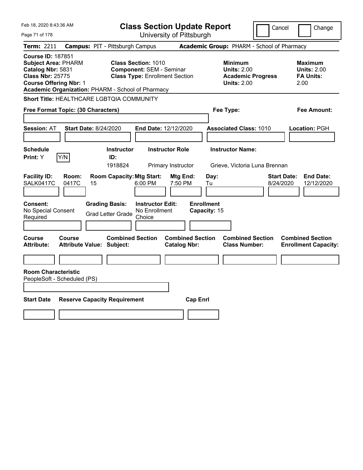| Feb 18, 2020 8:43:36 AM                                                                                                                                                                      | <b>Class Section Update Report</b>                                                                      |                                                                                                   | Cancel<br>Change                                                  |
|----------------------------------------------------------------------------------------------------------------------------------------------------------------------------------------------|---------------------------------------------------------------------------------------------------------|---------------------------------------------------------------------------------------------------|-------------------------------------------------------------------|
| Page 71 of 178                                                                                                                                                                               | University of Pittsburgh                                                                                |                                                                                                   |                                                                   |
| Term: 2211                                                                                                                                                                                   | <b>Campus: PIT - Pittsburgh Campus</b>                                                                  | Academic Group: PHARM - School of Pharmacy                                                        |                                                                   |
| <b>Course ID: 187851</b><br><b>Subject Area: PHARM</b><br>Catalog Nbr: 5831<br><b>Class Nbr: 25775</b><br><b>Course Offering Nbr: 1</b><br>Academic Organization: PHARM - School of Pharmacy | <b>Class Section: 1010</b><br><b>Component: SEM - Seminar</b><br><b>Class Type: Enrollment Section</b>  | <b>Minimum</b><br><b>Units: 2.00</b><br><b>Academic Progress</b><br><b>Units: 2.00</b>            | <b>Maximum</b><br><b>Units: 2.00</b><br><b>FA Units:</b><br>2.00  |
| Short Title: HEALTHCARE LGBTQIA COMMUNITY                                                                                                                                                    |                                                                                                         |                                                                                                   |                                                                   |
| Free Format Topic: (30 Characters)                                                                                                                                                           |                                                                                                         | Fee Type:                                                                                         | Fee Amount:                                                       |
| <b>Session: AT</b><br><b>Start Date: 8/24/2020</b>                                                                                                                                           | End Date: 12/12/2020                                                                                    | <b>Associated Class: 1010</b>                                                                     | Location: PGH                                                     |
| <b>Schedule</b><br>Y/N<br>Print: Y                                                                                                                                                           | <b>Instructor</b><br><b>Instructor Role</b><br>ID:<br>1918824<br>Primary Instructor                     | <b>Instructor Name:</b><br>Grieve, Victoria Luna Brennan                                          |                                                                   |
| <b>Facility ID:</b><br>Room:<br>SALK0417C<br>0417C<br>15                                                                                                                                     | <b>Room Capacity: Mtg Start:</b><br>6:00 PM                                                             | Mtg End:<br>Day:<br>7:50 PM<br>Tu                                                                 | <b>Start Date:</b><br><b>End Date:</b><br>8/24/2020<br>12/12/2020 |
| Consent:<br>No Special Consent<br>Required                                                                                                                                                   | <b>Grading Basis:</b><br><b>Instructor Edit:</b><br>No Enrollment<br><b>Grad Letter Grade</b><br>Choice | <b>Enrollment</b><br>Capacity: 15                                                                 |                                                                   |
| Course<br><b>Course</b><br><b>Attribute Value: Subject:</b><br><b>Attribute:</b>                                                                                                             | <b>Combined Section</b>                                                                                 | <b>Combined Section</b><br><b>Combined Section</b><br><b>Class Number:</b><br><b>Catalog Nbr:</b> | <b>Combined Section</b><br><b>Enrollment Capacity:</b>            |
| <b>Room Characteristic</b><br>PeopleSoft - Scheduled (PS)                                                                                                                                    |                                                                                                         |                                                                                                   |                                                                   |
| <b>Start Date</b><br><b>Reserve Capacity Requirement</b>                                                                                                                                     |                                                                                                         | <b>Cap Enrl</b>                                                                                   |                                                                   |
|                                                                                                                                                                                              |                                                                                                         |                                                                                                   |                                                                   |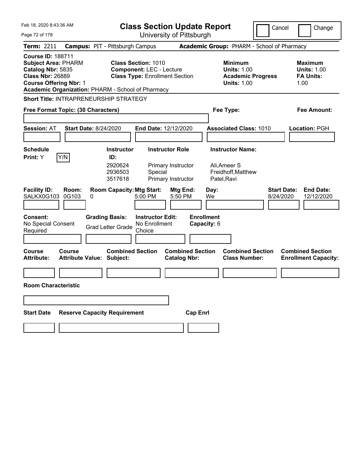| Feb 18, 2020 8:43:36 AM                                                                                                                                                                      | <b>Class Section Update Report</b>                                                                      | Cancel                                                                                 | Change                                                           |  |  |  |
|----------------------------------------------------------------------------------------------------------------------------------------------------------------------------------------------|---------------------------------------------------------------------------------------------------------|----------------------------------------------------------------------------------------|------------------------------------------------------------------|--|--|--|
| Page 72 of 178                                                                                                                                                                               | University of Pittsburgh                                                                                |                                                                                        |                                                                  |  |  |  |
| <b>Term: 2211</b>                                                                                                                                                                            | <b>Campus: PIT - Pittsburgh Campus</b>                                                                  | Academic Group: PHARM - School of Pharmacy                                             |                                                                  |  |  |  |
| <b>Course ID: 188711</b><br><b>Subject Area: PHARM</b><br>Catalog Nbr: 5835<br><b>Class Nbr: 26889</b><br><b>Course Offering Nbr: 1</b><br>Academic Organization: PHARM - School of Pharmacy | <b>Class Section: 1010</b><br><b>Component: LEC - Lecture</b><br><b>Class Type: Enrollment Section</b>  | <b>Minimum</b><br><b>Units: 1.00</b><br><b>Academic Progress</b><br><b>Units: 1.00</b> | <b>Maximum</b><br><b>Units: 1.00</b><br><b>FA Units:</b><br>1.00 |  |  |  |
| <b>Short Title: INTRAPRENEURSHIP STRATEGY</b>                                                                                                                                                |                                                                                                         |                                                                                        |                                                                  |  |  |  |
| Free Format Topic: (30 Characters)                                                                                                                                                           |                                                                                                         | Fee Type:<br>Fee Amount:                                                               |                                                                  |  |  |  |
|                                                                                                                                                                                              |                                                                                                         |                                                                                        |                                                                  |  |  |  |
| <b>Session: AT</b><br><b>Start Date: 8/24/2020</b>                                                                                                                                           | End Date: 12/12/2020                                                                                    | <b>Associated Class: 1010</b>                                                          | Location: PGH                                                    |  |  |  |
|                                                                                                                                                                                              |                                                                                                         |                                                                                        |                                                                  |  |  |  |
| Schedule                                                                                                                                                                                     | <b>Instructor</b><br><b>Instructor Role</b>                                                             | <b>Instructor Name:</b>                                                                |                                                                  |  |  |  |
| Y/N<br><b>Print:</b> Y                                                                                                                                                                       | ID:<br>2920624<br>Primary Instructor<br>2936503<br>Special<br>3517618<br>Primary Instructor             | Ali, Ameer S<br>Freidhoff, Matthew<br>Patel, Ravi                                      |                                                                  |  |  |  |
| <b>Facility ID:</b><br>Room:<br>SALKX0G103<br>0G103<br>0                                                                                                                                     | <b>Room Capacity: Mtg Start:</b><br><b>Mtg End:</b><br>5:00 PM<br>5:50 PM                               | <b>Start Date:</b><br>Day:<br>We<br>8/24/2020                                          | <b>End Date:</b><br>12/12/2020                                   |  |  |  |
| <b>Consent:</b><br>No Special Consent<br>Required                                                                                                                                            | <b>Instructor Edit:</b><br><b>Grading Basis:</b><br>No Enrollment<br><b>Grad Letter Grade</b><br>Choice | <b>Enrollment</b><br>Capacity: 6                                                       |                                                                  |  |  |  |
| <b>Course</b><br>Course<br><b>Attribute:</b><br><b>Attribute Value: Subject:</b>                                                                                                             | <b>Combined Section</b><br><b>Combined Section</b><br><b>Catalog Nbr:</b>                               | <b>Combined Section</b><br><b>Class Number:</b>                                        | <b>Combined Section</b><br><b>Enrollment Capacity:</b>           |  |  |  |
|                                                                                                                                                                                              |                                                                                                         |                                                                                        |                                                                  |  |  |  |
| <b>Room Characteristic</b>                                                                                                                                                                   |                                                                                                         |                                                                                        |                                                                  |  |  |  |
|                                                                                                                                                                                              |                                                                                                         |                                                                                        |                                                                  |  |  |  |
| <b>Reserve Capacity Requirement</b><br><b>Start Date</b>                                                                                                                                     | <b>Cap Enrl</b>                                                                                         |                                                                                        |                                                                  |  |  |  |
|                                                                                                                                                                                              |                                                                                                         |                                                                                        |                                                                  |  |  |  |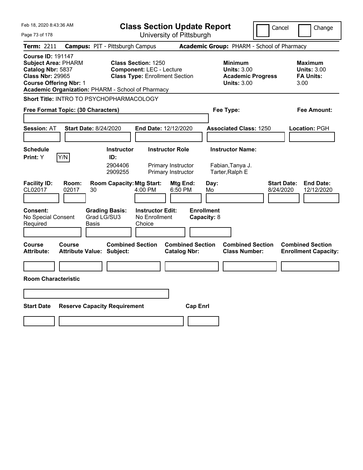| Feb 18, 2020 8:43:36 AM                                                                                                                                                                      |                                            |                                        | <b>Class Section Update Report</b>                                                                     |                                                |                                                            | Cancel                                          | Change                                                    |
|----------------------------------------------------------------------------------------------------------------------------------------------------------------------------------------------|--------------------------------------------|----------------------------------------|--------------------------------------------------------------------------------------------------------|------------------------------------------------|------------------------------------------------------------|-------------------------------------------------|-----------------------------------------------------------|
| Page 73 of 178                                                                                                                                                                               |                                            |                                        |                                                                                                        | University of Pittsburgh                       |                                                            |                                                 |                                                           |
| <b>Term: 2211</b>                                                                                                                                                                            |                                            | <b>Campus: PIT - Pittsburgh Campus</b> |                                                                                                        |                                                |                                                            | Academic Group: PHARM - School of Pharmacy      |                                                           |
| <b>Course ID: 191147</b><br><b>Subject Area: PHARM</b><br>Catalog Nbr: 5837<br><b>Class Nbr: 29965</b><br><b>Course Offering Nbr: 1</b><br>Academic Organization: PHARM - School of Pharmacy |                                            |                                        | <b>Class Section: 1250</b><br><b>Component: LEC - Lecture</b><br><b>Class Type: Enrollment Section</b> |                                                | <b>Minimum</b><br><b>Units: 3.00</b><br><b>Units: 3.00</b> | <b>Academic Progress</b>                        | Maximum<br><b>Units: 3.00</b><br><b>FA Units:</b><br>3.00 |
| Short Title: INTRO TO PSYCHOPHARMACOLOGY                                                                                                                                                     |                                            |                                        |                                                                                                        |                                                |                                                            |                                                 |                                                           |
| Free Format Topic: (30 Characters)                                                                                                                                                           |                                            |                                        |                                                                                                        |                                                | Fee Type:                                                  |                                                 | Fee Amount:                                               |
| <b>Session: AT</b>                                                                                                                                                                           | <b>Start Date: 8/24/2020</b>               |                                        | End Date: 12/12/2020                                                                                   |                                                | <b>Associated Class: 1250</b>                              |                                                 | <b>Location: PGH</b>                                      |
| <b>Schedule</b>                                                                                                                                                                              |                                            | <b>Instructor</b>                      | <b>Instructor Role</b>                                                                                 |                                                | <b>Instructor Name:</b>                                    |                                                 |                                                           |
| Y/N<br>Print: Y                                                                                                                                                                              |                                            | ID:                                    |                                                                                                        |                                                |                                                            |                                                 |                                                           |
|                                                                                                                                                                                              |                                            | 2904406<br>2909255                     |                                                                                                        | Primary Instructor<br>Primary Instructor       | Fabian, Tanya J.<br>Tarter, Ralph E                        |                                                 |                                                           |
| <b>Facility ID:</b><br>CL02017                                                                                                                                                               | Room:<br>02017<br>30                       | <b>Room Capacity: Mtg Start:</b>       | 4:00 PM                                                                                                | Mtg End:<br>6:50 PM                            | Day:<br>Mo                                                 | <b>Start Date:</b><br>8/24/2020                 | <b>End Date:</b><br>12/12/2020                            |
| <b>Consent:</b><br>No Special Consent                                                                                                                                                        |                                            | <b>Grading Basis:</b><br>Grad LG/SU3   | <b>Instructor Edit:</b><br>No Enrollment                                                               |                                                | <b>Enrollment</b><br>Capacity: 8                           |                                                 |                                                           |
| Required                                                                                                                                                                                     | <b>Basis</b>                               |                                        | Choice                                                                                                 |                                                |                                                            |                                                 |                                                           |
|                                                                                                                                                                                              |                                            |                                        |                                                                                                        |                                                |                                                            |                                                 |                                                           |
| <b>Course</b><br><b>Attribute:</b>                                                                                                                                                           | Course<br><b>Attribute Value: Subject:</b> | <b>Combined Section</b>                |                                                                                                        | <b>Combined Section</b><br><b>Catalog Nbr:</b> |                                                            | <b>Combined Section</b><br><b>Class Number:</b> | <b>Combined Section</b><br><b>Enrollment Capacity:</b>    |
|                                                                                                                                                                                              |                                            |                                        |                                                                                                        |                                                |                                                            |                                                 |                                                           |
| <b>Room Characteristic</b>                                                                                                                                                                   |                                            |                                        |                                                                                                        |                                                |                                                            |                                                 |                                                           |
|                                                                                                                                                                                              |                                            |                                        |                                                                                                        |                                                |                                                            |                                                 |                                                           |
|                                                                                                                                                                                              |                                            |                                        |                                                                                                        |                                                |                                                            |                                                 |                                                           |
| <b>Start Date</b>                                                                                                                                                                            |                                            | <b>Reserve Capacity Requirement</b>    |                                                                                                        | <b>Cap Enrl</b>                                |                                                            |                                                 |                                                           |
|                                                                                                                                                                                              |                                            |                                        |                                                                                                        |                                                |                                                            |                                                 |                                                           |
|                                                                                                                                                                                              |                                            |                                        |                                                                                                        |                                                |                                                            |                                                 |                                                           |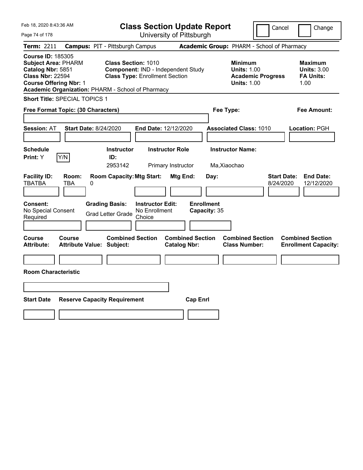| Feb 18, 2020 8:43:36 AM                                                                                                                                                                      |                                        |                                                                                                           |                                                    |                                              | <b>Class Section Update Report</b> |                                                            | Cancel                          | Change                                                           |
|----------------------------------------------------------------------------------------------------------------------------------------------------------------------------------------------|----------------------------------------|-----------------------------------------------------------------------------------------------------------|----------------------------------------------------|----------------------------------------------|------------------------------------|------------------------------------------------------------|---------------------------------|------------------------------------------------------------------|
| Page 74 of 178                                                                                                                                                                               |                                        |                                                                                                           |                                                    | University of Pittsburgh                     |                                    |                                                            |                                 |                                                                  |
| Term: 2211                                                                                                                                                                                   | <b>Campus: PIT - Pittsburgh Campus</b> |                                                                                                           |                                                    |                                              |                                    | Academic Group: PHARM - School of Pharmacy                 |                                 |                                                                  |
| <b>Course ID: 185305</b><br><b>Subject Area: PHARM</b><br>Catalog Nbr: 5851<br><b>Class Nbr: 22594</b><br><b>Course Offering Nbr: 1</b><br>Academic Organization: PHARM - School of Pharmacy |                                        | <b>Class Section: 1010</b><br>Component: IND - Independent Study<br><b>Class Type: Enrollment Section</b> |                                                    |                                              |                                    | <b>Minimum</b><br><b>Units: 1.00</b><br><b>Units: 1.00</b> | <b>Academic Progress</b>        | <b>Maximum</b><br><b>Units: 3.00</b><br><b>FA Units:</b><br>1.00 |
| Short Title: SPECIAL TOPICS 1                                                                                                                                                                |                                        |                                                                                                           |                                                    |                                              |                                    |                                                            |                                 |                                                                  |
| Free Format Topic: (30 Characters)                                                                                                                                                           |                                        |                                                                                                           |                                                    |                                              |                                    | Fee Type:                                                  |                                 | Fee Amount:                                                      |
| Session: AT                                                                                                                                                                                  | <b>Start Date: 8/24/2020</b>           |                                                                                                           | End Date: 12/12/2020                               |                                              |                                    | <b>Associated Class: 1010</b>                              |                                 | Location: PGH                                                    |
| <b>Schedule</b><br>Y/N<br>Print: Y                                                                                                                                                           |                                        | <b>Instructor</b><br>ID:<br>2953142                                                                       |                                                    | <b>Instructor Role</b><br>Primary Instructor |                                    | <b>Instructor Name:</b><br>Ma, Xiaochao                    |                                 |                                                                  |
| <b>Facility ID:</b><br><b>TBATBA</b><br>TBA                                                                                                                                                  | Room:<br>0                             | <b>Room Capacity: Mtg Start:</b>                                                                          |                                                    | Mtg End:                                     | Day:                               |                                                            | <b>Start Date:</b><br>8/24/2020 | <b>End Date:</b><br>12/12/2020                                   |
| Consent:<br>No Special Consent<br>Required                                                                                                                                                   |                                        | <b>Grading Basis:</b><br><b>Grad Letter Grade</b>                                                         | <b>Instructor Edit:</b><br>No Enrollment<br>Choice |                                              | <b>Enrollment</b><br>Capacity: 35  |                                                            |                                 |                                                                  |
| Course<br>Course<br><b>Attribute:</b>                                                                                                                                                        | <b>Attribute Value: Subject:</b>       | <b>Combined Section</b>                                                                                   |                                                    | <b>Catalog Nbr:</b>                          | <b>Combined Section</b>            | <b>Combined Section</b><br><b>Class Number:</b>            |                                 | <b>Combined Section</b><br><b>Enrollment Capacity:</b>           |
| <b>Room Characteristic</b>                                                                                                                                                                   |                                        |                                                                                                           |                                                    |                                              |                                    |                                                            |                                 |                                                                  |
|                                                                                                                                                                                              |                                        |                                                                                                           |                                                    |                                              |                                    |                                                            |                                 |                                                                  |
| <b>Start Date</b>                                                                                                                                                                            | <b>Reserve Capacity Requirement</b>    |                                                                                                           |                                                    |                                              | <b>Cap Enrl</b>                    |                                                            |                                 |                                                                  |
|                                                                                                                                                                                              |                                        |                                                                                                           |                                                    |                                              |                                    |                                                            |                                 |                                                                  |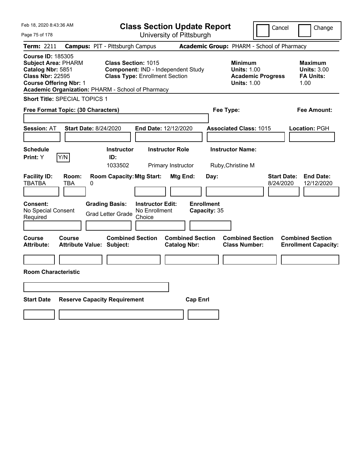| Feb 18, 2020 8:43:36 AM                                                                                                                                                                      |                                                                                   |                                                                                                           | <b>Class Section Update Report</b>                 |                                |                                            |                         |                                                                                        | Cancel                          | Change                                                           |
|----------------------------------------------------------------------------------------------------------------------------------------------------------------------------------------------|-----------------------------------------------------------------------------------|-----------------------------------------------------------------------------------------------------------|----------------------------------------------------|--------------------------------|--------------------------------------------|-------------------------|----------------------------------------------------------------------------------------|---------------------------------|------------------------------------------------------------------|
| Page 75 of 178                                                                                                                                                                               |                                                                                   |                                                                                                           |                                                    | University of Pittsburgh       |                                            |                         |                                                                                        |                                 |                                                                  |
| Term: 2211                                                                                                                                                                                   | <b>Campus: PIT - Pittsburgh Campus</b>                                            |                                                                                                           |                                                    |                                | Academic Group: PHARM - School of Pharmacy |                         |                                                                                        |                                 |                                                                  |
| <b>Course ID: 185305</b><br><b>Subject Area: PHARM</b><br>Catalog Nbr: 5851<br><b>Class Nbr: 22595</b><br><b>Course Offering Nbr: 1</b><br>Academic Organization: PHARM - School of Pharmacy |                                                                                   | <b>Class Section: 1015</b><br>Component: IND - Independent Study<br><b>Class Type: Enrollment Section</b> |                                                    |                                |                                            |                         | <b>Minimum</b><br><b>Units: 1.00</b><br><b>Academic Progress</b><br><b>Units: 1.00</b> |                                 | <b>Maximum</b><br><b>Units: 3.00</b><br><b>FA Units:</b><br>1.00 |
| Short Title: SPECIAL TOPICS 1                                                                                                                                                                |                                                                                   |                                                                                                           |                                                    |                                |                                            |                         |                                                                                        |                                 |                                                                  |
| Free Format Topic: (30 Characters)                                                                                                                                                           |                                                                                   |                                                                                                           |                                                    |                                |                                            | Fee Type:               |                                                                                        |                                 | Fee Amount:                                                      |
| <b>Session: AT</b><br><b>Schedule</b><br>Y/N<br>Print: Y                                                                                                                                     | <b>Start Date: 8/24/2020</b>                                                      | <b>Instructor</b><br>ID:                                                                                  | End Date: 12/12/2020                               | <b>Instructor Role</b>         |                                            | <b>Instructor Name:</b> | <b>Associated Class: 1015</b>                                                          |                                 | Location: PGH                                                    |
| <b>Facility ID:</b><br><b>TBATBA</b><br>Consent:<br>No Special Consent<br>Required                                                                                                           | Room:<br>TBA<br>0                                                                 | 1033502<br><b>Room Capacity: Mtg Start:</b><br><b>Grading Basis:</b><br><b>Grad Letter Grade</b>          | <b>Instructor Edit:</b><br>No Enrollment<br>Choice | Primary Instructor<br>Mtg End: | Day:<br><b>Enrollment</b><br>Capacity: 35  | Ruby, Christine M       |                                                                                        | <b>Start Date:</b><br>8/24/2020 | <b>End Date:</b><br>12/12/2020                                   |
| Course<br>Attribute:<br><b>Room Characteristic</b><br><b>Start Date</b>                                                                                                                      | Course<br><b>Attribute Value: Subject:</b><br><b>Reserve Capacity Requirement</b> | <b>Combined Section</b>                                                                                   |                                                    | <b>Catalog Nbr:</b>            | <b>Combined Section</b><br><b>Cap Enrl</b> |                         | <b>Combined Section</b><br><b>Class Number:</b>                                        |                                 | <b>Combined Section</b><br><b>Enrollment Capacity:</b>           |
|                                                                                                                                                                                              |                                                                                   |                                                                                                           |                                                    |                                |                                            |                         |                                                                                        |                                 |                                                                  |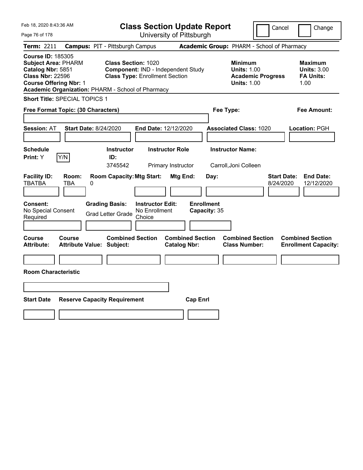| Feb 18, 2020 8:43:36 AM                                                                                                                                                                      |                                            |   |                                                                                                                  | <b>Class Section Update Report</b>                 |                                                |                 |                                   |                                                                                        | Cancel                          | Change                                                           |
|----------------------------------------------------------------------------------------------------------------------------------------------------------------------------------------------|--------------------------------------------|---|------------------------------------------------------------------------------------------------------------------|----------------------------------------------------|------------------------------------------------|-----------------|-----------------------------------|----------------------------------------------------------------------------------------|---------------------------------|------------------------------------------------------------------|
| Page 76 of 178                                                                                                                                                                               |                                            |   |                                                                                                                  | University of Pittsburgh                           |                                                |                 |                                   |                                                                                        |                                 |                                                                  |
| Term: 2211                                                                                                                                                                                   |                                            |   | <b>Campus: PIT - Pittsburgh Campus</b>                                                                           |                                                    |                                                |                 |                                   | Academic Group: PHARM - School of Pharmacy                                             |                                 |                                                                  |
| <b>Course ID: 185305</b><br><b>Subject Area: PHARM</b><br>Catalog Nbr: 5851<br><b>Class Nbr: 22596</b><br><b>Course Offering Nbr: 1</b><br>Academic Organization: PHARM - School of Pharmacy |                                            |   | <b>Class Section: 1020</b><br><b>Component: IND - Independent Study</b><br><b>Class Type: Enrollment Section</b> |                                                    |                                                |                 |                                   | <b>Minimum</b><br><b>Units: 1.00</b><br><b>Academic Progress</b><br><b>Units: 1.00</b> |                                 | <b>Maximum</b><br><b>Units: 3.00</b><br><b>FA Units:</b><br>1.00 |
| <b>Short Title: SPECIAL TOPICS 1</b>                                                                                                                                                         |                                            |   |                                                                                                                  |                                                    |                                                |                 |                                   |                                                                                        |                                 |                                                                  |
| Free Format Topic: (30 Characters)                                                                                                                                                           |                                            |   |                                                                                                                  |                                                    |                                                |                 | Fee Type:                         |                                                                                        |                                 | Fee Amount:                                                      |
| <b>Session: AT</b>                                                                                                                                                                           | <b>Start Date: 8/24/2020</b>               |   |                                                                                                                  | End Date: 12/12/2020                               |                                                |                 |                                   | <b>Associated Class: 1020</b>                                                          |                                 | Location: PGH                                                    |
| <b>Schedule</b><br>Print: Y                                                                                                                                                                  | Y/N                                        |   | <b>Instructor</b><br>ID:                                                                                         |                                                    | <b>Instructor Role</b>                         |                 |                                   | <b>Instructor Name:</b>                                                                |                                 |                                                                  |
|                                                                                                                                                                                              |                                            |   | 3745542                                                                                                          |                                                    | Primary Instructor                             |                 |                                   | Carroll, Joni Colleen                                                                  |                                 |                                                                  |
| <b>Facility ID:</b><br><b>TBATBA</b>                                                                                                                                                         | Room:<br>TBA                               | 0 | <b>Room Capacity: Mtg Start:</b>                                                                                 |                                                    | Mtg End:                                       |                 | Day:                              |                                                                                        | <b>Start Date:</b><br>8/24/2020 | <b>End Date:</b><br>12/12/2020                                   |
| Consent:<br>No Special Consent<br>Required                                                                                                                                                   |                                            |   | <b>Grading Basis:</b><br><b>Grad Letter Grade</b>                                                                | <b>Instructor Edit:</b><br>No Enrollment<br>Choice |                                                |                 | <b>Enrollment</b><br>Capacity: 35 |                                                                                        |                                 |                                                                  |
|                                                                                                                                                                                              |                                            |   |                                                                                                                  |                                                    |                                                |                 |                                   |                                                                                        |                                 |                                                                  |
| Course<br><b>Attribute:</b>                                                                                                                                                                  | Course<br><b>Attribute Value: Subject:</b> |   | <b>Combined Section</b>                                                                                          |                                                    | <b>Combined Section</b><br><b>Catalog Nbr:</b> |                 |                                   | <b>Combined Section</b><br><b>Class Number:</b>                                        |                                 | <b>Combined Section</b><br><b>Enrollment Capacity:</b>           |
|                                                                                                                                                                                              |                                            |   |                                                                                                                  |                                                    |                                                |                 |                                   |                                                                                        |                                 |                                                                  |
| <b>Room Characteristic</b>                                                                                                                                                                   |                                            |   |                                                                                                                  |                                                    |                                                |                 |                                   |                                                                                        |                                 |                                                                  |
|                                                                                                                                                                                              |                                            |   |                                                                                                                  |                                                    |                                                |                 |                                   |                                                                                        |                                 |                                                                  |
| <b>Start Date</b>                                                                                                                                                                            |                                            |   | <b>Reserve Capacity Requirement</b>                                                                              |                                                    |                                                | <b>Cap Enrl</b> |                                   |                                                                                        |                                 |                                                                  |
|                                                                                                                                                                                              |                                            |   |                                                                                                                  |                                                    |                                                |                 |                                   |                                                                                        |                                 |                                                                  |
|                                                                                                                                                                                              |                                            |   |                                                                                                                  |                                                    |                                                |                 |                                   |                                                                                        |                                 |                                                                  |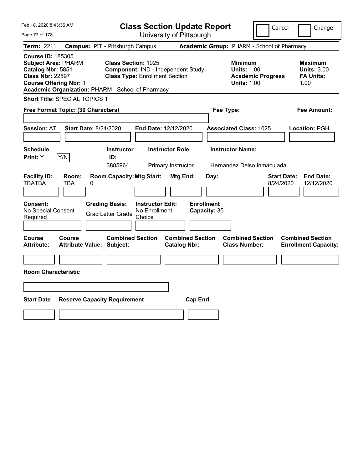| Feb 18, 2020 8:43:36 AM                                                                                                                                                                      |                                                   |                                                                                                    | <b>Class Section Update Report</b>                 |                        |                                            |           |                                                                                        | Cancel                          | Change                                                           |  |
|----------------------------------------------------------------------------------------------------------------------------------------------------------------------------------------------|---------------------------------------------------|----------------------------------------------------------------------------------------------------|----------------------------------------------------|------------------------|--------------------------------------------|-----------|----------------------------------------------------------------------------------------|---------------------------------|------------------------------------------------------------------|--|
| Page 77 of 178                                                                                                                                                                               |                                                   |                                                                                                    |                                                    |                        | University of Pittsburgh                   |           |                                                                                        |                                 |                                                                  |  |
| Term: 2211                                                                                                                                                                                   | <b>Campus: PIT - Pittsburgh Campus</b>            |                                                                                                    |                                                    |                        | Academic Group: PHARM - School of Pharmacy |           |                                                                                        |                                 |                                                                  |  |
| <b>Course ID: 185305</b><br><b>Subject Area: PHARM</b><br>Catalog Nbr: 5851<br><b>Class Nbr: 22597</b><br><b>Course Offering Nbr: 1</b><br>Academic Organization: PHARM - School of Pharmacy |                                                   | Class Section: 1025<br>Component: IND - Independent Study<br><b>Class Type: Enrollment Section</b> |                                                    |                        |                                            |           | <b>Minimum</b><br><b>Units: 1.00</b><br><b>Academic Progress</b><br><b>Units: 1.00</b> |                                 | <b>Maximum</b><br><b>Units: 3.00</b><br><b>FA Units:</b><br>1.00 |  |
| Short Title: SPECIAL TOPICS 1                                                                                                                                                                |                                                   |                                                                                                    |                                                    |                        |                                            |           |                                                                                        |                                 |                                                                  |  |
| Free Format Topic: (30 Characters)                                                                                                                                                           |                                                   |                                                                                                    |                                                    |                        |                                            | Fee Type: |                                                                                        |                                 | Fee Amount:                                                      |  |
| <b>Session: AT</b>                                                                                                                                                                           | <b>Start Date: 8/24/2020</b>                      |                                                                                                    | End Date: 12/12/2020                               |                        |                                            |           | <b>Associated Class: 1025</b>                                                          |                                 | Location: PGH                                                    |  |
| <b>Schedule</b><br>Y/N<br>Print: Y                                                                                                                                                           |                                                   | <b>Instructor</b><br>ID:                                                                           |                                                    | <b>Instructor Role</b> |                                            |           | <b>Instructor Name:</b>                                                                |                                 |                                                                  |  |
|                                                                                                                                                                                              |                                                   | 3885964                                                                                            |                                                    | Primary Instructor     |                                            |           | Hernandez Delso, Inmaculada                                                            |                                 |                                                                  |  |
| <b>Facility ID:</b><br><b>TBATBA</b><br><b>Consent:</b><br>No Special Consent<br>Required                                                                                                    | Room:<br>TBA<br>0                                 | <b>Room Capacity: Mtg Start:</b><br><b>Grading Basis:</b><br><b>Grad Letter Grade</b>              | <b>Instructor Edit:</b><br>No Enrollment<br>Choice | Mtg End:               | <b>Enrollment</b><br>Capacity: 35          | Day:      |                                                                                        | <b>Start Date:</b><br>8/24/2020 | <b>End Date:</b><br>12/12/2020                                   |  |
|                                                                                                                                                                                              |                                                   |                                                                                                    |                                                    |                        |                                            |           |                                                                                        |                                 |                                                                  |  |
| Course<br><b>Attribute:</b><br><b>Room Characteristic</b>                                                                                                                                    | <b>Course</b><br><b>Attribute Value: Subject:</b> | <b>Combined Section</b>                                                                            |                                                    | <b>Catalog Nbr:</b>    | <b>Combined Section</b>                    |           | <b>Combined Section</b><br><b>Class Number:</b>                                        |                                 | <b>Combined Section</b><br><b>Enrollment Capacity:</b>           |  |
|                                                                                                                                                                                              |                                                   |                                                                                                    |                                                    |                        |                                            |           |                                                                                        |                                 |                                                                  |  |
| <b>Start Date</b>                                                                                                                                                                            | <b>Reserve Capacity Requirement</b>               |                                                                                                    |                                                    |                        | <b>Cap Enrl</b>                            |           |                                                                                        |                                 |                                                                  |  |
|                                                                                                                                                                                              |                                                   |                                                                                                    |                                                    |                        |                                            |           |                                                                                        |                                 |                                                                  |  |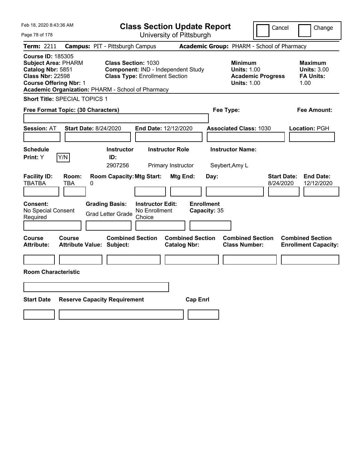| Feb 18, 2020 8:43:36 AM                                                                                                                                                                      |                                        |                                                                                                           |                                                    |                                              | <b>Class Section Update Report</b> |                                                            | Cancel                          | Change                                                           |
|----------------------------------------------------------------------------------------------------------------------------------------------------------------------------------------------|----------------------------------------|-----------------------------------------------------------------------------------------------------------|----------------------------------------------------|----------------------------------------------|------------------------------------|------------------------------------------------------------|---------------------------------|------------------------------------------------------------------|
| Page 78 of 178                                                                                                                                                                               |                                        |                                                                                                           |                                                    | University of Pittsburgh                     |                                    |                                                            |                                 |                                                                  |
| Term: 2211                                                                                                                                                                                   | <b>Campus: PIT - Pittsburgh Campus</b> |                                                                                                           |                                                    |                                              |                                    | Academic Group: PHARM - School of Pharmacy                 |                                 |                                                                  |
| <b>Course ID: 185305</b><br><b>Subject Area: PHARM</b><br>Catalog Nbr: 5851<br><b>Class Nbr: 22598</b><br><b>Course Offering Nbr: 1</b><br>Academic Organization: PHARM - School of Pharmacy |                                        | <b>Class Section: 1030</b><br>Component: IND - Independent Study<br><b>Class Type: Enrollment Section</b> |                                                    |                                              |                                    | <b>Minimum</b><br><b>Units: 1.00</b><br><b>Units: 1.00</b> | <b>Academic Progress</b>        | <b>Maximum</b><br><b>Units: 3.00</b><br><b>FA Units:</b><br>1.00 |
| Short Title: SPECIAL TOPICS 1                                                                                                                                                                |                                        |                                                                                                           |                                                    |                                              |                                    |                                                            |                                 |                                                                  |
| Free Format Topic: (30 Characters)                                                                                                                                                           |                                        |                                                                                                           |                                                    |                                              |                                    | Fee Type:                                                  |                                 | Fee Amount:                                                      |
| Session: AT                                                                                                                                                                                  | <b>Start Date: 8/24/2020</b>           |                                                                                                           | End Date: 12/12/2020                               |                                              |                                    | <b>Associated Class: 1030</b>                              |                                 | Location: PGH                                                    |
| <b>Schedule</b><br>Y/N<br>Print: Y                                                                                                                                                           |                                        | <b>Instructor</b><br>ID:<br>2907256                                                                       |                                                    | <b>Instructor Role</b><br>Primary Instructor |                                    | <b>Instructor Name:</b><br>Seybert, Amy L                  |                                 |                                                                  |
| <b>Facility ID:</b><br><b>TBATBA</b><br>TBA                                                                                                                                                  | Room:<br>0                             | <b>Room Capacity: Mtg Start:</b>                                                                          |                                                    | Mtg End:                                     | Day:                               |                                                            | <b>Start Date:</b><br>8/24/2020 | <b>End Date:</b><br>12/12/2020                                   |
| Consent:<br>No Special Consent<br>Required                                                                                                                                                   |                                        | <b>Grading Basis:</b><br><b>Grad Letter Grade</b>                                                         | <b>Instructor Edit:</b><br>No Enrollment<br>Choice |                                              | <b>Enrollment</b><br>Capacity: 35  |                                                            |                                 |                                                                  |
| Course<br>Course<br><b>Attribute:</b>                                                                                                                                                        | <b>Attribute Value: Subject:</b>       | <b>Combined Section</b>                                                                                   |                                                    | <b>Catalog Nbr:</b>                          | <b>Combined Section</b>            | <b>Combined Section</b><br><b>Class Number:</b>            |                                 | <b>Combined Section</b><br><b>Enrollment Capacity:</b>           |
| <b>Room Characteristic</b>                                                                                                                                                                   |                                        |                                                                                                           |                                                    |                                              |                                    |                                                            |                                 |                                                                  |
|                                                                                                                                                                                              |                                        |                                                                                                           |                                                    |                                              |                                    |                                                            |                                 |                                                                  |
| <b>Start Date</b>                                                                                                                                                                            | <b>Reserve Capacity Requirement</b>    |                                                                                                           |                                                    |                                              | <b>Cap Enrl</b>                    |                                                            |                                 |                                                                  |
|                                                                                                                                                                                              |                                        |                                                                                                           |                                                    |                                              |                                    |                                                            |                                 |                                                                  |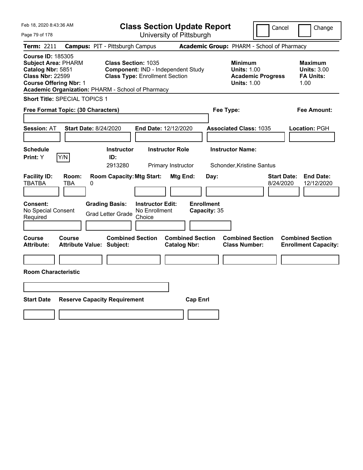| Feb 18, 2020 8:43:36 AM                                                                                                                                                                      |                                                                                            |                                                                             | <b>Class Section Update Report</b>             |                                                            | Cancel                          | Change                                                           |
|----------------------------------------------------------------------------------------------------------------------------------------------------------------------------------------------|--------------------------------------------------------------------------------------------|-----------------------------------------------------------------------------|------------------------------------------------|------------------------------------------------------------|---------------------------------|------------------------------------------------------------------|
| Page 79 of 178                                                                                                                                                                               |                                                                                            |                                                                             | University of Pittsburgh                       |                                                            |                                 |                                                                  |
| <b>Term: 2211</b>                                                                                                                                                                            | <b>Campus: PIT - Pittsburgh Campus</b>                                                     |                                                                             |                                                | Academic Group: PHARM - School of Pharmacy                 |                                 |                                                                  |
| <b>Course ID: 185305</b><br><b>Subject Area: PHARM</b><br>Catalog Nbr: 5851<br><b>Class Nbr: 22599</b><br><b>Course Offering Nbr: 1</b><br>Academic Organization: PHARM - School of Pharmacy | <b>Class Section: 1035</b>                                                                 | Component: IND - Independent Study<br><b>Class Type: Enrollment Section</b> |                                                | <b>Minimum</b><br><b>Units: 1.00</b><br><b>Units: 1.00</b> | <b>Academic Progress</b>        | <b>Maximum</b><br><b>Units: 3.00</b><br><b>FA Units:</b><br>1.00 |
| <b>Short Title: SPECIAL TOPICS 1</b>                                                                                                                                                         |                                                                                            |                                                                             |                                                |                                                            |                                 |                                                                  |
| Free Format Topic: (30 Characters)                                                                                                                                                           |                                                                                            |                                                                             |                                                | Fee Type:                                                  |                                 | Fee Amount:                                                      |
| <b>Session: AT</b><br><b>Schedule</b>                                                                                                                                                        | <b>Start Date: 8/24/2020</b><br><b>Instructor</b>                                          | End Date: 12/12/2020<br><b>Instructor Role</b>                              |                                                | <b>Associated Class: 1035</b><br><b>Instructor Name:</b>   |                                 | Location: PGH                                                    |
| Y/N<br>Print: Y                                                                                                                                                                              | ID:                                                                                        |                                                                             |                                                |                                                            |                                 |                                                                  |
|                                                                                                                                                                                              | 2913280                                                                                    | Primary Instructor                                                          |                                                | Schonder, Kristine Santus                                  |                                 |                                                                  |
| <b>Facility ID:</b><br>Room:<br><b>TBATBA</b><br>TBA<br><b>Consent:</b><br>No Special Consent<br>Required                                                                                    | <b>Room Capacity: Mtg Start:</b><br>0<br><b>Grading Basis:</b><br><b>Grad Letter Grade</b> | <b>Instructor Edit:</b><br>No Enrollment<br>Choice                          | Mtg End:<br><b>Enrollment</b><br>Capacity: 35  | Day:                                                       | <b>Start Date:</b><br>8/24/2020 | <b>End Date:</b><br>12/12/2020                                   |
| Course<br><b>Course</b><br><b>Attribute:</b><br><b>Room Characteristic</b>                                                                                                                   | <b>Combined Section</b><br><b>Attribute Value: Subject:</b>                                |                                                                             | <b>Combined Section</b><br><b>Catalog Nbr:</b> | <b>Combined Section</b><br><b>Class Number:</b>            |                                 | <b>Combined Section</b><br><b>Enrollment Capacity:</b>           |
|                                                                                                                                                                                              |                                                                                            |                                                                             |                                                |                                                            |                                 |                                                                  |
|                                                                                                                                                                                              |                                                                                            |                                                                             |                                                |                                                            |                                 |                                                                  |
| <b>Start Date</b>                                                                                                                                                                            | <b>Reserve Capacity Requirement</b>                                                        |                                                                             | <b>Cap Enrl</b>                                |                                                            |                                 |                                                                  |
|                                                                                                                                                                                              |                                                                                            |                                                                             |                                                |                                                            |                                 |                                                                  |
|                                                                                                                                                                                              |                                                                                            |                                                                             |                                                |                                                            |                                 |                                                                  |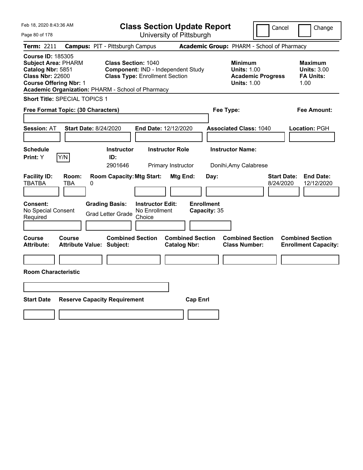| Feb 18, 2020 8:43:36 AM                                                                                                                                                                      |                                            |                                                                                                           | <b>Class Section Update Report</b>       |                                                |                                   |           |                                                            |                                            | Cancel                          | Change                                                           |
|----------------------------------------------------------------------------------------------------------------------------------------------------------------------------------------------|--------------------------------------------|-----------------------------------------------------------------------------------------------------------|------------------------------------------|------------------------------------------------|-----------------------------------|-----------|------------------------------------------------------------|--------------------------------------------|---------------------------------|------------------------------------------------------------------|
| Page 80 of 178                                                                                                                                                                               |                                            |                                                                                                           |                                          | University of Pittsburgh                       |                                   |           |                                                            |                                            |                                 |                                                                  |
| Term: 2211                                                                                                                                                                                   | <b>Campus: PIT - Pittsburgh Campus</b>     |                                                                                                           |                                          |                                                |                                   |           |                                                            | Academic Group: PHARM - School of Pharmacy |                                 |                                                                  |
| <b>Course ID: 185305</b><br><b>Subject Area: PHARM</b><br>Catalog Nbr: 5851<br><b>Class Nbr: 22600</b><br><b>Course Offering Nbr: 1</b><br>Academic Organization: PHARM - School of Pharmacy |                                            | <b>Class Section: 1040</b><br>Component: IND - Independent Study<br><b>Class Type: Enrollment Section</b> |                                          |                                                |                                   |           | <b>Minimum</b><br><b>Units: 1.00</b><br><b>Units: 1.00</b> | <b>Academic Progress</b>                   |                                 | <b>Maximum</b><br><b>Units: 3.00</b><br><b>FA Units:</b><br>1.00 |
| <b>Short Title: SPECIAL TOPICS 1</b>                                                                                                                                                         |                                            |                                                                                                           |                                          |                                                |                                   |           |                                                            |                                            |                                 |                                                                  |
| Free Format Topic: (30 Characters)                                                                                                                                                           |                                            |                                                                                                           |                                          |                                                |                                   | Fee Type: |                                                            |                                            |                                 | Fee Amount:                                                      |
| <b>Session: AT</b>                                                                                                                                                                           | <b>Start Date: 8/24/2020</b>               |                                                                                                           | End Date: 12/12/2020                     |                                                |                                   |           | <b>Associated Class: 1040</b>                              |                                            |                                 | Location: PGH                                                    |
| <b>Schedule</b><br>Y/N<br>Print: Y                                                                                                                                                           |                                            | <b>Instructor</b><br>ID:                                                                                  |                                          | <b>Instructor Role</b>                         |                                   |           | <b>Instructor Name:</b>                                    |                                            |                                 |                                                                  |
|                                                                                                                                                                                              |                                            | 2901646                                                                                                   |                                          | Primary Instructor                             |                                   |           | Donihi, Amy Calabrese                                      |                                            |                                 |                                                                  |
| <b>Facility ID:</b><br><b>TBATBA</b><br>Consent:<br>No Special Consent                                                                                                                       | Room:<br>TBA<br>0                          | <b>Room Capacity: Mtg Start:</b><br><b>Grading Basis:</b><br><b>Grad Letter Grade</b>                     | <b>Instructor Edit:</b><br>No Enrollment | Mtg End:                                       | <b>Enrollment</b><br>Capacity: 35 | Day:      |                                                            |                                            | <b>Start Date:</b><br>8/24/2020 | <b>End Date:</b><br>12/12/2020                                   |
| Required                                                                                                                                                                                     |                                            |                                                                                                           | Choice                                   |                                                |                                   |           |                                                            |                                            |                                 |                                                                  |
| Course<br><b>Attribute:</b><br><b>Room Characteristic</b>                                                                                                                                    | Course<br><b>Attribute Value: Subject:</b> | <b>Combined Section</b>                                                                                   |                                          | <b>Combined Section</b><br><b>Catalog Nbr:</b> |                                   |           | <b>Combined Section</b><br><b>Class Number:</b>            |                                            |                                 | <b>Combined Section</b><br><b>Enrollment Capacity:</b>           |
|                                                                                                                                                                                              |                                            |                                                                                                           |                                          |                                                |                                   |           |                                                            |                                            |                                 |                                                                  |
|                                                                                                                                                                                              |                                            |                                                                                                           |                                          |                                                |                                   |           |                                                            |                                            |                                 |                                                                  |
| <b>Start Date</b>                                                                                                                                                                            | <b>Reserve Capacity Requirement</b>        |                                                                                                           |                                          |                                                | <b>Cap Enrl</b>                   |           |                                                            |                                            |                                 |                                                                  |
|                                                                                                                                                                                              |                                            |                                                                                                           |                                          |                                                |                                   |           |                                                            |                                            |                                 |                                                                  |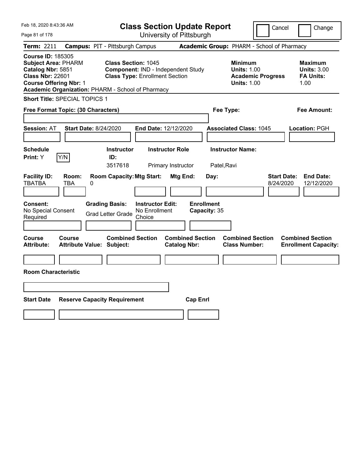| Feb 18, 2020 8:43:36 AM                                                                                                                                                                      |                              |                                                                                                           |                                                    | <b>Class Section Update Report</b>             |                                   |                                                            | Cancel                          | Change                                                           |
|----------------------------------------------------------------------------------------------------------------------------------------------------------------------------------------------|------------------------------|-----------------------------------------------------------------------------------------------------------|----------------------------------------------------|------------------------------------------------|-----------------------------------|------------------------------------------------------------|---------------------------------|------------------------------------------------------------------|
| Page 81 of 178                                                                                                                                                                               |                              |                                                                                                           |                                                    | University of Pittsburgh                       |                                   |                                                            |                                 |                                                                  |
| Term: 2211                                                                                                                                                                                   |                              | <b>Campus: PIT - Pittsburgh Campus</b>                                                                    |                                                    |                                                |                                   | Academic Group: PHARM - School of Pharmacy                 |                                 |                                                                  |
| <b>Course ID: 185305</b><br><b>Subject Area: PHARM</b><br>Catalog Nbr: 5851<br><b>Class Nbr: 22601</b><br><b>Course Offering Nbr: 1</b><br>Academic Organization: PHARM - School of Pharmacy |                              | <b>Class Section: 1045</b><br>Component: IND - Independent Study<br><b>Class Type: Enrollment Section</b> |                                                    |                                                |                                   | <b>Minimum</b><br><b>Units: 1.00</b><br><b>Units: 1.00</b> | <b>Academic Progress</b>        | <b>Maximum</b><br><b>Units: 3.00</b><br><b>FA Units:</b><br>1.00 |
| <b>Short Title: SPECIAL TOPICS 1</b>                                                                                                                                                         |                              |                                                                                                           |                                                    |                                                |                                   |                                                            |                                 |                                                                  |
| Free Format Topic: (30 Characters)                                                                                                                                                           |                              |                                                                                                           |                                                    |                                                |                                   | Fee Type:                                                  |                                 | Fee Amount:                                                      |
| <b>Session: AT</b>                                                                                                                                                                           | <b>Start Date: 8/24/2020</b> |                                                                                                           |                                                    | End Date: 12/12/2020                           |                                   | <b>Associated Class: 1045</b>                              |                                 | Location: PGH                                                    |
| <b>Schedule</b><br>Y/N<br>Print: Y                                                                                                                                                           |                              | <b>Instructor</b><br>ID:<br>3517618                                                                       |                                                    | <b>Instructor Role</b><br>Primary Instructor   |                                   | <b>Instructor Name:</b><br>Patel, Ravi                     |                                 |                                                                  |
| <b>Facility ID:</b><br><b>TBATBA</b>                                                                                                                                                         | Room:<br>TBA<br>0            | <b>Room Capacity: Mtg Start:</b>                                                                          |                                                    | Mtg End:                                       | Day:                              |                                                            | <b>Start Date:</b><br>8/24/2020 | <b>End Date:</b><br>12/12/2020                                   |
| Consent:<br>No Special Consent<br>Required                                                                                                                                                   |                              | <b>Grading Basis:</b><br><b>Grad Letter Grade</b>                                                         | <b>Instructor Edit:</b><br>No Enrollment<br>Choice |                                                | <b>Enrollment</b><br>Capacity: 35 |                                                            |                                 |                                                                  |
| Course<br>Attribute:                                                                                                                                                                         | Course                       | <b>Combined Section</b><br><b>Attribute Value: Subject:</b>                                               |                                                    | <b>Combined Section</b><br><b>Catalog Nbr:</b> |                                   | <b>Combined Section</b><br><b>Class Number:</b>            |                                 | <b>Combined Section</b><br><b>Enrollment Capacity:</b>           |
| <b>Room Characteristic</b>                                                                                                                                                                   |                              |                                                                                                           |                                                    |                                                |                                   |                                                            |                                 |                                                                  |
|                                                                                                                                                                                              |                              |                                                                                                           |                                                    |                                                |                                   |                                                            |                                 |                                                                  |
| <b>Start Date</b>                                                                                                                                                                            |                              | <b>Reserve Capacity Requirement</b>                                                                       |                                                    |                                                | <b>Cap Enrl</b>                   |                                                            |                                 |                                                                  |
|                                                                                                                                                                                              |                              |                                                                                                           |                                                    |                                                |                                   |                                                            |                                 |                                                                  |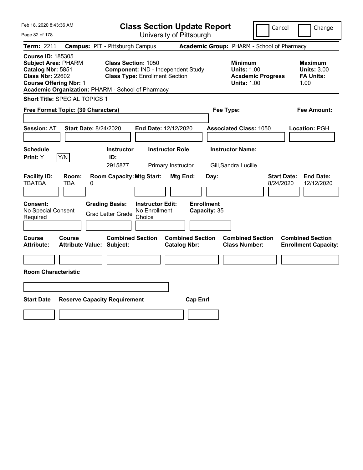| Feb 18, 2020 8:43:36 AM                                                                                                                                                                      |                                                                                            | <b>Class Section Update Report</b>                                          |                                                |                      |                                                            | Cancel                                     | Change                                                           |
|----------------------------------------------------------------------------------------------------------------------------------------------------------------------------------------------|--------------------------------------------------------------------------------------------|-----------------------------------------------------------------------------|------------------------------------------------|----------------------|------------------------------------------------------------|--------------------------------------------|------------------------------------------------------------------|
| Page 82 of 178                                                                                                                                                                               |                                                                                            |                                                                             | University of Pittsburgh                       |                      |                                                            |                                            |                                                                  |
| Term: 2211                                                                                                                                                                                   | <b>Campus: PIT - Pittsburgh Campus</b>                                                     |                                                                             |                                                |                      |                                                            | Academic Group: PHARM - School of Pharmacy |                                                                  |
| <b>Course ID: 185305</b><br><b>Subject Area: PHARM</b><br>Catalog Nbr: 5851<br><b>Class Nbr: 22602</b><br><b>Course Offering Nbr: 1</b><br>Academic Organization: PHARM - School of Pharmacy | <b>Class Section: 1050</b>                                                                 | Component: IND - Independent Study<br><b>Class Type: Enrollment Section</b> |                                                |                      | <b>Minimum</b><br><b>Units: 1.00</b><br><b>Units: 1.00</b> | <b>Academic Progress</b>                   | <b>Maximum</b><br><b>Units: 3.00</b><br><b>FA Units:</b><br>1.00 |
| Short Title: SPECIAL TOPICS 1                                                                                                                                                                |                                                                                            |                                                                             |                                                |                      |                                                            |                                            |                                                                  |
| Free Format Topic: (30 Characters)                                                                                                                                                           |                                                                                            |                                                                             |                                                | Fee Type:            |                                                            |                                            | Fee Amount:                                                      |
| <b>Session: AT</b><br><b>Schedule</b>                                                                                                                                                        | <b>Start Date: 8/24/2020</b><br><b>Instructor</b>                                          | End Date: 12/12/2020<br><b>Instructor Role</b>                              |                                                |                      | <b>Associated Class: 1050</b><br><b>Instructor Name:</b>   |                                            | Location: PGH                                                    |
| Y/N<br>Print: Y                                                                                                                                                                              | ID:<br>2915877                                                                             |                                                                             | Primary Instructor                             |                      | Gill, Sandra Lucille                                       |                                            |                                                                  |
| <b>Facility ID:</b><br>Room:<br><b>TBATBA</b><br>TBA<br><b>Consent:</b><br>No Special Consent<br>Required                                                                                    | <b>Room Capacity: Mtg Start:</b><br>0<br><b>Grading Basis:</b><br><b>Grad Letter Grade</b> | <b>Instructor Edit:</b><br>No Enrollment<br>Choice                          | Mtg End:<br><b>Enrollment</b>                  | Day:<br>Capacity: 35 |                                                            | 8/24/2020                                  | <b>Start Date:</b><br><b>End Date:</b><br>12/12/2020             |
| <b>Course</b><br><b>Course</b><br><b>Attribute:</b>                                                                                                                                          | <b>Combined Section</b><br><b>Attribute Value: Subject:</b>                                |                                                                             | <b>Combined Section</b><br><b>Catalog Nbr:</b> |                      | <b>Combined Section</b><br><b>Class Number:</b>            |                                            | <b>Combined Section</b><br><b>Enrollment Capacity:</b>           |
| <b>Room Characteristic</b>                                                                                                                                                                   |                                                                                            |                                                                             |                                                |                      |                                                            |                                            |                                                                  |
| <b>Start Date</b>                                                                                                                                                                            | <b>Reserve Capacity Requirement</b>                                                        |                                                                             | <b>Cap Enrl</b>                                |                      |                                                            |                                            |                                                                  |
|                                                                                                                                                                                              |                                                                                            |                                                                             |                                                |                      |                                                            |                                            |                                                                  |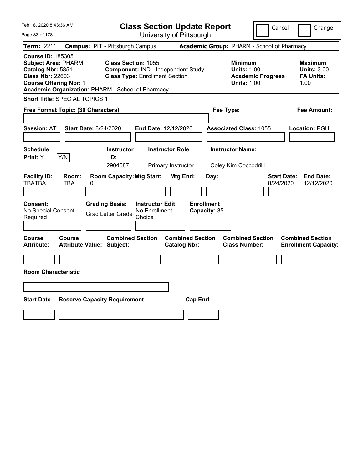| Feb 18, 2020 8:43:36 AM                                                                                                                                                                      |                                                             |                                                                                                           | <b>Class Section Update Report</b>             |                                                                                        | Cancel<br>Change                                                  |
|----------------------------------------------------------------------------------------------------------------------------------------------------------------------------------------------|-------------------------------------------------------------|-----------------------------------------------------------------------------------------------------------|------------------------------------------------|----------------------------------------------------------------------------------------|-------------------------------------------------------------------|
| Page 83 of 178                                                                                                                                                                               |                                                             |                                                                                                           | University of Pittsburgh                       |                                                                                        |                                                                   |
| Term: 2211                                                                                                                                                                                   | <b>Campus: PIT - Pittsburgh Campus</b>                      |                                                                                                           |                                                | Academic Group: PHARM - School of Pharmacy                                             |                                                                   |
| <b>Course ID: 185305</b><br><b>Subject Area: PHARM</b><br>Catalog Nbr: 5851<br><b>Class Nbr: 22603</b><br><b>Course Offering Nbr: 1</b><br>Academic Organization: PHARM - School of Pharmacy |                                                             | <b>Class Section: 1055</b><br>Component: IND - Independent Study<br><b>Class Type: Enrollment Section</b> |                                                | <b>Minimum</b><br><b>Units: 1.00</b><br><b>Academic Progress</b><br><b>Units: 1.00</b> | <b>Maximum</b><br><b>Units: 3.00</b><br><b>FA Units:</b><br>1.00  |
| <b>Short Title: SPECIAL TOPICS 1</b>                                                                                                                                                         |                                                             |                                                                                                           |                                                |                                                                                        |                                                                   |
| Free Format Topic: (30 Characters)                                                                                                                                                           |                                                             |                                                                                                           |                                                | Fee Type:                                                                              | Fee Amount:                                                       |
| <b>Session: AT</b><br><b>Schedule</b>                                                                                                                                                        | <b>Start Date: 8/24/2020</b><br><b>Instructor</b>           | End Date: 12/12/2020<br><b>Instructor Role</b>                                                            |                                                | <b>Associated Class: 1055</b><br><b>Instructor Name:</b>                               | Location: PGH                                                     |
| Y/N<br>Print: Y                                                                                                                                                                              | ID:                                                         |                                                                                                           |                                                |                                                                                        |                                                                   |
|                                                                                                                                                                                              | 2904587                                                     | Primary Instructor                                                                                        |                                                | Coley, Kim Coccodrilli                                                                 |                                                                   |
| <b>Facility ID:</b><br>Room:<br><b>TBATBA</b><br>TBA                                                                                                                                         | <b>Room Capacity: Mtg Start:</b><br>0                       |                                                                                                           | Mtg End:<br>Day:                               |                                                                                        | <b>End Date:</b><br><b>Start Date:</b><br>8/24/2020<br>12/12/2020 |
| Consent:<br>No Special Consent<br>Required                                                                                                                                                   | <b>Grading Basis:</b><br><b>Grad Letter Grade</b>           | <b>Instructor Edit:</b><br>No Enrollment<br>Choice                                                        | <b>Enrollment</b><br>Capacity: 35              |                                                                                        |                                                                   |
| Course<br>Course<br><b>Attribute:</b>                                                                                                                                                        | <b>Combined Section</b><br><b>Attribute Value: Subject:</b> |                                                                                                           | <b>Combined Section</b><br><b>Catalog Nbr:</b> | <b>Combined Section</b><br><b>Class Number:</b>                                        | <b>Combined Section</b><br><b>Enrollment Capacity:</b>            |
|                                                                                                                                                                                              |                                                             |                                                                                                           |                                                |                                                                                        |                                                                   |
| <b>Room Characteristic</b>                                                                                                                                                                   |                                                             |                                                                                                           |                                                |                                                                                        |                                                                   |
|                                                                                                                                                                                              |                                                             |                                                                                                           |                                                |                                                                                        |                                                                   |
| <b>Start Date</b>                                                                                                                                                                            | <b>Reserve Capacity Requirement</b>                         |                                                                                                           | <b>Cap Enrl</b>                                |                                                                                        |                                                                   |
|                                                                                                                                                                                              |                                                             |                                                                                                           |                                                |                                                                                        |                                                                   |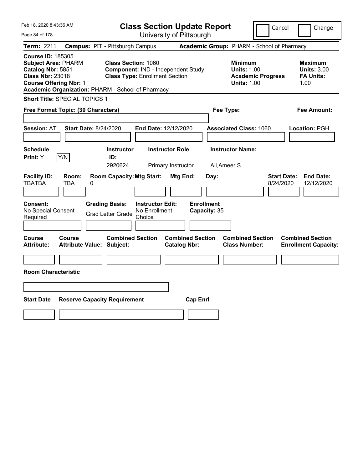| Feb 18, 2020 8:43:36 AM                                                                                                                                                                      |                                                   |                                                                                                           | <b>Class Section Update Report</b>                 |                                |                                   |                      |                                                            |                          | Cancel                          | Change                                                           |
|----------------------------------------------------------------------------------------------------------------------------------------------------------------------------------------------|---------------------------------------------------|-----------------------------------------------------------------------------------------------------------|----------------------------------------------------|--------------------------------|-----------------------------------|----------------------|------------------------------------------------------------|--------------------------|---------------------------------|------------------------------------------------------------------|
| Page 84 of 178                                                                                                                                                                               |                                                   |                                                                                                           |                                                    | University of Pittsburgh       |                                   |                      |                                                            |                          |                                 |                                                                  |
| Term: 2211                                                                                                                                                                                   | <b>Campus: PIT - Pittsburgh Campus</b>            |                                                                                                           |                                                    |                                |                                   |                      | Academic Group: PHARM - School of Pharmacy                 |                          |                                 |                                                                  |
| <b>Course ID: 185305</b><br><b>Subject Area: PHARM</b><br>Catalog Nbr: 5851<br><b>Class Nbr: 23018</b><br><b>Course Offering Nbr: 1</b><br>Academic Organization: PHARM - School of Pharmacy |                                                   | <b>Class Section: 1060</b><br>Component: IND - Independent Study<br><b>Class Type: Enrollment Section</b> |                                                    |                                |                                   |                      | <b>Minimum</b><br><b>Units: 1.00</b><br><b>Units: 1.00</b> | <b>Academic Progress</b> |                                 | <b>Maximum</b><br><b>Units: 3.00</b><br><b>FA Units:</b><br>1.00 |
| Short Title: SPECIAL TOPICS 1                                                                                                                                                                |                                                   |                                                                                                           |                                                    |                                |                                   |                      |                                                            |                          |                                 |                                                                  |
| Free Format Topic: (30 Characters)                                                                                                                                                           |                                                   |                                                                                                           |                                                    |                                |                                   | Fee Type:            |                                                            |                          |                                 | Fee Amount:                                                      |
| <b>Session: AT</b><br><b>Schedule</b>                                                                                                                                                        | <b>Start Date: 8/24/2020</b>                      | <b>Instructor</b>                                                                                         | End Date: 12/12/2020                               | <b>Instructor Role</b>         |                                   |                      | <b>Associated Class: 1060</b><br><b>Instructor Name:</b>   |                          |                                 | Location: PGH                                                    |
| Y/N<br>Print: Y                                                                                                                                                                              |                                                   | ID:<br>2920624                                                                                            |                                                    |                                |                                   |                      |                                                            |                          |                                 |                                                                  |
| <b>Facility ID:</b><br><b>TBATBA</b><br><b>Consent:</b><br>No Special Consent<br>Required                                                                                                    | Room:<br>TBA<br>0                                 | <b>Room Capacity: Mtg Start:</b><br><b>Grading Basis:</b><br><b>Grad Letter Grade</b>                     | <b>Instructor Edit:</b><br>No Enrollment<br>Choice | Primary Instructor<br>Mtg End: | <b>Enrollment</b><br>Capacity: 35 | Ali, Ameer S<br>Day: |                                                            |                          | <b>Start Date:</b><br>8/24/2020 | <b>End Date:</b><br>12/12/2020                                   |
|                                                                                                                                                                                              |                                                   |                                                                                                           |                                                    |                                |                                   |                      |                                                            |                          |                                 |                                                                  |
| Course<br><b>Attribute:</b><br><b>Room Characteristic</b>                                                                                                                                    | <b>Course</b><br><b>Attribute Value: Subject:</b> | <b>Combined Section</b>                                                                                   |                                                    | <b>Catalog Nbr:</b>            | <b>Combined Section</b>           |                      | <b>Combined Section</b><br><b>Class Number:</b>            |                          |                                 | <b>Combined Section</b><br><b>Enrollment Capacity:</b>           |
|                                                                                                                                                                                              |                                                   |                                                                                                           |                                                    |                                |                                   |                      |                                                            |                          |                                 |                                                                  |
| <b>Start Date</b>                                                                                                                                                                            | <b>Reserve Capacity Requirement</b>               |                                                                                                           |                                                    |                                | <b>Cap Enrl</b>                   |                      |                                                            |                          |                                 |                                                                  |
|                                                                                                                                                                                              |                                                   |                                                                                                           |                                                    |                                |                                   |                      |                                                            |                          |                                 |                                                                  |
|                                                                                                                                                                                              |                                                   |                                                                                                           |                                                    |                                |                                   |                      |                                                            |                          |                                 |                                                                  |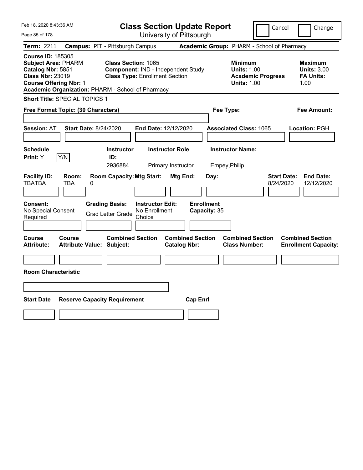| Feb 18, 2020 8:43:36 AM                                                                                                                                                                      |                                                                                       |                                                    | <b>Class Section Update Report</b>             |                                           |                                                                                        | Cancel                          | Change                                                           |
|----------------------------------------------------------------------------------------------------------------------------------------------------------------------------------------------|---------------------------------------------------------------------------------------|----------------------------------------------------|------------------------------------------------|-------------------------------------------|----------------------------------------------------------------------------------------|---------------------------------|------------------------------------------------------------------|
| Page 85 of 178                                                                                                                                                                               |                                                                                       |                                                    | University of Pittsburgh                       |                                           |                                                                                        |                                 |                                                                  |
| Term: 2211                                                                                                                                                                                   | <b>Campus: PIT - Pittsburgh Campus</b>                                                |                                                    |                                                |                                           | Academic Group: PHARM - School of Pharmacy                                             |                                 |                                                                  |
| <b>Course ID: 185305</b><br><b>Subject Area: PHARM</b><br>Catalog Nbr: 5851<br><b>Class Nbr: 23019</b><br><b>Course Offering Nbr: 1</b><br>Academic Organization: PHARM - School of Pharmacy | <b>Class Section: 1065</b><br><b>Class Type: Enrollment Section</b>                   |                                                    | Component: IND - Independent Study             |                                           | <b>Minimum</b><br><b>Units: 1.00</b><br><b>Academic Progress</b><br><b>Units: 1.00</b> |                                 | <b>Maximum</b><br><b>Units: 3.00</b><br><b>FA Units:</b><br>1.00 |
| <b>Short Title: SPECIAL TOPICS 1</b>                                                                                                                                                         |                                                                                       |                                                    |                                                |                                           |                                                                                        |                                 |                                                                  |
| Free Format Topic: (30 Characters)                                                                                                                                                           |                                                                                       |                                                    |                                                | Fee Type:                                 |                                                                                        |                                 | Fee Amount:                                                      |
| <b>Start Date: 8/24/2020</b><br><b>Session: AT</b>                                                                                                                                           |                                                                                       | End Date: 12/12/2020                               |                                                |                                           | <b>Associated Class: 1065</b>                                                          |                                 | Location: PGH                                                    |
| <b>Schedule</b><br>Y/N<br>Print: Y                                                                                                                                                           | <b>Instructor</b><br>ID:                                                              | <b>Instructor Role</b>                             |                                                |                                           | <b>Instructor Name:</b>                                                                |                                 |                                                                  |
|                                                                                                                                                                                              | 2936884                                                                               |                                                    | Primary Instructor                             | Empey, Philip                             |                                                                                        |                                 |                                                                  |
| <b>Facility ID:</b><br>Room:<br><b>TBATBA</b><br>TBA<br>0<br>Consent:<br>No Special Consent<br>Required                                                                                      | <b>Room Capacity: Mtg Start:</b><br><b>Grading Basis:</b><br><b>Grad Letter Grade</b> | <b>Instructor Edit:</b><br>No Enrollment<br>Choice | Mtg End:                                       | Day:<br><b>Enrollment</b><br>Capacity: 35 |                                                                                        | <b>Start Date:</b><br>8/24/2020 | <b>End Date:</b><br>12/12/2020                                   |
| Course<br>Course<br><b>Attribute Value: Subject:</b><br><b>Attribute:</b><br><b>Room Characteristic</b>                                                                                      | <b>Combined Section</b>                                                               |                                                    | <b>Combined Section</b><br><b>Catalog Nbr:</b> |                                           | <b>Combined Section</b><br><b>Class Number:</b>                                        |                                 | <b>Combined Section</b><br><b>Enrollment Capacity:</b>           |
|                                                                                                                                                                                              |                                                                                       |                                                    |                                                |                                           |                                                                                        |                                 |                                                                  |
| <b>Start Date</b>                                                                                                                                                                            | <b>Reserve Capacity Requirement</b>                                                   |                                                    | <b>Cap Enrl</b>                                |                                           |                                                                                        |                                 |                                                                  |
|                                                                                                                                                                                              |                                                                                       |                                                    |                                                |                                           |                                                                                        |                                 |                                                                  |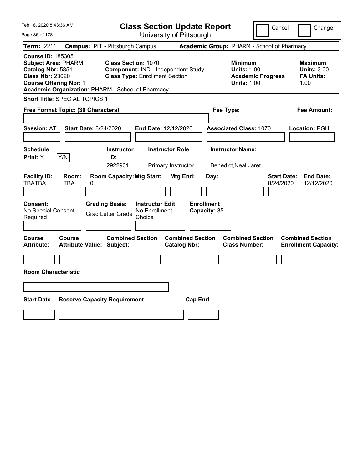| Feb 18, 2020 8:43:36 AM                                                                                                                                                                      |                                            |                                                                                                           |                                                    |                                              | <b>Class Section Update Report</b>        |                                                 |                                                                                        | Cancel                          | Change                                                           |
|----------------------------------------------------------------------------------------------------------------------------------------------------------------------------------------------|--------------------------------------------|-----------------------------------------------------------------------------------------------------------|----------------------------------------------------|----------------------------------------------|-------------------------------------------|-------------------------------------------------|----------------------------------------------------------------------------------------|---------------------------------|------------------------------------------------------------------|
| Page 86 of 178                                                                                                                                                                               |                                            |                                                                                                           |                                                    |                                              | University of Pittsburgh                  |                                                 |                                                                                        |                                 |                                                                  |
| Term: 2211                                                                                                                                                                                   | <b>Campus: PIT - Pittsburgh Campus</b>     |                                                                                                           |                                                    |                                              |                                           |                                                 | Academic Group: PHARM - School of Pharmacy                                             |                                 |                                                                  |
| <b>Course ID: 185305</b><br><b>Subject Area: PHARM</b><br>Catalog Nbr: 5851<br><b>Class Nbr: 23020</b><br><b>Course Offering Nbr: 1</b><br>Academic Organization: PHARM - School of Pharmacy |                                            | <b>Class Section: 1070</b><br>Component: IND - Independent Study<br><b>Class Type: Enrollment Section</b> |                                                    |                                              |                                           |                                                 | <b>Minimum</b><br><b>Units: 1.00</b><br><b>Academic Progress</b><br><b>Units: 1.00</b> |                                 | <b>Maximum</b><br><b>Units: 3.00</b><br><b>FA Units:</b><br>1.00 |
| <b>Short Title: SPECIAL TOPICS 1</b>                                                                                                                                                         |                                            |                                                                                                           |                                                    |                                              |                                           |                                                 |                                                                                        |                                 |                                                                  |
| Free Format Topic: (30 Characters)                                                                                                                                                           |                                            |                                                                                                           |                                                    |                                              |                                           | Fee Type:                                       |                                                                                        |                                 | Fee Amount:                                                      |
| <b>Session: AT</b><br><b>Schedule</b><br>Y/N<br>Print: Y                                                                                                                                     | <b>Start Date: 8/24/2020</b>               | <b>Instructor</b><br>ID:<br>2922931                                                                       | End Date: 12/12/2020                               | <b>Instructor Role</b><br>Primary Instructor |                                           | <b>Instructor Name:</b><br>Benedict, Neal Jaret | <b>Associated Class: 1070</b>                                                          |                                 | Location: PGH                                                    |
| <b>Facility ID:</b><br><b>TBATBA</b><br>Consent:<br>No Special Consent<br>Required                                                                                                           | Room:<br>TBA<br>0                          | <b>Room Capacity: Mtg Start:</b><br><b>Grading Basis:</b><br><b>Grad Letter Grade</b>                     | <b>Instructor Edit:</b><br>No Enrollment<br>Choice | Mtg End:                                     | Day:<br><b>Enrollment</b><br>Capacity: 35 |                                                 |                                                                                        | <b>Start Date:</b><br>8/24/2020 | <b>End Date:</b><br>12/12/2020                                   |
| Course<br><b>Attribute:</b><br><b>Room Characteristic</b>                                                                                                                                    | Course<br><b>Attribute Value: Subject:</b> | <b>Combined Section</b>                                                                                   |                                                    | <b>Catalog Nbr:</b>                          | <b>Combined Section</b>                   |                                                 | <b>Combined Section</b><br><b>Class Number:</b>                                        |                                 | <b>Combined Section</b><br><b>Enrollment Capacity:</b>           |
| <b>Start Date</b>                                                                                                                                                                            | <b>Reserve Capacity Requirement</b>        |                                                                                                           |                                                    |                                              | <b>Cap Enrl</b>                           |                                                 |                                                                                        |                                 |                                                                  |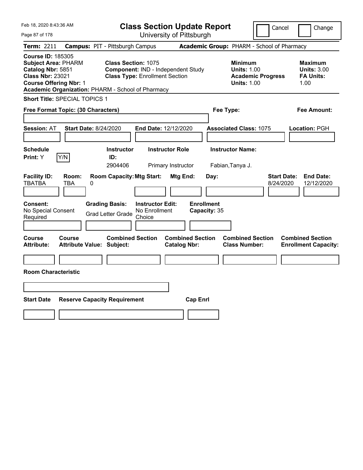| Feb 18, 2020 8:43:36 AM                                                                                                                                                                      |                                            |                                                                                                           | <b>Class Section Update Report</b>       |                                |                                            |                                                          |                                                            |                          | Cancel                          | Change                                                           |
|----------------------------------------------------------------------------------------------------------------------------------------------------------------------------------------------|--------------------------------------------|-----------------------------------------------------------------------------------------------------------|------------------------------------------|--------------------------------|--------------------------------------------|----------------------------------------------------------|------------------------------------------------------------|--------------------------|---------------------------------|------------------------------------------------------------------|
| Page 87 of 178                                                                                                                                                                               |                                            |                                                                                                           |                                          |                                | University of Pittsburgh                   |                                                          |                                                            |                          |                                 |                                                                  |
| Term: 2211                                                                                                                                                                                   | <b>Campus: PIT - Pittsburgh Campus</b>     |                                                                                                           |                                          |                                | Academic Group: PHARM - School of Pharmacy |                                                          |                                                            |                          |                                 |                                                                  |
| <b>Course ID: 185305</b><br><b>Subject Area: PHARM</b><br>Catalog Nbr: 5851<br><b>Class Nbr: 23021</b><br><b>Course Offering Nbr: 1</b><br>Academic Organization: PHARM - School of Pharmacy |                                            | <b>Class Section: 1075</b><br>Component: IND - Independent Study<br><b>Class Type: Enrollment Section</b> |                                          |                                |                                            |                                                          | <b>Minimum</b><br><b>Units: 1.00</b><br><b>Units: 1.00</b> | <b>Academic Progress</b> |                                 | <b>Maximum</b><br><b>Units: 3.00</b><br><b>FA Units:</b><br>1.00 |
| Short Title: SPECIAL TOPICS 1                                                                                                                                                                |                                            |                                                                                                           |                                          |                                |                                            |                                                          |                                                            |                          |                                 |                                                                  |
| Free Format Topic: (30 Characters)                                                                                                                                                           |                                            |                                                                                                           |                                          |                                |                                            | Fee Type:                                                |                                                            |                          |                                 | Fee Amount:                                                      |
| <b>Session: AT</b><br><b>Schedule</b><br>Y/N<br>Print: Y                                                                                                                                     | <b>Start Date: 8/24/2020</b>               | <b>Instructor</b><br>ID:                                                                                  | End Date: 12/12/2020                     | <b>Instructor Role</b>         |                                            | <b>Associated Class: 1075</b><br><b>Instructor Name:</b> |                                                            |                          |                                 | Location: PGH                                                    |
| <b>Facility ID:</b><br><b>TBATBA</b><br>Consent:<br>No Special Consent                                                                                                                       | Room:<br>TBA<br>0                          | 2904406<br><b>Room Capacity: Mtg Start:</b><br><b>Grading Basis:</b><br><b>Grad Letter Grade</b>          | <b>Instructor Edit:</b><br>No Enrollment | Primary Instructor<br>Mtg End: | Day:<br><b>Enrollment</b><br>Capacity: 35  | Fabian, Tanya J.                                         |                                                            |                          | <b>Start Date:</b><br>8/24/2020 | <b>End Date:</b><br>12/12/2020                                   |
| Required                                                                                                                                                                                     |                                            |                                                                                                           | Choice                                   |                                |                                            |                                                          |                                                            |                          |                                 |                                                                  |
| Course<br>Attribute:<br><b>Room Characteristic</b>                                                                                                                                           | Course<br><b>Attribute Value: Subject:</b> | <b>Combined Section</b>                                                                                   |                                          | <b>Catalog Nbr:</b>            | <b>Combined Section</b>                    |                                                          | <b>Combined Section</b><br><b>Class Number:</b>            |                          |                                 | <b>Combined Section</b><br><b>Enrollment Capacity:</b>           |
|                                                                                                                                                                                              |                                            |                                                                                                           |                                          |                                |                                            |                                                          |                                                            |                          |                                 |                                                                  |
| <b>Start Date</b>                                                                                                                                                                            | <b>Reserve Capacity Requirement</b>        |                                                                                                           |                                          |                                | <b>Cap Enrl</b>                            |                                                          |                                                            |                          |                                 |                                                                  |
|                                                                                                                                                                                              |                                            |                                                                                                           |                                          |                                |                                            |                                                          |                                                            |                          |                                 |                                                                  |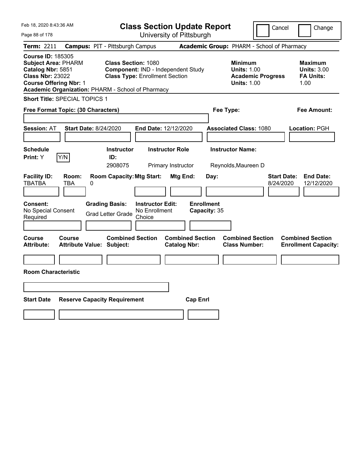| Feb 18, 2020 8:43:36 AM                                                                                                                                                                      |                                                                                            | <b>Class Section Update Report</b>                                          |                                                |                                           |                                                                                        | Cancel                          | Change                                                           |
|----------------------------------------------------------------------------------------------------------------------------------------------------------------------------------------------|--------------------------------------------------------------------------------------------|-----------------------------------------------------------------------------|------------------------------------------------|-------------------------------------------|----------------------------------------------------------------------------------------|---------------------------------|------------------------------------------------------------------|
| Page 88 of 178                                                                                                                                                                               |                                                                                            |                                                                             | University of Pittsburgh                       |                                           |                                                                                        |                                 |                                                                  |
| <b>Term: 2211</b>                                                                                                                                                                            | <b>Campus: PIT - Pittsburgh Campus</b>                                                     |                                                                             |                                                |                                           | Academic Group: PHARM - School of Pharmacy                                             |                                 |                                                                  |
| <b>Course ID: 185305</b><br><b>Subject Area: PHARM</b><br>Catalog Nbr: 5851<br><b>Class Nbr: 23022</b><br><b>Course Offering Nbr: 1</b><br>Academic Organization: PHARM - School of Pharmacy | <b>Class Section: 1080</b>                                                                 | Component: IND - Independent Study<br><b>Class Type: Enrollment Section</b> |                                                |                                           | <b>Minimum</b><br><b>Units: 1.00</b><br><b>Academic Progress</b><br><b>Units: 1.00</b> |                                 | <b>Maximum</b><br><b>Units: 3.00</b><br><b>FA Units:</b><br>1.00 |
| <b>Short Title: SPECIAL TOPICS 1</b>                                                                                                                                                         |                                                                                            |                                                                             |                                                |                                           |                                                                                        |                                 |                                                                  |
| Free Format Topic: (30 Characters)                                                                                                                                                           |                                                                                            |                                                                             |                                                | Fee Type:                                 |                                                                                        |                                 | Fee Amount:                                                      |
| <b>Session: AT</b><br><b>Schedule</b><br>Y/N<br><b>Print: Y</b>                                                                                                                              | <b>Start Date: 8/24/2020</b><br><b>Instructor</b><br>ID:<br>2908075                        | End Date: 12/12/2020                                                        | <b>Instructor Role</b><br>Primary Instructor   |                                           | <b>Associated Class: 1080</b><br><b>Instructor Name:</b><br>Reynolds, Maureen D        |                                 | Location: PGH                                                    |
| <b>Facility ID:</b><br>Room:<br><b>TBATBA</b><br>TBA<br>Consent:<br>No Special Consent<br>Required                                                                                           | <b>Room Capacity: Mtg Start:</b><br>0<br><b>Grading Basis:</b><br><b>Grad Letter Grade</b> | <b>Instructor Edit:</b><br>No Enrollment<br>Choice                          | Mtg End:                                       | Day:<br><b>Enrollment</b><br>Capacity: 35 |                                                                                        | <b>Start Date:</b><br>8/24/2020 | <b>End Date:</b><br>12/12/2020                                   |
| Course<br>Course<br><b>Attribute:</b><br><b>Room Characteristic</b>                                                                                                                          | <b>Combined Section</b><br><b>Attribute Value: Subject:</b>                                |                                                                             | <b>Combined Section</b><br><b>Catalog Nbr:</b> |                                           | <b>Combined Section</b><br><b>Class Number:</b>                                        |                                 | <b>Combined Section</b><br><b>Enrollment Capacity:</b>           |
| <b>Start Date</b>                                                                                                                                                                            | <b>Reserve Capacity Requirement</b>                                                        |                                                                             | <b>Cap Enrl</b>                                |                                           |                                                                                        |                                 |                                                                  |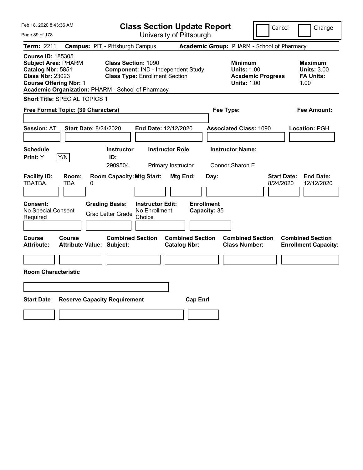| Feb 18, 2020 8:43:36 AM                                                                                                                                                                      |                                                                                                           | <b>Class Section Update Report</b>             | Cancel                                                                                 | Change                                                           |
|----------------------------------------------------------------------------------------------------------------------------------------------------------------------------------------------|-----------------------------------------------------------------------------------------------------------|------------------------------------------------|----------------------------------------------------------------------------------------|------------------------------------------------------------------|
| Page 89 of 178                                                                                                                                                                               |                                                                                                           | University of Pittsburgh                       |                                                                                        |                                                                  |
| Term: 2211                                                                                                                                                                                   | <b>Campus: PIT - Pittsburgh Campus</b>                                                                    |                                                | Academic Group: PHARM - School of Pharmacy                                             |                                                                  |
| <b>Course ID: 185305</b><br><b>Subject Area: PHARM</b><br>Catalog Nbr: 5851<br><b>Class Nbr: 23023</b><br><b>Course Offering Nbr: 1</b><br>Academic Organization: PHARM - School of Pharmacy | <b>Class Section: 1090</b><br>Component: IND - Independent Study<br><b>Class Type: Enrollment Section</b> |                                                | <b>Minimum</b><br><b>Units: 1.00</b><br><b>Academic Progress</b><br><b>Units: 1.00</b> | <b>Maximum</b><br><b>Units: 3.00</b><br><b>FA Units:</b><br>1.00 |
| <b>Short Title: SPECIAL TOPICS 1</b>                                                                                                                                                         |                                                                                                           |                                                |                                                                                        |                                                                  |
| Free Format Topic: (30 Characters)                                                                                                                                                           |                                                                                                           |                                                | Fee Type:                                                                              | Fee Amount:                                                      |
| <b>Start Date: 8/24/2020</b><br><b>Session: AT</b>                                                                                                                                           | End Date: 12/12/2020                                                                                      |                                                | <b>Associated Class: 1090</b>                                                          | Location: PGH                                                    |
| <b>Schedule</b>                                                                                                                                                                              | <b>Instructor</b>                                                                                         | <b>Instructor Role</b>                         | <b>Instructor Name:</b>                                                                |                                                                  |
| Y/N<br>Print: Y                                                                                                                                                                              | ID:<br>2909504                                                                                            | Primary Instructor                             | Connor, Sharon E                                                                       |                                                                  |
| <b>Facility ID:</b><br>Room:<br><b>TBATBA</b><br>TBA<br>0                                                                                                                                    | <b>Room Capacity: Mtg Start:</b>                                                                          | Mtg End:<br>Day:                               | <b>Start Date:</b><br>8/24/2020                                                        | <b>End Date:</b><br>12/12/2020                                   |
| Consent:<br>No Special Consent<br>Required                                                                                                                                                   | <b>Grading Basis:</b><br><b>Instructor Edit:</b><br>No Enrollment<br><b>Grad Letter Grade</b><br>Choice   | <b>Enrollment</b><br>Capacity: 35              |                                                                                        |                                                                  |
|                                                                                                                                                                                              |                                                                                                           |                                                |                                                                                        |                                                                  |
| Course<br>Course<br><b>Attribute:</b><br><b>Attribute Value: Subject:</b>                                                                                                                    | <b>Combined Section</b>                                                                                   | <b>Combined Section</b><br><b>Catalog Nbr:</b> | <b>Combined Section</b><br><b>Class Number:</b>                                        | <b>Combined Section</b><br><b>Enrollment Capacity:</b>           |
|                                                                                                                                                                                              |                                                                                                           |                                                |                                                                                        |                                                                  |
| <b>Room Characteristic</b>                                                                                                                                                                   |                                                                                                           |                                                |                                                                                        |                                                                  |
|                                                                                                                                                                                              |                                                                                                           |                                                |                                                                                        |                                                                  |
| <b>Start Date</b><br><b>Reserve Capacity Requirement</b>                                                                                                                                     |                                                                                                           | <b>Cap Enrl</b>                                |                                                                                        |                                                                  |
|                                                                                                                                                                                              |                                                                                                           |                                                |                                                                                        |                                                                  |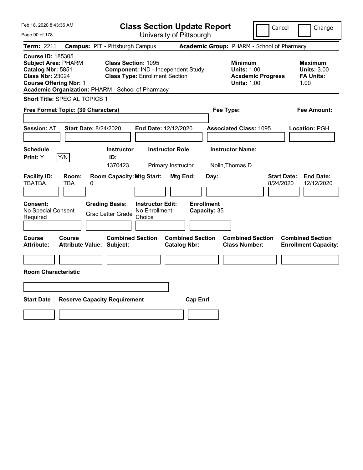| Feb 18, 2020 8:43:36 AM                                                                                                                                                                      |                                                                                            |                                                                             | <b>Class Section Update Report</b>             |           |                                                                                        | Cancel                          | Change                                                           |
|----------------------------------------------------------------------------------------------------------------------------------------------------------------------------------------------|--------------------------------------------------------------------------------------------|-----------------------------------------------------------------------------|------------------------------------------------|-----------|----------------------------------------------------------------------------------------|---------------------------------|------------------------------------------------------------------|
| Page 90 of 178                                                                                                                                                                               |                                                                                            |                                                                             | University of Pittsburgh                       |           |                                                                                        |                                 |                                                                  |
| Term: 2211                                                                                                                                                                                   | <b>Campus: PIT - Pittsburgh Campus</b>                                                     |                                                                             |                                                |           | Academic Group: PHARM - School of Pharmacy                                             |                                 |                                                                  |
| <b>Course ID: 185305</b><br><b>Subject Area: PHARM</b><br>Catalog Nbr: 5851<br><b>Class Nbr: 23024</b><br><b>Course Offering Nbr: 1</b><br>Academic Organization: PHARM - School of Pharmacy | <b>Class Section: 1095</b>                                                                 | Component: IND - Independent Study<br><b>Class Type: Enrollment Section</b> |                                                |           | <b>Minimum</b><br><b>Units: 1.00</b><br><b>Academic Progress</b><br><b>Units: 1.00</b> |                                 | <b>Maximum</b><br><b>Units: 3.00</b><br><b>FA Units:</b><br>1.00 |
| <b>Short Title: SPECIAL TOPICS 1</b>                                                                                                                                                         |                                                                                            |                                                                             |                                                |           |                                                                                        |                                 |                                                                  |
| Free Format Topic: (30 Characters)                                                                                                                                                           |                                                                                            |                                                                             |                                                | Fee Type: |                                                                                        |                                 | Fee Amount:                                                      |
| <b>Session: AT</b><br><b>Schedule</b><br>Y/N<br>Print: Y                                                                                                                                     | <b>Start Date: 8/24/2020</b><br><b>Instructor</b><br>ID:                                   | End Date: 12/12/2020<br><b>Instructor Role</b>                              |                                                |           | <b>Associated Class: 1095</b><br><b>Instructor Name:</b>                               |                                 | Location: PGH                                                    |
|                                                                                                                                                                                              | 1370423                                                                                    |                                                                             | Primary Instructor                             |           | Nolin, Thomas D.                                                                       |                                 |                                                                  |
| <b>Facility ID:</b><br>Room:<br><b>TBATBA</b><br>TBA<br>Consent:<br>No Special Consent                                                                                                       | <b>Room Capacity: Mtg Start:</b><br>0<br><b>Grading Basis:</b><br><b>Grad Letter Grade</b> | <b>Instructor Edit:</b><br>No Enrollment                                    | Mtg End:<br><b>Enrollment</b><br>Capacity: 35  | Day:      |                                                                                        | <b>Start Date:</b><br>8/24/2020 | <b>End Date:</b><br>12/12/2020                                   |
| Required                                                                                                                                                                                     |                                                                                            | Choice                                                                      |                                                |           |                                                                                        |                                 |                                                                  |
| Course<br>Course<br><b>Attribute:</b><br><b>Room Characteristic</b>                                                                                                                          | <b>Combined Section</b><br><b>Attribute Value: Subject:</b>                                |                                                                             | <b>Combined Section</b><br><b>Catalog Nbr:</b> |           | <b>Combined Section</b><br><b>Class Number:</b>                                        |                                 | <b>Combined Section</b><br><b>Enrollment Capacity:</b>           |
|                                                                                                                                                                                              |                                                                                            |                                                                             |                                                |           |                                                                                        |                                 |                                                                  |
| <b>Start Date</b>                                                                                                                                                                            | <b>Reserve Capacity Requirement</b>                                                        |                                                                             | <b>Cap Enrl</b>                                |           |                                                                                        |                                 |                                                                  |
|                                                                                                                                                                                              |                                                                                            |                                                                             |                                                |           |                                                                                        |                                 |                                                                  |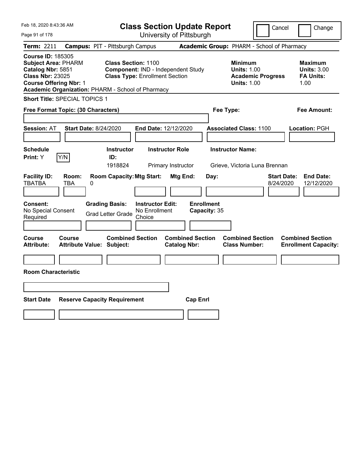| Feb 18, 2020 8:43:36 AM                                                                                                                                                                      |                                                                                                                                             | <b>Class Section Update Report</b>                    | Cancel                                                                                 | Change                                                           |
|----------------------------------------------------------------------------------------------------------------------------------------------------------------------------------------------|---------------------------------------------------------------------------------------------------------------------------------------------|-------------------------------------------------------|----------------------------------------------------------------------------------------|------------------------------------------------------------------|
| Page 91 of 178                                                                                                                                                                               |                                                                                                                                             | University of Pittsburgh                              |                                                                                        |                                                                  |
| Term: 2211                                                                                                                                                                                   | <b>Campus: PIT - Pittsburgh Campus</b>                                                                                                      |                                                       | Academic Group: PHARM - School of Pharmacy                                             |                                                                  |
| <b>Course ID: 185305</b><br><b>Subject Area: PHARM</b><br>Catalog Nbr: 5851<br><b>Class Nbr: 23025</b><br><b>Course Offering Nbr: 1</b><br>Academic Organization: PHARM - School of Pharmacy | <b>Class Section: 1100</b><br>Component: IND - Independent Study<br><b>Class Type: Enrollment Section</b>                                   |                                                       | <b>Minimum</b><br><b>Units: 1.00</b><br><b>Academic Progress</b><br><b>Units: 1.00</b> | <b>Maximum</b><br><b>Units: 3.00</b><br><b>FA Units:</b><br>1.00 |
| Short Title: SPECIAL TOPICS 1                                                                                                                                                                |                                                                                                                                             |                                                       |                                                                                        |                                                                  |
| Free Format Topic: (30 Characters)                                                                                                                                                           |                                                                                                                                             | Fee Type:                                             |                                                                                        | Fee Amount:                                                      |
| <b>Start Date: 8/24/2020</b><br><b>Session: AT</b>                                                                                                                                           | End Date: 12/12/2020                                                                                                                        |                                                       | <b>Associated Class: 1100</b>                                                          | Location: PGH                                                    |
| <b>Schedule</b><br>Y/N<br>Print: Y                                                                                                                                                           | <b>Instructor</b><br>ID:                                                                                                                    | <b>Instructor Role</b>                                | <b>Instructor Name:</b>                                                                |                                                                  |
|                                                                                                                                                                                              | 1918824                                                                                                                                     | Primary Instructor                                    | Grieve, Victoria Luna Brennan                                                          |                                                                  |
| <b>Facility ID:</b><br>Room:<br><b>TBATBA</b><br>TBA<br>0<br><b>Consent:</b><br>No Special Consent<br>Required                                                                               | <b>Room Capacity: Mtg Start:</b><br><b>Grading Basis:</b><br><b>Instructor Edit:</b><br>No Enrollment<br><b>Grad Letter Grade</b><br>Choice | Mtg End:<br>Day:<br><b>Enrollment</b><br>Capacity: 35 | 8/24/2020                                                                              | <b>Start Date:</b><br><b>End Date:</b><br>12/12/2020             |
| <b>Course</b><br><b>Course</b><br><b>Attribute:</b><br><b>Attribute Value: Subject:</b><br><b>Room Characteristic</b>                                                                        | <b>Combined Section</b>                                                                                                                     | <b>Combined Section</b><br><b>Catalog Nbr:</b>        | <b>Combined Section</b><br><b>Class Number:</b>                                        | <b>Combined Section</b><br><b>Enrollment Capacity:</b>           |
|                                                                                                                                                                                              |                                                                                                                                             |                                                       |                                                                                        |                                                                  |
| <b>Start Date</b><br><b>Reserve Capacity Requirement</b>                                                                                                                                     |                                                                                                                                             | <b>Cap Enrl</b>                                       |                                                                                        |                                                                  |
|                                                                                                                                                                                              |                                                                                                                                             |                                                       |                                                                                        |                                                                  |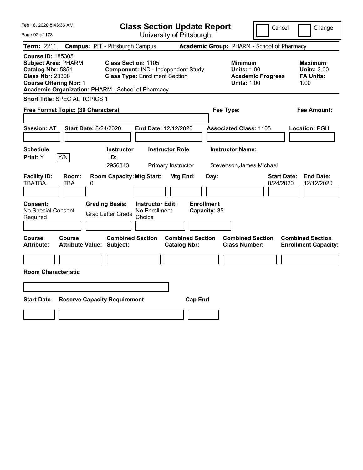| Feb 18, 2020 8:43:36 AM                                                                                                                                                                      |                                        |                                                                                                           | <b>Class Section Update Report</b>                 |                        |                                   |           |                                                                                        | Cancel                          | Change                                                           |
|----------------------------------------------------------------------------------------------------------------------------------------------------------------------------------------------|----------------------------------------|-----------------------------------------------------------------------------------------------------------|----------------------------------------------------|------------------------|-----------------------------------|-----------|----------------------------------------------------------------------------------------|---------------------------------|------------------------------------------------------------------|
| Page 92 of 178                                                                                                                                                                               |                                        |                                                                                                           | University of Pittsburgh                           |                        |                                   |           |                                                                                        |                                 |                                                                  |
| <b>Term: 2211</b>                                                                                                                                                                            | <b>Campus: PIT - Pittsburgh Campus</b> |                                                                                                           |                                                    |                        |                                   |           | Academic Group: PHARM - School of Pharmacy                                             |                                 |                                                                  |
| <b>Course ID: 185305</b><br><b>Subject Area: PHARM</b><br>Catalog Nbr: 5851<br><b>Class Nbr: 23308</b><br><b>Course Offering Nbr: 1</b><br>Academic Organization: PHARM - School of Pharmacy |                                        | <b>Class Section: 1105</b><br>Component: IND - Independent Study<br><b>Class Type: Enrollment Section</b> |                                                    |                        |                                   |           | <b>Minimum</b><br><b>Units: 1.00</b><br><b>Academic Progress</b><br><b>Units: 1.00</b> |                                 | <b>Maximum</b><br><b>Units: 3.00</b><br><b>FA Units:</b><br>1.00 |
| <b>Short Title: SPECIAL TOPICS 1</b>                                                                                                                                                         |                                        |                                                                                                           |                                                    |                        |                                   |           |                                                                                        |                                 |                                                                  |
| Free Format Topic: (30 Characters)                                                                                                                                                           |                                        |                                                                                                           |                                                    |                        |                                   | Fee Type: |                                                                                        |                                 | Fee Amount:                                                      |
| <b>Session: AT</b>                                                                                                                                                                           | <b>Start Date: 8/24/2020</b>           |                                                                                                           | End Date: 12/12/2020                               |                        |                                   |           | <b>Associated Class: 1105</b>                                                          |                                 | Location: PGH                                                    |
| <b>Schedule</b><br>Y/N<br>Print: Y                                                                                                                                                           |                                        | <b>Instructor</b><br>ID:                                                                                  |                                                    | <b>Instructor Role</b> |                                   |           | <b>Instructor Name:</b>                                                                |                                 |                                                                  |
|                                                                                                                                                                                              |                                        | 2956343                                                                                                   |                                                    | Primary Instructor     |                                   |           | Stevenson, James Michael                                                               |                                 |                                                                  |
| <b>Facility ID:</b><br><b>TBATBA</b><br>TBA<br><b>Consent:</b><br>No Special Consent<br>Required                                                                                             | Room:<br>0                             | <b>Room Capacity: Mtg Start:</b><br><b>Grading Basis:</b><br><b>Grad Letter Grade</b>                     | <b>Instructor Edit:</b><br>No Enrollment<br>Choice | Mtg End:               | <b>Enrollment</b><br>Capacity: 35 | Day:      |                                                                                        | <b>Start Date:</b><br>8/24/2020 | <b>End Date:</b><br>12/12/2020                                   |
| Course<br><b>Course</b><br><b>Attribute:</b><br><b>Room Characteristic</b>                                                                                                                   | <b>Attribute Value: Subject:</b>       | <b>Combined Section</b>                                                                                   |                                                    | <b>Catalog Nbr:</b>    | <b>Combined Section</b>           |           | <b>Combined Section</b><br><b>Class Number:</b>                                        |                                 | <b>Combined Section</b><br><b>Enrollment Capacity:</b>           |
|                                                                                                                                                                                              |                                        |                                                                                                           |                                                    |                        |                                   |           |                                                                                        |                                 |                                                                  |
|                                                                                                                                                                                              |                                        |                                                                                                           |                                                    |                        |                                   |           |                                                                                        |                                 |                                                                  |
| <b>Start Date</b>                                                                                                                                                                            | <b>Reserve Capacity Requirement</b>    |                                                                                                           |                                                    |                        | <b>Cap Enrl</b>                   |           |                                                                                        |                                 |                                                                  |
|                                                                                                                                                                                              |                                        |                                                                                                           |                                                    |                        |                                   |           |                                                                                        |                                 |                                                                  |
|                                                                                                                                                                                              |                                        |                                                                                                           |                                                    |                        |                                   |           |                                                                                        |                                 |                                                                  |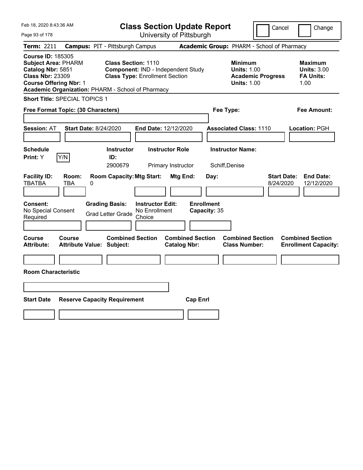| Feb 18, 2020 8:43:36 AM                                                                                                                 |                                                                                            | <b>Class Section Update Report</b>                                                                 |                                                       |                                                                                        | Cancel<br>Change                                                  |
|-----------------------------------------------------------------------------------------------------------------------------------------|--------------------------------------------------------------------------------------------|----------------------------------------------------------------------------------------------------|-------------------------------------------------------|----------------------------------------------------------------------------------------|-------------------------------------------------------------------|
| Page 93 of 178                                                                                                                          |                                                                                            | University of Pittsburgh                                                                           |                                                       |                                                                                        |                                                                   |
| Term: 2211                                                                                                                              | <b>Campus: PIT - Pittsburgh Campus</b>                                                     |                                                                                                    |                                                       | Academic Group: PHARM - School of Pharmacy                                             |                                                                   |
| <b>Course ID: 185305</b><br><b>Subject Area: PHARM</b><br>Catalog Nbr: 5851<br><b>Class Nbr: 23309</b><br><b>Course Offering Nbr: 1</b> | Academic Organization: PHARM - School of Pharmacy                                          | Class Section: 1110<br>Component: IND - Independent Study<br><b>Class Type: Enrollment Section</b> |                                                       | <b>Minimum</b><br><b>Units: 1.00</b><br><b>Academic Progress</b><br><b>Units: 1.00</b> | <b>Maximum</b><br><b>Units: 3.00</b><br><b>FA Units:</b><br>1.00  |
| Short Title: SPECIAL TOPICS 1                                                                                                           |                                                                                            |                                                                                                    |                                                       |                                                                                        |                                                                   |
| Free Format Topic: (30 Characters)                                                                                                      |                                                                                            |                                                                                                    |                                                       | Fee Type:                                                                              | Fee Amount:                                                       |
| <b>Session: AT</b><br><b>Schedule</b>                                                                                                   | <b>Start Date: 8/24/2020</b><br><b>Instructor</b>                                          | End Date: 12/12/2020<br><b>Instructor Role</b>                                                     |                                                       | <b>Associated Class: 1110</b><br><b>Instructor Name:</b>                               | Location: PGH                                                     |
| Y/N<br>Print: Y                                                                                                                         | ID:<br>2900679                                                                             |                                                                                                    |                                                       |                                                                                        |                                                                   |
| <b>Facility ID:</b><br>Room:<br><b>TBATBA</b><br>TBA<br><b>Consent:</b><br>No Special Consent<br>Required                               | <b>Room Capacity: Mtg Start:</b><br>0<br><b>Grading Basis:</b><br><b>Grad Letter Grade</b> | Primary Instructor<br><b>Instructor Edit:</b><br>No Enrollment<br>Choice                           | Mtg End:<br>Day:<br><b>Enrollment</b><br>Capacity: 35 | Schiff, Denise                                                                         | <b>Start Date:</b><br><b>End Date:</b><br>8/24/2020<br>12/12/2020 |
|                                                                                                                                         |                                                                                            |                                                                                                    |                                                       |                                                                                        |                                                                   |
| Course<br><b>Course</b><br><b>Attribute:</b><br><b>Room Characteristic</b>                                                              | <b>Attribute Value: Subject:</b>                                                           | <b>Combined Section</b>                                                                            | <b>Combined Section</b><br><b>Catalog Nbr:</b>        | <b>Combined Section</b><br><b>Class Number:</b>                                        | <b>Combined Section</b><br><b>Enrollment Capacity:</b>            |
|                                                                                                                                         |                                                                                            |                                                                                                    |                                                       |                                                                                        |                                                                   |
| <b>Start Date</b>                                                                                                                       | <b>Reserve Capacity Requirement</b>                                                        |                                                                                                    | <b>Cap Enrl</b>                                       |                                                                                        |                                                                   |
|                                                                                                                                         |                                                                                            |                                                                                                    |                                                       |                                                                                        |                                                                   |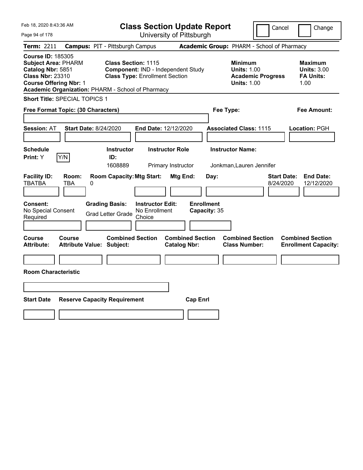| Feb 18, 2020 8:43:36 AM                                                                                                                                                                      |                                        |                                                                                                           |                                                    |                                              | <b>Class Section Update Report</b>        |                                                                                     |                          | Cancel<br>Change                                                  |
|----------------------------------------------------------------------------------------------------------------------------------------------------------------------------------------------|----------------------------------------|-----------------------------------------------------------------------------------------------------------|----------------------------------------------------|----------------------------------------------|-------------------------------------------|-------------------------------------------------------------------------------------|--------------------------|-------------------------------------------------------------------|
| Page 94 of 178                                                                                                                                                                               |                                        |                                                                                                           |                                                    |                                              | University of Pittsburgh                  |                                                                                     |                          |                                                                   |
| Term: 2211                                                                                                                                                                                   | <b>Campus: PIT - Pittsburgh Campus</b> |                                                                                                           |                                                    |                                              |                                           | Academic Group: PHARM - School of Pharmacy                                          |                          |                                                                   |
| <b>Course ID: 185305</b><br><b>Subject Area: PHARM</b><br>Catalog Nbr: 5851<br><b>Class Nbr: 23310</b><br><b>Course Offering Nbr: 1</b><br>Academic Organization: PHARM - School of Pharmacy |                                        | <b>Class Section: 1115</b><br>Component: IND - Independent Study<br><b>Class Type: Enrollment Section</b> |                                                    |                                              |                                           | <b>Minimum</b><br><b>Units: 1.00</b><br><b>Units: 1.00</b>                          | <b>Academic Progress</b> | <b>Maximum</b><br><b>Units: 3.00</b><br><b>FA Units:</b><br>1.00  |
| <b>Short Title: SPECIAL TOPICS 1</b>                                                                                                                                                         |                                        |                                                                                                           |                                                    |                                              |                                           |                                                                                     |                          |                                                                   |
| Free Format Topic: (30 Characters)                                                                                                                                                           |                                        |                                                                                                           |                                                    |                                              |                                           | Fee Type:                                                                           |                          | Fee Amount:                                                       |
| <b>Session: AT</b><br><b>Schedule</b><br>Y/N<br>Print: Y                                                                                                                                     | <b>Start Date: 8/24/2020</b>           | <b>Instructor</b><br>ID:<br>1608889                                                                       | End Date: 12/12/2020                               | <b>Instructor Role</b><br>Primary Instructor |                                           | <b>Associated Class: 1115</b><br><b>Instructor Name:</b><br>Jonkman,Lauren Jennifer |                          | Location: PGH                                                     |
| <b>Facility ID:</b><br><b>TBATBA</b><br>TBA<br>Consent:<br>No Special Consent<br>Required                                                                                                    | Room:<br>0                             | <b>Room Capacity: Mtg Start:</b><br><b>Grading Basis:</b><br><b>Grad Letter Grade</b>                     | <b>Instructor Edit:</b><br>No Enrollment<br>Choice | Mtg End:                                     | Day:<br><b>Enrollment</b><br>Capacity: 35 |                                                                                     |                          | <b>End Date:</b><br><b>Start Date:</b><br>8/24/2020<br>12/12/2020 |
| Course<br>Course<br><b>Attribute:</b><br><b>Room Characteristic</b>                                                                                                                          | <b>Attribute Value: Subject:</b>       | <b>Combined Section</b>                                                                                   |                                                    | <b>Catalog Nbr:</b>                          | <b>Combined Section</b>                   | <b>Combined Section</b><br><b>Class Number:</b>                                     |                          | <b>Combined Section</b><br><b>Enrollment Capacity:</b>            |
| <b>Start Date</b>                                                                                                                                                                            | <b>Reserve Capacity Requirement</b>    |                                                                                                           |                                                    |                                              | <b>Cap Enrl</b>                           |                                                                                     |                          |                                                                   |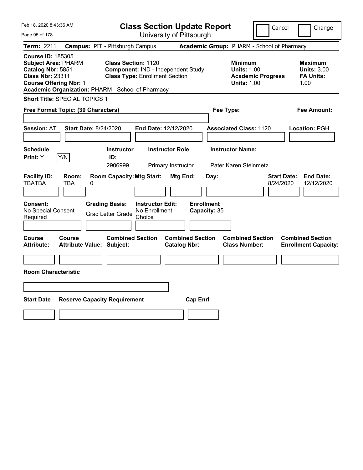| Feb 18, 2020 8:43:36 AM                                                                                                                                                                      |                                                   |                                                                                                           | <b>Class Section Update Report</b> |                                                |                                   |           |                                                            |                          | Cancel                          | Change                                                           |
|----------------------------------------------------------------------------------------------------------------------------------------------------------------------------------------------|---------------------------------------------------|-----------------------------------------------------------------------------------------------------------|------------------------------------|------------------------------------------------|-----------------------------------|-----------|------------------------------------------------------------|--------------------------|---------------------------------|------------------------------------------------------------------|
| Page 95 of 178                                                                                                                                                                               |                                                   |                                                                                                           | University of Pittsburgh           |                                                |                                   |           |                                                            |                          |                                 |                                                                  |
| <b>Term: 2211</b>                                                                                                                                                                            | <b>Campus: PIT - Pittsburgh Campus</b>            |                                                                                                           |                                    |                                                |                                   |           | Academic Group: PHARM - School of Pharmacy                 |                          |                                 |                                                                  |
| <b>Course ID: 185305</b><br><b>Subject Area: PHARM</b><br>Catalog Nbr: 5851<br><b>Class Nbr: 23311</b><br><b>Course Offering Nbr: 1</b><br>Academic Organization: PHARM - School of Pharmacy |                                                   | <b>Class Section: 1120</b><br>Component: IND - Independent Study<br><b>Class Type: Enrollment Section</b> |                                    |                                                |                                   |           | <b>Minimum</b><br><b>Units: 1.00</b><br><b>Units: 1.00</b> | <b>Academic Progress</b> |                                 | <b>Maximum</b><br><b>Units: 3.00</b><br><b>FA Units:</b><br>1.00 |
|                                                                                                                                                                                              | <b>Short Title: SPECIAL TOPICS 1</b>              |                                                                                                           |                                    |                                                |                                   |           |                                                            |                          |                                 |                                                                  |
| Free Format Topic: (30 Characters)                                                                                                                                                           |                                                   |                                                                                                           |                                    |                                                |                                   | Fee Type: |                                                            |                          |                                 | Fee Amount:                                                      |
| <b>Session: AT</b><br><b>Schedule</b>                                                                                                                                                        | <b>Start Date: 8/24/2020</b>                      | <b>Instructor</b>                                                                                         | End Date: 12/12/2020               | <b>Instructor Role</b>                         |                                   |           | <b>Associated Class: 1120</b><br><b>Instructor Name:</b>   |                          |                                 | Location: PGH                                                    |
| Print: Y                                                                                                                                                                                     | Y/N                                               | ID:                                                                                                       |                                    |                                                |                                   |           |                                                            |                          |                                 |                                                                  |
|                                                                                                                                                                                              |                                                   | 2906999                                                                                                   |                                    | Primary Instructor                             |                                   |           | Pater, Karen Steinmetz                                     |                          |                                 |                                                                  |
| <b>Facility ID:</b><br><b>TBATBA</b><br><b>Consent:</b><br>No Special Consent                                                                                                                | Room:<br>TBA<br>0                                 | <b>Room Capacity: Mtg Start:</b><br><b>Grading Basis:</b>                                                 | <b>Instructor Edit:</b>            | Mtg End:                                       | <b>Enrollment</b><br>Capacity: 35 | Day:      |                                                            |                          | <b>Start Date:</b><br>8/24/2020 | <b>End Date:</b><br>12/12/2020                                   |
| Required                                                                                                                                                                                     |                                                   | <b>Grad Letter Grade</b>                                                                                  | No Enrollment<br>Choice            |                                                |                                   |           |                                                            |                          |                                 |                                                                  |
|                                                                                                                                                                                              |                                                   |                                                                                                           |                                    |                                                |                                   |           |                                                            |                          |                                 |                                                                  |
| Course<br><b>Attribute:</b>                                                                                                                                                                  | <b>Course</b><br><b>Attribute Value: Subject:</b> | <b>Combined Section</b>                                                                                   |                                    | <b>Combined Section</b><br><b>Catalog Nbr:</b> |                                   |           | <b>Combined Section</b><br><b>Class Number:</b>            |                          |                                 | <b>Combined Section</b><br><b>Enrollment Capacity:</b>           |
|                                                                                                                                                                                              |                                                   |                                                                                                           |                                    |                                                |                                   |           |                                                            |                          |                                 |                                                                  |
| <b>Room Characteristic</b>                                                                                                                                                                   |                                                   |                                                                                                           |                                    |                                                |                                   |           |                                                            |                          |                                 |                                                                  |
|                                                                                                                                                                                              |                                                   |                                                                                                           |                                    |                                                |                                   |           |                                                            |                          |                                 |                                                                  |
| <b>Start Date</b>                                                                                                                                                                            | <b>Reserve Capacity Requirement</b>               |                                                                                                           |                                    |                                                | <b>Cap Enrl</b>                   |           |                                                            |                          |                                 |                                                                  |
|                                                                                                                                                                                              |                                                   |                                                                                                           |                                    |                                                |                                   |           |                                                            |                          |                                 |                                                                  |
|                                                                                                                                                                                              |                                                   |                                                                                                           |                                    |                                                |                                   |           |                                                            |                          |                                 |                                                                  |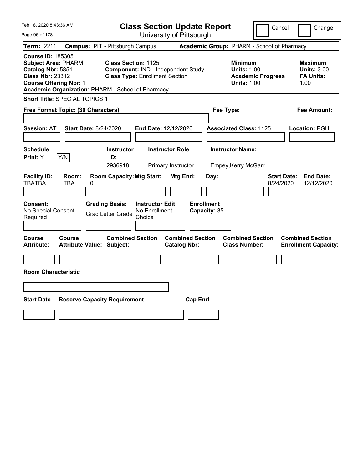| Feb 18, 2020 8:43:36 AM                                                                                                                                                                      |                                                                                                           | <b>Class Section Update Report</b>             |                                                                                        | Cancel<br>Change                                                  |
|----------------------------------------------------------------------------------------------------------------------------------------------------------------------------------------------|-----------------------------------------------------------------------------------------------------------|------------------------------------------------|----------------------------------------------------------------------------------------|-------------------------------------------------------------------|
| Page 96 of 178                                                                                                                                                                               |                                                                                                           | University of Pittsburgh                       |                                                                                        |                                                                   |
| Term: 2211                                                                                                                                                                                   | <b>Campus: PIT - Pittsburgh Campus</b>                                                                    |                                                | Academic Group: PHARM - School of Pharmacy                                             |                                                                   |
| <b>Course ID: 185305</b><br><b>Subject Area: PHARM</b><br>Catalog Nbr: 5851<br><b>Class Nbr: 23312</b><br><b>Course Offering Nbr: 1</b><br>Academic Organization: PHARM - School of Pharmacy | <b>Class Section: 1125</b><br>Component: IND - Independent Study<br><b>Class Type: Enrollment Section</b> |                                                | <b>Minimum</b><br><b>Units: 1.00</b><br><b>Academic Progress</b><br><b>Units: 1.00</b> | <b>Maximum</b><br><b>Units: 3.00</b><br><b>FA Units:</b><br>1.00  |
| <b>Short Title: SPECIAL TOPICS 1</b>                                                                                                                                                         |                                                                                                           |                                                |                                                                                        |                                                                   |
| Free Format Topic: (30 Characters)                                                                                                                                                           |                                                                                                           |                                                | Fee Type:                                                                              | Fee Amount:                                                       |
| <b>Start Date: 8/24/2020</b><br><b>Session: AT</b><br><b>Schedule</b>                                                                                                                        | <b>Instructor</b>                                                                                         | End Date: 12/12/2020<br><b>Instructor Role</b> | <b>Associated Class: 1125</b><br><b>Instructor Name:</b>                               | Location: PGH                                                     |
| Y/N<br>Print: Y                                                                                                                                                                              | ID:                                                                                                       |                                                |                                                                                        |                                                                   |
|                                                                                                                                                                                              | 2936918                                                                                                   | Primary Instructor                             | Empey, Kerry McGarr                                                                    |                                                                   |
| <b>Facility ID:</b><br>Room:<br><b>TBATBA</b><br>TBA<br>0                                                                                                                                    | <b>Room Capacity: Mtg Start:</b>                                                                          | Mtg End:<br>Day:                               |                                                                                        | <b>Start Date:</b><br><b>End Date:</b><br>12/12/2020<br>8/24/2020 |
| Consent:<br>No Special Consent<br>Required                                                                                                                                                   | <b>Grading Basis:</b><br><b>Instructor Edit:</b><br>No Enrollment<br><b>Grad Letter Grade</b><br>Choice   | <b>Enrollment</b><br>Capacity: 35              |                                                                                        |                                                                   |
| Course<br>Course<br><b>Attribute Value: Subject:</b><br><b>Attribute:</b>                                                                                                                    | <b>Combined Section</b>                                                                                   | <b>Combined Section</b><br><b>Catalog Nbr:</b> | <b>Combined Section</b><br><b>Class Number:</b>                                        | <b>Combined Section</b><br><b>Enrollment Capacity:</b>            |
|                                                                                                                                                                                              |                                                                                                           |                                                |                                                                                        |                                                                   |
| <b>Room Characteristic</b>                                                                                                                                                                   |                                                                                                           |                                                |                                                                                        |                                                                   |
|                                                                                                                                                                                              |                                                                                                           |                                                |                                                                                        |                                                                   |
| <b>Start Date</b>                                                                                                                                                                            | <b>Reserve Capacity Requirement</b>                                                                       | <b>Cap Enrl</b>                                |                                                                                        |                                                                   |
|                                                                                                                                                                                              |                                                                                                           |                                                |                                                                                        |                                                                   |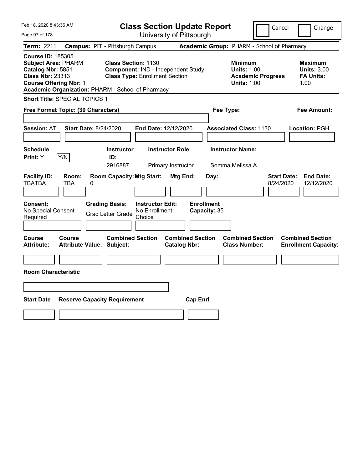|                            |                                                                                                                                                                                                                                                                |                                                                                                                                                                                                                                                                                                                                        |                                                                                                                                                                                                                                               | Cancel<br>Change                                                                                                                                                                                                    |
|----------------------------|----------------------------------------------------------------------------------------------------------------------------------------------------------------------------------------------------------------------------------------------------------------|----------------------------------------------------------------------------------------------------------------------------------------------------------------------------------------------------------------------------------------------------------------------------------------------------------------------------------------|-----------------------------------------------------------------------------------------------------------------------------------------------------------------------------------------------------------------------------------------------|---------------------------------------------------------------------------------------------------------------------------------------------------------------------------------------------------------------------|
|                            |                                                                                                                                                                                                                                                                |                                                                                                                                                                                                                                                                                                                                        |                                                                                                                                                                                                                                               |                                                                                                                                                                                                                     |
|                            |                                                                                                                                                                                                                                                                |                                                                                                                                                                                                                                                                                                                                        |                                                                                                                                                                                                                                               |                                                                                                                                                                                                                     |
|                            |                                                                                                                                                                                                                                                                |                                                                                                                                                                                                                                                                                                                                        | <b>Minimum</b><br><b>Units: 1.00</b><br><b>Academic Progress</b><br><b>Units: 1.00</b>                                                                                                                                                        | <b>Maximum</b><br><b>Units: 3.00</b><br><b>FA Units:</b><br>1.00                                                                                                                                                    |
|                            |                                                                                                                                                                                                                                                                |                                                                                                                                                                                                                                                                                                                                        |                                                                                                                                                                                                                                               |                                                                                                                                                                                                                     |
|                            |                                                                                                                                                                                                                                                                |                                                                                                                                                                                                                                                                                                                                        |                                                                                                                                                                                                                                               | Fee Amount:                                                                                                                                                                                                         |
|                            |                                                                                                                                                                                                                                                                |                                                                                                                                                                                                                                                                                                                                        |                                                                                                                                                                                                                                               | Location: PGH                                                                                                                                                                                                       |
| ID:                        |                                                                                                                                                                                                                                                                |                                                                                                                                                                                                                                                                                                                                        |                                                                                                                                                                                                                                               |                                                                                                                                                                                                                     |
| 2916887                    |                                                                                                                                                                                                                                                                |                                                                                                                                                                                                                                                                                                                                        |                                                                                                                                                                                                                                               |                                                                                                                                                                                                                     |
| 0<br><b>Grading Basis:</b> |                                                                                                                                                                                                                                                                | Day:                                                                                                                                                                                                                                                                                                                                   |                                                                                                                                                                                                                                               | <b>Start Date:</b><br><b>End Date:</b><br>8/24/2020<br>12/12/2020                                                                                                                                                   |
|                            |                                                                                                                                                                                                                                                                |                                                                                                                                                                                                                                                                                                                                        |                                                                                                                                                                                                                                               |                                                                                                                                                                                                                     |
|                            |                                                                                                                                                                                                                                                                |                                                                                                                                                                                                                                                                                                                                        |                                                                                                                                                                                                                                               |                                                                                                                                                                                                                     |
|                            |                                                                                                                                                                                                                                                                |                                                                                                                                                                                                                                                                                                                                        | <b>Combined Section</b><br><b>Class Number:</b>                                                                                                                                                                                               | <b>Combined Section</b><br><b>Enrollment Capacity:</b>                                                                                                                                                              |
|                            |                                                                                                                                                                                                                                                                |                                                                                                                                                                                                                                                                                                                                        |                                                                                                                                                                                                                                               |                                                                                                                                                                                                                     |
|                            |                                                                                                                                                                                                                                                                | <b>Cap Enrl</b>                                                                                                                                                                                                                                                                                                                        |                                                                                                                                                                                                                                               |                                                                                                                                                                                                                     |
|                            | <b>Subject Area: PHARM</b><br><b>Course Offering Nbr: 1</b><br>Short Title: SPECIAL TOPICS 1<br>Free Format Topic: (30 Characters)<br><b>Start Date: 8/24/2020</b><br>Room:<br><b>Course</b><br><b>Attribute Value: Subject:</b><br><b>Room Characteristic</b> | <b>Campus: PIT - Pittsburgh Campus</b><br><b>Class Section: 1130</b><br>Academic Organization: PHARM - School of Pharmacy<br><b>Instructor</b><br><b>Room Capacity: Mtg Start:</b><br><b>Instructor Edit:</b><br>No Enrollment<br><b>Grad Letter Grade</b><br>Choice<br><b>Combined Section</b><br><b>Reserve Capacity Requirement</b> | University of Pittsburgh<br>Component: IND - Independent Study<br><b>Class Type: Enrollment Section</b><br>End Date: 12/12/2020<br><b>Instructor Role</b><br>Primary Instructor<br>Mtg End:<br><b>Combined Section</b><br><b>Catalog Nbr:</b> | <b>Class Section Update Report</b><br>Academic Group: PHARM - School of Pharmacy<br>Fee Type:<br><b>Associated Class: 1130</b><br><b>Instructor Name:</b><br>Somma, Melissa A.<br><b>Enrollment</b><br>Capacity: 35 |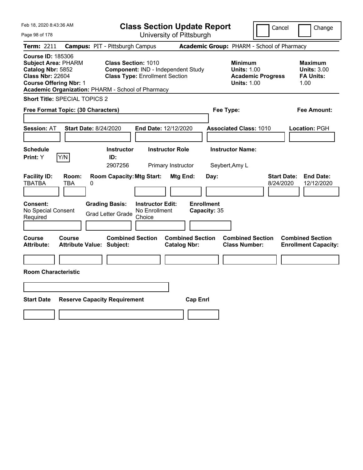| Feb 18, 2020 8:43:36 AM                                                                                                                                                                      |                                                                                            | <b>Class Section Update Report</b>                                          |                                                |                                           |                                                                                        | Cancel                          | Change                                                           |
|----------------------------------------------------------------------------------------------------------------------------------------------------------------------------------------------|--------------------------------------------------------------------------------------------|-----------------------------------------------------------------------------|------------------------------------------------|-------------------------------------------|----------------------------------------------------------------------------------------|---------------------------------|------------------------------------------------------------------|
| Page 98 of 178                                                                                                                                                                               |                                                                                            |                                                                             | University of Pittsburgh                       |                                           |                                                                                        |                                 |                                                                  |
| Term: 2211                                                                                                                                                                                   | <b>Campus: PIT - Pittsburgh Campus</b>                                                     |                                                                             |                                                |                                           | Academic Group: PHARM - School of Pharmacy                                             |                                 |                                                                  |
| <b>Course ID: 185306</b><br><b>Subject Area: PHARM</b><br>Catalog Nbr: 5852<br><b>Class Nbr: 22604</b><br><b>Course Offering Nbr: 1</b><br>Academic Organization: PHARM - School of Pharmacy | <b>Class Section: 1010</b>                                                                 | Component: IND - Independent Study<br><b>Class Type: Enrollment Section</b> |                                                |                                           | <b>Minimum</b><br><b>Units: 1.00</b><br><b>Academic Progress</b><br><b>Units: 1.00</b> |                                 | <b>Maximum</b><br><b>Units: 3.00</b><br><b>FA Units:</b><br>1.00 |
| <b>Short Title: SPECIAL TOPICS 2</b>                                                                                                                                                         |                                                                                            |                                                                             |                                                |                                           |                                                                                        |                                 |                                                                  |
| Free Format Topic: (30 Characters)                                                                                                                                                           |                                                                                            |                                                                             |                                                | Fee Type:                                 |                                                                                        |                                 | Fee Amount:                                                      |
| <b>Session: AT</b><br><b>Schedule</b>                                                                                                                                                        | <b>Start Date: 8/24/2020</b><br><b>Instructor</b>                                          | End Date: 12/12/2020<br><b>Instructor Role</b>                              |                                                |                                           | <b>Associated Class: 1010</b><br><b>Instructor Name:</b>                               |                                 | Location: PGH                                                    |
| Y/N<br>Print: Y                                                                                                                                                                              | ID:                                                                                        |                                                                             | Primary Instructor                             | Seybert, Amy L                            |                                                                                        |                                 |                                                                  |
| <b>Facility ID:</b><br>Room:<br><b>TBATBA</b><br>TBA<br>Consent:<br>No Special Consent<br>Required                                                                                           | <b>Room Capacity: Mtg Start:</b><br>0<br><b>Grading Basis:</b><br><b>Grad Letter Grade</b> | <b>Instructor Edit:</b><br>No Enrollment<br>Choice                          | Mtg End:                                       | Day:<br><b>Enrollment</b><br>Capacity: 35 |                                                                                        | <b>Start Date:</b><br>8/24/2020 | <b>End Date:</b><br>12/12/2020                                   |
| Course<br>Course<br><b>Attribute:</b><br><b>Room Characteristic</b>                                                                                                                          | <b>Combined Section</b><br><b>Attribute Value: Subject:</b>                                |                                                                             | <b>Combined Section</b><br><b>Catalog Nbr:</b> |                                           | <b>Combined Section</b><br><b>Class Number:</b>                                        |                                 | <b>Combined Section</b><br><b>Enrollment Capacity:</b>           |
| <b>Start Date</b>                                                                                                                                                                            | <b>Reserve Capacity Requirement</b>                                                        |                                                                             | <b>Cap Enrl</b>                                |                                           |                                                                                        |                                 |                                                                  |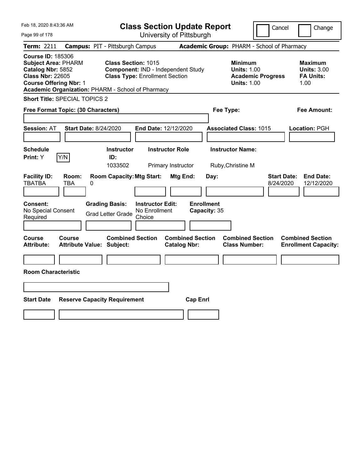| Feb 18, 2020 8:43:36 AM                                                                                                                 |                              |                                                                                                                                                                |                                                    |                          | <b>Class Section Update Report</b>        |                                                                                        | Cancel                          | Change                                                           |
|-----------------------------------------------------------------------------------------------------------------------------------------|------------------------------|----------------------------------------------------------------------------------------------------------------------------------------------------------------|----------------------------------------------------|--------------------------|-------------------------------------------|----------------------------------------------------------------------------------------|---------------------------------|------------------------------------------------------------------|
| Page 99 of 178                                                                                                                          |                              |                                                                                                                                                                |                                                    | University of Pittsburgh |                                           |                                                                                        |                                 |                                                                  |
| Term: 2211                                                                                                                              |                              | <b>Campus: PIT - Pittsburgh Campus</b>                                                                                                                         |                                                    |                          |                                           | Academic Group: PHARM - School of Pharmacy                                             |                                 |                                                                  |
| <b>Course ID: 185306</b><br><b>Subject Area: PHARM</b><br>Catalog Nbr: 5852<br><b>Class Nbr: 22605</b><br><b>Course Offering Nbr: 1</b> |                              | <b>Class Section: 1015</b><br>Component: IND - Independent Study<br><b>Class Type: Enrollment Section</b><br>Academic Organization: PHARM - School of Pharmacy |                                                    |                          |                                           | <b>Minimum</b><br><b>Units: 1.00</b><br><b>Academic Progress</b><br><b>Units: 1.00</b> |                                 | <b>Maximum</b><br><b>Units: 3.00</b><br><b>FA Units:</b><br>1.00 |
| <b>Short Title: SPECIAL TOPICS 2</b>                                                                                                    |                              |                                                                                                                                                                |                                                    |                          |                                           |                                                                                        |                                 |                                                                  |
| Free Format Topic: (30 Characters)                                                                                                      |                              |                                                                                                                                                                |                                                    |                          |                                           | Fee Type:                                                                              |                                 | Fee Amount:                                                      |
| <b>Session: AT</b><br><b>Schedule</b>                                                                                                   | <b>Start Date: 8/24/2020</b> | <b>Instructor</b>                                                                                                                                              | End Date: 12/12/2020                               | <b>Instructor Role</b>   |                                           | <b>Associated Class: 1015</b><br><b>Instructor Name:</b>                               |                                 | Location: PGH                                                    |
| Print: Y                                                                                                                                | Y/N                          | ID:<br>1033502                                                                                                                                                 |                                                    | Primary Instructor       |                                           | Ruby, Christine M                                                                      |                                 |                                                                  |
| <b>Facility ID:</b><br><b>TBATBA</b><br>Consent:<br>No Special Consent<br>Required                                                      | Room:<br>TBA<br>0            | <b>Room Capacity: Mtg Start:</b><br><b>Grading Basis:</b><br><b>Grad Letter Grade</b>                                                                          | <b>Instructor Edit:</b><br>No Enrollment<br>Choice | Mtg End:                 | Day:<br><b>Enrollment</b><br>Capacity: 35 |                                                                                        | <b>Start Date:</b><br>8/24/2020 | <b>End Date:</b><br>12/12/2020                                   |
| Course<br><b>Attribute:</b><br><b>Room Characteristic</b>                                                                               | Course                       | <b>Combined Section</b><br><b>Attribute Value: Subject:</b>                                                                                                    |                                                    | <b>Catalog Nbr:</b>      | <b>Combined Section</b>                   | <b>Combined Section</b><br><b>Class Number:</b>                                        |                                 | <b>Combined Section</b><br><b>Enrollment Capacity:</b>           |
|                                                                                                                                         |                              |                                                                                                                                                                |                                                    |                          |                                           |                                                                                        |                                 |                                                                  |
|                                                                                                                                         |                              |                                                                                                                                                                |                                                    |                          |                                           |                                                                                        |                                 |                                                                  |
| <b>Start Date</b>                                                                                                                       |                              | <b>Reserve Capacity Requirement</b>                                                                                                                            |                                                    |                          | <b>Cap Enrl</b>                           |                                                                                        |                                 |                                                                  |
|                                                                                                                                         |                              |                                                                                                                                                                |                                                    |                          |                                           |                                                                                        |                                 |                                                                  |
|                                                                                                                                         |                              |                                                                                                                                                                |                                                    |                          |                                           |                                                                                        |                                 |                                                                  |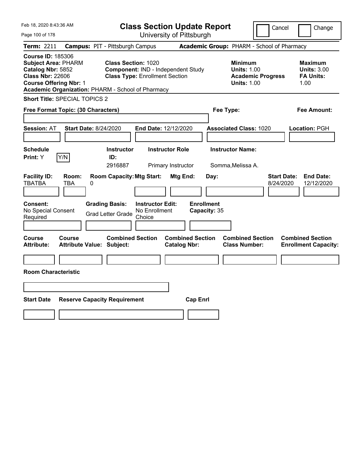| Feb 18, 2020 8:43:36 AM                                                                                                                 |                                                                                 | <b>Class Section Update Report</b>                                          |                                                |                                                                                        | Cancel<br>Change                                                  |
|-----------------------------------------------------------------------------------------------------------------------------------------|---------------------------------------------------------------------------------|-----------------------------------------------------------------------------|------------------------------------------------|----------------------------------------------------------------------------------------|-------------------------------------------------------------------|
| Page 100 of 178                                                                                                                         |                                                                                 | University of Pittsburgh                                                    |                                                |                                                                                        |                                                                   |
| Term: 2211                                                                                                                              | <b>Campus: PIT - Pittsburgh Campus</b>                                          |                                                                             |                                                | Academic Group: PHARM - School of Pharmacy                                             |                                                                   |
| <b>Course ID: 185306</b><br><b>Subject Area: PHARM</b><br>Catalog Nbr: 5852<br><b>Class Nbr: 22606</b><br><b>Course Offering Nbr: 1</b> | <b>Class Section: 1020</b><br>Academic Organization: PHARM - School of Pharmacy | Component: IND - Independent Study<br><b>Class Type: Enrollment Section</b> |                                                | <b>Minimum</b><br><b>Units: 1.00</b><br><b>Academic Progress</b><br><b>Units: 1.00</b> | <b>Maximum</b><br><b>Units: 3.00</b><br><b>FA Units:</b><br>1.00  |
| <b>Short Title: SPECIAL TOPICS 2</b>                                                                                                    |                                                                                 |                                                                             |                                                |                                                                                        |                                                                   |
| Free Format Topic: (30 Characters)                                                                                                      |                                                                                 |                                                                             |                                                | Fee Type:                                                                              | Fee Amount:                                                       |
| <b>Session: AT</b>                                                                                                                      | <b>Start Date: 8/24/2020</b>                                                    | End Date: 12/12/2020                                                        |                                                | <b>Associated Class: 1020</b>                                                          | Location: PGH                                                     |
| <b>Schedule</b><br>Y/N<br>Print: Y                                                                                                      | <b>Instructor</b><br>ID:<br>2916887                                             | <b>Instructor Role</b><br>Primary Instructor                                |                                                | <b>Instructor Name:</b><br>Somma, Melissa A.                                           |                                                                   |
| <b>Facility ID:</b><br>Room:<br><b>TBATBA</b><br>TBA                                                                                    | <b>Room Capacity: Mtg Start:</b><br>0                                           |                                                                             | Mtg End:<br>Day:                               |                                                                                        | <b>End Date:</b><br><b>Start Date:</b><br>12/12/2020<br>8/24/2020 |
| Consent:<br>No Special Consent<br>Required                                                                                              | <b>Grading Basis:</b><br><b>Grad Letter Grade</b>                               | <b>Instructor Edit:</b><br>No Enrollment<br>Choice                          | <b>Enrollment</b><br>Capacity: 35              |                                                                                        |                                                                   |
| Course<br>Course<br><b>Attribute:</b>                                                                                                   | <b>Combined Section</b><br><b>Attribute Value: Subject:</b>                     |                                                                             | <b>Combined Section</b><br><b>Catalog Nbr:</b> | <b>Combined Section</b><br><b>Class Number:</b>                                        | <b>Combined Section</b><br><b>Enrollment Capacity:</b>            |
|                                                                                                                                         |                                                                                 |                                                                             |                                                |                                                                                        |                                                                   |
| <b>Room Characteristic</b>                                                                                                              |                                                                                 |                                                                             |                                                |                                                                                        |                                                                   |
|                                                                                                                                         |                                                                                 |                                                                             |                                                |                                                                                        |                                                                   |
| <b>Start Date</b>                                                                                                                       | <b>Reserve Capacity Requirement</b>                                             |                                                                             | <b>Cap Enrl</b>                                |                                                                                        |                                                                   |
|                                                                                                                                         |                                                                                 |                                                                             |                                                |                                                                                        |                                                                   |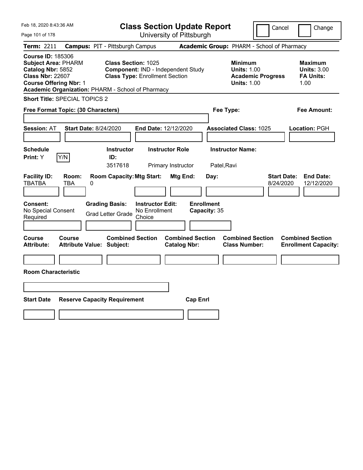| Feb 18, 2020 8:43:36 AM                                                                                                                                                                      |                                            |                                                                                                           |                                                    |                                              | <b>Class Section Update Report</b> |                                                            | Cancel                          | Change                                                           |
|----------------------------------------------------------------------------------------------------------------------------------------------------------------------------------------------|--------------------------------------------|-----------------------------------------------------------------------------------------------------------|----------------------------------------------------|----------------------------------------------|------------------------------------|------------------------------------------------------------|---------------------------------|------------------------------------------------------------------|
| Page 101 of 178                                                                                                                                                                              |                                            |                                                                                                           |                                                    | University of Pittsburgh                     |                                    |                                                            |                                 |                                                                  |
| Term: 2211                                                                                                                                                                                   | <b>Campus: PIT - Pittsburgh Campus</b>     |                                                                                                           |                                                    |                                              |                                    | Academic Group: PHARM - School of Pharmacy                 |                                 |                                                                  |
| <b>Course ID: 185306</b><br><b>Subject Area: PHARM</b><br>Catalog Nbr: 5852<br><b>Class Nbr: 22607</b><br><b>Course Offering Nbr: 1</b><br>Academic Organization: PHARM - School of Pharmacy |                                            | <b>Class Section: 1025</b><br>Component: IND - Independent Study<br><b>Class Type: Enrollment Section</b> |                                                    |                                              |                                    | <b>Minimum</b><br><b>Units: 1.00</b><br><b>Units: 1.00</b> | <b>Academic Progress</b>        | <b>Maximum</b><br><b>Units: 3.00</b><br><b>FA Units:</b><br>1.00 |
| <b>Short Title: SPECIAL TOPICS 2</b>                                                                                                                                                         |                                            |                                                                                                           |                                                    |                                              |                                    |                                                            |                                 |                                                                  |
| Free Format Topic: (30 Characters)                                                                                                                                                           |                                            |                                                                                                           |                                                    |                                              |                                    | Fee Type:                                                  |                                 | Fee Amount:                                                      |
| <b>Session: AT</b>                                                                                                                                                                           | <b>Start Date: 8/24/2020</b>               |                                                                                                           | End Date: 12/12/2020                               |                                              |                                    | <b>Associated Class: 1025</b>                              |                                 | Location: PGH                                                    |
| <b>Schedule</b><br>Y/N<br>Print: Y                                                                                                                                                           |                                            | <b>Instructor</b><br>ID:<br>3517618                                                                       |                                                    | <b>Instructor Role</b><br>Primary Instructor |                                    | <b>Instructor Name:</b><br>Patel, Ravi                     |                                 |                                                                  |
| <b>Facility ID:</b><br><b>TBATBA</b>                                                                                                                                                         | Room:<br>TBA<br>0                          | <b>Room Capacity: Mtg Start:</b>                                                                          |                                                    | Mtg End:                                     | Day:                               |                                                            | <b>Start Date:</b><br>8/24/2020 | <b>End Date:</b><br>12/12/2020                                   |
| <b>Consent:</b><br>No Special Consent<br>Required                                                                                                                                            |                                            | <b>Grading Basis:</b><br><b>Grad Letter Grade</b>                                                         | <b>Instructor Edit:</b><br>No Enrollment<br>Choice |                                              | <b>Enrollment</b><br>Capacity: 35  |                                                            |                                 |                                                                  |
| Course<br>Attribute:                                                                                                                                                                         | Course<br><b>Attribute Value: Subject:</b> | <b>Combined Section</b>                                                                                   |                                                    | <b>Catalog Nbr:</b>                          | <b>Combined Section</b>            | <b>Combined Section</b><br><b>Class Number:</b>            |                                 | <b>Combined Section</b><br><b>Enrollment Capacity:</b>           |
| <b>Room Characteristic</b>                                                                                                                                                                   |                                            |                                                                                                           |                                                    |                                              |                                    |                                                            |                                 |                                                                  |
|                                                                                                                                                                                              |                                            |                                                                                                           |                                                    |                                              |                                    |                                                            |                                 |                                                                  |
| <b>Start Date</b>                                                                                                                                                                            | <b>Reserve Capacity Requirement</b>        |                                                                                                           |                                                    |                                              | <b>Cap Enrl</b>                    |                                                            |                                 |                                                                  |
|                                                                                                                                                                                              |                                            |                                                                                                           |                                                    |                                              |                                    |                                                            |                                 |                                                                  |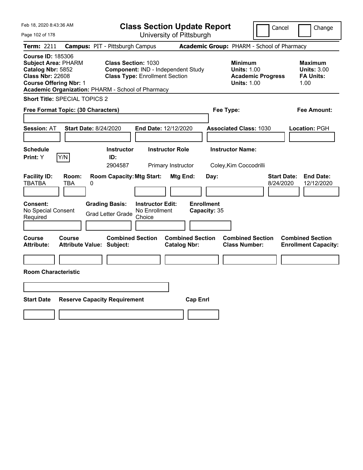| Feb 18, 2020 8:43:36 AM                                                                                                                                                                      |                                                             | <b>Class Section Update Report</b>                                          |                                                |                                   |                                                                                        | Cancel                          | Change                                                           |
|----------------------------------------------------------------------------------------------------------------------------------------------------------------------------------------------|-------------------------------------------------------------|-----------------------------------------------------------------------------|------------------------------------------------|-----------------------------------|----------------------------------------------------------------------------------------|---------------------------------|------------------------------------------------------------------|
| Page 102 of 178                                                                                                                                                                              |                                                             |                                                                             | University of Pittsburgh                       |                                   |                                                                                        |                                 |                                                                  |
| Term: 2211                                                                                                                                                                                   | <b>Campus: PIT - Pittsburgh Campus</b>                      |                                                                             |                                                |                                   | Academic Group: PHARM - School of Pharmacy                                             |                                 |                                                                  |
| <b>Course ID: 185306</b><br><b>Subject Area: PHARM</b><br>Catalog Nbr: 5852<br><b>Class Nbr: 22608</b><br><b>Course Offering Nbr: 1</b><br>Academic Organization: PHARM - School of Pharmacy | <b>Class Section: 1030</b>                                  | Component: IND - Independent Study<br><b>Class Type: Enrollment Section</b> |                                                |                                   | <b>Minimum</b><br><b>Units: 1.00</b><br><b>Academic Progress</b><br><b>Units: 1.00</b> |                                 | <b>Maximum</b><br><b>Units: 3.00</b><br><b>FA Units:</b><br>1.00 |
| <b>Short Title: SPECIAL TOPICS 2</b>                                                                                                                                                         |                                                             |                                                                             |                                                |                                   |                                                                                        |                                 |                                                                  |
| Free Format Topic: (30 Characters)                                                                                                                                                           |                                                             |                                                                             |                                                | Fee Type:                         |                                                                                        |                                 | Fee Amount:                                                      |
| <b>Session: AT</b><br><b>Schedule</b><br>Y/N<br><b>Print: Y</b>                                                                                                                              | <b>Start Date: 8/24/2020</b><br><b>Instructor</b><br>ID:    | <b>End Date: 12/12/2020</b><br><b>Instructor Role</b>                       |                                                |                                   | <b>Associated Class: 1030</b><br><b>Instructor Name:</b>                               |                                 | Location: PGH                                                    |
|                                                                                                                                                                                              | 2904587                                                     |                                                                             | Primary Instructor                             |                                   | Coley, Kim Coccodrilli                                                                 |                                 |                                                                  |
| <b>Facility ID:</b><br>Room:<br><b>TBATBA</b><br>TBA                                                                                                                                         | <b>Room Capacity: Mtg Start:</b><br>0                       |                                                                             | Mtg End:                                       | Day:                              |                                                                                        | <b>Start Date:</b><br>8/24/2020 | <b>End Date:</b><br>12/12/2020                                   |
| <b>Consent:</b><br>No Special Consent<br>Required                                                                                                                                            | <b>Grading Basis:</b><br><b>Grad Letter Grade</b>           | <b>Instructor Edit:</b><br>No Enrollment<br>Choice                          |                                                | <b>Enrollment</b><br>Capacity: 35 |                                                                                        |                                 |                                                                  |
| Course<br>Course<br><b>Attribute:</b>                                                                                                                                                        | <b>Combined Section</b><br><b>Attribute Value: Subject:</b> |                                                                             | <b>Combined Section</b><br><b>Catalog Nbr:</b> |                                   | <b>Combined Section</b><br><b>Class Number:</b>                                        |                                 | <b>Combined Section</b><br><b>Enrollment Capacity:</b>           |
|                                                                                                                                                                                              |                                                             |                                                                             |                                                |                                   |                                                                                        |                                 |                                                                  |
| <b>Room Characteristic</b>                                                                                                                                                                   |                                                             |                                                                             |                                                |                                   |                                                                                        |                                 |                                                                  |
|                                                                                                                                                                                              |                                                             |                                                                             |                                                |                                   |                                                                                        |                                 |                                                                  |
| <b>Start Date</b>                                                                                                                                                                            | <b>Reserve Capacity Requirement</b>                         |                                                                             | <b>Cap Enrl</b>                                |                                   |                                                                                        |                                 |                                                                  |
|                                                                                                                                                                                              |                                                             |                                                                             |                                                |                                   |                                                                                        |                                 |                                                                  |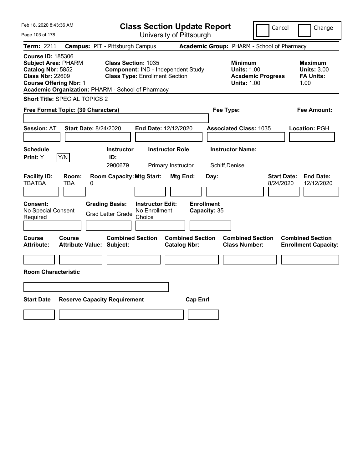| Feb 18, 2020 8:43:36 AM                                                                                                                                                                      |                                                                                            |                                                    | <b>Class Section Update Report</b>             |                                           |                                                            | Cancel                                     | Change                                                           |
|----------------------------------------------------------------------------------------------------------------------------------------------------------------------------------------------|--------------------------------------------------------------------------------------------|----------------------------------------------------|------------------------------------------------|-------------------------------------------|------------------------------------------------------------|--------------------------------------------|------------------------------------------------------------------|
| Page 103 of 178                                                                                                                                                                              |                                                                                            |                                                    | University of Pittsburgh                       |                                           |                                                            |                                            |                                                                  |
| Term: 2211                                                                                                                                                                                   | <b>Campus: PIT - Pittsburgh Campus</b>                                                     |                                                    |                                                |                                           |                                                            | Academic Group: PHARM - School of Pharmacy |                                                                  |
| <b>Course ID: 185306</b><br><b>Subject Area: PHARM</b><br>Catalog Nbr: 5852<br><b>Class Nbr: 22609</b><br><b>Course Offering Nbr: 1</b><br>Academic Organization: PHARM - School of Pharmacy | Class Section: 1035                                                                        | <b>Class Type: Enrollment Section</b>              | Component: IND - Independent Study             |                                           | <b>Minimum</b><br><b>Units: 1.00</b><br><b>Units: 1.00</b> | <b>Academic Progress</b>                   | <b>Maximum</b><br><b>Units: 3.00</b><br><b>FA Units:</b><br>1.00 |
| Short Title: SPECIAL TOPICS 2                                                                                                                                                                |                                                                                            |                                                    |                                                |                                           |                                                            |                                            |                                                                  |
| Free Format Topic: (30 Characters)                                                                                                                                                           |                                                                                            |                                                    |                                                | Fee Type:                                 |                                                            |                                            | Fee Amount:                                                      |
| <b>Session: AT</b>                                                                                                                                                                           | <b>Start Date: 8/24/2020</b>                                                               | End Date: 12/12/2020                               |                                                |                                           | <b>Associated Class: 1035</b>                              |                                            | Location: PGH                                                    |
| <b>Schedule</b><br>Y/N<br>Print: Y                                                                                                                                                           | <b>Instructor</b><br>ID:                                                                   |                                                    | <b>Instructor Role</b>                         |                                           | <b>Instructor Name:</b>                                    |                                            |                                                                  |
|                                                                                                                                                                                              | 2900679                                                                                    |                                                    | Primary Instructor                             | Schiff, Denise                            |                                                            |                                            |                                                                  |
| <b>Facility ID:</b><br>Room:<br><b>TBATBA</b><br><b>TBA</b><br><b>Consent:</b><br>No Special Consent<br>Required                                                                             | <b>Room Capacity: Mtg Start:</b><br>0<br><b>Grading Basis:</b><br><b>Grad Letter Grade</b> | <b>Instructor Edit:</b><br>No Enrollment<br>Choice | Mtg End:                                       | Day:<br><b>Enrollment</b><br>Capacity: 35 |                                                            | 8/24/2020                                  | <b>Start Date:</b><br><b>End Date:</b><br>12/12/2020             |
| <b>Course</b><br><b>Course</b><br><b>Attribute:</b><br><b>Room Characteristic</b>                                                                                                            | <b>Combined Section</b><br><b>Attribute Value: Subject:</b>                                |                                                    | <b>Combined Section</b><br><b>Catalog Nbr:</b> |                                           | <b>Combined Section</b><br><b>Class Number:</b>            |                                            | <b>Combined Section</b><br><b>Enrollment Capacity:</b>           |
|                                                                                                                                                                                              |                                                                                            |                                                    |                                                |                                           |                                                            |                                            |                                                                  |
| <b>Start Date</b>                                                                                                                                                                            | <b>Reserve Capacity Requirement</b>                                                        |                                                    | <b>Cap Enrl</b>                                |                                           |                                                            |                                            |                                                                  |
|                                                                                                                                                                                              |                                                                                            |                                                    |                                                |                                           |                                                            |                                            |                                                                  |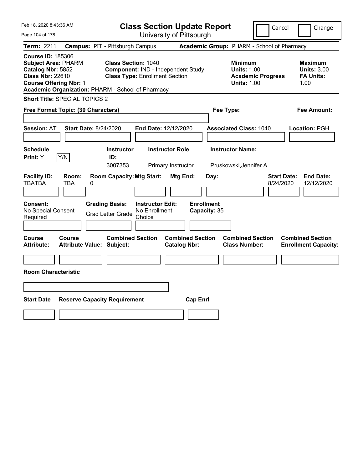| Feb 18, 2020 8:43:36 AM                                                                                                                                                                      |                                                             |                                                                             | <b>Class Section Update Report</b>             |                                                                                        | Cancel<br>Change                                                  |
|----------------------------------------------------------------------------------------------------------------------------------------------------------------------------------------------|-------------------------------------------------------------|-----------------------------------------------------------------------------|------------------------------------------------|----------------------------------------------------------------------------------------|-------------------------------------------------------------------|
| Page 104 of 178                                                                                                                                                                              |                                                             |                                                                             | University of Pittsburgh                       |                                                                                        |                                                                   |
| Term: 2211                                                                                                                                                                                   | <b>Campus: PIT - Pittsburgh Campus</b>                      |                                                                             |                                                | Academic Group: PHARM - School of Pharmacy                                             |                                                                   |
| <b>Course ID: 185306</b><br><b>Subject Area: PHARM</b><br>Catalog Nbr: 5852<br><b>Class Nbr: 22610</b><br><b>Course Offering Nbr: 1</b><br>Academic Organization: PHARM - School of Pharmacy | <b>Class Section: 1040</b>                                  | Component: IND - Independent Study<br><b>Class Type: Enrollment Section</b> |                                                | <b>Minimum</b><br><b>Units: 1.00</b><br><b>Academic Progress</b><br><b>Units: 1.00</b> | <b>Maximum</b><br><b>Units: 3.00</b><br><b>FA Units:</b><br>1.00  |
| <b>Short Title: SPECIAL TOPICS 2</b>                                                                                                                                                         |                                                             |                                                                             |                                                |                                                                                        |                                                                   |
| Free Format Topic: (30 Characters)                                                                                                                                                           |                                                             |                                                                             |                                                | Fee Type:                                                                              | Fee Amount:                                                       |
| <b>Session: AT</b><br><b>Schedule</b><br>Y/N<br><b>Print: Y</b>                                                                                                                              | <b>Start Date: 8/24/2020</b><br><b>Instructor</b><br>ID:    | <b>End Date: 12/12/2020</b><br><b>Instructor Role</b>                       |                                                | <b>Associated Class: 1040</b><br><b>Instructor Name:</b>                               | Location: PGH                                                     |
| <b>Facility ID:</b><br>Room:<br><b>TBATBA</b><br>TBA                                                                                                                                         | 3007353<br><b>Room Capacity: Mtg Start:</b><br>0            | Primary Instructor                                                          | Mtg End:<br>Day:                               | Pruskowski, Jennifer A                                                                 | <b>Start Date:</b><br><b>End Date:</b><br>8/24/2020<br>12/12/2020 |
|                                                                                                                                                                                              |                                                             |                                                                             |                                                |                                                                                        |                                                                   |
| <b>Consent:</b><br>No Special Consent<br>Required                                                                                                                                            | <b>Grading Basis:</b><br><b>Grad Letter Grade</b>           | <b>Instructor Edit:</b><br>No Enrollment<br>Choice                          | <b>Enrollment</b><br>Capacity: 35              |                                                                                        |                                                                   |
| Course<br>Course<br><b>Attribute:</b>                                                                                                                                                        | <b>Combined Section</b><br><b>Attribute Value: Subject:</b> |                                                                             | <b>Combined Section</b><br><b>Catalog Nbr:</b> | <b>Combined Section</b><br><b>Class Number:</b>                                        | <b>Combined Section</b><br><b>Enrollment Capacity:</b>            |
|                                                                                                                                                                                              |                                                             |                                                                             |                                                |                                                                                        |                                                                   |
| <b>Room Characteristic</b>                                                                                                                                                                   |                                                             |                                                                             |                                                |                                                                                        |                                                                   |
|                                                                                                                                                                                              |                                                             |                                                                             |                                                |                                                                                        |                                                                   |
| <b>Start Date</b>                                                                                                                                                                            | <b>Reserve Capacity Requirement</b>                         |                                                                             | <b>Cap Enrl</b>                                |                                                                                        |                                                                   |
|                                                                                                                                                                                              |                                                             |                                                                             |                                                |                                                                                        |                                                                   |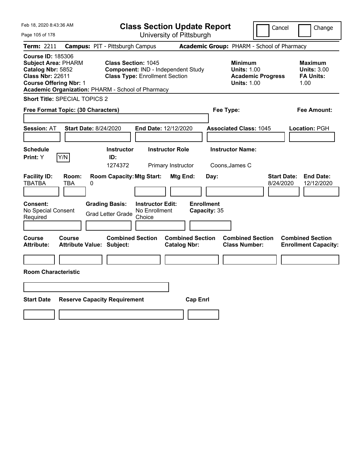| Feb 18, 2020 8:43:36 AM                                                                                                                                                                      |                                                                                                       | <b>Class Section Update Report</b>                                          |                                                |                                           |                                                                                        | Cancel                          | Change                                                           |
|----------------------------------------------------------------------------------------------------------------------------------------------------------------------------------------------|-------------------------------------------------------------------------------------------------------|-----------------------------------------------------------------------------|------------------------------------------------|-------------------------------------------|----------------------------------------------------------------------------------------|---------------------------------|------------------------------------------------------------------|
| Page 105 of 178                                                                                                                                                                              |                                                                                                       |                                                                             | University of Pittsburgh                       |                                           |                                                                                        |                                 |                                                                  |
| Term: 2211                                                                                                                                                                                   | <b>Campus: PIT - Pittsburgh Campus</b>                                                                |                                                                             |                                                |                                           | Academic Group: PHARM - School of Pharmacy                                             |                                 |                                                                  |
| <b>Course ID: 185306</b><br><b>Subject Area: PHARM</b><br>Catalog Nbr: 5852<br><b>Class Nbr: 22611</b><br><b>Course Offering Nbr: 1</b><br>Academic Organization: PHARM - School of Pharmacy | <b>Class Section: 1045</b>                                                                            | Component: IND - Independent Study<br><b>Class Type: Enrollment Section</b> |                                                |                                           | <b>Minimum</b><br><b>Units: 1.00</b><br><b>Academic Progress</b><br><b>Units: 1.00</b> |                                 | <b>Maximum</b><br><b>Units: 3.00</b><br><b>FA Units:</b><br>1.00 |
| <b>Short Title: SPECIAL TOPICS 2</b>                                                                                                                                                         |                                                                                                       |                                                                             |                                                |                                           |                                                                                        |                                 |                                                                  |
| Free Format Topic: (30 Characters)                                                                                                                                                           |                                                                                                       |                                                                             |                                                | Fee Type:                                 |                                                                                        |                                 | Fee Amount:                                                      |
| <b>Session: AT</b><br><b>Schedule</b>                                                                                                                                                        | <b>Start Date: 8/24/2020</b><br><b>Instructor</b>                                                     | End Date: 12/12/2020<br><b>Instructor Role</b>                              |                                                |                                           | <b>Associated Class: 1045</b><br><b>Instructor Name:</b>                               |                                 | Location: PGH                                                    |
| Y/N<br>Print: Y                                                                                                                                                                              | ID:                                                                                                   |                                                                             |                                                |                                           |                                                                                        |                                 |                                                                  |
| <b>Facility ID:</b><br>Room:<br><b>TBATBA</b><br>TBA<br>Consent:<br>No Special Consent<br>Required                                                                                           | 1274372<br><b>Room Capacity: Mtg Start:</b><br>0<br><b>Grading Basis:</b><br><b>Grad Letter Grade</b> | <b>Instructor Edit:</b><br>No Enrollment<br>Choice                          | Primary Instructor<br>Mtg End:                 | Day:<br><b>Enrollment</b><br>Capacity: 35 | Coons, James C                                                                         | <b>Start Date:</b><br>8/24/2020 | <b>End Date:</b><br>12/12/2020                                   |
| Course<br>Course<br><b>Attribute:</b><br><b>Room Characteristic</b>                                                                                                                          | <b>Combined Section</b><br><b>Attribute Value: Subject:</b>                                           |                                                                             | <b>Combined Section</b><br><b>Catalog Nbr:</b> |                                           | <b>Combined Section</b><br><b>Class Number:</b>                                        |                                 | <b>Combined Section</b><br><b>Enrollment Capacity:</b>           |
| <b>Start Date</b>                                                                                                                                                                            | <b>Reserve Capacity Requirement</b>                                                                   |                                                                             | <b>Cap Enrl</b>                                |                                           |                                                                                        |                                 |                                                                  |
|                                                                                                                                                                                              |                                                                                                       |                                                                             |                                                |                                           |                                                                                        |                                 |                                                                  |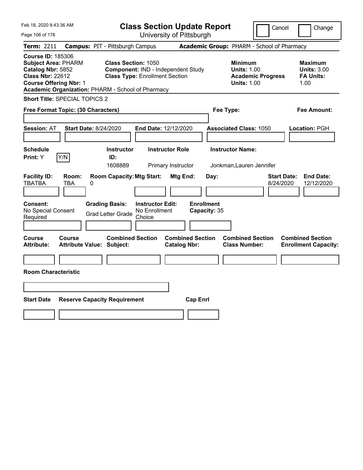| Feb 18, 2020 8:43:36 AM                                                                                                                                                                      |                                                             |                                                                             | <b>Class Section Update Report</b>             |                                                                                        | Cancel                          | Change                                                           |  |
|----------------------------------------------------------------------------------------------------------------------------------------------------------------------------------------------|-------------------------------------------------------------|-----------------------------------------------------------------------------|------------------------------------------------|----------------------------------------------------------------------------------------|---------------------------------|------------------------------------------------------------------|--|
| Page 106 of 178                                                                                                                                                                              |                                                             | University of Pittsburgh                                                    |                                                |                                                                                        |                                 |                                                                  |  |
| Term: 2211                                                                                                                                                                                   | <b>Campus: PIT - Pittsburgh Campus</b>                      |                                                                             |                                                | Academic Group: PHARM - School of Pharmacy                                             |                                 |                                                                  |  |
| <b>Course ID: 185306</b><br><b>Subject Area: PHARM</b><br>Catalog Nbr: 5852<br><b>Class Nbr: 22612</b><br><b>Course Offering Nbr: 1</b><br>Academic Organization: PHARM - School of Pharmacy | <b>Class Section: 1050</b>                                  | Component: IND - Independent Study<br><b>Class Type: Enrollment Section</b> |                                                | <b>Minimum</b><br><b>Units: 1.00</b><br><b>Academic Progress</b><br><b>Units: 1.00</b> |                                 | <b>Maximum</b><br><b>Units: 3.00</b><br><b>FA Units:</b><br>1.00 |  |
| <b>Short Title: SPECIAL TOPICS 2</b>                                                                                                                                                         |                                                             |                                                                             |                                                |                                                                                        |                                 |                                                                  |  |
| Free Format Topic: (30 Characters)                                                                                                                                                           |                                                             |                                                                             |                                                | Fee Type:                                                                              |                                 | Fee Amount:                                                      |  |
| <b>Start Date: 8/24/2020</b><br><b>Session: AT</b>                                                                                                                                           |                                                             | End Date: 12/12/2020                                                        |                                                | <b>Associated Class: 1050</b>                                                          |                                 | Location: PGH                                                    |  |
| <b>Schedule</b>                                                                                                                                                                              | <b>Instructor</b>                                           | <b>Instructor Role</b>                                                      |                                                | <b>Instructor Name:</b>                                                                |                                 |                                                                  |  |
| Y/N<br>Print: Y                                                                                                                                                                              | ID:<br>1608889                                              | Primary Instructor                                                          |                                                | Jonkman, Lauren Jennifer                                                               |                                 |                                                                  |  |
| <b>Facility ID:</b><br>Room:<br><b>TBATBA</b><br>TBA<br>0                                                                                                                                    | <b>Room Capacity: Mtg Start:</b>                            |                                                                             | Mtg End:<br>Day:                               |                                                                                        | <b>Start Date:</b><br>8/24/2020 | <b>End Date:</b><br>12/12/2020                                   |  |
| Consent:<br>No Special Consent<br>Required                                                                                                                                                   | <b>Grading Basis:</b><br><b>Grad Letter Grade</b>           | <b>Instructor Edit:</b><br>No Enrollment<br>Choice                          | <b>Enrollment</b><br>Capacity: 35              |                                                                                        |                                 |                                                                  |  |
| Course<br>Course<br><b>Attribute:</b>                                                                                                                                                        | <b>Combined Section</b><br><b>Attribute Value: Subject:</b> |                                                                             | <b>Combined Section</b><br><b>Catalog Nbr:</b> | <b>Combined Section</b><br><b>Class Number:</b>                                        |                                 | <b>Combined Section</b><br><b>Enrollment Capacity:</b>           |  |
|                                                                                                                                                                                              |                                                             |                                                                             |                                                |                                                                                        |                                 |                                                                  |  |
| <b>Room Characteristic</b>                                                                                                                                                                   |                                                             |                                                                             |                                                |                                                                                        |                                 |                                                                  |  |
|                                                                                                                                                                                              |                                                             |                                                                             |                                                |                                                                                        |                                 |                                                                  |  |
| <b>Start Date</b><br><b>Reserve Capacity Requirement</b><br><b>Cap Enrl</b>                                                                                                                  |                                                             |                                                                             |                                                |                                                                                        |                                 |                                                                  |  |
|                                                                                                                                                                                              |                                                             |                                                                             |                                                |                                                                                        |                                 |                                                                  |  |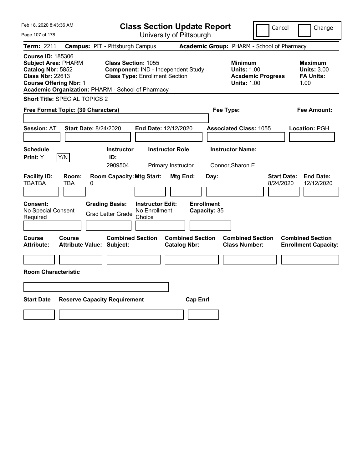| Feb 18, 2020 8:43:36 AM                                                                                                                                                                      |                                                                                                           | <b>Class Section Update Report</b>             | Cancel                                                                                 | Change                                                           |
|----------------------------------------------------------------------------------------------------------------------------------------------------------------------------------------------|-----------------------------------------------------------------------------------------------------------|------------------------------------------------|----------------------------------------------------------------------------------------|------------------------------------------------------------------|
| Page 107 of 178                                                                                                                                                                              |                                                                                                           | University of Pittsburgh                       |                                                                                        |                                                                  |
| Term: 2211                                                                                                                                                                                   | <b>Campus: PIT - Pittsburgh Campus</b>                                                                    |                                                | Academic Group: PHARM - School of Pharmacy                                             |                                                                  |
| <b>Course ID: 185306</b><br><b>Subject Area: PHARM</b><br>Catalog Nbr: 5852<br><b>Class Nbr: 22613</b><br><b>Course Offering Nbr: 1</b><br>Academic Organization: PHARM - School of Pharmacy | <b>Class Section: 1055</b><br>Component: IND - Independent Study<br><b>Class Type: Enrollment Section</b> |                                                | <b>Minimum</b><br><b>Units: 1.00</b><br><b>Academic Progress</b><br><b>Units: 1.00</b> | <b>Maximum</b><br><b>Units: 3.00</b><br><b>FA Units:</b><br>1.00 |
| <b>Short Title: SPECIAL TOPICS 2</b>                                                                                                                                                         |                                                                                                           |                                                |                                                                                        |                                                                  |
| Free Format Topic: (30 Characters)                                                                                                                                                           |                                                                                                           | Fee Type:                                      |                                                                                        | Fee Amount:                                                      |
| <b>Session: AT</b><br><b>Start Date: 8/24/2020</b>                                                                                                                                           | End Date: 12/12/2020                                                                                      |                                                | <b>Associated Class: 1055</b>                                                          | Location: PGH                                                    |
| <b>Schedule</b>                                                                                                                                                                              | <b>Instructor</b>                                                                                         | <b>Instructor Role</b>                         | <b>Instructor Name:</b>                                                                |                                                                  |
| Y/N<br><b>Print:</b> Y                                                                                                                                                                       | ID:<br>2909504                                                                                            | Primary Instructor                             | Connor, Sharon E                                                                       |                                                                  |
| <b>Facility ID:</b><br>Room:<br><b>TBATBA</b><br>TBA<br>0                                                                                                                                    | <b>Room Capacity: Mtg Start:</b>                                                                          | Mtg End:<br>Day:                               | <b>Start Date:</b><br>8/24/2020                                                        | <b>End Date:</b><br>12/12/2020                                   |
| Consent:<br>No Special Consent<br>Required                                                                                                                                                   | <b>Grading Basis:</b><br><b>Instructor Edit:</b><br>No Enrollment<br><b>Grad Letter Grade</b><br>Choice   | <b>Enrollment</b><br>Capacity: 35              |                                                                                        |                                                                  |
|                                                                                                                                                                                              |                                                                                                           |                                                |                                                                                        |                                                                  |
| Course<br>Course<br><b>Attribute:</b><br><b>Attribute Value: Subject:</b>                                                                                                                    | <b>Combined Section</b>                                                                                   | <b>Combined Section</b><br><b>Catalog Nbr:</b> | <b>Combined Section</b><br><b>Class Number:</b>                                        | <b>Combined Section</b><br><b>Enrollment Capacity:</b>           |
|                                                                                                                                                                                              |                                                                                                           |                                                |                                                                                        |                                                                  |
| <b>Room Characteristic</b>                                                                                                                                                                   |                                                                                                           |                                                |                                                                                        |                                                                  |
|                                                                                                                                                                                              |                                                                                                           |                                                |                                                                                        |                                                                  |
| <b>Start Date</b><br><b>Reserve Capacity Requirement</b>                                                                                                                                     |                                                                                                           | <b>Cap Enrl</b>                                |                                                                                        |                                                                  |
|                                                                                                                                                                                              |                                                                                                           |                                                |                                                                                        |                                                                  |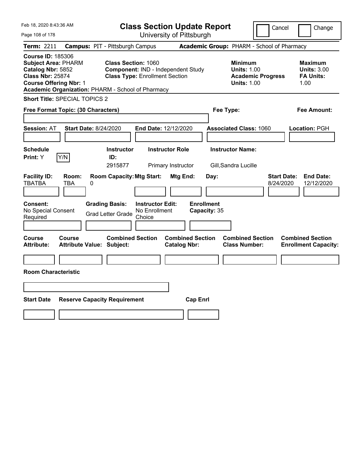| University of Pittsburgh<br>Page 108 of 178<br>Academic Group: PHARM - School of Pharmacy<br>Term: 2211<br><b>Campus: PIT - Pittsburgh Campus</b><br><b>Course ID: 185306</b><br><b>Subject Area: PHARM</b><br><b>Class Section: 1060</b><br><b>Minimum</b><br>Catalog Nbr: 5852<br>Component: IND - Independent Study<br><b>Units: 1.00</b> | Change                                                   |
|----------------------------------------------------------------------------------------------------------------------------------------------------------------------------------------------------------------------------------------------------------------------------------------------------------------------------------------------|----------------------------------------------------------|
|                                                                                                                                                                                                                                                                                                                                              |                                                          |
|                                                                                                                                                                                                                                                                                                                                              |                                                          |
| <b>Class Nbr: 25874</b><br><b>Class Type: Enrollment Section</b><br><b>Academic Progress</b><br><b>Units: 1.00</b><br><b>Course Offering Nbr: 1</b><br>1.00<br>Academic Organization: PHARM - School of Pharmacy                                                                                                                             | <b>Maximum</b><br><b>Units: 3.00</b><br><b>FA Units:</b> |
| <b>Short Title: SPECIAL TOPICS 2</b>                                                                                                                                                                                                                                                                                                         |                                                          |
| Free Format Topic: (30 Characters)<br>Fee Type:                                                                                                                                                                                                                                                                                              | Fee Amount:                                              |
| <b>Start Date: 8/24/2020</b><br><b>Session: AT</b><br><b>End Date: 12/12/2020</b><br><b>Associated Class: 1060</b><br>Location: PGH<br><b>Instructor Name:</b><br><b>Schedule</b><br><b>Instructor Role</b><br><b>Instructor</b>                                                                                                             |                                                          |
| Y/N<br>ID:<br><b>Print: Y</b>                                                                                                                                                                                                                                                                                                                |                                                          |
| 2915877<br>Primary Instructor<br>Gill, Sandra Lucille                                                                                                                                                                                                                                                                                        |                                                          |
| <b>Facility ID:</b><br><b>Room Capacity: Mtg Start:</b><br><b>Mtg End:</b><br><b>Start Date:</b><br>Room:<br>Day:<br><b>TBATBA</b><br>TBA<br>0<br>8/24/2020                                                                                                                                                                                  | <b>End Date:</b><br>12/12/2020                           |
| <b>Enrollment</b><br><b>Consent:</b><br><b>Grading Basis:</b><br><b>Instructor Edit:</b><br>No Special Consent<br>No Enrollment<br>Capacity: 35<br><b>Grad Letter Grade</b><br>Required<br>Choice                                                                                                                                            |                                                          |
| <b>Combined Section</b><br><b>Combined Section</b><br><b>Combined Section</b><br><b>Combined Section</b><br>Course<br>Course<br><b>Attribute:</b><br><b>Attribute Value: Subject:</b><br><b>Catalog Nbr:</b><br><b>Class Number:</b><br><b>Enrollment Capacity:</b>                                                                          |                                                          |
|                                                                                                                                                                                                                                                                                                                                              |                                                          |
| <b>Room Characteristic</b>                                                                                                                                                                                                                                                                                                                   |                                                          |
|                                                                                                                                                                                                                                                                                                                                              |                                                          |
| <b>Start Date</b><br><b>Reserve Capacity Requirement</b><br><b>Cap Enrl</b>                                                                                                                                                                                                                                                                  |                                                          |
|                                                                                                                                                                                                                                                                                                                                              |                                                          |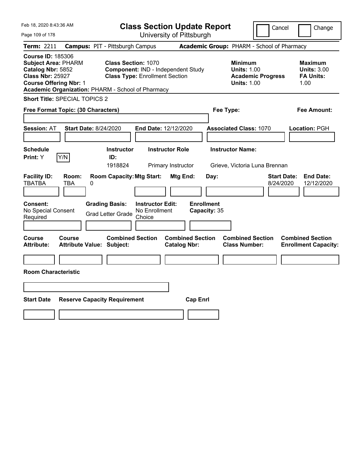| Feb 18, 2020 8:43:36 AM                                                                                                                                                                      |                                            |                                                                                                           | <b>Class Section Update Report</b>                 |                        |                                            |           |                                                                                        | Cancel                          | Change                                                           |  |
|----------------------------------------------------------------------------------------------------------------------------------------------------------------------------------------------|--------------------------------------------|-----------------------------------------------------------------------------------------------------------|----------------------------------------------------|------------------------|--------------------------------------------|-----------|----------------------------------------------------------------------------------------|---------------------------------|------------------------------------------------------------------|--|
| Page 109 of 178                                                                                                                                                                              |                                            |                                                                                                           |                                                    |                        | University of Pittsburgh                   |           |                                                                                        |                                 |                                                                  |  |
| <b>Term: 2211</b>                                                                                                                                                                            | <b>Campus: PIT - Pittsburgh Campus</b>     |                                                                                                           |                                                    |                        | Academic Group: PHARM - School of Pharmacy |           |                                                                                        |                                 |                                                                  |  |
| <b>Course ID: 185306</b><br><b>Subject Area: PHARM</b><br>Catalog Nbr: 5852<br><b>Class Nbr: 25927</b><br><b>Course Offering Nbr: 1</b><br>Academic Organization: PHARM - School of Pharmacy |                                            | <b>Class Section: 1070</b><br>Component: IND - Independent Study<br><b>Class Type: Enrollment Section</b> |                                                    |                        |                                            |           | <b>Minimum</b><br><b>Units: 1.00</b><br><b>Academic Progress</b><br><b>Units: 1.00</b> |                                 | <b>Maximum</b><br><b>Units: 3.00</b><br><b>FA Units:</b><br>1.00 |  |
| <b>Short Title: SPECIAL TOPICS 2</b>                                                                                                                                                         |                                            |                                                                                                           |                                                    |                        |                                            |           |                                                                                        |                                 |                                                                  |  |
| Free Format Topic: (30 Characters)                                                                                                                                                           |                                            |                                                                                                           |                                                    |                        |                                            | Fee Type: |                                                                                        |                                 | Fee Amount:                                                      |  |
| <b>Session: AT</b><br><b>Schedule</b><br>Y/N<br>Print: Y                                                                                                                                     | <b>Start Date: 8/24/2020</b>               | <b>Instructor</b><br>ID:                                                                                  | End Date: 12/12/2020                               | <b>Instructor Role</b> |                                            |           | <b>Associated Class: 1070</b><br><b>Instructor Name:</b>                               |                                 | Location: PGH                                                    |  |
|                                                                                                                                                                                              |                                            | 1918824                                                                                                   |                                                    | Primary Instructor     |                                            |           | Grieve, Victoria Luna Brennan                                                          |                                 |                                                                  |  |
| <b>Facility ID:</b><br><b>TBATBA</b><br>Consent:<br>No Special Consent<br>Required                                                                                                           | Room:<br>TBA<br>0                          | <b>Room Capacity: Mtg Start:</b><br><b>Grading Basis:</b><br><b>Grad Letter Grade</b>                     | <b>Instructor Edit:</b><br>No Enrollment<br>Choice | Mtg End:               | Day:<br><b>Enrollment</b><br>Capacity: 35  |           |                                                                                        | <b>Start Date:</b><br>8/24/2020 | <b>End Date:</b><br>12/12/2020                                   |  |
| Course<br><b>Attribute:</b><br><b>Room Characteristic</b>                                                                                                                                    | Course<br><b>Attribute Value: Subject:</b> | <b>Combined Section</b>                                                                                   |                                                    | <b>Catalog Nbr:</b>    | <b>Combined Section</b>                    |           | <b>Combined Section</b><br><b>Class Number:</b>                                        |                                 | <b>Combined Section</b><br><b>Enrollment Capacity:</b>           |  |
|                                                                                                                                                                                              |                                            |                                                                                                           |                                                    |                        |                                            |           |                                                                                        |                                 |                                                                  |  |
| <b>Start Date</b>                                                                                                                                                                            | <b>Reserve Capacity Requirement</b>        |                                                                                                           |                                                    |                        | <b>Cap Enrl</b>                            |           |                                                                                        |                                 |                                                                  |  |
|                                                                                                                                                                                              |                                            |                                                                                                           |                                                    |                        |                                            |           |                                                                                        |                                 |                                                                  |  |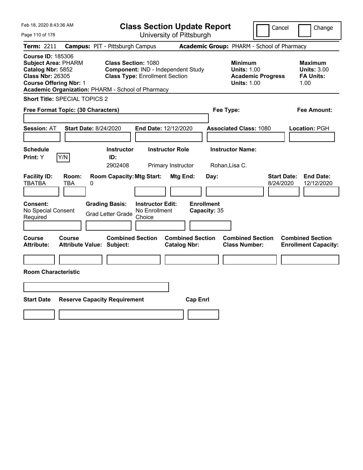| Feb 18, 2020 8:43:36 AM                                                                                                                 |                              |                                                                                                                          |                                                    | <b>Class Section Update Report</b>             |                                   | Cancel                                                     | Change                                     |                                                                  |
|-----------------------------------------------------------------------------------------------------------------------------------------|------------------------------|--------------------------------------------------------------------------------------------------------------------------|----------------------------------------------------|------------------------------------------------|-----------------------------------|------------------------------------------------------------|--------------------------------------------|------------------------------------------------------------------|
| Page 110 of 178                                                                                                                         |                              |                                                                                                                          |                                                    | University of Pittsburgh                       |                                   |                                                            |                                            |                                                                  |
| Term: 2211                                                                                                                              |                              | <b>Campus: PIT - Pittsburgh Campus</b>                                                                                   |                                                    |                                                |                                   |                                                            | Academic Group: PHARM - School of Pharmacy |                                                                  |
| <b>Course ID: 185306</b><br><b>Subject Area: PHARM</b><br>Catalog Nbr: 5852<br><b>Class Nbr: 26305</b><br><b>Course Offering Nbr: 1</b> |                              | <b>Class Section: 1080</b><br><b>Class Type: Enrollment Section</b><br>Academic Organization: PHARM - School of Pharmacy |                                                    | Component: IND - Independent Study             |                                   | <b>Minimum</b><br><b>Units: 1.00</b><br><b>Units: 1.00</b> | <b>Academic Progress</b>                   | <b>Maximum</b><br><b>Units: 3.00</b><br><b>FA Units:</b><br>1.00 |
| Short Title: SPECIAL TOPICS 2                                                                                                           |                              |                                                                                                                          |                                                    |                                                |                                   |                                                            |                                            |                                                                  |
| Free Format Topic: (30 Characters)                                                                                                      |                              |                                                                                                                          |                                                    |                                                | Fee Type:                         |                                                            |                                            | Fee Amount:                                                      |
| <b>Session: AT</b>                                                                                                                      | <b>Start Date: 8/24/2020</b> |                                                                                                                          | End Date: 12/12/2020                               |                                                |                                   | <b>Associated Class: 1080</b>                              |                                            | Location: PGH                                                    |
| <b>Schedule</b><br>Y/N<br>Print: Y                                                                                                      |                              | <b>Instructor</b><br>ID:<br>2902408                                                                                      |                                                    | <b>Instructor Role</b><br>Primary Instructor   |                                   | <b>Instructor Name:</b><br>Rohan, Lisa C.                  |                                            |                                                                  |
| <b>Facility ID:</b><br><b>TBATBA</b>                                                                                                    | Room:<br>TBA<br>0            | <b>Room Capacity: Mtg Start:</b>                                                                                         |                                                    | Mtg End:                                       | Day:                              |                                                            | <b>Start Date:</b><br>8/24/2020            | <b>End Date:</b><br>12/12/2020                                   |
| Consent:<br>No Special Consent<br>Required                                                                                              |                              | <b>Grading Basis:</b><br><b>Grad Letter Grade</b>                                                                        | <b>Instructor Edit:</b><br>No Enrollment<br>Choice |                                                | <b>Enrollment</b><br>Capacity: 35 |                                                            |                                            |                                                                  |
| Course<br><b>Attribute:</b>                                                                                                             | Course                       | <b>Combined Section</b><br><b>Attribute Value: Subject:</b>                                                              |                                                    | <b>Combined Section</b><br><b>Catalog Nbr:</b> |                                   | <b>Combined Section</b><br><b>Class Number:</b>            |                                            | <b>Combined Section</b><br><b>Enrollment Capacity:</b>           |
| <b>Room Characteristic</b>                                                                                                              |                              |                                                                                                                          |                                                    |                                                |                                   |                                                            |                                            |                                                                  |
|                                                                                                                                         |                              |                                                                                                                          |                                                    |                                                |                                   |                                                            |                                            |                                                                  |
| <b>Start Date</b>                                                                                                                       |                              | <b>Reserve Capacity Requirement</b>                                                                                      |                                                    | <b>Cap Enrl</b>                                |                                   |                                                            |                                            |                                                                  |
|                                                                                                                                         |                              |                                                                                                                          |                                                    |                                                |                                   |                                                            |                                            |                                                                  |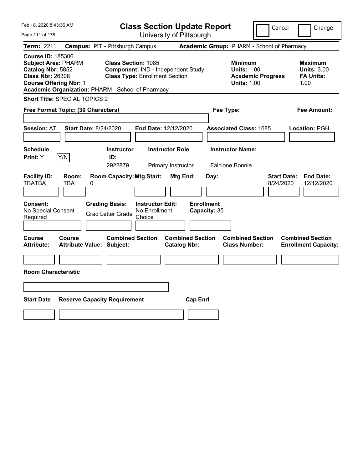| Feb 18, 2020 8:43:36 AM                                                                                                                 |                              |                                                                                                                   |                                                    | <b>Class Section Update Report</b>             |                                   |                                                            | Cancel                                     | Change                                                           |
|-----------------------------------------------------------------------------------------------------------------------------------------|------------------------------|-------------------------------------------------------------------------------------------------------------------|----------------------------------------------------|------------------------------------------------|-----------------------------------|------------------------------------------------------------|--------------------------------------------|------------------------------------------------------------------|
| Page 111 of 178                                                                                                                         |                              |                                                                                                                   |                                                    | University of Pittsburgh                       |                                   |                                                            |                                            |                                                                  |
| Term: 2211                                                                                                                              |                              | <b>Campus: PIT - Pittsburgh Campus</b>                                                                            |                                                    |                                                |                                   |                                                            | Academic Group: PHARM - School of Pharmacy |                                                                  |
| <b>Course ID: 185306</b><br><b>Subject Area: PHARM</b><br>Catalog Nbr: 5852<br><b>Class Nbr: 26308</b><br><b>Course Offering Nbr: 1</b> |                              | Class Section: 1085<br><b>Class Type: Enrollment Section</b><br>Academic Organization: PHARM - School of Pharmacy |                                                    | Component: IND - Independent Study             |                                   | <b>Minimum</b><br><b>Units: 1.00</b><br><b>Units: 1.00</b> | <b>Academic Progress</b>                   | <b>Maximum</b><br><b>Units: 3.00</b><br><b>FA Units:</b><br>1.00 |
| <b>Short Title: SPECIAL TOPICS 2</b>                                                                                                    |                              |                                                                                                                   |                                                    |                                                |                                   |                                                            |                                            |                                                                  |
| Free Format Topic: (30 Characters)                                                                                                      |                              |                                                                                                                   |                                                    |                                                | Fee Type:                         |                                                            |                                            | Fee Amount:                                                      |
| <b>Session: AT</b>                                                                                                                      | <b>Start Date: 8/24/2020</b> |                                                                                                                   | End Date: 12/12/2020                               |                                                |                                   | <b>Associated Class: 1085</b>                              |                                            | Location: PGH                                                    |
| <b>Schedule</b><br><b>Print: Y</b>                                                                                                      | Y/N                          | <b>Instructor</b><br>ID:                                                                                          |                                                    | <b>Instructor Role</b>                         |                                   | <b>Instructor Name:</b>                                    |                                            |                                                                  |
|                                                                                                                                         |                              | 2922879                                                                                                           |                                                    | Primary Instructor                             |                                   | Falcione, Bonnie                                           |                                            |                                                                  |
| <b>Facility ID:</b><br><b>TBATBA</b>                                                                                                    | Room:<br>TBA<br>0            | <b>Room Capacity: Mtg Start:</b>                                                                                  |                                                    | Mtg End:                                       | Day:                              |                                                            | <b>Start Date:</b><br>8/24/2020            | <b>End Date:</b><br>12/12/2020                                   |
| <b>Consent:</b><br>No Special Consent<br>Required                                                                                       |                              | <b>Grading Basis:</b><br><b>Grad Letter Grade</b>                                                                 | <b>Instructor Edit:</b><br>No Enrollment<br>Choice |                                                | <b>Enrollment</b><br>Capacity: 35 |                                                            |                                            |                                                                  |
| Course<br><b>Attribute:</b>                                                                                                             | Course                       | <b>Combined Section</b><br><b>Attribute Value: Subject:</b>                                                       |                                                    | <b>Combined Section</b><br><b>Catalog Nbr:</b> |                                   | <b>Combined Section</b><br><b>Class Number:</b>            |                                            | <b>Combined Section</b><br><b>Enrollment Capacity:</b>           |
|                                                                                                                                         |                              |                                                                                                                   |                                                    |                                                |                                   |                                                            |                                            |                                                                  |
| <b>Room Characteristic</b>                                                                                                              |                              |                                                                                                                   |                                                    |                                                |                                   |                                                            |                                            |                                                                  |
|                                                                                                                                         |                              |                                                                                                                   |                                                    |                                                |                                   |                                                            |                                            |                                                                  |
| <b>Start Date</b>                                                                                                                       |                              | <b>Reserve Capacity Requirement</b>                                                                               |                                                    | <b>Cap Enrl</b>                                |                                   |                                                            |                                            |                                                                  |
|                                                                                                                                         |                              |                                                                                                                   |                                                    |                                                |                                   |                                                            |                                            |                                                                  |
|                                                                                                                                         |                              |                                                                                                                   |                                                    |                                                |                                   |                                                            |                                            |                                                                  |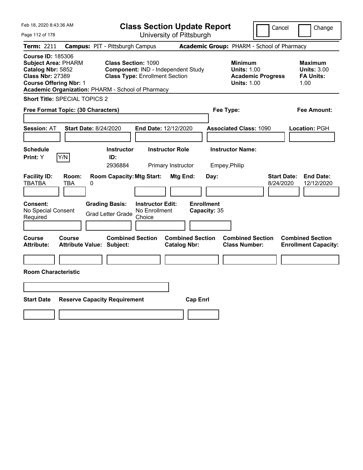| Feb 18, 2020 8:43:36 AM                                                                                                                 |                              |                                                                                                                          |                                                    | <b>Class Section Update Report</b>             |                                   |                                                            | Cancel                                     | Change                                                           |
|-----------------------------------------------------------------------------------------------------------------------------------------|------------------------------|--------------------------------------------------------------------------------------------------------------------------|----------------------------------------------------|------------------------------------------------|-----------------------------------|------------------------------------------------------------|--------------------------------------------|------------------------------------------------------------------|
| Page 112 of 178                                                                                                                         |                              |                                                                                                                          |                                                    | University of Pittsburgh                       |                                   |                                                            |                                            |                                                                  |
| Term: 2211                                                                                                                              |                              | <b>Campus: PIT - Pittsburgh Campus</b>                                                                                   |                                                    |                                                |                                   |                                                            | Academic Group: PHARM - School of Pharmacy |                                                                  |
| <b>Course ID: 185306</b><br><b>Subject Area: PHARM</b><br>Catalog Nbr: 5852<br><b>Class Nbr: 27389</b><br><b>Course Offering Nbr: 1</b> |                              | <b>Class Section: 1090</b><br><b>Class Type: Enrollment Section</b><br>Academic Organization: PHARM - School of Pharmacy |                                                    | Component: IND - Independent Study             |                                   | <b>Minimum</b><br><b>Units: 1.00</b><br><b>Units: 1.00</b> | <b>Academic Progress</b>                   | <b>Maximum</b><br><b>Units: 3.00</b><br><b>FA Units:</b><br>1.00 |
| <b>Short Title: SPECIAL TOPICS 2</b>                                                                                                    |                              |                                                                                                                          |                                                    |                                                |                                   |                                                            |                                            |                                                                  |
| Free Format Topic: (30 Characters)                                                                                                      |                              |                                                                                                                          |                                                    |                                                | Fee Type:                         |                                                            |                                            | Fee Amount:                                                      |
| <b>Session: AT</b>                                                                                                                      | <b>Start Date: 8/24/2020</b> |                                                                                                                          | End Date: 12/12/2020                               |                                                |                                   | <b>Associated Class: 1090</b>                              |                                            | Location: PGH                                                    |
| <b>Schedule</b><br>Print: Y                                                                                                             | Y/N                          | <b>Instructor</b><br>ID:<br>2936884                                                                                      |                                                    | <b>Instructor Role</b><br>Primary Instructor   | Empey, Philip                     | <b>Instructor Name:</b>                                    |                                            |                                                                  |
| <b>Facility ID:</b><br><b>TBATBA</b>                                                                                                    | Room:<br>TBA<br>0            | <b>Room Capacity: Mtg Start:</b>                                                                                         |                                                    | Mtg End:                                       | Day:                              |                                                            | <b>Start Date:</b><br>8/24/2020            | <b>End Date:</b><br>12/12/2020                                   |
| Consent:<br>No Special Consent<br>Required                                                                                              |                              | <b>Grading Basis:</b><br><b>Grad Letter Grade</b>                                                                        | <b>Instructor Edit:</b><br>No Enrollment<br>Choice |                                                | <b>Enrollment</b><br>Capacity: 35 |                                                            |                                            |                                                                  |
| Course<br>Attribute:                                                                                                                    | Course                       | <b>Combined Section</b><br><b>Attribute Value: Subject:</b>                                                              |                                                    | <b>Combined Section</b><br><b>Catalog Nbr:</b> |                                   | <b>Combined Section</b><br><b>Class Number:</b>            |                                            | <b>Combined Section</b><br><b>Enrollment Capacity:</b>           |
|                                                                                                                                         |                              |                                                                                                                          |                                                    |                                                |                                   |                                                            |                                            |                                                                  |
| <b>Room Characteristic</b>                                                                                                              |                              |                                                                                                                          |                                                    |                                                |                                   |                                                            |                                            |                                                                  |
|                                                                                                                                         |                              |                                                                                                                          |                                                    |                                                |                                   |                                                            |                                            |                                                                  |
| <b>Start Date</b>                                                                                                                       |                              | <b>Reserve Capacity Requirement</b>                                                                                      |                                                    | <b>Cap Enrl</b>                                |                                   |                                                            |                                            |                                                                  |
|                                                                                                                                         |                              |                                                                                                                          |                                                    |                                                |                                   |                                                            |                                            |                                                                  |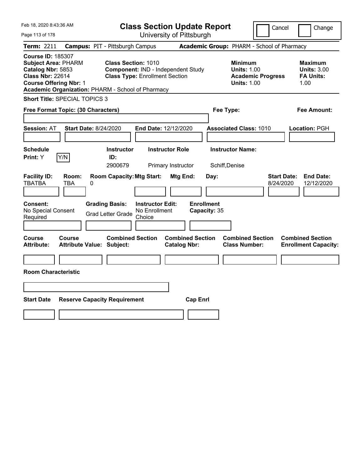| Feb 18, 2020 8:43:36 AM                                                                                                                 |                                                   | <b>Class Section Update Report</b>                                                                        |                                                |                                                                                        | Cancel<br>Change                                                  |
|-----------------------------------------------------------------------------------------------------------------------------------------|---------------------------------------------------|-----------------------------------------------------------------------------------------------------------|------------------------------------------------|----------------------------------------------------------------------------------------|-------------------------------------------------------------------|
| Page 113 of 178                                                                                                                         |                                                   | University of Pittsburgh                                                                                  |                                                |                                                                                        |                                                                   |
| Term: 2211                                                                                                                              | <b>Campus: PIT - Pittsburgh Campus</b>            |                                                                                                           |                                                | Academic Group: PHARM - School of Pharmacy                                             |                                                                   |
| <b>Course ID: 185307</b><br><b>Subject Area: PHARM</b><br>Catalog Nbr: 5853<br><b>Class Nbr: 22614</b><br><b>Course Offering Nbr: 1</b> | Academic Organization: PHARM - School of Pharmacy | <b>Class Section: 1010</b><br>Component: IND - Independent Study<br><b>Class Type: Enrollment Section</b> |                                                | <b>Minimum</b><br><b>Units: 1.00</b><br><b>Academic Progress</b><br><b>Units: 1.00</b> | <b>Maximum</b><br><b>Units: 3.00</b><br><b>FA Units:</b><br>1.00  |
| <b>Short Title: SPECIAL TOPICS 3</b>                                                                                                    |                                                   |                                                                                                           |                                                |                                                                                        |                                                                   |
| Free Format Topic: (30 Characters)                                                                                                      |                                                   |                                                                                                           |                                                | Fee Type:                                                                              | Fee Amount:                                                       |
| <b>Session: AT</b>                                                                                                                      | <b>Start Date: 8/24/2020</b>                      | End Date: 12/12/2020                                                                                      |                                                | <b>Associated Class: 1010</b>                                                          | Location: PGH                                                     |
| <b>Schedule</b><br>Y/N<br>Print: Y                                                                                                      | <b>Instructor</b><br>ID:<br>2900679               | <b>Instructor Role</b><br>Primary Instructor                                                              |                                                | <b>Instructor Name:</b><br>Schiff, Denise                                              |                                                                   |
| <b>Facility ID:</b><br>Room:<br><b>TBATBA</b><br>TBA                                                                                    | <b>Room Capacity: Mtg Start:</b><br>0             |                                                                                                           | Mtg End:<br>Day:                               |                                                                                        | <b>Start Date:</b><br><b>End Date:</b><br>8/24/2020<br>12/12/2020 |
| <b>Consent:</b><br>No Special Consent<br>Required                                                                                       | <b>Grading Basis:</b><br><b>Grad Letter Grade</b> | <b>Instructor Edit:</b><br>No Enrollment<br>Choice                                                        | <b>Enrollment</b><br>Capacity: 35              |                                                                                        |                                                                   |
| Course<br>Course<br>Attribute:                                                                                                          | <b>Attribute Value: Subject:</b>                  | <b>Combined Section</b>                                                                                   | <b>Combined Section</b><br><b>Catalog Nbr:</b> | <b>Combined Section</b><br><b>Class Number:</b>                                        | <b>Combined Section</b><br><b>Enrollment Capacity:</b>            |
| <b>Room Characteristic</b>                                                                                                              |                                                   |                                                                                                           |                                                |                                                                                        |                                                                   |
|                                                                                                                                         |                                                   |                                                                                                           |                                                |                                                                                        |                                                                   |
| <b>Start Date</b>                                                                                                                       | <b>Reserve Capacity Requirement</b>               |                                                                                                           | <b>Cap Enrl</b>                                |                                                                                        |                                                                   |
|                                                                                                                                         |                                                   |                                                                                                           |                                                |                                                                                        |                                                                   |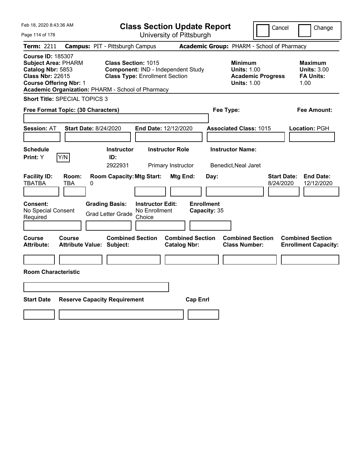| Feb 18, 2020 8:43:36 AM                                                                                                                 |                                            |                                                                                       |                                                                                                                                                                | <b>Class Section Update Report</b>                                          |                                           |                                                                                  | Cancel<br>Change                                                                       |                                                                   |
|-----------------------------------------------------------------------------------------------------------------------------------------|--------------------------------------------|---------------------------------------------------------------------------------------|----------------------------------------------------------------------------------------------------------------------------------------------------------------|-----------------------------------------------------------------------------|-------------------------------------------|----------------------------------------------------------------------------------|----------------------------------------------------------------------------------------|-------------------------------------------------------------------|
| Page 114 of 178                                                                                                                         |                                            |                                                                                       |                                                                                                                                                                | University of Pittsburgh                                                    |                                           |                                                                                  |                                                                                        |                                                                   |
| Term: 2211                                                                                                                              |                                            | <b>Campus: PIT - Pittsburgh Campus</b>                                                |                                                                                                                                                                |                                                                             |                                           |                                                                                  |                                                                                        | Academic Group: PHARM - School of Pharmacy                        |
| <b>Course ID: 185307</b><br><b>Subject Area: PHARM</b><br>Catalog Nbr: 5853<br><b>Class Nbr: 22615</b><br><b>Course Offering Nbr: 1</b> |                                            |                                                                                       | <b>Class Section: 1015</b><br>Component: IND - Independent Study<br><b>Class Type: Enrollment Section</b><br>Academic Organization: PHARM - School of Pharmacy |                                                                             |                                           |                                                                                  | <b>Minimum</b><br><b>Units: 1.00</b><br><b>Academic Progress</b><br><b>Units: 1.00</b> | <b>Maximum</b><br><b>Units: 3.00</b><br><b>FA Units:</b><br>1.00  |
| <b>Short Title: SPECIAL TOPICS 3</b>                                                                                                    |                                            |                                                                                       |                                                                                                                                                                |                                                                             |                                           |                                                                                  |                                                                                        |                                                                   |
| Free Format Topic: (30 Characters)                                                                                                      |                                            |                                                                                       |                                                                                                                                                                |                                                                             |                                           | Fee Type:                                                                        |                                                                                        | Fee Amount:                                                       |
| <b>Session: AT</b><br><b>Schedule</b><br><b>Print: Y</b>                                                                                | <b>Start Date: 8/24/2020</b><br>Y/N        | <b>Instructor</b><br>ID:<br>2922931                                                   |                                                                                                                                                                | <b>End Date: 12/12/2020</b><br><b>Instructor Role</b><br>Primary Instructor |                                           | <b>Associated Class: 1015</b><br><b>Instructor Name:</b><br>Benedict, Neal Jaret |                                                                                        | Location: PGH                                                     |
| <b>Facility ID:</b><br><b>TBATBA</b><br>Consent:<br>No Special Consent<br>Required                                                      | Room:<br>TBA<br>0                          | <b>Room Capacity: Mtg Start:</b><br><b>Grading Basis:</b><br><b>Grad Letter Grade</b> | <b>Instructor Edit:</b><br>No Enrollment<br>Choice                                                                                                             | Mtg End:                                                                    | Day:<br><b>Enrollment</b><br>Capacity: 35 |                                                                                  |                                                                                        | <b>End Date:</b><br><b>Start Date:</b><br>8/24/2020<br>12/12/2020 |
| Course<br><b>Attribute:</b><br><b>Room Characteristic</b>                                                                               | Course<br><b>Attribute Value: Subject:</b> | <b>Combined Section</b>                                                               |                                                                                                                                                                | <b>Combined Section</b><br><b>Catalog Nbr:</b>                              |                                           | <b>Combined Section</b><br><b>Class Number:</b>                                  |                                                                                        | <b>Combined Section</b><br><b>Enrollment Capacity:</b>            |
| <b>Start Date</b>                                                                                                                       |                                            | <b>Reserve Capacity Requirement</b>                                                   |                                                                                                                                                                | <b>Cap Enrl</b>                                                             |                                           |                                                                                  |                                                                                        |                                                                   |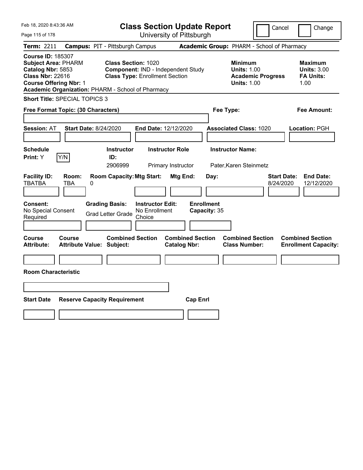| <b>Class Section Update Report</b><br>Cancel                                                                                                                                                                                                                                                                                                                                                        | Change                                                    |
|-----------------------------------------------------------------------------------------------------------------------------------------------------------------------------------------------------------------------------------------------------------------------------------------------------------------------------------------------------------------------------------------------------|-----------------------------------------------------------|
| University of Pittsburgh<br>Page 115 of 178                                                                                                                                                                                                                                                                                                                                                         |                                                           |
| Academic Group: PHARM - School of Pharmacy<br><b>Campus: PIT - Pittsburgh Campus</b><br>Term: 2211                                                                                                                                                                                                                                                                                                  |                                                           |
| <b>Course ID: 185307</b><br><b>Class Section: 1020</b><br><b>Subject Area: PHARM</b><br><b>Minimum</b><br>Catalog Nbr: 5853<br>Component: IND - Independent Study<br><b>Units: 1.00</b><br><b>Class Nbr: 22616</b><br><b>Class Type: Enrollment Section</b><br><b>Academic Progress</b><br><b>Course Offering Nbr: 1</b><br><b>Units: 1.00</b><br>Academic Organization: PHARM - School of Pharmacy | Maximum<br><b>Units: 3.00</b><br><b>FA Units:</b><br>1.00 |
| <b>Short Title: SPECIAL TOPICS 3</b>                                                                                                                                                                                                                                                                                                                                                                |                                                           |
| Free Format Topic: (30 Characters)<br>Fee Type:                                                                                                                                                                                                                                                                                                                                                     | Fee Amount:                                               |
| <b>Start Date: 8/24/2020</b><br>End Date: 12/12/2020<br><b>Associated Class: 1020</b><br><b>Session: AT</b>                                                                                                                                                                                                                                                                                         | Location: PGH                                             |
| <b>Schedule</b><br><b>Instructor Role</b><br><b>Instructor Name:</b><br><b>Instructor</b>                                                                                                                                                                                                                                                                                                           |                                                           |
| Y/N<br>Print: Y<br>ID:<br>2906999<br>Primary Instructor<br>Pater, Karen Steinmetz                                                                                                                                                                                                                                                                                                                   |                                                           |
| <b>Facility ID:</b><br><b>Room Capacity: Mtg Start:</b><br>Room:<br>Mtg End:<br><b>Start Date:</b><br>Day:<br><b>TBATBA</b><br>8/24/2020<br>TBA<br>0                                                                                                                                                                                                                                                | <b>End Date:</b><br>12/12/2020                            |
| <b>Enrollment</b><br>Consent:<br><b>Grading Basis:</b><br><b>Instructor Edit:</b><br>No Special Consent<br>No Enrollment<br>Capacity: 35<br><b>Grad Letter Grade</b><br>Required<br>Choice                                                                                                                                                                                                          |                                                           |
|                                                                                                                                                                                                                                                                                                                                                                                                     |                                                           |
| <b>Combined Section</b><br><b>Combined Section</b><br><b>Combined Section</b><br>Course<br>Course<br><b>Attribute Value: Subject:</b><br><b>Catalog Nbr:</b><br><b>Class Number:</b><br>Attribute:                                                                                                                                                                                                  | <b>Combined Section</b><br><b>Enrollment Capacity:</b>    |
|                                                                                                                                                                                                                                                                                                                                                                                                     |                                                           |
| <b>Room Characteristic</b>                                                                                                                                                                                                                                                                                                                                                                          |                                                           |
|                                                                                                                                                                                                                                                                                                                                                                                                     |                                                           |
| <b>Start Date</b><br><b>Reserve Capacity Requirement</b><br><b>Cap Enrl</b>                                                                                                                                                                                                                                                                                                                         |                                                           |
|                                                                                                                                                                                                                                                                                                                                                                                                     |                                                           |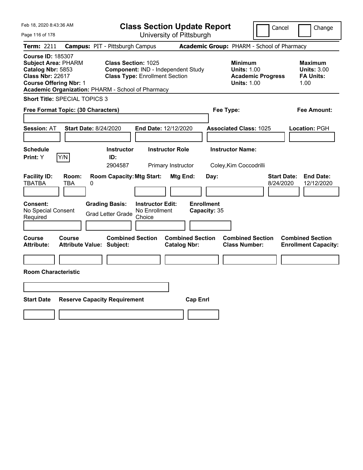| Feb 18, 2020 8:43:36 AM                                                                                                                                                                      |                              |                                                                                       |                                                                             | <b>Class Section Update Report</b>             |                                            |                                                            | Cancel                   | Change                                                           |
|----------------------------------------------------------------------------------------------------------------------------------------------------------------------------------------------|------------------------------|---------------------------------------------------------------------------------------|-----------------------------------------------------------------------------|------------------------------------------------|--------------------------------------------|------------------------------------------------------------|--------------------------|------------------------------------------------------------------|
| Page 116 of 178                                                                                                                                                                              |                              |                                                                                       |                                                                             | University of Pittsburgh                       |                                            |                                                            |                          |                                                                  |
| Term: 2211                                                                                                                                                                                   |                              | <b>Campus: PIT - Pittsburgh Campus</b>                                                |                                                                             |                                                | Academic Group: PHARM - School of Pharmacy |                                                            |                          |                                                                  |
| <b>Course ID: 185307</b><br><b>Subject Area: PHARM</b><br>Catalog Nbr: 5853<br><b>Class Nbr: 22617</b><br><b>Course Offering Nbr: 1</b><br>Academic Organization: PHARM - School of Pharmacy |                              | Class Section: 1025                                                                   | Component: IND - Independent Study<br><b>Class Type: Enrollment Section</b> |                                                |                                            | <b>Minimum</b><br><b>Units: 1.00</b><br><b>Units: 1.00</b> | <b>Academic Progress</b> | <b>Maximum</b><br><b>Units: 3.00</b><br><b>FA Units:</b><br>1.00 |
| Short Title: SPECIAL TOPICS 3                                                                                                                                                                |                              |                                                                                       |                                                                             |                                                |                                            |                                                            |                          |                                                                  |
| Free Format Topic: (30 Characters)                                                                                                                                                           |                              |                                                                                       |                                                                             |                                                | Fee Type:                                  |                                                            |                          | Fee Amount:                                                      |
| <b>Session: AT</b><br><b>Schedule</b>                                                                                                                                                        | <b>Start Date: 8/24/2020</b> | <b>Instructor</b>                                                                     | End Date: 12/12/2020                                                        | <b>Instructor Role</b>                         |                                            | <b>Associated Class: 1025</b><br><b>Instructor Name:</b>   |                          | Location: PGH                                                    |
| Print: Y                                                                                                                                                                                     | Y/N                          | ID:<br>2904587                                                                        |                                                                             | Primary Instructor                             |                                            | Coley, Kim Coccodrilli                                     |                          |                                                                  |
| <b>Facility ID:</b><br><b>TBATBA</b><br><b>Consent:</b><br>No Special Consent<br>Required                                                                                                    | Room:<br>TBA<br>0            | <b>Room Capacity: Mtg Start:</b><br><b>Grading Basis:</b><br><b>Grad Letter Grade</b> | <b>Instructor Edit:</b><br>No Enrollment<br>Choice                          | Mtg End:                                       | Day:<br><b>Enrollment</b><br>Capacity: 35  |                                                            | 8/24/2020                | <b>Start Date:</b><br><b>End Date:</b><br>12/12/2020             |
| <b>Course</b><br><b>Attribute:</b><br><b>Room Characteristic</b>                                                                                                                             | <b>Course</b>                | <b>Combined Section</b><br><b>Attribute Value: Subject:</b>                           |                                                                             | <b>Combined Section</b><br><b>Catalog Nbr:</b> |                                            | <b>Combined Section</b><br><b>Class Number:</b>            |                          | <b>Combined Section</b><br><b>Enrollment Capacity:</b>           |
|                                                                                                                                                                                              |                              |                                                                                       |                                                                             |                                                |                                            |                                                            |                          |                                                                  |
| <b>Start Date</b>                                                                                                                                                                            |                              | <b>Reserve Capacity Requirement</b>                                                   |                                                                             | <b>Cap Enrl</b>                                |                                            |                                                            |                          |                                                                  |
|                                                                                                                                                                                              |                              |                                                                                       |                                                                             |                                                |                                            |                                                            |                          |                                                                  |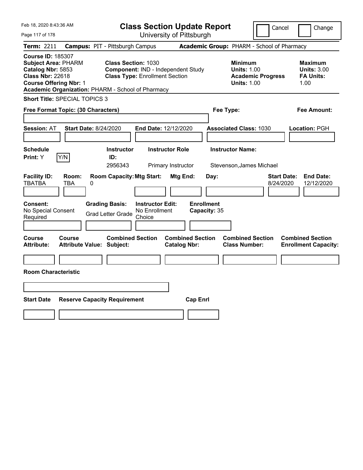| Feb 18, 2020 8:43:36 AM                                                                                                                                                                      |                                                             |                                                                             | <b>Class Section Update Report</b>             |                                                            | Cancel                          | Change                                                           |
|----------------------------------------------------------------------------------------------------------------------------------------------------------------------------------------------|-------------------------------------------------------------|-----------------------------------------------------------------------------|------------------------------------------------|------------------------------------------------------------|---------------------------------|------------------------------------------------------------------|
| Page 117 of 178                                                                                                                                                                              |                                                             |                                                                             | University of Pittsburgh                       |                                                            |                                 |                                                                  |
| Term: 2211                                                                                                                                                                                   | <b>Campus: PIT - Pittsburgh Campus</b>                      |                                                                             | Academic Group: PHARM - School of Pharmacy     |                                                            |                                 |                                                                  |
| <b>Course ID: 185307</b><br><b>Subject Area: PHARM</b><br>Catalog Nbr: 5853<br><b>Class Nbr: 22618</b><br><b>Course Offering Nbr: 1</b><br>Academic Organization: PHARM - School of Pharmacy | <b>Class Section: 1030</b>                                  | Component: IND - Independent Study<br><b>Class Type: Enrollment Section</b> |                                                | <b>Minimum</b><br><b>Units: 1.00</b><br><b>Units: 1.00</b> | <b>Academic Progress</b>        | <b>Maximum</b><br><b>Units: 3.00</b><br><b>FA Units:</b><br>1.00 |
| <b>Short Title: SPECIAL TOPICS 3</b>                                                                                                                                                         |                                                             |                                                                             |                                                |                                                            |                                 |                                                                  |
| Free Format Topic: (30 Characters)                                                                                                                                                           |                                                             |                                                                             |                                                | Fee Type:                                                  |                                 | Fee Amount:                                                      |
| <b>Session: AT</b>                                                                                                                                                                           | Start Date: 8/24/2020                                       | End Date: 12/12/2020                                                        |                                                | <b>Associated Class: 1030</b>                              |                                 | Location: PGH                                                    |
| <b>Schedule</b><br>Y/N<br><b>Print:</b> Y                                                                                                                                                    | <b>Instructor</b><br>ID:<br>2956343                         | <b>Instructor Role</b><br>Primary Instructor                                |                                                | <b>Instructor Name:</b><br>Stevenson, James Michael        |                                 |                                                                  |
| <b>Facility ID:</b><br>Room:<br><b>TBATBA</b><br>0<br>TBA                                                                                                                                    | <b>Room Capacity: Mtg Start:</b>                            |                                                                             | Mtg End:<br>Day:                               |                                                            | <b>Start Date:</b><br>8/24/2020 | <b>End Date:</b><br>12/12/2020                                   |
| <b>Consent:</b><br>No Special Consent<br>Required                                                                                                                                            | <b>Grading Basis:</b><br><b>Grad Letter Grade</b>           | <b>Instructor Edit:</b><br>No Enrollment<br>Choice                          | <b>Enrollment</b><br>Capacity: 35              |                                                            |                                 |                                                                  |
| Course<br>Course<br><b>Attribute:</b>                                                                                                                                                        | <b>Combined Section</b><br><b>Attribute Value: Subject:</b> |                                                                             | <b>Combined Section</b><br><b>Catalog Nbr:</b> | <b>Combined Section</b><br><b>Class Number:</b>            |                                 | <b>Combined Section</b><br><b>Enrollment Capacity:</b>           |
|                                                                                                                                                                                              |                                                             |                                                                             |                                                |                                                            |                                 |                                                                  |
| <b>Room Characteristic</b>                                                                                                                                                                   |                                                             |                                                                             |                                                |                                                            |                                 |                                                                  |
|                                                                                                                                                                                              |                                                             |                                                                             |                                                |                                                            |                                 |                                                                  |
| <b>Start Date</b>                                                                                                                                                                            | <b>Reserve Capacity Requirement</b>                         |                                                                             | <b>Cap Enrl</b>                                |                                                            |                                 |                                                                  |
|                                                                                                                                                                                              |                                                             |                                                                             |                                                |                                                            |                                 |                                                                  |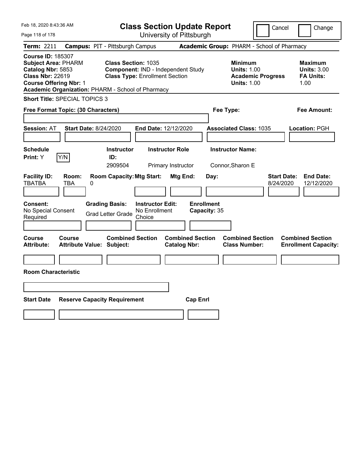| Feb 18, 2020 8:43:36 AM                                                                                                                 |                   |                                                                          |                                                                             | <b>Class Section Update Report</b>             |                                            |                                                            | Cancel                   | Change                                                           |
|-----------------------------------------------------------------------------------------------------------------------------------------|-------------------|--------------------------------------------------------------------------|-----------------------------------------------------------------------------|------------------------------------------------|--------------------------------------------|------------------------------------------------------------|--------------------------|------------------------------------------------------------------|
| Page 118 of 178                                                                                                                         |                   |                                                                          |                                                                             | University of Pittsburgh                       |                                            |                                                            |                          |                                                                  |
| Term: 2211                                                                                                                              |                   | <b>Campus: PIT - Pittsburgh Campus</b>                                   |                                                                             |                                                | Academic Group: PHARM - School of Pharmacy |                                                            |                          |                                                                  |
| <b>Course ID: 185307</b><br><b>Subject Area: PHARM</b><br>Catalog Nbr: 5853<br><b>Class Nbr: 22619</b><br><b>Course Offering Nbr: 1</b> |                   | Class Section: 1035<br>Academic Organization: PHARM - School of Pharmacy | Component: IND - Independent Study<br><b>Class Type: Enrollment Section</b> |                                                |                                            | <b>Minimum</b><br><b>Units: 1.00</b><br><b>Units: 1.00</b> | <b>Academic Progress</b> | <b>Maximum</b><br><b>Units: 3.00</b><br><b>FA Units:</b><br>1.00 |
| Short Title: SPECIAL TOPICS 3                                                                                                           |                   |                                                                          |                                                                             |                                                |                                            |                                                            |                          |                                                                  |
| Free Format Topic: (30 Characters)                                                                                                      |                   |                                                                          |                                                                             |                                                | Fee Type:                                  |                                                            |                          | Fee Amount:                                                      |
| <b>Session: AT</b><br><b>Schedule</b>                                                                                                   |                   | <b>Start Date: 8/24/2020</b><br><b>Instructor</b>                        | End Date: 12/12/2020                                                        | <b>Instructor Role</b>                         |                                            | <b>Associated Class: 1035</b><br><b>Instructor Name:</b>   |                          | Location: PGH                                                    |
| Print: Y                                                                                                                                | Y/N               | ID:                                                                      |                                                                             |                                                |                                            |                                                            |                          |                                                                  |
|                                                                                                                                         |                   | 2909504                                                                  |                                                                             | Primary Instructor                             |                                            | Connor, Sharon E                                           |                          |                                                                  |
| <b>Facility ID:</b><br><b>TBATBA</b><br><b>Consent:</b><br>No Special Consent                                                           | Room:<br>TBA<br>0 | <b>Room Capacity: Mtg Start:</b><br><b>Grading Basis:</b>                | <b>Instructor Edit:</b><br>No Enrollment                                    | Mtg End:                                       | Day:<br><b>Enrollment</b><br>Capacity: 35  |                                                            | 8/24/2020                | <b>Start Date:</b><br><b>End Date:</b><br>12/12/2020             |
| Required                                                                                                                                |                   | <b>Grad Letter Grade</b>                                                 | Choice                                                                      |                                                |                                            |                                                            |                          |                                                                  |
| <b>Course</b><br><b>Attribute:</b><br><b>Room Characteristic</b>                                                                        | <b>Course</b>     | <b>Combined Section</b><br><b>Attribute Value: Subject:</b>              |                                                                             | <b>Combined Section</b><br><b>Catalog Nbr:</b> |                                            | <b>Combined Section</b><br><b>Class Number:</b>            |                          | <b>Combined Section</b><br><b>Enrollment Capacity:</b>           |
| <b>Start Date</b>                                                                                                                       |                   | <b>Reserve Capacity Requirement</b>                                      |                                                                             | <b>Cap Enrl</b>                                |                                            |                                                            |                          |                                                                  |
|                                                                                                                                         |                   |                                                                          |                                                                             |                                                |                                            |                                                            |                          |                                                                  |
|                                                                                                                                         |                   |                                                                          |                                                                             |                                                |                                            |                                                            |                          |                                                                  |
|                                                                                                                                         |                   |                                                                          |                                                                             |                                                |                                            |                                                            |                          |                                                                  |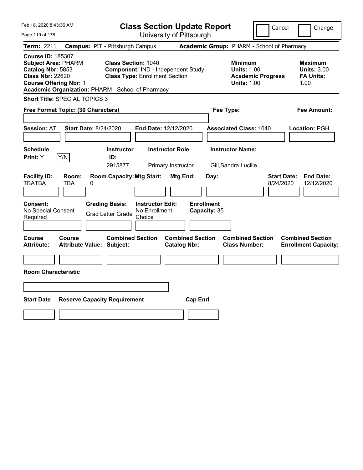| Feb 18, 2020 8:43:36 AM                                                                                                                                                                      |                                            |   |                                                                                                           | <b>Class Section Update Report</b>                 |                                                |                 |                                   |                                                                                        | Cancel                          |      | Change                                                   |
|----------------------------------------------------------------------------------------------------------------------------------------------------------------------------------------------|--------------------------------------------|---|-----------------------------------------------------------------------------------------------------------|----------------------------------------------------|------------------------------------------------|-----------------|-----------------------------------|----------------------------------------------------------------------------------------|---------------------------------|------|----------------------------------------------------------|
| Page 119 of 178                                                                                                                                                                              |                                            |   |                                                                                                           | University of Pittsburgh                           |                                                |                 |                                   |                                                                                        |                                 |      |                                                          |
| Term: 2211                                                                                                                                                                                   |                                            |   | <b>Campus: PIT - Pittsburgh Campus</b>                                                                    |                                                    |                                                |                 |                                   | Academic Group: PHARM - School of Pharmacy                                             |                                 |      |                                                          |
| <b>Course ID: 185307</b><br><b>Subject Area: PHARM</b><br>Catalog Nbr: 5853<br><b>Class Nbr: 22620</b><br><b>Course Offering Nbr: 1</b><br>Academic Organization: PHARM - School of Pharmacy |                                            |   | <b>Class Section: 1040</b><br>Component: IND - Independent Study<br><b>Class Type: Enrollment Section</b> |                                                    |                                                |                 |                                   | <b>Minimum</b><br><b>Units: 1.00</b><br><b>Academic Progress</b><br><b>Units: 1.00</b> |                                 | 1.00 | <b>Maximum</b><br><b>Units: 3.00</b><br><b>FA Units:</b> |
| <b>Short Title: SPECIAL TOPICS 3</b>                                                                                                                                                         |                                            |   |                                                                                                           |                                                    |                                                |                 |                                   |                                                                                        |                                 |      |                                                          |
| Free Format Topic: (30 Characters)                                                                                                                                                           |                                            |   |                                                                                                           |                                                    |                                                |                 | Fee Type:                         |                                                                                        |                                 |      | Fee Amount:                                              |
| <b>Session: AT</b>                                                                                                                                                                           | Start Date: 8/24/2020                      |   |                                                                                                           | End Date: 12/12/2020                               |                                                |                 |                                   | <b>Associated Class: 1040</b>                                                          |                                 |      | Location: PGH                                            |
| <b>Schedule</b><br><b>Print:</b> Y                                                                                                                                                           | Y/N                                        |   | <b>Instructor</b><br>ID:<br>2915877                                                                       |                                                    | <b>Instructor Role</b><br>Primary Instructor   |                 |                                   | <b>Instructor Name:</b><br>Gill,Sandra Lucille                                         |                                 |      |                                                          |
| <b>Facility ID:</b><br><b>TBATBA</b>                                                                                                                                                         | Room:<br>TBA                               | 0 | <b>Room Capacity: Mtg Start:</b>                                                                          |                                                    | Mtg End:                                       |                 | Day:                              |                                                                                        | <b>Start Date:</b><br>8/24/2020 |      | <b>End Date:</b><br>12/12/2020                           |
| <b>Consent:</b><br>No Special Consent<br>Required                                                                                                                                            |                                            |   | <b>Grading Basis:</b><br><b>Grad Letter Grade</b>                                                         | <b>Instructor Edit:</b><br>No Enrollment<br>Choice |                                                |                 | <b>Enrollment</b><br>Capacity: 35 |                                                                                        |                                 |      |                                                          |
| Course<br><b>Attribute:</b>                                                                                                                                                                  | Course<br><b>Attribute Value: Subject:</b> |   | <b>Combined Section</b>                                                                                   |                                                    | <b>Combined Section</b><br><b>Catalog Nbr:</b> |                 |                                   | <b>Combined Section</b><br><b>Class Number:</b>                                        |                                 |      | <b>Combined Section</b><br><b>Enrollment Capacity:</b>   |
|                                                                                                                                                                                              |                                            |   |                                                                                                           |                                                    |                                                |                 |                                   |                                                                                        |                                 |      |                                                          |
| <b>Room Characteristic</b>                                                                                                                                                                   |                                            |   |                                                                                                           |                                                    |                                                |                 |                                   |                                                                                        |                                 |      |                                                          |
|                                                                                                                                                                                              |                                            |   |                                                                                                           |                                                    |                                                |                 |                                   |                                                                                        |                                 |      |                                                          |
| <b>Start Date</b>                                                                                                                                                                            |                                            |   | <b>Reserve Capacity Requirement</b>                                                                       |                                                    |                                                | <b>Cap Enrl</b> |                                   |                                                                                        |                                 |      |                                                          |
|                                                                                                                                                                                              |                                            |   |                                                                                                           |                                                    |                                                |                 |                                   |                                                                                        |                                 |      |                                                          |
|                                                                                                                                                                                              |                                            |   |                                                                                                           |                                                    |                                                |                 |                                   |                                                                                        |                                 |      |                                                          |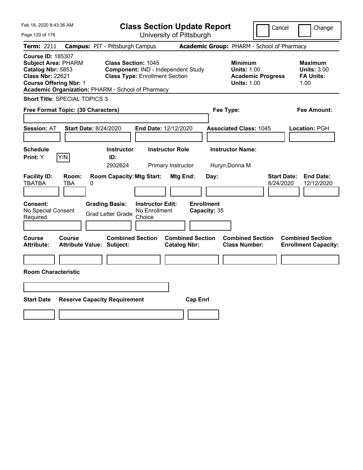| Feb 18, 2020 8:43:36 AM                                                                                                                                                                      |                                        |                                                                                                           |                                                    |                                              | <b>Class Section Update Report</b> |                                                            | Cancel                          | Change                                                           |
|----------------------------------------------------------------------------------------------------------------------------------------------------------------------------------------------|----------------------------------------|-----------------------------------------------------------------------------------------------------------|----------------------------------------------------|----------------------------------------------|------------------------------------|------------------------------------------------------------|---------------------------------|------------------------------------------------------------------|
| Page 120 of 178                                                                                                                                                                              |                                        |                                                                                                           |                                                    | University of Pittsburgh                     |                                    |                                                            |                                 |                                                                  |
| Term: 2211                                                                                                                                                                                   | <b>Campus: PIT - Pittsburgh Campus</b> |                                                                                                           |                                                    |                                              |                                    | Academic Group: PHARM - School of Pharmacy                 |                                 |                                                                  |
| <b>Course ID: 185307</b><br><b>Subject Area: PHARM</b><br>Catalog Nbr: 5853<br><b>Class Nbr: 22621</b><br><b>Course Offering Nbr: 1</b><br>Academic Organization: PHARM - School of Pharmacy |                                        | <b>Class Section: 1045</b><br>Component: IND - Independent Study<br><b>Class Type: Enrollment Section</b> |                                                    |                                              |                                    | <b>Minimum</b><br><b>Units: 1.00</b><br><b>Units: 1.00</b> | <b>Academic Progress</b>        | <b>Maximum</b><br><b>Units: 3.00</b><br><b>FA Units:</b><br>1.00 |
| <b>Short Title: SPECIAL TOPICS 3</b>                                                                                                                                                         |                                        |                                                                                                           |                                                    |                                              |                                    |                                                            |                                 |                                                                  |
| Free Format Topic: (30 Characters)                                                                                                                                                           |                                        |                                                                                                           |                                                    |                                              |                                    | Fee Type:                                                  |                                 | Fee Amount:                                                      |
| <b>Session: AT</b>                                                                                                                                                                           | <b>Start Date: 8/24/2020</b>           |                                                                                                           | End Date: 12/12/2020                               |                                              |                                    | <b>Associated Class: 1045</b>                              |                                 | Location: PGH                                                    |
| <b>Schedule</b><br>Y/N<br>Print: Y                                                                                                                                                           |                                        | <b>Instructor</b><br>ID:<br>2932624                                                                       |                                                    | <b>Instructor Role</b><br>Primary Instructor |                                    | <b>Instructor Name:</b><br>Huryn, Donna M                  |                                 |                                                                  |
| <b>Facility ID:</b><br><b>TBATBA</b>                                                                                                                                                         | Room:<br>TBA<br>0                      | <b>Room Capacity: Mtg Start:</b>                                                                          |                                                    | Mtg End:                                     | Day:                               |                                                            | <b>Start Date:</b><br>8/24/2020 | <b>End Date:</b><br>12/12/2020                                   |
| Consent:<br>No Special Consent<br>Required                                                                                                                                                   |                                        | <b>Grading Basis:</b><br><b>Grad Letter Grade</b>                                                         | <b>Instructor Edit:</b><br>No Enrollment<br>Choice |                                              | <b>Enrollment</b><br>Capacity: 35  |                                                            |                                 |                                                                  |
| Course<br>Course<br><b>Attribute:</b>                                                                                                                                                        | <b>Attribute Value: Subject:</b>       | <b>Combined Section</b>                                                                                   |                                                    | <b>Catalog Nbr:</b>                          | <b>Combined Section</b>            | <b>Combined Section</b><br><b>Class Number:</b>            |                                 | <b>Combined Section</b><br><b>Enrollment Capacity:</b>           |
| <b>Room Characteristic</b>                                                                                                                                                                   |                                        |                                                                                                           |                                                    |                                              |                                    |                                                            |                                 |                                                                  |
|                                                                                                                                                                                              |                                        |                                                                                                           |                                                    |                                              |                                    |                                                            |                                 |                                                                  |
| <b>Start Date</b>                                                                                                                                                                            | <b>Reserve Capacity Requirement</b>    |                                                                                                           |                                                    |                                              | <b>Cap Enrl</b>                    |                                                            |                                 |                                                                  |
|                                                                                                                                                                                              |                                        |                                                                                                           |                                                    |                                              |                                    |                                                            |                                 |                                                                  |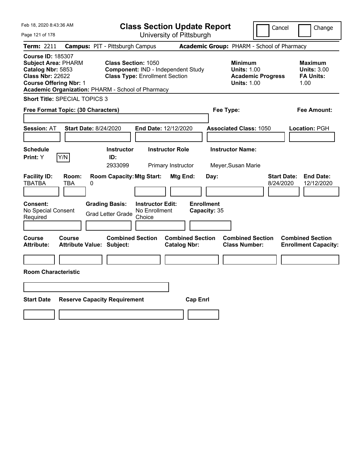| Feb 18, 2020 8:43:36 AM                                                                                                                 |                              |                                                                                                                          |                                          | <b>Class Section Update Report</b>             |                                            |                                                            | Cancel                   | Change                                                           |
|-----------------------------------------------------------------------------------------------------------------------------------------|------------------------------|--------------------------------------------------------------------------------------------------------------------------|------------------------------------------|------------------------------------------------|--------------------------------------------|------------------------------------------------------------|--------------------------|------------------------------------------------------------------|
| Page 121 of 178                                                                                                                         |                              |                                                                                                                          |                                          | University of Pittsburgh                       |                                            |                                                            |                          |                                                                  |
| Term: 2211                                                                                                                              |                              | <b>Campus: PIT - Pittsburgh Campus</b>                                                                                   |                                          |                                                | Academic Group: PHARM - School of Pharmacy |                                                            |                          |                                                                  |
| <b>Course ID: 185307</b><br><b>Subject Area: PHARM</b><br>Catalog Nbr: 5853<br><b>Class Nbr: 22622</b><br><b>Course Offering Nbr: 1</b> |                              | <b>Class Section: 1050</b><br><b>Class Type: Enrollment Section</b><br>Academic Organization: PHARM - School of Pharmacy |                                          | Component: IND - Independent Study             |                                            | <b>Minimum</b><br><b>Units: 1.00</b><br><b>Units: 1.00</b> | <b>Academic Progress</b> | <b>Maximum</b><br><b>Units: 3.00</b><br><b>FA Units:</b><br>1.00 |
| Short Title: SPECIAL TOPICS 3                                                                                                           |                              |                                                                                                                          |                                          |                                                |                                            |                                                            |                          |                                                                  |
| Free Format Topic: (30 Characters)                                                                                                      |                              |                                                                                                                          |                                          |                                                | Fee Type:                                  |                                                            |                          | Fee Amount:                                                      |
| <b>Session: AT</b><br><b>Schedule</b>                                                                                                   | <b>Start Date: 8/24/2020</b> | <b>Instructor</b>                                                                                                        | End Date: 12/12/2020                     | <b>Instructor Role</b>                         |                                            | <b>Associated Class: 1050</b><br><b>Instructor Name:</b>   |                          | Location: PGH                                                    |
| Print: Y                                                                                                                                | Y/N                          | ID:                                                                                                                      |                                          |                                                |                                            |                                                            |                          |                                                                  |
|                                                                                                                                         |                              | 2933099                                                                                                                  |                                          | Primary Instructor                             |                                            | Meyer, Susan Marie                                         |                          |                                                                  |
| <b>Facility ID:</b><br><b>TBATBA</b><br><b>Consent:</b><br>No Special Consent                                                           | Room:<br>TBA<br>0            | <b>Room Capacity: Mtg Start:</b><br><b>Grading Basis:</b>                                                                | <b>Instructor Edit:</b><br>No Enrollment | Mtg End:                                       | Day:<br><b>Enrollment</b><br>Capacity: 35  |                                                            | 8/24/2020                | <b>Start Date:</b><br><b>End Date:</b><br>12/12/2020             |
| Required                                                                                                                                |                              | <b>Grad Letter Grade</b>                                                                                                 | Choice                                   |                                                |                                            |                                                            |                          |                                                                  |
| <b>Course</b><br><b>Attribute:</b><br><b>Room Characteristic</b>                                                                        | <b>Course</b>                | <b>Combined Section</b><br><b>Attribute Value: Subject:</b>                                                              |                                          | <b>Combined Section</b><br><b>Catalog Nbr:</b> |                                            | <b>Combined Section</b><br><b>Class Number:</b>            |                          | <b>Combined Section</b><br><b>Enrollment Capacity:</b>           |
|                                                                                                                                         |                              |                                                                                                                          |                                          |                                                |                                            |                                                            |                          |                                                                  |
| <b>Start Date</b>                                                                                                                       |                              | <b>Reserve Capacity Requirement</b>                                                                                      |                                          | <b>Cap Enrl</b>                                |                                            |                                                            |                          |                                                                  |
|                                                                                                                                         |                              |                                                                                                                          |                                          |                                                |                                            |                                                            |                          |                                                                  |
|                                                                                                                                         |                              |                                                                                                                          |                                          |                                                |                                            |                                                            |                          |                                                                  |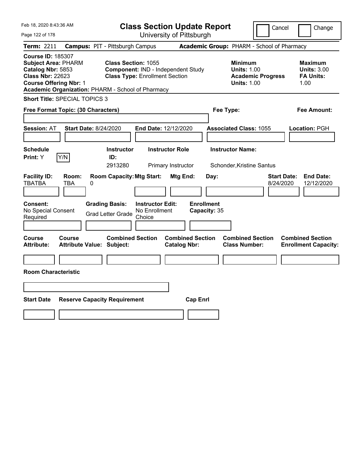| Feb 18, 2020 8:43:36 AM                                                                                                                                                                      |                                                                                            |                                                                             | <b>Class Section Update Report</b>                           |                                                            | Cancel                          | Change                                                           |
|----------------------------------------------------------------------------------------------------------------------------------------------------------------------------------------------|--------------------------------------------------------------------------------------------|-----------------------------------------------------------------------------|--------------------------------------------------------------|------------------------------------------------------------|---------------------------------|------------------------------------------------------------------|
| Page 122 of 178                                                                                                                                                                              |                                                                                            |                                                                             | University of Pittsburgh                                     |                                                            |                                 |                                                                  |
| Term: 2211                                                                                                                                                                                   | <b>Campus: PIT - Pittsburgh Campus</b>                                                     |                                                                             |                                                              | Academic Group: PHARM - School of Pharmacy                 |                                 |                                                                  |
| <b>Course ID: 185307</b><br><b>Subject Area: PHARM</b><br>Catalog Nbr: 5853<br><b>Class Nbr: 22623</b><br><b>Course Offering Nbr: 1</b><br>Academic Organization: PHARM - School of Pharmacy | Class Section: 1055                                                                        | Component: IND - Independent Study<br><b>Class Type: Enrollment Section</b> |                                                              | <b>Minimum</b><br><b>Units: 1.00</b><br><b>Units: 1.00</b> | <b>Academic Progress</b>        | <b>Maximum</b><br><b>Units: 3.00</b><br><b>FA Units:</b><br>1.00 |
| <b>Short Title: SPECIAL TOPICS 3</b>                                                                                                                                                         |                                                                                            |                                                                             |                                                              |                                                            |                                 |                                                                  |
| Free Format Topic: (30 Characters)                                                                                                                                                           |                                                                                            |                                                                             |                                                              | Fee Type:                                                  |                                 | Fee Amount:                                                      |
| <b>Session: AT</b>                                                                                                                                                                           | <b>Start Date: 8/24/2020</b>                                                               | End Date: 12/12/2020                                                        |                                                              | <b>Associated Class: 1055</b>                              |                                 | Location: PGH                                                    |
| <b>Schedule</b><br>Y/N<br>Print: Y                                                                                                                                                           | <b>Instructor</b><br>ID:                                                                   | <b>Instructor Role</b>                                                      |                                                              | <b>Instructor Name:</b>                                    |                                 |                                                                  |
|                                                                                                                                                                                              | 2913280                                                                                    | Primary Instructor                                                          |                                                              | Schonder, Kristine Santus                                  |                                 |                                                                  |
| <b>Facility ID:</b><br>Room:<br><b>TBATBA</b><br>TBA<br><b>Consent:</b><br>No Special Consent<br>Required                                                                                    | <b>Room Capacity: Mtg Start:</b><br>0<br><b>Grading Basis:</b><br><b>Grad Letter Grade</b> | <b>Instructor Edit:</b><br>No Enrollment<br>Choice                          | <b>Mtg End:</b><br>Day:<br><b>Enrollment</b><br>Capacity: 35 |                                                            | <b>Start Date:</b><br>8/24/2020 | <b>End Date:</b><br>12/12/2020                                   |
| <b>Course</b><br><b>Course</b><br><b>Attribute:</b><br><b>Room Characteristic</b>                                                                                                            | <b>Combined Section</b><br><b>Attribute Value: Subject:</b>                                |                                                                             | <b>Combined Section</b><br><b>Catalog Nbr:</b>               | <b>Combined Section</b><br><b>Class Number:</b>            |                                 | <b>Combined Section</b><br><b>Enrollment Capacity:</b>           |
|                                                                                                                                                                                              |                                                                                            |                                                                             |                                                              |                                                            |                                 |                                                                  |
| <b>Start Date</b>                                                                                                                                                                            | <b>Reserve Capacity Requirement</b>                                                        |                                                                             | <b>Cap Enrl</b>                                              |                                                            |                                 |                                                                  |
|                                                                                                                                                                                              |                                                                                            |                                                                             |                                                              |                                                            |                                 |                                                                  |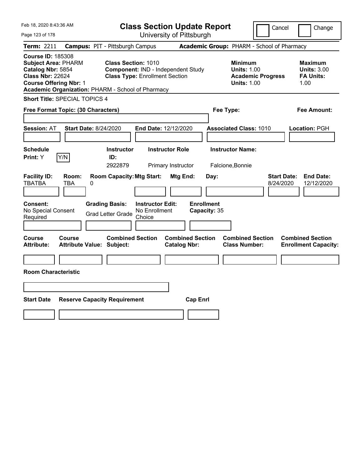| Feb 18, 2020 8:43:36 AM                                                                                                                                                                      |                                                   |                                                                                                    | <b>Class Section Update Report</b>                 |                        |                                            |           |                                                            |                          | Cancel                          | Change                                                           |
|----------------------------------------------------------------------------------------------------------------------------------------------------------------------------------------------|---------------------------------------------------|----------------------------------------------------------------------------------------------------|----------------------------------------------------|------------------------|--------------------------------------------|-----------|------------------------------------------------------------|--------------------------|---------------------------------|------------------------------------------------------------------|
| Page 123 of 178                                                                                                                                                                              |                                                   |                                                                                                    |                                                    |                        | University of Pittsburgh                   |           |                                                            |                          |                                 |                                                                  |
| Term: 2211                                                                                                                                                                                   |                                                   | <b>Campus: PIT - Pittsburgh Campus</b>                                                             |                                                    |                        | Academic Group: PHARM - School of Pharmacy |           |                                                            |                          |                                 |                                                                  |
| <b>Course ID: 185308</b><br><b>Subject Area: PHARM</b><br>Catalog Nbr: 5854<br><b>Class Nbr: 22624</b><br><b>Course Offering Nbr: 1</b><br>Academic Organization: PHARM - School of Pharmacy |                                                   | Class Section: 1010<br>Component: IND - Independent Study<br><b>Class Type: Enrollment Section</b> |                                                    |                        |                                            |           | <b>Minimum</b><br><b>Units: 1.00</b><br><b>Units: 1.00</b> | <b>Academic Progress</b> |                                 | <b>Maximum</b><br><b>Units: 3.00</b><br><b>FA Units:</b><br>1.00 |
| Short Title: SPECIAL TOPICS 4                                                                                                                                                                |                                                   |                                                                                                    |                                                    |                        |                                            |           |                                                            |                          |                                 |                                                                  |
| Free Format Topic: (30 Characters)                                                                                                                                                           |                                                   |                                                                                                    |                                                    |                        |                                            | Fee Type: |                                                            |                          |                                 | Fee Amount:                                                      |
| <b>Session: AT</b>                                                                                                                                                                           | <b>Start Date: 8/24/2020</b>                      |                                                                                                    | End Date: 12/12/2020                               |                        |                                            |           | <b>Associated Class: 1010</b>                              |                          |                                 | Location: PGH                                                    |
| <b>Schedule</b>                                                                                                                                                                              |                                                   | <b>Instructor</b>                                                                                  |                                                    | <b>Instructor Role</b> |                                            |           | <b>Instructor Name:</b>                                    |                          |                                 |                                                                  |
| Print: Y                                                                                                                                                                                     | Y/N                                               | ID:<br>2922879                                                                                     |                                                    | Primary Instructor     |                                            |           | Falcione, Bonnie                                           |                          |                                 |                                                                  |
| <b>Facility ID:</b><br><b>TBATBA</b>                                                                                                                                                         | Room:<br><b>TBA</b><br>0                          | <b>Room Capacity: Mtg Start:</b>                                                                   |                                                    | <b>Mtg End:</b>        | Day:<br><b>Enrollment</b>                  |           |                                                            |                          | <b>Start Date:</b><br>8/24/2020 | <b>End Date:</b><br>12/12/2020                                   |
| <b>Consent:</b><br>No Special Consent<br>Required                                                                                                                                            |                                                   | <b>Grading Basis:</b><br><b>Grad Letter Grade</b>                                                  | <b>Instructor Edit:</b><br>No Enrollment<br>Choice |                        | Capacity: 35                               |           |                                                            |                          |                                 |                                                                  |
| <b>Course</b><br><b>Attribute:</b>                                                                                                                                                           | <b>Course</b><br><b>Attribute Value: Subject:</b> | <b>Combined Section</b>                                                                            |                                                    | <b>Catalog Nbr:</b>    | <b>Combined Section</b>                    |           | <b>Combined Section</b><br><b>Class Number:</b>            |                          |                                 | <b>Combined Section</b><br><b>Enrollment Capacity:</b>           |
| <b>Room Characteristic</b>                                                                                                                                                                   |                                                   |                                                                                                    |                                                    |                        |                                            |           |                                                            |                          |                                 |                                                                  |
| <b>Start Date</b>                                                                                                                                                                            |                                                   | <b>Reserve Capacity Requirement</b>                                                                |                                                    |                        | <b>Cap Enrl</b>                            |           |                                                            |                          |                                 |                                                                  |
|                                                                                                                                                                                              |                                                   |                                                                                                    |                                                    |                        |                                            |           |                                                            |                          |                                 |                                                                  |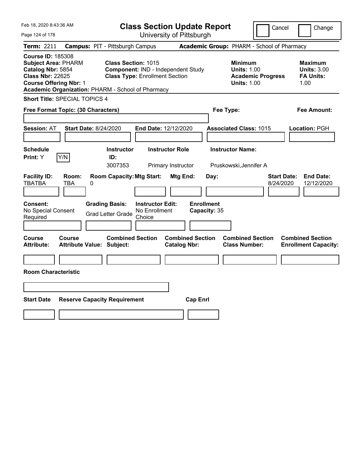| Feb 18, 2020 8:43:36 AM                                                                                                                 |                              |                                                                                                                   |                                                    | <b>Class Section Update Report</b>             |                                            |                                                            | Cancel                   | Change                                                            |
|-----------------------------------------------------------------------------------------------------------------------------------------|------------------------------|-------------------------------------------------------------------------------------------------------------------|----------------------------------------------------|------------------------------------------------|--------------------------------------------|------------------------------------------------------------|--------------------------|-------------------------------------------------------------------|
| Page 124 of 178                                                                                                                         |                              |                                                                                                                   |                                                    | University of Pittsburgh                       |                                            |                                                            |                          |                                                                   |
| Term: 2211                                                                                                                              |                              | <b>Campus: PIT - Pittsburgh Campus</b>                                                                            |                                                    |                                                | Academic Group: PHARM - School of Pharmacy |                                                            |                          |                                                                   |
| <b>Course ID: 185308</b><br><b>Subject Area: PHARM</b><br>Catalog Nbr: 5854<br><b>Class Nbr: 22625</b><br><b>Course Offering Nbr: 1</b> |                              | Class Section: 1015<br><b>Class Type: Enrollment Section</b><br>Academic Organization: PHARM - School of Pharmacy |                                                    | Component: IND - Independent Study             |                                            | <b>Minimum</b><br><b>Units: 1.00</b><br><b>Units: 1.00</b> | <b>Academic Progress</b> | <b>Maximum</b><br><b>Units: 3.00</b><br><b>FA Units:</b><br>1.00  |
| Short Title: SPECIAL TOPICS 4                                                                                                           |                              |                                                                                                                   |                                                    |                                                |                                            |                                                            |                          |                                                                   |
| Free Format Topic: (30 Characters)                                                                                                      |                              |                                                                                                                   |                                                    |                                                | Fee Type:                                  |                                                            |                          | Fee Amount:                                                       |
| <b>Session: AT</b><br><b>Schedule</b>                                                                                                   | <b>Start Date: 8/24/2020</b> | <b>Instructor</b>                                                                                                 | End Date: 12/12/2020                               | <b>Instructor Role</b>                         |                                            | <b>Associated Class: 1015</b><br><b>Instructor Name:</b>   |                          | Location: PGH                                                     |
| Print: Y                                                                                                                                | Y/N                          | ID:<br>3007353                                                                                                    |                                                    | Primary Instructor                             |                                            | Pruskowski, Jennifer A                                     |                          |                                                                   |
| <b>Facility ID:</b><br><b>TBATBA</b><br><b>Consent:</b><br>No Special Consent<br>Required                                               | Room:<br><b>TBA</b><br>0     | <b>Room Capacity: Mtg Start:</b><br><b>Grading Basis:</b><br><b>Grad Letter Grade</b>                             | <b>Instructor Edit:</b><br>No Enrollment<br>Choice | Mtg End:                                       | Day:<br><b>Enrollment</b><br>Capacity: 35  |                                                            |                          | <b>Start Date:</b><br><b>End Date:</b><br>8/24/2020<br>12/12/2020 |
| <b>Course</b><br><b>Attribute:</b><br><b>Room Characteristic</b>                                                                        | <b>Course</b>                | <b>Combined Section</b><br><b>Attribute Value: Subject:</b>                                                       |                                                    | <b>Combined Section</b><br><b>Catalog Nbr:</b> |                                            | <b>Combined Section</b><br><b>Class Number:</b>            |                          | <b>Combined Section</b><br><b>Enrollment Capacity:</b>            |
|                                                                                                                                         |                              |                                                                                                                   |                                                    |                                                |                                            |                                                            |                          |                                                                   |
| <b>Start Date</b>                                                                                                                       |                              | <b>Reserve Capacity Requirement</b>                                                                               |                                                    | <b>Cap Enrl</b>                                |                                            |                                                            |                          |                                                                   |
|                                                                                                                                         |                              |                                                                                                                   |                                                    |                                                |                                            |                                                            |                          |                                                                   |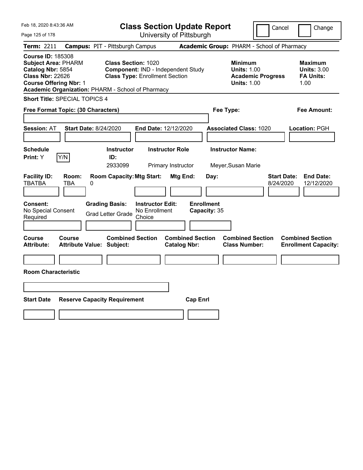| Feb 18, 2020 8:43:36 AM                                                                                                                                                                      |                                            |                                                                                                           |                                                    |                                | <b>Class Section Update Report</b> |                                                            | Cancel                   | Change                                                            |
|----------------------------------------------------------------------------------------------------------------------------------------------------------------------------------------------|--------------------------------------------|-----------------------------------------------------------------------------------------------------------|----------------------------------------------------|--------------------------------|------------------------------------|------------------------------------------------------------|--------------------------|-------------------------------------------------------------------|
| Page 125 of 178                                                                                                                                                                              |                                            |                                                                                                           |                                                    | University of Pittsburgh       |                                    |                                                            |                          |                                                                   |
| Term: 2211                                                                                                                                                                                   |                                            | <b>Campus: PIT - Pittsburgh Campus</b>                                                                    |                                                    |                                |                                    | Academic Group: PHARM - School of Pharmacy                 |                          |                                                                   |
| <b>Course ID: 185308</b><br><b>Subject Area: PHARM</b><br>Catalog Nbr: 5854<br><b>Class Nbr: 22626</b><br><b>Course Offering Nbr: 1</b><br>Academic Organization: PHARM - School of Pharmacy |                                            | <b>Class Section: 1020</b><br>Component: IND - Independent Study<br><b>Class Type: Enrollment Section</b> |                                                    |                                |                                    | <b>Minimum</b><br><b>Units: 1.00</b><br><b>Units: 1.00</b> | <b>Academic Progress</b> | <b>Maximum</b><br><b>Units: 3.00</b><br><b>FA Units:</b><br>1.00  |
| <b>Short Title: SPECIAL TOPICS 4</b>                                                                                                                                                         |                                            |                                                                                                           |                                                    |                                |                                    |                                                            |                          |                                                                   |
| Free Format Topic: (30 Characters)                                                                                                                                                           |                                            |                                                                                                           |                                                    |                                |                                    | Fee Type:                                                  |                          | Fee Amount:                                                       |
| <b>Session: AT</b><br><b>Schedule</b>                                                                                                                                                        | <b>Start Date: 8/24/2020</b>               | <b>Instructor</b>                                                                                         | <b>End Date: 12/12/2020</b>                        | <b>Instructor Role</b>         |                                    | <b>Associated Class: 1020</b><br><b>Instructor Name:</b>   |                          | Location: PGH                                                     |
| <b>Print:</b> Y                                                                                                                                                                              | Y/N                                        | ID:                                                                                                       |                                                    |                                |                                    |                                                            |                          |                                                                   |
| <b>Facility ID:</b><br><b>TBATBA</b>                                                                                                                                                         | Room:<br>TBA<br>0                          | 2933099<br><b>Room Capacity: Mtg Start:</b>                                                               |                                                    | Primary Instructor<br>Mtg End: | Day:                               | Meyer, Susan Marie                                         |                          | <b>Start Date:</b><br><b>End Date:</b><br>8/24/2020<br>12/12/2020 |
| <b>Consent:</b><br>No Special Consent<br>Required                                                                                                                                            |                                            | <b>Grading Basis:</b><br><b>Grad Letter Grade</b>                                                         | <b>Instructor Edit:</b><br>No Enrollment<br>Choice |                                | <b>Enrollment</b><br>Capacity: 35  |                                                            |                          |                                                                   |
| Course<br><b>Attribute:</b>                                                                                                                                                                  | Course<br><b>Attribute Value: Subject:</b> | <b>Combined Section</b>                                                                                   |                                                    | <b>Catalog Nbr:</b>            | <b>Combined Section</b>            | <b>Combined Section</b><br><b>Class Number:</b>            |                          | <b>Combined Section</b><br><b>Enrollment Capacity:</b>            |
|                                                                                                                                                                                              |                                            |                                                                                                           |                                                    |                                |                                    |                                                            |                          |                                                                   |
| <b>Room Characteristic</b>                                                                                                                                                                   |                                            |                                                                                                           |                                                    |                                |                                    |                                                            |                          |                                                                   |
|                                                                                                                                                                                              |                                            |                                                                                                           |                                                    |                                |                                    |                                                            |                          |                                                                   |
| <b>Start Date</b>                                                                                                                                                                            |                                            | <b>Reserve Capacity Requirement</b>                                                                       |                                                    |                                | <b>Cap Enrl</b>                    |                                                            |                          |                                                                   |
|                                                                                                                                                                                              |                                            |                                                                                                           |                                                    |                                |                                    |                                                            |                          |                                                                   |
|                                                                                                                                                                                              |                                            |                                                                                                           |                                                    |                                |                                    |                                                            |                          |                                                                   |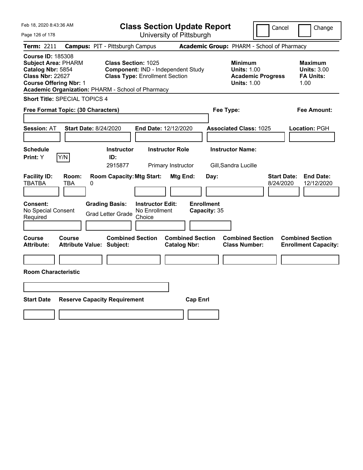| Feb 18, 2020 8:43:36 AM                                                                                                                 |                              |                                                                                                                   |                                                    | <b>Class Section Update Report</b>             |                                           |                                                            |                          | Cancel<br>Change                                                  |
|-----------------------------------------------------------------------------------------------------------------------------------------|------------------------------|-------------------------------------------------------------------------------------------------------------------|----------------------------------------------------|------------------------------------------------|-------------------------------------------|------------------------------------------------------------|--------------------------|-------------------------------------------------------------------|
| Page 126 of 178                                                                                                                         |                              |                                                                                                                   |                                                    | University of Pittsburgh                       |                                           |                                                            |                          |                                                                   |
| Term: 2211                                                                                                                              |                              | <b>Campus: PIT - Pittsburgh Campus</b>                                                                            |                                                    |                                                |                                           | Academic Group: PHARM - School of Pharmacy                 |                          |                                                                   |
| <b>Course ID: 185308</b><br><b>Subject Area: PHARM</b><br>Catalog Nbr: 5854<br><b>Class Nbr: 22627</b><br><b>Course Offering Nbr: 1</b> |                              | Class Section: 1025<br><b>Class Type: Enrollment Section</b><br>Academic Organization: PHARM - School of Pharmacy |                                                    | Component: IND - Independent Study             |                                           | <b>Minimum</b><br><b>Units: 1.00</b><br><b>Units: 1.00</b> | <b>Academic Progress</b> | <b>Maximum</b><br><b>Units: 3.00</b><br><b>FA Units:</b><br>1.00  |
| Short Title: SPECIAL TOPICS 4                                                                                                           |                              |                                                                                                                   |                                                    |                                                |                                           |                                                            |                          |                                                                   |
| Free Format Topic: (30 Characters)                                                                                                      |                              |                                                                                                                   |                                                    |                                                |                                           | Fee Type:                                                  |                          | Fee Amount:                                                       |
| <b>Session: AT</b>                                                                                                                      | <b>Start Date: 8/24/2020</b> |                                                                                                                   | End Date: 12/12/2020                               |                                                |                                           | <b>Associated Class: 1025</b>                              |                          | Location: PGH                                                     |
| <b>Schedule</b>                                                                                                                         |                              | <b>Instructor</b>                                                                                                 |                                                    | <b>Instructor Role</b>                         |                                           | <b>Instructor Name:</b>                                    |                          |                                                                   |
| Print: Y                                                                                                                                | Y/N                          | ID:<br>2915877                                                                                                    |                                                    | Primary Instructor                             |                                           | Gill, Sandra Lucille                                       |                          |                                                                   |
| <b>Facility ID:</b><br><b>TBATBA</b><br><b>Consent:</b><br>No Special Consent<br>Required                                               | Room:<br><b>TBA</b><br>0     | <b>Room Capacity: Mtg Start:</b><br><b>Grading Basis:</b><br><b>Grad Letter Grade</b>                             | <b>Instructor Edit:</b><br>No Enrollment<br>Choice | Mtg End:                                       | Day:<br><b>Enrollment</b><br>Capacity: 35 |                                                            |                          | <b>Start Date:</b><br><b>End Date:</b><br>8/24/2020<br>12/12/2020 |
| <b>Course</b><br><b>Attribute:</b>                                                                                                      | <b>Course</b>                | <b>Combined Section</b><br><b>Attribute Value: Subject:</b>                                                       |                                                    | <b>Combined Section</b><br><b>Catalog Nbr:</b> |                                           | <b>Combined Section</b><br><b>Class Number:</b>            |                          | <b>Combined Section</b><br><b>Enrollment Capacity:</b>            |
| <b>Room Characteristic</b>                                                                                                              |                              |                                                                                                                   |                                                    |                                                |                                           |                                                            |                          |                                                                   |
| <b>Start Date</b>                                                                                                                       |                              | <b>Reserve Capacity Requirement</b>                                                                               |                                                    |                                                | <b>Cap Enrl</b>                           |                                                            |                          |                                                                   |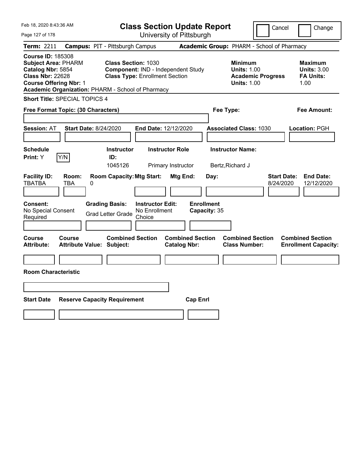| Feb 18, 2020 8:43:36 AM                                                                                                                                                                      |                                        |                                                                                                           | <b>Class Section Update Report</b>                 |                        |                                   |           |                                                                                        | Cancel                          | Change                                                           |
|----------------------------------------------------------------------------------------------------------------------------------------------------------------------------------------------|----------------------------------------|-----------------------------------------------------------------------------------------------------------|----------------------------------------------------|------------------------|-----------------------------------|-----------|----------------------------------------------------------------------------------------|---------------------------------|------------------------------------------------------------------|
| Page 127 of 178                                                                                                                                                                              |                                        |                                                                                                           | University of Pittsburgh                           |                        |                                   |           |                                                                                        |                                 |                                                                  |
| Term: 2211                                                                                                                                                                                   | <b>Campus: PIT - Pittsburgh Campus</b> |                                                                                                           |                                                    |                        |                                   |           | Academic Group: PHARM - School of Pharmacy                                             |                                 |                                                                  |
| <b>Course ID: 185308</b><br><b>Subject Area: PHARM</b><br>Catalog Nbr: 5854<br><b>Class Nbr: 22628</b><br><b>Course Offering Nbr: 1</b><br>Academic Organization: PHARM - School of Pharmacy |                                        | <b>Class Section: 1030</b><br>Component: IND - Independent Study<br><b>Class Type: Enrollment Section</b> |                                                    |                        |                                   |           | <b>Minimum</b><br><b>Units: 1.00</b><br><b>Academic Progress</b><br><b>Units: 1.00</b> |                                 | <b>Maximum</b><br><b>Units: 3.00</b><br><b>FA Units:</b><br>1.00 |
| Short Title: SPECIAL TOPICS 4                                                                                                                                                                |                                        |                                                                                                           |                                                    |                        |                                   |           |                                                                                        |                                 |                                                                  |
| Free Format Topic: (30 Characters)                                                                                                                                                           |                                        |                                                                                                           |                                                    |                        |                                   | Fee Type: |                                                                                        |                                 | Fee Amount:                                                      |
| <b>Session: AT</b>                                                                                                                                                                           | <b>Start Date: 8/24/2020</b>           |                                                                                                           | End Date: 12/12/2020                               |                        |                                   |           | <b>Associated Class: 1030</b>                                                          |                                 | Location: PGH                                                    |
| <b>Schedule</b>                                                                                                                                                                              |                                        | <b>Instructor</b>                                                                                         |                                                    | <b>Instructor Role</b> |                                   |           | <b>Instructor Name:</b>                                                                |                                 |                                                                  |
| Y/N<br>Print: Y                                                                                                                                                                              |                                        | ID:<br>1045126                                                                                            |                                                    | Primary Instructor     |                                   |           | Bertz, Richard J                                                                       |                                 |                                                                  |
| <b>Facility ID:</b><br><b>TBATBA</b><br><b>Consent:</b><br>No Special Consent<br>Required                                                                                                    | Room:<br>TBA<br>0                      | <b>Room Capacity: Mtg Start:</b><br><b>Grading Basis:</b><br><b>Grad Letter Grade</b>                     | <b>Instructor Edit:</b><br>No Enrollment<br>Choice | Mtg End:               | <b>Enrollment</b><br>Capacity: 35 | Day:      |                                                                                        | <b>Start Date:</b><br>8/24/2020 | <b>End Date:</b><br>12/12/2020                                   |
|                                                                                                                                                                                              |                                        |                                                                                                           |                                                    |                        |                                   |           |                                                                                        |                                 |                                                                  |
| <b>Course</b><br><b>Course</b><br><b>Attribute:</b>                                                                                                                                          | <b>Attribute Value: Subject:</b>       | <b>Combined Section</b>                                                                                   |                                                    | <b>Catalog Nbr:</b>    | <b>Combined Section</b>           |           | <b>Combined Section</b><br><b>Class Number:</b>                                        |                                 | <b>Combined Section</b><br><b>Enrollment Capacity:</b>           |
| <b>Room Characteristic</b>                                                                                                                                                                   |                                        |                                                                                                           |                                                    |                        |                                   |           |                                                                                        |                                 |                                                                  |
| <b>Start Date</b>                                                                                                                                                                            | <b>Reserve Capacity Requirement</b>    |                                                                                                           |                                                    |                        | <b>Cap Enrl</b>                   |           |                                                                                        |                                 |                                                                  |
|                                                                                                                                                                                              |                                        |                                                                                                           |                                                    |                        |                                   |           |                                                                                        |                                 |                                                                  |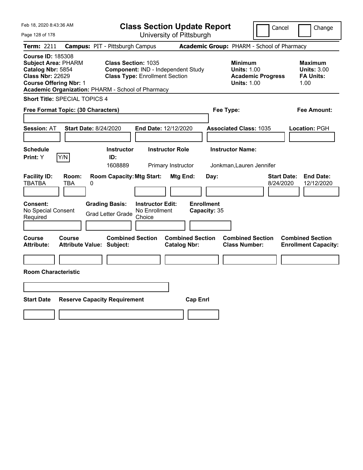| Feb 18, 2020 8:43:36 AM                                                                                                                                                                      |                                                             |                                                                             | <b>Class Section Update Report</b>             |                                                                                        | Cancel<br>Change                                                  |
|----------------------------------------------------------------------------------------------------------------------------------------------------------------------------------------------|-------------------------------------------------------------|-----------------------------------------------------------------------------|------------------------------------------------|----------------------------------------------------------------------------------------|-------------------------------------------------------------------|
| Page 128 of 178                                                                                                                                                                              |                                                             | University of Pittsburgh                                                    |                                                |                                                                                        |                                                                   |
| Term: 2211                                                                                                                                                                                   | <b>Campus: PIT - Pittsburgh Campus</b>                      |                                                                             |                                                | Academic Group: PHARM - School of Pharmacy                                             |                                                                   |
| <b>Course ID: 185308</b><br><b>Subject Area: PHARM</b><br>Catalog Nbr: 5854<br><b>Class Nbr: 22629</b><br><b>Course Offering Nbr: 1</b><br>Academic Organization: PHARM - School of Pharmacy | <b>Class Section: 1035</b>                                  | Component: IND - Independent Study<br><b>Class Type: Enrollment Section</b> |                                                | <b>Minimum</b><br><b>Units: 1.00</b><br><b>Academic Progress</b><br><b>Units: 1.00</b> | <b>Maximum</b><br><b>Units: 3.00</b><br><b>FA Units:</b><br>1.00  |
| <b>Short Title: SPECIAL TOPICS 4</b>                                                                                                                                                         |                                                             |                                                                             |                                                |                                                                                        |                                                                   |
| Free Format Topic: (30 Characters)                                                                                                                                                           |                                                             |                                                                             |                                                | Fee Type:                                                                              | Fee Amount:                                                       |
| <b>Session: AT</b><br><b>Schedule</b>                                                                                                                                                        | <b>Start Date: 8/24/2020</b><br><b>Instructor</b>           | <b>End Date: 12/12/2020</b><br><b>Instructor Role</b>                       |                                                | <b>Associated Class: 1035</b><br><b>Instructor Name:</b>                               | Location: PGH                                                     |
| Y/N<br><b>Print:</b> Y                                                                                                                                                                       | ID:                                                         |                                                                             |                                                |                                                                                        |                                                                   |
|                                                                                                                                                                                              | 1608889                                                     | Primary Instructor                                                          |                                                | Jonkman, Lauren Jennifer                                                               |                                                                   |
| <b>Facility ID:</b><br>Room:<br><b>TBATBA</b><br>TBA                                                                                                                                         | <b>Room Capacity: Mtg Start:</b><br>0                       |                                                                             | Mtg End:<br>Day:                               |                                                                                        | <b>Start Date:</b><br><b>End Date:</b><br>8/24/2020<br>12/12/2020 |
| <b>Consent:</b><br>No Special Consent<br>Required                                                                                                                                            | <b>Grading Basis:</b><br><b>Grad Letter Grade</b>           | <b>Instructor Edit:</b><br>No Enrollment<br>Choice                          | <b>Enrollment</b><br>Capacity: 35              |                                                                                        |                                                                   |
| Course<br>Course<br><b>Attribute:</b>                                                                                                                                                        | <b>Combined Section</b><br><b>Attribute Value: Subject:</b> |                                                                             | <b>Combined Section</b><br><b>Catalog Nbr:</b> | <b>Combined Section</b><br><b>Class Number:</b>                                        | <b>Combined Section</b><br><b>Enrollment Capacity:</b>            |
| <b>Room Characteristic</b>                                                                                                                                                                   |                                                             |                                                                             |                                                |                                                                                        |                                                                   |
|                                                                                                                                                                                              |                                                             |                                                                             |                                                |                                                                                        |                                                                   |
|                                                                                                                                                                                              |                                                             |                                                                             |                                                |                                                                                        |                                                                   |
| <b>Start Date</b>                                                                                                                                                                            | <b>Reserve Capacity Requirement</b>                         |                                                                             | <b>Cap Enrl</b>                                |                                                                                        |                                                                   |
|                                                                                                                                                                                              |                                                             |                                                                             |                                                |                                                                                        |                                                                   |
|                                                                                                                                                                                              |                                                             |                                                                             |                                                |                                                                                        |                                                                   |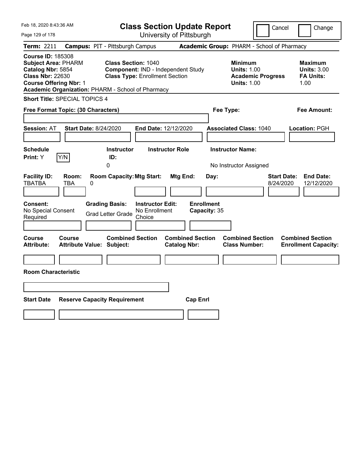| Feb 18, 2020 8:43:36 AM                                                                                                                                                                      |                                                                                            |                                                                             | <b>Class Section Update Report</b>             |                                                                                    | Cancel                          | Change                                                           |
|----------------------------------------------------------------------------------------------------------------------------------------------------------------------------------------------|--------------------------------------------------------------------------------------------|-----------------------------------------------------------------------------|------------------------------------------------|------------------------------------------------------------------------------------|---------------------------------|------------------------------------------------------------------|
| Page 129 of 178                                                                                                                                                                              |                                                                                            |                                                                             | University of Pittsburgh                       |                                                                                    |                                 |                                                                  |
| Term: 2211                                                                                                                                                                                   | <b>Campus: PIT - Pittsburgh Campus</b>                                                     |                                                                             |                                                | Academic Group: PHARM - School of Pharmacy                                         |                                 |                                                                  |
| <b>Course ID: 185308</b><br><b>Subject Area: PHARM</b><br>Catalog Nbr: 5854<br><b>Class Nbr: 22630</b><br><b>Course Offering Nbr: 1</b><br>Academic Organization: PHARM - School of Pharmacy | <b>Class Section: 1040</b>                                                                 | Component: IND - Independent Study<br><b>Class Type: Enrollment Section</b> |                                                | <b>Minimum</b><br><b>Units: 1.00</b><br><b>Units: 1.00</b>                         | <b>Academic Progress</b>        | <b>Maximum</b><br><b>Units: 3.00</b><br><b>FA Units:</b><br>1.00 |
| <b>Short Title: SPECIAL TOPICS 4</b>                                                                                                                                                         |                                                                                            |                                                                             |                                                |                                                                                    |                                 |                                                                  |
| Free Format Topic: (30 Characters)                                                                                                                                                           |                                                                                            |                                                                             |                                                | Fee Type:                                                                          |                                 | Fee Amount:                                                      |
| <b>Session: AT</b><br><b>Schedule</b><br>Y/N<br><b>Print:</b> Y                                                                                                                              | <b>Start Date: 8/24/2020</b><br><b>Instructor</b><br>ID:<br>0                              | End Date: 12/12/2020<br><b>Instructor Role</b>                              |                                                | <b>Associated Class: 1040</b><br><b>Instructor Name:</b><br>No Instructor Assigned |                                 | Location: PGH                                                    |
| <b>Facility ID:</b><br>Room:<br><b>TBATBA</b><br>TBA<br><b>Consent:</b><br>No Special Consent<br>Required                                                                                    | <b>Room Capacity: Mtg Start:</b><br>0<br><b>Grading Basis:</b><br><b>Grad Letter Grade</b> | <b>Instructor Edit:</b><br>No Enrollment<br>Choice                          | Mtg End:<br><b>Enrollment</b><br>Capacity: 35  | Day:                                                                               | <b>Start Date:</b><br>8/24/2020 | <b>End Date:</b><br>12/12/2020                                   |
| Course<br>Course<br><b>Attribute:</b><br><b>Room Characteristic</b>                                                                                                                          | <b>Combined Section</b><br><b>Attribute Value: Subject:</b>                                |                                                                             | <b>Combined Section</b><br><b>Catalog Nbr:</b> | <b>Combined Section</b><br><b>Class Number:</b>                                    |                                 | <b>Combined Section</b><br><b>Enrollment Capacity:</b>           |
| <b>Start Date</b>                                                                                                                                                                            | <b>Reserve Capacity Requirement</b>                                                        |                                                                             | <b>Cap Enrl</b>                                |                                                                                    |                                 |                                                                  |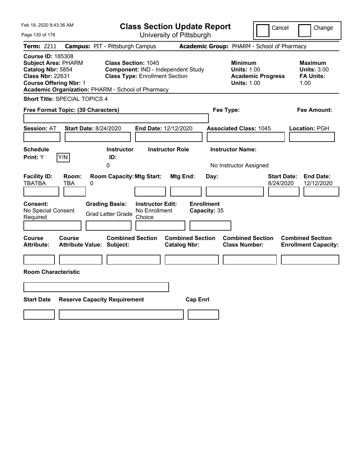| Feb 18, 2020 8:43:36 AM                                                                                                                 |                                     |                                                                                       |                                                    | <b>Class Section Update Report</b>             |                                           |                                                                                    | Cancel                                     | Change                                                            |
|-----------------------------------------------------------------------------------------------------------------------------------------|-------------------------------------|---------------------------------------------------------------------------------------|----------------------------------------------------|------------------------------------------------|-------------------------------------------|------------------------------------------------------------------------------------|--------------------------------------------|-------------------------------------------------------------------|
| Page 130 of 178                                                                                                                         |                                     |                                                                                       |                                                    | University of Pittsburgh                       |                                           |                                                                                    |                                            |                                                                   |
| Term: 2211                                                                                                                              |                                     | <b>Campus: PIT - Pittsburgh Campus</b>                                                |                                                    |                                                |                                           |                                                                                    | Academic Group: PHARM - School of Pharmacy |                                                                   |
| <b>Course ID: 185308</b><br><b>Subject Area: PHARM</b><br>Catalog Nbr: 5854<br><b>Class Nbr: 22631</b><br><b>Course Offering Nbr: 1</b> |                                     | <b>Class Section: 1045</b><br>Academic Organization: PHARM - School of Pharmacy       | <b>Class Type: Enrollment Section</b>              | Component: IND - Independent Study             |                                           | <b>Minimum</b><br><b>Units: 1.00</b><br><b>Units: 1.00</b>                         | <b>Academic Progress</b>                   | <b>Maximum</b><br><b>Units: 3.00</b><br><b>FA Units:</b><br>1.00  |
| Short Title: SPECIAL TOPICS 4                                                                                                           |                                     |                                                                                       |                                                    |                                                |                                           |                                                                                    |                                            |                                                                   |
| Free Format Topic: (30 Characters)                                                                                                      |                                     |                                                                                       |                                                    |                                                | Fee Type:                                 |                                                                                    |                                            | Fee Amount:                                                       |
| <b>Session: AT</b><br><b>Schedule</b><br>Print: Y                                                                                       | <b>Start Date: 8/24/2020</b><br>Y/N | <b>Instructor</b><br>ID:<br>0                                                         | End Date: 12/12/2020                               | <b>Instructor Role</b>                         |                                           | <b>Associated Class: 1045</b><br><b>Instructor Name:</b><br>No Instructor Assigned |                                            | Location: PGH                                                     |
| <b>Facility ID:</b><br><b>TBATBA</b><br><b>Consent:</b><br>No Special Consent<br>Required                                               | Room:<br>TBA<br>0                   | <b>Room Capacity: Mtg Start:</b><br><b>Grading Basis:</b><br><b>Grad Letter Grade</b> | <b>Instructor Edit:</b><br>No Enrollment<br>Choice | Mtg End:                                       | Day:<br><b>Enrollment</b><br>Capacity: 35 |                                                                                    |                                            | <b>Start Date:</b><br><b>End Date:</b><br>8/24/2020<br>12/12/2020 |
| <b>Course</b><br><b>Attribute:</b><br><b>Room Characteristic</b>                                                                        | <b>Course</b>                       | <b>Combined Section</b><br><b>Attribute Value: Subject:</b>                           |                                                    | <b>Combined Section</b><br><b>Catalog Nbr:</b> |                                           | <b>Combined Section</b><br><b>Class Number:</b>                                    |                                            | <b>Combined Section</b><br><b>Enrollment Capacity:</b>            |
| <b>Start Date</b>                                                                                                                       |                                     | <b>Reserve Capacity Requirement</b>                                                   |                                                    | <b>Cap Enrl</b>                                |                                           |                                                                                    |                                            |                                                                   |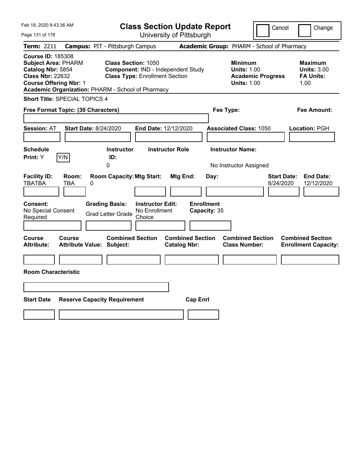| Feb 18, 2020 8:43:36 AM                                                                                                                                                                      |                                            |                                                                                                                  |                                                    | <b>Class Section Update Report</b>             |                                   |                                                            | Cancel                          | Change                                                           |
|----------------------------------------------------------------------------------------------------------------------------------------------------------------------------------------------|--------------------------------------------|------------------------------------------------------------------------------------------------------------------|----------------------------------------------------|------------------------------------------------|-----------------------------------|------------------------------------------------------------|---------------------------------|------------------------------------------------------------------|
| Page 131 of 178                                                                                                                                                                              |                                            |                                                                                                                  |                                                    | University of Pittsburgh                       |                                   |                                                            |                                 |                                                                  |
| Term: 2211                                                                                                                                                                                   | <b>Campus: PIT - Pittsburgh Campus</b>     |                                                                                                                  |                                                    |                                                |                                   | Academic Group: PHARM - School of Pharmacy                 |                                 |                                                                  |
| <b>Course ID: 185308</b><br><b>Subject Area: PHARM</b><br>Catalog Nbr: 5854<br><b>Class Nbr: 22632</b><br><b>Course Offering Nbr: 1</b><br>Academic Organization: PHARM - School of Pharmacy |                                            | <b>Class Section: 1050</b><br><b>Component: IND - Independent Study</b><br><b>Class Type: Enrollment Section</b> |                                                    |                                                |                                   | <b>Minimum</b><br><b>Units: 1.00</b><br><b>Units: 1.00</b> | <b>Academic Progress</b>        | <b>Maximum</b><br><b>Units: 3.00</b><br><b>FA Units:</b><br>1.00 |
| <b>Short Title: SPECIAL TOPICS 4</b>                                                                                                                                                         |                                            |                                                                                                                  |                                                    |                                                |                                   |                                                            |                                 |                                                                  |
| Free Format Topic: (30 Characters)                                                                                                                                                           |                                            |                                                                                                                  |                                                    |                                                |                                   | Fee Type:                                                  |                                 | Fee Amount:                                                      |
| <b>Session: AT</b><br><b>Schedule</b><br>Y/N<br>Print: Y                                                                                                                                     | <b>Start Date: 8/24/2020</b>               | <b>Instructor</b><br>ID:                                                                                         |                                                    | End Date: 12/12/2020<br><b>Instructor Role</b> |                                   | <b>Associated Class: 1050</b><br><b>Instructor Name:</b>   |                                 | Location: PGH                                                    |
|                                                                                                                                                                                              |                                            | 0                                                                                                                |                                                    |                                                |                                   | No Instructor Assigned                                     |                                 |                                                                  |
| <b>Facility ID:</b><br><b>TBATBA</b>                                                                                                                                                         | Room:<br>TBA<br>0                          | <b>Room Capacity: Mtg Start:</b>                                                                                 |                                                    | Mtg End:                                       | Day:                              |                                                            | <b>Start Date:</b><br>8/24/2020 | <b>End Date:</b><br>12/12/2020                                   |
| Consent:<br>No Special Consent<br>Required                                                                                                                                                   |                                            | <b>Grading Basis:</b><br><b>Grad Letter Grade</b>                                                                | <b>Instructor Edit:</b><br>No Enrollment<br>Choice |                                                | <b>Enrollment</b><br>Capacity: 35 |                                                            |                                 |                                                                  |
| Course<br><b>Attribute:</b>                                                                                                                                                                  | Course<br><b>Attribute Value: Subject:</b> | <b>Combined Section</b>                                                                                          |                                                    | <b>Combined Section</b><br><b>Catalog Nbr:</b> |                                   | <b>Combined Section</b><br><b>Class Number:</b>            |                                 | <b>Combined Section</b><br><b>Enrollment Capacity:</b>           |
|                                                                                                                                                                                              |                                            |                                                                                                                  |                                                    |                                                |                                   |                                                            |                                 |                                                                  |
| <b>Room Characteristic</b>                                                                                                                                                                   |                                            |                                                                                                                  |                                                    |                                                |                                   |                                                            |                                 |                                                                  |
|                                                                                                                                                                                              |                                            |                                                                                                                  |                                                    |                                                |                                   |                                                            |                                 |                                                                  |
|                                                                                                                                                                                              |                                            |                                                                                                                  |                                                    |                                                |                                   |                                                            |                                 |                                                                  |
| <b>Start Date</b>                                                                                                                                                                            | <b>Reserve Capacity Requirement</b>        |                                                                                                                  |                                                    |                                                | <b>Cap Enrl</b>                   |                                                            |                                 |                                                                  |
|                                                                                                                                                                                              |                                            |                                                                                                                  |                                                    |                                                |                                   |                                                            |                                 |                                                                  |
|                                                                                                                                                                                              |                                            |                                                                                                                  |                                                    |                                                |                                   |                                                            |                                 |                                                                  |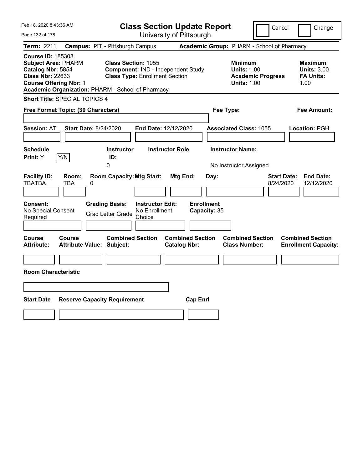| Feb 18, 2020 8:43:36 AM                                                                                                                 |                                                                                            | <b>Class Section Update Report</b>                                          |                                                       |                                                                                        | Cancel<br>Change                                                  |
|-----------------------------------------------------------------------------------------------------------------------------------------|--------------------------------------------------------------------------------------------|-----------------------------------------------------------------------------|-------------------------------------------------------|----------------------------------------------------------------------------------------|-------------------------------------------------------------------|
| Page 132 of 178                                                                                                                         |                                                                                            | University of Pittsburgh                                                    |                                                       |                                                                                        |                                                                   |
| Term: 2211                                                                                                                              | <b>Campus: PIT - Pittsburgh Campus</b>                                                     |                                                                             |                                                       | Academic Group: PHARM - School of Pharmacy                                             |                                                                   |
| <b>Course ID: 185308</b><br><b>Subject Area: PHARM</b><br>Catalog Nbr: 5854<br><b>Class Nbr: 22633</b><br><b>Course Offering Nbr: 1</b> | <b>Class Section: 1055</b><br>Academic Organization: PHARM - School of Pharmacy            | Component: IND - Independent Study<br><b>Class Type: Enrollment Section</b> |                                                       | <b>Minimum</b><br><b>Units: 1.00</b><br><b>Academic Progress</b><br><b>Units: 1.00</b> | <b>Maximum</b><br><b>Units: 3.00</b><br><b>FA Units:</b><br>1.00  |
| <b>Short Title: SPECIAL TOPICS 4</b>                                                                                                    |                                                                                            |                                                                             |                                                       |                                                                                        |                                                                   |
| Free Format Topic: (30 Characters)                                                                                                      |                                                                                            |                                                                             |                                                       | Fee Type:                                                                              | Fee Amount:                                                       |
| <b>Session: AT</b><br><b>Schedule</b><br>Y/N<br><b>Print:</b> Y                                                                         | <b>Start Date: 8/24/2020</b><br><b>Instructor</b><br>ID:<br>0                              | End Date: 12/12/2020<br><b>Instructor Role</b>                              |                                                       | <b>Associated Class: 1055</b><br><b>Instructor Name:</b><br>No Instructor Assigned     | Location: PGH                                                     |
| <b>Facility ID:</b><br>Room:<br><b>TBATBA</b><br>TBA<br><b>Consent:</b><br>No Special Consent<br>Required                               | <b>Room Capacity: Mtg Start:</b><br>0<br><b>Grading Basis:</b><br><b>Grad Letter Grade</b> | <b>Instructor Edit:</b><br>No Enrollment<br>Choice                          | Mtg End:<br>Day:<br><b>Enrollment</b><br>Capacity: 35 |                                                                                        | <b>Start Date:</b><br><b>End Date:</b><br>8/24/2020<br>12/12/2020 |
| Course<br>Course<br><b>Attribute:</b><br><b>Room Characteristic</b>                                                                     | <b>Combined Section</b><br><b>Attribute Value: Subject:</b>                                |                                                                             | <b>Combined Section</b><br><b>Catalog Nbr:</b>        | <b>Combined Section</b><br><b>Class Number:</b>                                        | <b>Combined Section</b><br><b>Enrollment Capacity:</b>            |
| <b>Start Date</b>                                                                                                                       | <b>Reserve Capacity Requirement</b>                                                        |                                                                             | <b>Cap Enrl</b>                                       |                                                                                        |                                                                   |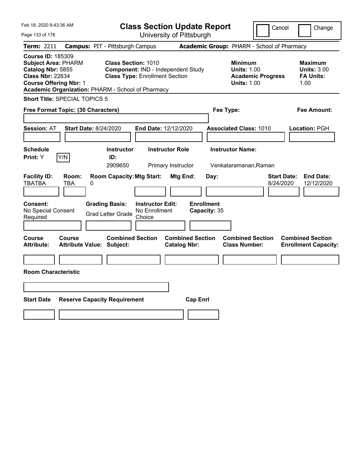| Feb 18, 2020 8:43:36 AM                                                                                                                                                                      |                                                                                                            | <b>Class Section Update Report</b>                                                              |                                                            | Cancel                          | Change                                                           |
|----------------------------------------------------------------------------------------------------------------------------------------------------------------------------------------------|------------------------------------------------------------------------------------------------------------|-------------------------------------------------------------------------------------------------|------------------------------------------------------------|---------------------------------|------------------------------------------------------------------|
| Page 133 of 178                                                                                                                                                                              |                                                                                                            | University of Pittsburgh                                                                        |                                                            |                                 |                                                                  |
| <b>Term: 2211</b>                                                                                                                                                                            | <b>Campus: PIT - Pittsburgh Campus</b>                                                                     |                                                                                                 | Academic Group: PHARM - School of Pharmacy                 |                                 |                                                                  |
| <b>Course ID: 185309</b><br><b>Subject Area: PHARM</b><br>Catalog Nbr: 5855<br><b>Class Nbr: 22634</b><br><b>Course Offering Nbr: 1</b><br>Academic Organization: PHARM - School of Pharmacy | <b>Class Section: 1010</b><br><b>Class Type: Enrollment Section</b>                                        | Component: IND - Independent Study                                                              | <b>Minimum</b><br><b>Units: 1.00</b><br><b>Units: 1.00</b> | <b>Academic Progress</b>        | <b>Maximum</b><br><b>Units: 3.00</b><br><b>FA Units:</b><br>1.00 |
| <b>Short Title: SPECIAL TOPICS 5</b>                                                                                                                                                         |                                                                                                            |                                                                                                 |                                                            |                                 |                                                                  |
| Free Format Topic: (30 Characters)                                                                                                                                                           |                                                                                                            |                                                                                                 | Fee Type:                                                  |                                 | Fee Amount:                                                      |
| <b>Session: AT</b><br><b>Start Date: 8/24/2020</b><br><b>Schedule</b>                                                                                                                        | <b>Instructor</b>                                                                                          | End Date: 12/12/2020<br><b>Instructor Role</b>                                                  | <b>Associated Class: 1010</b><br><b>Instructor Name:</b>   |                                 | Location: PGH                                                    |
| Y/N<br>Print: Y                                                                                                                                                                              | ID:                                                                                                        |                                                                                                 |                                                            |                                 |                                                                  |
| <b>Facility ID:</b><br>Room:<br><b>TBATBA</b><br>TBA<br>0<br><b>Consent:</b><br>No Special Consent<br>Required                                                                               | 2909650<br><b>Room Capacity: Mtg Start:</b><br><b>Grading Basis:</b><br><b>Grad Letter Grade</b><br>Choice | Primary Instructor<br>Mtg End:<br><b>Enrollment</b><br><b>Instructor Edit:</b><br>No Enrollment | Venkataramanan, Raman<br>Day:<br>Capacity: 35              | <b>Start Date:</b><br>8/24/2020 | <b>End Date:</b><br>12/12/2020                                   |
|                                                                                                                                                                                              |                                                                                                            |                                                                                                 |                                                            |                                 |                                                                  |
| <b>Course</b><br><b>Course</b><br><b>Attribute:</b><br><b>Room Characteristic</b>                                                                                                            | <b>Combined Section</b><br><b>Attribute Value: Subject:</b>                                                | <b>Combined Section</b><br><b>Catalog Nbr:</b>                                                  | <b>Combined Section</b><br><b>Class Number:</b>            |                                 | <b>Combined Section</b><br><b>Enrollment Capacity:</b>           |
|                                                                                                                                                                                              |                                                                                                            |                                                                                                 |                                                            |                                 |                                                                  |
|                                                                                                                                                                                              |                                                                                                            |                                                                                                 |                                                            |                                 |                                                                  |
| <b>Start Date</b>                                                                                                                                                                            | <b>Reserve Capacity Requirement</b>                                                                        | <b>Cap Enrl</b>                                                                                 |                                                            |                                 |                                                                  |
|                                                                                                                                                                                              |                                                                                                            |                                                                                                 |                                                            |                                 |                                                                  |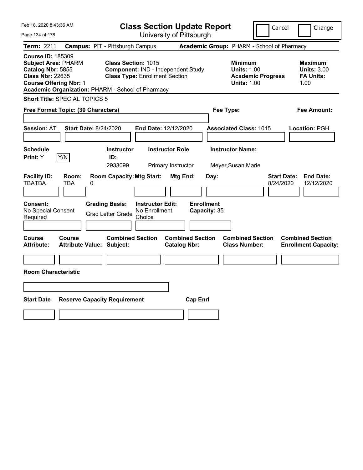| Feb 18, 2020 8:43:36 AM                                                                                                                                                                      |                                        |                                                                                                           | <b>Class Section Update Report</b>                 |                                              |                                            |           |                                                                                |                          | Cancel                          | Change                                                           |
|----------------------------------------------------------------------------------------------------------------------------------------------------------------------------------------------|----------------------------------------|-----------------------------------------------------------------------------------------------------------|----------------------------------------------------|----------------------------------------------|--------------------------------------------|-----------|--------------------------------------------------------------------------------|--------------------------|---------------------------------|------------------------------------------------------------------|
| Page 134 of 178                                                                                                                                                                              |                                        |                                                                                                           |                                                    |                                              | University of Pittsburgh                   |           |                                                                                |                          |                                 |                                                                  |
| <b>Term: 2211</b>                                                                                                                                                                            | <b>Campus: PIT - Pittsburgh Campus</b> |                                                                                                           |                                                    |                                              | Academic Group: PHARM - School of Pharmacy |           |                                                                                |                          |                                 |                                                                  |
| <b>Course ID: 185309</b><br><b>Subject Area: PHARM</b><br>Catalog Nbr: 5855<br><b>Class Nbr: 22635</b><br><b>Course Offering Nbr: 1</b><br>Academic Organization: PHARM - School of Pharmacy |                                        | <b>Class Section: 1015</b><br>Component: IND - Independent Study<br><b>Class Type: Enrollment Section</b> |                                                    |                                              |                                            |           | <b>Minimum</b><br><b>Units: 1.00</b><br><b>Units: 1.00</b>                     | <b>Academic Progress</b> |                                 | <b>Maximum</b><br><b>Units: 3.00</b><br><b>FA Units:</b><br>1.00 |
| <b>Short Title: SPECIAL TOPICS 5</b>                                                                                                                                                         |                                        |                                                                                                           |                                                    |                                              |                                            |           |                                                                                |                          |                                 |                                                                  |
| Free Format Topic: (30 Characters)                                                                                                                                                           |                                        |                                                                                                           |                                                    |                                              |                                            | Fee Type: |                                                                                |                          |                                 | Fee Amount:                                                      |
| <b>Session: AT</b><br><b>Schedule</b><br>Y/N<br>Print: Y                                                                                                                                     | <b>Start Date: 8/24/2020</b>           | <b>Instructor</b><br>ID:<br>2933099                                                                       | End Date: 12/12/2020                               | <b>Instructor Role</b><br>Primary Instructor |                                            |           | <b>Associated Class: 1015</b><br><b>Instructor Name:</b><br>Meyer, Susan Marie |                          |                                 | Location: PGH                                                    |
| <b>Facility ID:</b><br><b>TBATBA</b><br>TBA<br>Consent:<br>No Special Consent<br>Required                                                                                                    | Room:<br>0<br><b>Grading Basis:</b>    | <b>Room Capacity: Mtg Start:</b><br><b>Grad Letter Grade</b>                                              | <b>Instructor Edit:</b><br>No Enrollment<br>Choice | Mtg End:                                     | <b>Enrollment</b><br>Capacity: 35          | Day:      |                                                                                |                          | <b>Start Date:</b><br>8/24/2020 | <b>End Date:</b><br>12/12/2020                                   |
| Course<br>Course<br><b>Attribute:</b><br><b>Room Characteristic</b>                                                                                                                          | <b>Attribute Value: Subject:</b>       | <b>Combined Section</b>                                                                                   |                                                    | <b>Catalog Nbr:</b>                          | <b>Combined Section</b>                    |           | <b>Combined Section</b><br><b>Class Number:</b>                                |                          |                                 | <b>Combined Section</b><br><b>Enrollment Capacity:</b>           |
| <b>Start Date</b>                                                                                                                                                                            | <b>Reserve Capacity Requirement</b>    |                                                                                                           |                                                    |                                              | <b>Cap Enrl</b>                            |           |                                                                                |                          |                                 |                                                                  |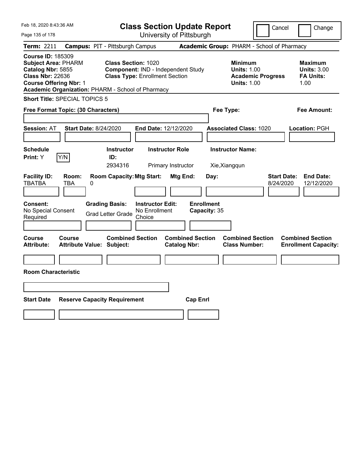| Feb 18, 2020 8:43:36 AM                                                                                                                                                                      |                                            |   |                                                                                                           | <b>Class Section Update Report</b> |                                                |                 |                           |                                                                                        | Cancel                          | Change                                                           |
|----------------------------------------------------------------------------------------------------------------------------------------------------------------------------------------------|--------------------------------------------|---|-----------------------------------------------------------------------------------------------------------|------------------------------------|------------------------------------------------|-----------------|---------------------------|----------------------------------------------------------------------------------------|---------------------------------|------------------------------------------------------------------|
| Page 135 of 178                                                                                                                                                                              |                                            |   |                                                                                                           | University of Pittsburgh           |                                                |                 |                           |                                                                                        |                                 |                                                                  |
| Term: 2211                                                                                                                                                                                   |                                            |   | <b>Campus: PIT - Pittsburgh Campus</b>                                                                    |                                    |                                                |                 |                           | Academic Group: PHARM - School of Pharmacy                                             |                                 |                                                                  |
| <b>Course ID: 185309</b><br><b>Subject Area: PHARM</b><br>Catalog Nbr: 5855<br><b>Class Nbr: 22636</b><br><b>Course Offering Nbr: 1</b><br>Academic Organization: PHARM - School of Pharmacy |                                            |   | <b>Class Section: 1020</b><br>Component: IND - Independent Study<br><b>Class Type: Enrollment Section</b> |                                    |                                                |                 |                           | <b>Minimum</b><br><b>Units: 1.00</b><br><b>Academic Progress</b><br><b>Units: 1.00</b> |                                 | <b>Maximum</b><br><b>Units: 3.00</b><br><b>FA Units:</b><br>1.00 |
| <b>Short Title: SPECIAL TOPICS 5</b>                                                                                                                                                         |                                            |   |                                                                                                           |                                    |                                                |                 |                           |                                                                                        |                                 |                                                                  |
| Free Format Topic: (30 Characters)                                                                                                                                                           |                                            |   |                                                                                                           |                                    |                                                |                 | Fee Type:                 |                                                                                        |                                 | Fee Amount:                                                      |
| <b>Session: AT</b>                                                                                                                                                                           | Start Date: 8/24/2020                      |   |                                                                                                           | End Date: 12/12/2020               |                                                |                 |                           | <b>Associated Class: 1020</b>                                                          |                                 | Location: PGH                                                    |
| <b>Schedule</b>                                                                                                                                                                              |                                            |   | <b>Instructor</b>                                                                                         |                                    | <b>Instructor Role</b>                         |                 |                           | <b>Instructor Name:</b>                                                                |                                 |                                                                  |
| <b>Print:</b> Y                                                                                                                                                                              | Y/N                                        |   | ID:<br>2934316                                                                                            |                                    | Primary Instructor                             |                 | Xie, Xiangqun             |                                                                                        |                                 |                                                                  |
| <b>Facility ID:</b><br><b>TBATBA</b><br><b>Consent:</b>                                                                                                                                      | Room:<br>TBA                               | 0 | <b>Room Capacity: Mtg Start:</b><br><b>Grading Basis:</b>                                                 | <b>Instructor Edit:</b>            | Mtg End:                                       |                 | Day:<br><b>Enrollment</b> |                                                                                        | <b>Start Date:</b><br>8/24/2020 | <b>End Date:</b><br>12/12/2020                                   |
| No Special Consent<br>Required                                                                                                                                                               |                                            |   | <b>Grad Letter Grade</b>                                                                                  | No Enrollment<br>Choice            |                                                |                 | Capacity: 35              |                                                                                        |                                 |                                                                  |
|                                                                                                                                                                                              |                                            |   |                                                                                                           |                                    |                                                |                 |                           |                                                                                        |                                 |                                                                  |
| Course<br><b>Attribute:</b>                                                                                                                                                                  | Course<br><b>Attribute Value: Subject:</b> |   | <b>Combined Section</b>                                                                                   |                                    | <b>Combined Section</b><br><b>Catalog Nbr:</b> |                 |                           | <b>Combined Section</b><br><b>Class Number:</b>                                        |                                 | <b>Combined Section</b><br><b>Enrollment Capacity:</b>           |
|                                                                                                                                                                                              |                                            |   |                                                                                                           |                                    |                                                |                 |                           |                                                                                        |                                 |                                                                  |
| <b>Room Characteristic</b>                                                                                                                                                                   |                                            |   |                                                                                                           |                                    |                                                |                 |                           |                                                                                        |                                 |                                                                  |
|                                                                                                                                                                                              |                                            |   |                                                                                                           |                                    |                                                |                 |                           |                                                                                        |                                 |                                                                  |
| <b>Start Date</b>                                                                                                                                                                            |                                            |   | <b>Reserve Capacity Requirement</b>                                                                       |                                    |                                                | <b>Cap Enrl</b> |                           |                                                                                        |                                 |                                                                  |
|                                                                                                                                                                                              |                                            |   |                                                                                                           |                                    |                                                |                 |                           |                                                                                        |                                 |                                                                  |
|                                                                                                                                                                                              |                                            |   |                                                                                                           |                                    |                                                |                 |                           |                                                                                        |                                 |                                                                  |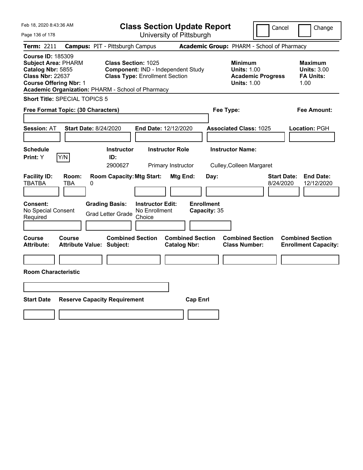| Feb 18, 2020 8:43:36 AM                                                                                                                                                                      |                                            |                                                                                                           | <b>Class Section Update Report</b>                 |                                                |                                   |           |                                                            |                                            | Cancel                          | Change                                                           |
|----------------------------------------------------------------------------------------------------------------------------------------------------------------------------------------------|--------------------------------------------|-----------------------------------------------------------------------------------------------------------|----------------------------------------------------|------------------------------------------------|-----------------------------------|-----------|------------------------------------------------------------|--------------------------------------------|---------------------------------|------------------------------------------------------------------|
| Page 136 of 178                                                                                                                                                                              |                                            |                                                                                                           | University of Pittsburgh                           |                                                |                                   |           |                                                            |                                            |                                 |                                                                  |
| Term: 2211                                                                                                                                                                                   | <b>Campus: PIT - Pittsburgh Campus</b>     |                                                                                                           |                                                    |                                                |                                   |           |                                                            | Academic Group: PHARM - School of Pharmacy |                                 |                                                                  |
| <b>Course ID: 185309</b><br><b>Subject Area: PHARM</b><br>Catalog Nbr: 5855<br><b>Class Nbr: 22637</b><br><b>Course Offering Nbr: 1</b><br>Academic Organization: PHARM - School of Pharmacy |                                            | <b>Class Section: 1025</b><br>Component: IND - Independent Study<br><b>Class Type: Enrollment Section</b> |                                                    |                                                |                                   |           | <b>Minimum</b><br><b>Units: 1.00</b><br><b>Units: 1.00</b> | <b>Academic Progress</b>                   |                                 | <b>Maximum</b><br><b>Units: 3.00</b><br><b>FA Units:</b><br>1.00 |
| <b>Short Title: SPECIAL TOPICS 5</b>                                                                                                                                                         |                                            |                                                                                                           |                                                    |                                                |                                   |           |                                                            |                                            |                                 |                                                                  |
| Free Format Topic: (30 Characters)                                                                                                                                                           |                                            |                                                                                                           |                                                    |                                                |                                   | Fee Type: |                                                            |                                            |                                 | Fee Amount:                                                      |
| <b>Session: AT</b><br><b>Schedule</b><br>Y/N<br><b>Print:</b> Y                                                                                                                              | <b>Start Date: 8/24/2020</b>               | <b>Instructor</b><br>ID:                                                                                  | <b>End Date: 12/12/2020</b>                        | <b>Instructor Role</b>                         |                                   |           | <b>Associated Class: 1025</b><br><b>Instructor Name:</b>   |                                            |                                 | Location: PGH                                                    |
|                                                                                                                                                                                              |                                            | 2900627                                                                                                   |                                                    | Primary Instructor                             |                                   |           | Culley, Colleen Margaret                                   |                                            |                                 |                                                                  |
| <b>Facility ID:</b><br><b>TBATBA</b><br><b>Consent:</b><br>No Special Consent<br>Required                                                                                                    | Room:<br>TBA<br>0                          | <b>Room Capacity: Mtg Start:</b><br><b>Grading Basis:</b><br><b>Grad Letter Grade</b>                     | <b>Instructor Edit:</b><br>No Enrollment<br>Choice | Mtg End:                                       | <b>Enrollment</b><br>Capacity: 35 | Day:      |                                                            |                                            | <b>Start Date:</b><br>8/24/2020 | <b>End Date:</b><br>12/12/2020                                   |
|                                                                                                                                                                                              |                                            |                                                                                                           |                                                    |                                                |                                   |           |                                                            |                                            |                                 |                                                                  |
| Course<br><b>Attribute:</b><br><b>Room Characteristic</b>                                                                                                                                    | Course<br><b>Attribute Value: Subject:</b> | <b>Combined Section</b>                                                                                   |                                                    | <b>Combined Section</b><br><b>Catalog Nbr:</b> |                                   |           | <b>Combined Section</b><br><b>Class Number:</b>            |                                            |                                 | <b>Combined Section</b><br><b>Enrollment Capacity:</b>           |
|                                                                                                                                                                                              |                                            |                                                                                                           |                                                    |                                                |                                   |           |                                                            |                                            |                                 |                                                                  |
|                                                                                                                                                                                              |                                            |                                                                                                           |                                                    |                                                |                                   |           |                                                            |                                            |                                 |                                                                  |
| <b>Start Date</b>                                                                                                                                                                            | <b>Reserve Capacity Requirement</b>        |                                                                                                           |                                                    |                                                | <b>Cap Enrl</b>                   |           |                                                            |                                            |                                 |                                                                  |
|                                                                                                                                                                                              |                                            |                                                                                                           |                                                    |                                                |                                   |           |                                                            |                                            |                                 |                                                                  |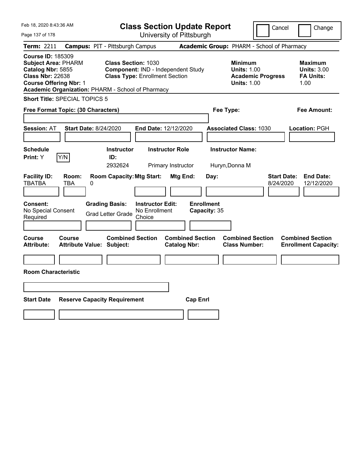| Feb 18, 2020 8:43:36 AM                                                                                                                 |                                     |                                                                                                                          |                                                    | <b>Class Section Update Report</b>             |                                           |                                                            | Cancel                          | Change                                                           |
|-----------------------------------------------------------------------------------------------------------------------------------------|-------------------------------------|--------------------------------------------------------------------------------------------------------------------------|----------------------------------------------------|------------------------------------------------|-------------------------------------------|------------------------------------------------------------|---------------------------------|------------------------------------------------------------------|
| Page 137 of 178                                                                                                                         |                                     |                                                                                                                          |                                                    | University of Pittsburgh                       |                                           |                                                            |                                 |                                                                  |
| Term: 2211                                                                                                                              |                                     | <b>Campus: PIT - Pittsburgh Campus</b>                                                                                   |                                                    |                                                |                                           | Academic Group: PHARM - School of Pharmacy                 |                                 |                                                                  |
| <b>Course ID: 185309</b><br><b>Subject Area: PHARM</b><br>Catalog Nbr: 5855<br><b>Class Nbr: 22638</b><br><b>Course Offering Nbr: 1</b> |                                     | <b>Class Section: 1030</b><br><b>Class Type: Enrollment Section</b><br>Academic Organization: PHARM - School of Pharmacy |                                                    | Component: IND - Independent Study             |                                           | <b>Minimum</b><br><b>Units: 1.00</b><br><b>Units: 1.00</b> | <b>Academic Progress</b>        | <b>Maximum</b><br><b>Units: 3.00</b><br><b>FA Units:</b><br>1.00 |
| Short Title: SPECIAL TOPICS 5                                                                                                           |                                     |                                                                                                                          |                                                    |                                                |                                           |                                                            |                                 |                                                                  |
| Free Format Topic: (30 Characters)                                                                                                      |                                     |                                                                                                                          |                                                    |                                                |                                           | Fee Type:                                                  |                                 | Fee Amount:                                                      |
| <b>Session: AT</b><br><b>Schedule</b><br>Print: Y                                                                                       | <b>Start Date: 8/24/2020</b><br>Y/N | <b>Instructor</b><br>ID:                                                                                                 |                                                    | End Date: 12/12/2020<br><b>Instructor Role</b> |                                           | <b>Associated Class: 1030</b><br><b>Instructor Name:</b>   |                                 | Location: PGH                                                    |
| <b>Facility ID:</b><br><b>TBATBA</b><br><b>Consent:</b><br>No Special Consent<br>Required                                               | Room:<br>TBA<br>0                   | 2932624<br><b>Room Capacity: Mtg Start:</b><br><b>Grading Basis:</b><br><b>Grad Letter Grade</b>                         | <b>Instructor Edit:</b><br>No Enrollment<br>Choice | Primary Instructor<br>Mtg End:                 | Day:<br><b>Enrollment</b><br>Capacity: 35 | Huryn, Donna M                                             | <b>Start Date:</b><br>8/24/2020 | <b>End Date:</b><br>12/12/2020                                   |
| <b>Course</b><br><b>Attribute:</b><br><b>Room Characteristic</b>                                                                        | <b>Course</b>                       | <b>Combined Section</b><br><b>Attribute Value: Subject:</b>                                                              |                                                    | <b>Combined Section</b><br><b>Catalog Nbr:</b> |                                           | <b>Combined Section</b><br><b>Class Number:</b>            |                                 | <b>Combined Section</b><br><b>Enrollment Capacity:</b>           |
| <b>Start Date</b>                                                                                                                       |                                     | <b>Reserve Capacity Requirement</b>                                                                                      |                                                    |                                                | <b>Cap Enrl</b>                           |                                                            |                                 |                                                                  |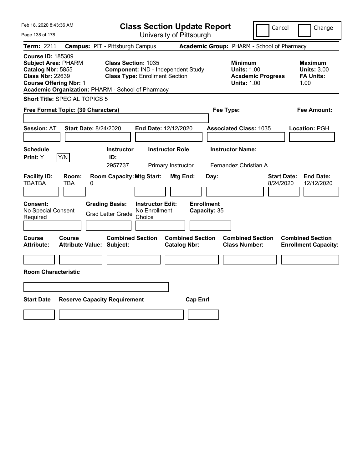| Feb 18, 2020 8:43:36 AM                                                                                                                                                                      |                                                                                            | <b>Class Section Update Report</b>                                          |                                                |                                           |                                                                                        | Cancel                          | Change                                                           |
|----------------------------------------------------------------------------------------------------------------------------------------------------------------------------------------------|--------------------------------------------------------------------------------------------|-----------------------------------------------------------------------------|------------------------------------------------|-------------------------------------------|----------------------------------------------------------------------------------------|---------------------------------|------------------------------------------------------------------|
| Page 138 of 178                                                                                                                                                                              |                                                                                            |                                                                             | University of Pittsburgh                       |                                           |                                                                                        |                                 |                                                                  |
| Term: 2211                                                                                                                                                                                   | <b>Campus: PIT - Pittsburgh Campus</b>                                                     |                                                                             |                                                |                                           | Academic Group: PHARM - School of Pharmacy                                             |                                 |                                                                  |
| <b>Course ID: 185309</b><br><b>Subject Area: PHARM</b><br>Catalog Nbr: 5855<br><b>Class Nbr: 22639</b><br><b>Course Offering Nbr: 1</b><br>Academic Organization: PHARM - School of Pharmacy | <b>Class Section: 1035</b>                                                                 | Component: IND - Independent Study<br><b>Class Type: Enrollment Section</b> |                                                |                                           | <b>Minimum</b><br><b>Units: 1.00</b><br><b>Academic Progress</b><br><b>Units: 1.00</b> |                                 | <b>Maximum</b><br><b>Units: 3.00</b><br><b>FA Units:</b><br>1.00 |
| <b>Short Title: SPECIAL TOPICS 5</b>                                                                                                                                                         |                                                                                            |                                                                             |                                                |                                           |                                                                                        |                                 |                                                                  |
| Free Format Topic: (30 Characters)                                                                                                                                                           |                                                                                            |                                                                             |                                                | Fee Type:                                 |                                                                                        |                                 | Fee Amount:                                                      |
| <b>Session: AT</b><br><b>Schedule</b>                                                                                                                                                        | <b>Start Date: 8/24/2020</b><br><b>Instructor</b>                                          | <b>End Date: 12/12/2020</b>                                                 | <b>Instructor Role</b>                         |                                           | <b>Associated Class: 1035</b><br><b>Instructor Name:</b>                               |                                 | Location: PGH                                                    |
| Y/N<br><b>Print:</b> Y                                                                                                                                                                       | ID:<br>2957737                                                                             |                                                                             | Primary Instructor                             |                                           | Fernandez, Christian A                                                                 |                                 |                                                                  |
| <b>Facility ID:</b><br>Room:<br><b>TBATBA</b><br>TBA<br><b>Consent:</b><br>No Special Consent<br>Required                                                                                    | <b>Room Capacity: Mtg Start:</b><br>0<br><b>Grading Basis:</b><br><b>Grad Letter Grade</b> | <b>Instructor Edit:</b><br>No Enrollment<br>Choice                          | Mtg End:                                       | Day:<br><b>Enrollment</b><br>Capacity: 35 |                                                                                        | <b>Start Date:</b><br>8/24/2020 | <b>End Date:</b><br>12/12/2020                                   |
| Course<br>Course<br><b>Attribute:</b><br><b>Room Characteristic</b>                                                                                                                          | <b>Combined Section</b><br><b>Attribute Value: Subject:</b>                                |                                                                             | <b>Combined Section</b><br><b>Catalog Nbr:</b> |                                           | <b>Combined Section</b><br><b>Class Number:</b>                                        |                                 | <b>Combined Section</b><br><b>Enrollment Capacity:</b>           |
|                                                                                                                                                                                              |                                                                                            |                                                                             |                                                |                                           |                                                                                        |                                 |                                                                  |
|                                                                                                                                                                                              |                                                                                            |                                                                             |                                                |                                           |                                                                                        |                                 |                                                                  |
| <b>Start Date</b>                                                                                                                                                                            | <b>Reserve Capacity Requirement</b>                                                        |                                                                             | <b>Cap Enrl</b>                                |                                           |                                                                                        |                                 |                                                                  |
|                                                                                                                                                                                              |                                                                                            |                                                                             |                                                |                                           |                                                                                        |                                 |                                                                  |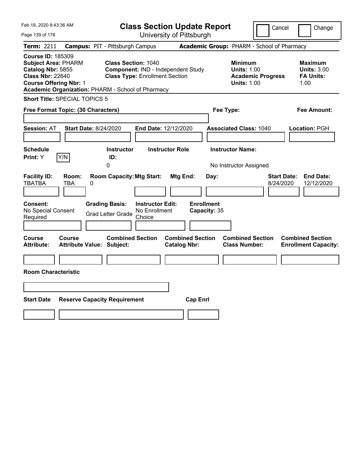| Feb 18, 2020 8:43:36 AM                                                                                                                                                                      |                                                             |                                          | <b>Class Section Update Report</b>             |                                           |                                                            | Cancel                                     | Change                                                           |
|----------------------------------------------------------------------------------------------------------------------------------------------------------------------------------------------|-------------------------------------------------------------|------------------------------------------|------------------------------------------------|-------------------------------------------|------------------------------------------------------------|--------------------------------------------|------------------------------------------------------------------|
| Page 139 of 178                                                                                                                                                                              |                                                             |                                          | University of Pittsburgh                       |                                           |                                                            |                                            |                                                                  |
| Term: 2211                                                                                                                                                                                   | <b>Campus: PIT - Pittsburgh Campus</b>                      |                                          |                                                |                                           |                                                            | Academic Group: PHARM - School of Pharmacy |                                                                  |
| <b>Course ID: 185309</b><br><b>Subject Area: PHARM</b><br>Catalog Nbr: 5855<br><b>Class Nbr: 22640</b><br><b>Course Offering Nbr: 1</b><br>Academic Organization: PHARM - School of Pharmacy | <b>Class Section: 1040</b>                                  | <b>Class Type: Enrollment Section</b>    | Component: IND - Independent Study             |                                           | <b>Minimum</b><br><b>Units: 1.00</b><br><b>Units: 1.00</b> | <b>Academic Progress</b>                   | <b>Maximum</b><br><b>Units: 3.00</b><br><b>FA Units:</b><br>1.00 |
| <b>Short Title: SPECIAL TOPICS 5</b>                                                                                                                                                         |                                                             |                                          |                                                |                                           |                                                            |                                            |                                                                  |
| Free Format Topic: (30 Characters)                                                                                                                                                           |                                                             |                                          |                                                | Fee Type:                                 |                                                            |                                            | Fee Amount:                                                      |
| <b>Session: AT</b><br><b>Schedule</b><br>Y/N<br>Print: Y                                                                                                                                     | <b>Start Date: 8/24/2020</b><br><b>Instructor</b><br>ID:    | End Date: 12/12/2020                     | <b>Instructor Role</b>                         |                                           | <b>Associated Class: 1040</b><br><b>Instructor Name:</b>   |                                            | Location: PGH                                                    |
|                                                                                                                                                                                              | 0                                                           |                                          |                                                |                                           | No Instructor Assigned                                     |                                            |                                                                  |
| <b>Facility ID:</b><br>Room:<br><b>TBATBA</b><br>TBA<br>0<br><b>Consent:</b><br>No Special Consent                                                                                           | <b>Room Capacity: Mtg Start:</b><br><b>Grading Basis:</b>   | <b>Instructor Edit:</b><br>No Enrollment | Mtg End:                                       | Day:<br><b>Enrollment</b><br>Capacity: 35 |                                                            | 8/24/2020                                  | <b>Start Date:</b><br><b>End Date:</b><br>12/12/2020             |
| Required                                                                                                                                                                                     | <b>Grad Letter Grade</b>                                    | Choice                                   |                                                |                                           |                                                            |                                            |                                                                  |
| <b>Course</b><br><b>Course</b><br><b>Attribute:</b><br><b>Room Characteristic</b>                                                                                                            | <b>Combined Section</b><br><b>Attribute Value: Subject:</b> |                                          | <b>Combined Section</b><br><b>Catalog Nbr:</b> |                                           | <b>Combined Section</b><br><b>Class Number:</b>            |                                            | <b>Combined Section</b><br><b>Enrollment Capacity:</b>           |
|                                                                                                                                                                                              |                                                             |                                          |                                                |                                           |                                                            |                                            |                                                                  |
| <b>Start Date</b>                                                                                                                                                                            | <b>Reserve Capacity Requirement</b>                         |                                          | <b>Cap Enrl</b>                                |                                           |                                                            |                                            |                                                                  |
|                                                                                                                                                                                              |                                                             |                                          |                                                |                                           |                                                            |                                            |                                                                  |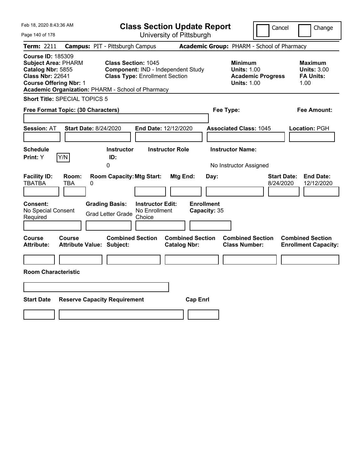| Feb 18, 2020 8:43:36 AM                                                                                                                                                                      |                                                   |                                                                                       |                                                    | <b>Class Section Update Report</b>             |                                           |                                                            | Cancel                                     | Change                                                            |
|----------------------------------------------------------------------------------------------------------------------------------------------------------------------------------------------|---------------------------------------------------|---------------------------------------------------------------------------------------|----------------------------------------------------|------------------------------------------------|-------------------------------------------|------------------------------------------------------------|--------------------------------------------|-------------------------------------------------------------------|
| Page 140 of 178                                                                                                                                                                              |                                                   |                                                                                       |                                                    | University of Pittsburgh                       |                                           |                                                            |                                            |                                                                   |
| Term: 2211                                                                                                                                                                                   |                                                   | <b>Campus: PIT - Pittsburgh Campus</b>                                                |                                                    |                                                |                                           |                                                            | Academic Group: PHARM - School of Pharmacy |                                                                   |
| <b>Course ID: 185309</b><br><b>Subject Area: PHARM</b><br>Catalog Nbr: 5855<br><b>Class Nbr: 22641</b><br><b>Course Offering Nbr: 1</b><br>Academic Organization: PHARM - School of Pharmacy |                                                   | <b>Class Section: 1045</b><br><b>Class Type: Enrollment Section</b>                   |                                                    | Component: IND - Independent Study             |                                           | <b>Minimum</b><br><b>Units: 1.00</b><br><b>Units: 1.00</b> | <b>Academic Progress</b>                   | <b>Maximum</b><br><b>Units: 3.00</b><br><b>FA Units:</b><br>1.00  |
| <b>Short Title: SPECIAL TOPICS 5</b>                                                                                                                                                         |                                                   |                                                                                       |                                                    |                                                |                                           |                                                            |                                            |                                                                   |
| Free Format Topic: (30 Characters)                                                                                                                                                           |                                                   |                                                                                       |                                                    |                                                | Fee Type:                                 |                                                            |                                            | Fee Amount:                                                       |
| <b>Session: AT</b><br><b>Schedule</b><br>Print: Y                                                                                                                                            | <b>Start Date: 8/24/2020</b><br>Y/N               | <b>Instructor</b><br>ID:<br>0                                                         |                                                    | End Date: 12/12/2020<br><b>Instructor Role</b> |                                           | <b>Associated Class: 1045</b><br><b>Instructor Name:</b>   |                                            | Location: PGH                                                     |
| <b>Facility ID:</b><br><b>TBATBA</b><br><b>Consent:</b><br>No Special Consent<br>Required                                                                                                    | Room:<br>TBA<br>0                                 | <b>Room Capacity: Mtg Start:</b><br><b>Grading Basis:</b><br><b>Grad Letter Grade</b> | <b>Instructor Edit:</b><br>No Enrollment<br>Choice | Mtg End:                                       | Day:<br><b>Enrollment</b><br>Capacity: 35 | No Instructor Assigned                                     |                                            | <b>Start Date:</b><br><b>End Date:</b><br>8/24/2020<br>12/12/2020 |
| <b>Course</b><br><b>Attribute:</b><br><b>Room Characteristic</b>                                                                                                                             | <b>Course</b><br><b>Attribute Value: Subject:</b> | <b>Combined Section</b>                                                               |                                                    | <b>Combined Section</b><br><b>Catalog Nbr:</b> |                                           | <b>Combined Section</b><br><b>Class Number:</b>            |                                            | <b>Combined Section</b><br><b>Enrollment Capacity:</b>            |
| <b>Start Date</b>                                                                                                                                                                            |                                                   | <b>Reserve Capacity Requirement</b>                                                   |                                                    | <b>Cap Enrl</b>                                |                                           |                                                            |                                            |                                                                   |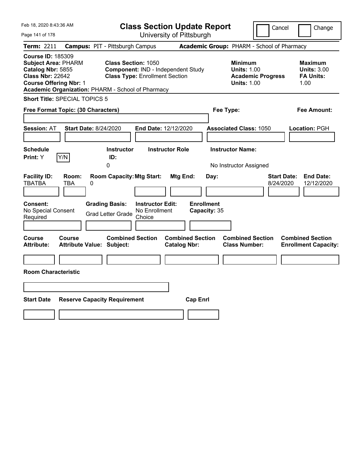| Feb 18, 2020 8:43:36 AM                                                                                                                 |                                                                                            | <b>Class Section Update Report</b>                                          |                                                       |                                                                                        | Cancel<br>Change                                                  |
|-----------------------------------------------------------------------------------------------------------------------------------------|--------------------------------------------------------------------------------------------|-----------------------------------------------------------------------------|-------------------------------------------------------|----------------------------------------------------------------------------------------|-------------------------------------------------------------------|
| Page 141 of 178                                                                                                                         |                                                                                            | University of Pittsburgh                                                    |                                                       |                                                                                        |                                                                   |
| Term: 2211                                                                                                                              | <b>Campus: PIT - Pittsburgh Campus</b>                                                     |                                                                             |                                                       | Academic Group: PHARM - School of Pharmacy                                             |                                                                   |
| <b>Course ID: 185309</b><br><b>Subject Area: PHARM</b><br>Catalog Nbr: 5855<br><b>Class Nbr: 22642</b><br><b>Course Offering Nbr: 1</b> | <b>Class Section: 1050</b><br>Academic Organization: PHARM - School of Pharmacy            | Component: IND - Independent Study<br><b>Class Type: Enrollment Section</b> |                                                       | <b>Minimum</b><br><b>Units: 1.00</b><br><b>Academic Progress</b><br><b>Units: 1.00</b> | <b>Maximum</b><br><b>Units: 3.00</b><br><b>FA Units:</b><br>1.00  |
| <b>Short Title: SPECIAL TOPICS 5</b>                                                                                                    |                                                                                            |                                                                             |                                                       |                                                                                        |                                                                   |
| Free Format Topic: (30 Characters)                                                                                                      |                                                                                            |                                                                             |                                                       | Fee Type:                                                                              | Fee Amount:                                                       |
| <b>Session: AT</b><br><b>Schedule</b><br>Y/N<br><b>Print:</b> Y                                                                         | <b>Start Date: 8/24/2020</b><br><b>Instructor</b><br>ID:<br>0                              | End Date: 12/12/2020<br><b>Instructor Role</b>                              |                                                       | <b>Associated Class: 1050</b><br><b>Instructor Name:</b><br>No Instructor Assigned     | Location: PGH                                                     |
| <b>Facility ID:</b><br>Room:<br><b>TBATBA</b><br>TBA<br><b>Consent:</b><br>No Special Consent<br>Required                               | <b>Room Capacity: Mtg Start:</b><br>0<br><b>Grading Basis:</b><br><b>Grad Letter Grade</b> | <b>Instructor Edit:</b><br>No Enrollment<br>Choice                          | Mtg End:<br>Day:<br><b>Enrollment</b><br>Capacity: 35 |                                                                                        | <b>Start Date:</b><br><b>End Date:</b><br>8/24/2020<br>12/12/2020 |
| Course<br>Course<br><b>Attribute:</b><br><b>Room Characteristic</b>                                                                     | <b>Combined Section</b><br><b>Attribute Value: Subject:</b>                                |                                                                             | <b>Combined Section</b><br><b>Catalog Nbr:</b>        | <b>Combined Section</b><br><b>Class Number:</b>                                        | <b>Combined Section</b><br><b>Enrollment Capacity:</b>            |
| <b>Start Date</b>                                                                                                                       | <b>Reserve Capacity Requirement</b>                                                        |                                                                             | <b>Cap Enrl</b>                                       |                                                                                        |                                                                   |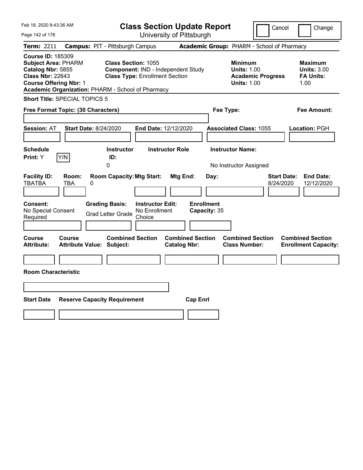| Feb 18, 2020 8:43:36 AM                                                                                                                                                                      |                                     |                                                                     |                                                    | <b>Class Section Update Report</b>             |                                   |                                                            | Cancel                          | Change                                                           |
|----------------------------------------------------------------------------------------------------------------------------------------------------------------------------------------------|-------------------------------------|---------------------------------------------------------------------|----------------------------------------------------|------------------------------------------------|-----------------------------------|------------------------------------------------------------|---------------------------------|------------------------------------------------------------------|
| Page 142 of 178                                                                                                                                                                              |                                     |                                                                     |                                                    | University of Pittsburgh                       |                                   |                                                            |                                 |                                                                  |
| Term: 2211                                                                                                                                                                                   |                                     | <b>Campus: PIT - Pittsburgh Campus</b>                              |                                                    |                                                |                                   | Academic Group: PHARM - School of Pharmacy                 |                                 |                                                                  |
| <b>Course ID: 185309</b><br><b>Subject Area: PHARM</b><br>Catalog Nbr: 5855<br><b>Class Nbr: 22643</b><br><b>Course Offering Nbr: 1</b><br>Academic Organization: PHARM - School of Pharmacy |                                     | <b>Class Section: 1055</b><br><b>Class Type: Enrollment Section</b> |                                                    | Component: IND - Independent Study             |                                   | <b>Minimum</b><br><b>Units: 1.00</b><br><b>Units: 1.00</b> | <b>Academic Progress</b>        | <b>Maximum</b><br><b>Units: 3.00</b><br><b>FA Units:</b><br>1.00 |
| <b>Short Title: SPECIAL TOPICS 5</b>                                                                                                                                                         |                                     |                                                                     |                                                    |                                                |                                   |                                                            |                                 |                                                                  |
| Free Format Topic: (30 Characters)                                                                                                                                                           |                                     |                                                                     |                                                    |                                                |                                   | Fee Type:                                                  |                                 | Fee Amount:                                                      |
| <b>Session: AT</b><br><b>Schedule</b><br>Print: Y                                                                                                                                            | <b>Start Date: 8/24/2020</b><br>Y/N | <b>Instructor</b><br>ID:                                            |                                                    | End Date: 12/12/2020<br><b>Instructor Role</b> |                                   | <b>Associated Class: 1055</b><br><b>Instructor Name:</b>   |                                 | Location: PGH                                                    |
|                                                                                                                                                                                              |                                     | 0                                                                   |                                                    |                                                |                                   | No Instructor Assigned                                     |                                 |                                                                  |
| <b>Facility ID:</b><br><b>TBATBA</b>                                                                                                                                                         | Room:<br>TBA<br>0                   | <b>Room Capacity: Mtg Start:</b>                                    |                                                    | Mtg End:                                       | Day:                              |                                                            | <b>Start Date:</b><br>8/24/2020 | <b>End Date:</b><br>12/12/2020                                   |
| Consent:<br>No Special Consent<br>Required                                                                                                                                                   |                                     | <b>Grading Basis:</b><br><b>Grad Letter Grade</b>                   | <b>Instructor Edit:</b><br>No Enrollment<br>Choice |                                                | <b>Enrollment</b><br>Capacity: 35 |                                                            |                                 |                                                                  |
| Course<br><b>Attribute:</b>                                                                                                                                                                  | Course                              | <b>Combined Section</b><br><b>Attribute Value: Subject:</b>         |                                                    | <b>Combined Section</b><br><b>Catalog Nbr:</b> |                                   | <b>Combined Section</b><br><b>Class Number:</b>            |                                 | <b>Combined Section</b><br><b>Enrollment Capacity:</b>           |
|                                                                                                                                                                                              |                                     |                                                                     |                                                    |                                                |                                   |                                                            |                                 |                                                                  |
| <b>Room Characteristic</b>                                                                                                                                                                   |                                     |                                                                     |                                                    |                                                |                                   |                                                            |                                 |                                                                  |
|                                                                                                                                                                                              |                                     |                                                                     |                                                    |                                                |                                   |                                                            |                                 |                                                                  |
|                                                                                                                                                                                              |                                     |                                                                     |                                                    |                                                |                                   |                                                            |                                 |                                                                  |
| <b>Start Date</b>                                                                                                                                                                            |                                     | <b>Reserve Capacity Requirement</b>                                 |                                                    |                                                | <b>Cap Enrl</b>                   |                                                            |                                 |                                                                  |
|                                                                                                                                                                                              |                                     |                                                                     |                                                    |                                                |                                   |                                                            |                                 |                                                                  |
|                                                                                                                                                                                              |                                     |                                                                     |                                                    |                                                |                                   |                                                            |                                 |                                                                  |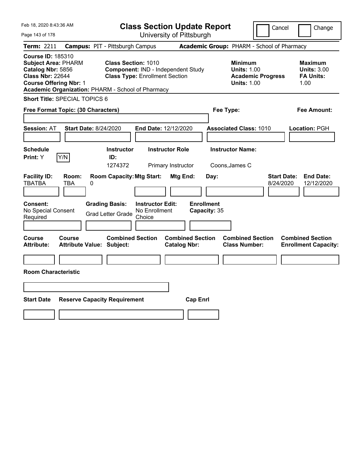| Feb 18, 2020 8:43:36 AM                                                                                                                                                                      |                                            |                                                                                                           |                         |                                | <b>Class Section Update Report</b> |                                                            | Cancel                   | Change                                                            |
|----------------------------------------------------------------------------------------------------------------------------------------------------------------------------------------------|--------------------------------------------|-----------------------------------------------------------------------------------------------------------|-------------------------|--------------------------------|------------------------------------|------------------------------------------------------------|--------------------------|-------------------------------------------------------------------|
| Page 143 of 178                                                                                                                                                                              |                                            |                                                                                                           |                         | University of Pittsburgh       |                                    |                                                            |                          |                                                                   |
| Term: 2211                                                                                                                                                                                   | <b>Campus: PIT - Pittsburgh Campus</b>     |                                                                                                           |                         |                                |                                    | Academic Group: PHARM - School of Pharmacy                 |                          |                                                                   |
| <b>Course ID: 185310</b><br><b>Subject Area: PHARM</b><br>Catalog Nbr: 5856<br><b>Class Nbr: 22644</b><br><b>Course Offering Nbr: 1</b><br>Academic Organization: PHARM - School of Pharmacy |                                            | <b>Class Section: 1010</b><br>Component: IND - Independent Study<br><b>Class Type: Enrollment Section</b> |                         |                                |                                    | <b>Minimum</b><br><b>Units: 1.00</b><br><b>Units: 1.00</b> | <b>Academic Progress</b> | <b>Maximum</b><br><b>Units: 3.00</b><br><b>FA Units:</b><br>1.00  |
| Short Title: SPECIAL TOPICS 6                                                                                                                                                                |                                            |                                                                                                           |                         |                                |                                    |                                                            |                          |                                                                   |
| Free Format Topic: (30 Characters)                                                                                                                                                           |                                            |                                                                                                           |                         |                                |                                    | Fee Type:                                                  |                          | Fee Amount:                                                       |
| <b>Session: AT</b><br><b>Schedule</b><br>Y/N<br>Print: Y                                                                                                                                     | <b>Start Date: 8/24/2020</b>               | <b>Instructor</b><br>ID:                                                                                  | End Date: 12/12/2020    | <b>Instructor Role</b>         |                                    | <b>Associated Class: 1010</b><br><b>Instructor Name:</b>   |                          | Location: PGH                                                     |
| <b>Facility ID:</b><br><b>TBATBA</b><br>Consent:                                                                                                                                             | Room:<br>TBA<br>0                          | 1274372<br><b>Room Capacity: Mtg Start:</b><br><b>Grading Basis:</b>                                      | <b>Instructor Edit:</b> | Primary Instructor<br>Mtg End: | Day:<br><b>Enrollment</b>          | Coons, James C                                             |                          | <b>Start Date:</b><br><b>End Date:</b><br>12/12/2020<br>8/24/2020 |
| No Special Consent<br>Required                                                                                                                                                               |                                            | <b>Grad Letter Grade</b>                                                                                  | No Enrollment<br>Choice |                                | Capacity: 35                       |                                                            |                          |                                                                   |
| Course<br>Attribute:<br><b>Room Characteristic</b>                                                                                                                                           | Course<br><b>Attribute Value: Subject:</b> | <b>Combined Section</b>                                                                                   |                         | <b>Catalog Nbr:</b>            | <b>Combined Section</b>            | <b>Combined Section</b><br><b>Class Number:</b>            |                          | <b>Combined Section</b><br><b>Enrollment Capacity:</b>            |
| <b>Start Date</b>                                                                                                                                                                            | <b>Reserve Capacity Requirement</b>        |                                                                                                           |                         |                                | <b>Cap Enrl</b>                    |                                                            |                          |                                                                   |
|                                                                                                                                                                                              |                                            |                                                                                                           |                         |                                |                                    |                                                            |                          |                                                                   |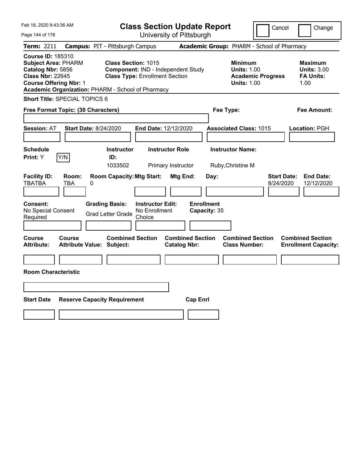| Feb 18, 2020 8:43:36 AM                                                                                                                                                                      |                                                                           |                                       | <b>Class Section Update Report</b>             |                           |                                                                                        | Cancel<br>Change                                                  |
|----------------------------------------------------------------------------------------------------------------------------------------------------------------------------------------------|---------------------------------------------------------------------------|---------------------------------------|------------------------------------------------|---------------------------|----------------------------------------------------------------------------------------|-------------------------------------------------------------------|
| Page 144 of 178                                                                                                                                                                              |                                                                           |                                       | University of Pittsburgh                       |                           |                                                                                        |                                                                   |
| Term: 2211                                                                                                                                                                                   | <b>Campus: PIT - Pittsburgh Campus</b>                                    |                                       |                                                |                           | Academic Group: PHARM - School of Pharmacy                                             |                                                                   |
| <b>Course ID: 185310</b><br><b>Subject Area: PHARM</b><br>Catalog Nbr: 5856<br><b>Class Nbr: 22645</b><br><b>Course Offering Nbr: 1</b><br>Academic Organization: PHARM - School of Pharmacy | <b>Class Section: 1015</b>                                                | <b>Class Type: Enrollment Section</b> | Component: IND - Independent Study             |                           | <b>Minimum</b><br><b>Units: 1.00</b><br><b>Academic Progress</b><br><b>Units: 1.00</b> | <b>Maximum</b><br><b>Units: 3.00</b><br><b>FA Units:</b><br>1.00  |
| Short Title: SPECIAL TOPICS 6                                                                                                                                                                |                                                                           |                                       |                                                |                           |                                                                                        |                                                                   |
| Free Format Topic: (30 Characters)                                                                                                                                                           |                                                                           |                                       |                                                | Fee Type:                 |                                                                                        | Fee Amount:                                                       |
| <b>Session: AT</b><br><b>Schedule</b><br>Y/N<br>Print: Y                                                                                                                                     | <b>Start Date: 8/24/2020</b><br><b>Instructor</b><br>ID:                  | End Date: 12/12/2020                  | <b>Instructor Role</b>                         |                           | <b>Associated Class: 1015</b><br><b>Instructor Name:</b>                               | Location: PGH                                                     |
| <b>Facility ID:</b><br>Room:<br><b>TBATBA</b><br>TBA<br>Consent:                                                                                                                             | 1033502<br><b>Room Capacity: Mtg Start:</b><br>0<br><b>Grading Basis:</b> | <b>Instructor Edit:</b>               | Primary Instructor<br>Mtg End:                 | Day:<br><b>Enrollment</b> | Ruby, Christine M                                                                      | <b>Start Date:</b><br><b>End Date:</b><br>12/12/2020<br>8/24/2020 |
| No Special Consent<br>Required                                                                                                                                                               | <b>Grad Letter Grade</b>                                                  | No Enrollment<br>Choice               |                                                | Capacity: 35              |                                                                                        |                                                                   |
| Course<br>Course<br><b>Attribute:</b><br><b>Room Characteristic</b>                                                                                                                          | <b>Combined Section</b><br><b>Attribute Value: Subject:</b>               |                                       | <b>Combined Section</b><br><b>Catalog Nbr:</b> |                           | <b>Combined Section</b><br><b>Class Number:</b>                                        | <b>Combined Section</b><br><b>Enrollment Capacity:</b>            |
|                                                                                                                                                                                              |                                                                           |                                       |                                                |                           |                                                                                        |                                                                   |
| <b>Start Date</b>                                                                                                                                                                            | <b>Reserve Capacity Requirement</b>                                       |                                       | <b>Cap Enrl</b>                                |                           |                                                                                        |                                                                   |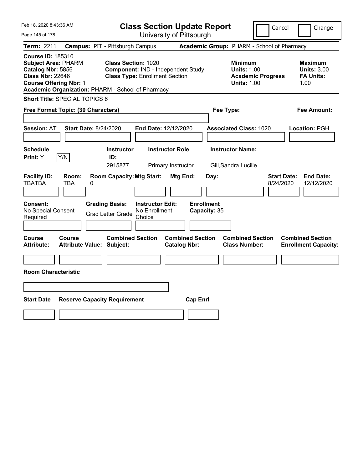| Feb 18, 2020 8:43:36 AM                                                                                                                                                                      |                                                                                                           | <b>Class Section Update Report</b>             | Cancel                                                                                 | Change                                                           |
|----------------------------------------------------------------------------------------------------------------------------------------------------------------------------------------------|-----------------------------------------------------------------------------------------------------------|------------------------------------------------|----------------------------------------------------------------------------------------|------------------------------------------------------------------|
| Page 145 of 178                                                                                                                                                                              |                                                                                                           | University of Pittsburgh                       |                                                                                        |                                                                  |
| Term: 2211                                                                                                                                                                                   | <b>Campus: PIT - Pittsburgh Campus</b>                                                                    |                                                | Academic Group: PHARM - School of Pharmacy                                             |                                                                  |
| <b>Course ID: 185310</b><br><b>Subject Area: PHARM</b><br>Catalog Nbr: 5856<br><b>Class Nbr: 22646</b><br><b>Course Offering Nbr: 1</b><br>Academic Organization: PHARM - School of Pharmacy | <b>Class Section: 1020</b><br>Component: IND - Independent Study<br><b>Class Type: Enrollment Section</b> |                                                | <b>Minimum</b><br><b>Units: 1.00</b><br><b>Academic Progress</b><br><b>Units: 1.00</b> | <b>Maximum</b><br><b>Units: 3.00</b><br><b>FA Units:</b><br>1.00 |
| Short Title: SPECIAL TOPICS 6                                                                                                                                                                |                                                                                                           |                                                |                                                                                        |                                                                  |
| Free Format Topic: (30 Characters)                                                                                                                                                           |                                                                                                           | Fee Type:                                      |                                                                                        | Fee Amount:                                                      |
| <b>Start Date: 8/24/2020</b><br><b>Session: AT</b>                                                                                                                                           | End Date: 12/12/2020                                                                                      |                                                | <b>Associated Class: 1020</b>                                                          | Location: PGH                                                    |
| <b>Schedule</b>                                                                                                                                                                              | <b>Instructor</b>                                                                                         | <b>Instructor Role</b>                         | <b>Instructor Name:</b>                                                                |                                                                  |
| Y/N<br>Print: Y                                                                                                                                                                              | ID:<br>2915877                                                                                            | Primary Instructor                             | Gill, Sandra Lucille                                                                   |                                                                  |
| <b>Facility ID:</b><br>Room:<br><b>TBATBA</b><br>TBA<br>0                                                                                                                                    | <b>Room Capacity: Mtg Start:</b>                                                                          | Mtg End:<br>Day:                               | <b>Start Date:</b><br>8/24/2020                                                        | <b>End Date:</b><br>12/12/2020                                   |
| Consent:<br>No Special Consent<br>Required                                                                                                                                                   | <b>Grading Basis:</b><br><b>Instructor Edit:</b><br>No Enrollment<br><b>Grad Letter Grade</b><br>Choice   | <b>Enrollment</b><br>Capacity: 35              |                                                                                        |                                                                  |
|                                                                                                                                                                                              |                                                                                                           |                                                |                                                                                        |                                                                  |
| Course<br>Course<br><b>Attribute Value: Subject:</b><br>Attribute:                                                                                                                           | <b>Combined Section</b>                                                                                   | <b>Combined Section</b><br><b>Catalog Nbr:</b> | <b>Combined Section</b><br><b>Class Number:</b>                                        | <b>Combined Section</b><br><b>Enrollment Capacity:</b>           |
|                                                                                                                                                                                              |                                                                                                           |                                                |                                                                                        |                                                                  |
| <b>Room Characteristic</b>                                                                                                                                                                   |                                                                                                           |                                                |                                                                                        |                                                                  |
|                                                                                                                                                                                              |                                                                                                           |                                                |                                                                                        |                                                                  |
| <b>Start Date</b><br><b>Reserve Capacity Requirement</b>                                                                                                                                     |                                                                                                           | <b>Cap Enrl</b>                                |                                                                                        |                                                                  |
|                                                                                                                                                                                              |                                                                                                           |                                                |                                                                                        |                                                                  |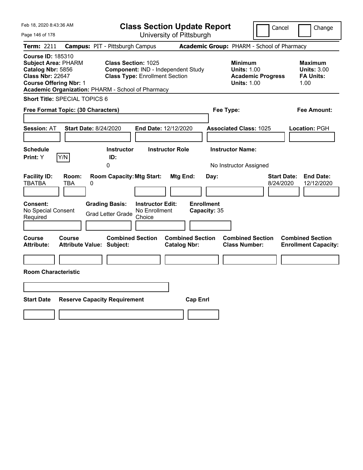| Feb 18, 2020 8:43:36 AM                                                                                                                                                                      |                                                             |                                                                             | <b>Class Section Update Report</b>             |                                                          |                                                                                        | Cancel<br>Change                                                  |
|----------------------------------------------------------------------------------------------------------------------------------------------------------------------------------------------|-------------------------------------------------------------|-----------------------------------------------------------------------------|------------------------------------------------|----------------------------------------------------------|----------------------------------------------------------------------------------------|-------------------------------------------------------------------|
| Page 146 of 178                                                                                                                                                                              |                                                             |                                                                             | University of Pittsburgh                       |                                                          |                                                                                        |                                                                   |
| Term: 2211                                                                                                                                                                                   | <b>Campus: PIT - Pittsburgh Campus</b>                      |                                                                             |                                                |                                                          | Academic Group: PHARM - School of Pharmacy                                             |                                                                   |
| <b>Course ID: 185310</b><br><b>Subject Area: PHARM</b><br>Catalog Nbr: 5856<br><b>Class Nbr: 22647</b><br><b>Course Offering Nbr: 1</b><br>Academic Organization: PHARM - School of Pharmacy | <b>Class Section: 1025</b>                                  | Component: IND - Independent Study<br><b>Class Type: Enrollment Section</b> |                                                |                                                          | <b>Minimum</b><br><b>Units: 1.00</b><br><b>Academic Progress</b><br><b>Units: 1.00</b> | <b>Maximum</b><br><b>Units: 3.00</b><br><b>FA Units:</b><br>1.00  |
| <b>Short Title: SPECIAL TOPICS 6</b>                                                                                                                                                         |                                                             |                                                                             |                                                |                                                          |                                                                                        |                                                                   |
| Free Format Topic: (30 Characters)                                                                                                                                                           |                                                             |                                                                             |                                                | Fee Type:                                                |                                                                                        | Fee Amount:                                                       |
| <b>Session: AT</b><br><b>Schedule</b><br>Y/N<br>Print: Y                                                                                                                                     | <b>Start Date: 8/24/2020</b><br><b>Instructor</b><br>ID:    | End Date: 12/12/2020<br><b>Instructor Role</b>                              |                                                | <b>Associated Class: 1025</b><br><b>Instructor Name:</b> |                                                                                        | Location: PGH                                                     |
|                                                                                                                                                                                              | 0                                                           |                                                                             |                                                | No Instructor Assigned                                   |                                                                                        |                                                                   |
| <b>Facility ID:</b><br>Room:<br><b>TBATBA</b><br>TBA<br>0                                                                                                                                    | <b>Room Capacity: Mtg Start:</b>                            |                                                                             | Mtg End:                                       | Day:                                                     |                                                                                        | <b>Start Date:</b><br><b>End Date:</b><br>8/24/2020<br>12/12/2020 |
| Consent:<br>No Special Consent<br>Required                                                                                                                                                   | <b>Grading Basis:</b><br><b>Grad Letter Grade</b>           | <b>Instructor Edit:</b><br>No Enrollment<br>Choice                          | <b>Enrollment</b><br>Capacity: 35              |                                                          |                                                                                        |                                                                   |
| Course<br>Course<br><b>Attribute:</b>                                                                                                                                                        | <b>Combined Section</b><br><b>Attribute Value: Subject:</b> |                                                                             | <b>Combined Section</b><br><b>Catalog Nbr:</b> |                                                          | <b>Combined Section</b><br><b>Class Number:</b>                                        | <b>Combined Section</b><br><b>Enrollment Capacity:</b>            |
|                                                                                                                                                                                              |                                                             |                                                                             |                                                |                                                          |                                                                                        |                                                                   |
| <b>Room Characteristic</b>                                                                                                                                                                   |                                                             |                                                                             |                                                |                                                          |                                                                                        |                                                                   |
|                                                                                                                                                                                              |                                                             |                                                                             |                                                |                                                          |                                                                                        |                                                                   |
| <b>Start Date</b>                                                                                                                                                                            | <b>Reserve Capacity Requirement</b>                         |                                                                             | <b>Cap Enrl</b>                                |                                                          |                                                                                        |                                                                   |
|                                                                                                                                                                                              |                                                             |                                                                             |                                                |                                                          |                                                                                        |                                                                   |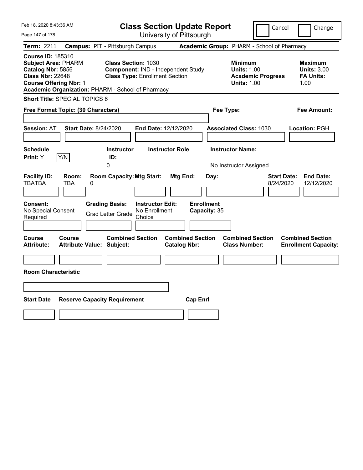| Feb 18, 2020 8:43:36 AM                                                                                                                                                                      |                              |                                                                                       |                                                    | <b>Class Section Update Report</b>             |                                           |                                                            | Cancel                                     | Change                                                            |
|----------------------------------------------------------------------------------------------------------------------------------------------------------------------------------------------|------------------------------|---------------------------------------------------------------------------------------|----------------------------------------------------|------------------------------------------------|-------------------------------------------|------------------------------------------------------------|--------------------------------------------|-------------------------------------------------------------------|
| Page 147 of 178                                                                                                                                                                              |                              |                                                                                       |                                                    | University of Pittsburgh                       |                                           |                                                            |                                            |                                                                   |
| Term: 2211                                                                                                                                                                                   |                              | <b>Campus: PIT - Pittsburgh Campus</b>                                                |                                                    |                                                |                                           |                                                            | Academic Group: PHARM - School of Pharmacy |                                                                   |
| <b>Course ID: 185310</b><br><b>Subject Area: PHARM</b><br>Catalog Nbr: 5856<br><b>Class Nbr: 22648</b><br><b>Course Offering Nbr: 1</b><br>Academic Organization: PHARM - School of Pharmacy |                              | <b>Class Section: 1030</b><br><b>Class Type: Enrollment Section</b>                   |                                                    | Component: IND - Independent Study             |                                           | <b>Minimum</b><br><b>Units: 1.00</b><br><b>Units: 1.00</b> | <b>Academic Progress</b>                   | <b>Maximum</b><br><b>Units: 3.00</b><br><b>FA Units:</b><br>1.00  |
| <b>Short Title: SPECIAL TOPICS 6</b>                                                                                                                                                         |                              |                                                                                       |                                                    |                                                |                                           |                                                            |                                            |                                                                   |
| Free Format Topic: (30 Characters)                                                                                                                                                           |                              |                                                                                       |                                                    |                                                | Fee Type:                                 |                                                            |                                            | Fee Amount:                                                       |
| <b>Session: AT</b><br><b>Schedule</b>                                                                                                                                                        | <b>Start Date: 8/24/2020</b> | <b>Instructor</b>                                                                     | End Date: 12/12/2020                               | <b>Instructor Role</b>                         |                                           | <b>Associated Class: 1030</b><br><b>Instructor Name:</b>   |                                            | Location: PGH                                                     |
| Print: Y                                                                                                                                                                                     | Y/N                          | ID:<br>0                                                                              |                                                    |                                                |                                           | No Instructor Assigned                                     |                                            |                                                                   |
| <b>Facility ID:</b><br><b>TBATBA</b><br><b>Consent:</b><br>No Special Consent<br>Required                                                                                                    | Room:<br>TBA<br>0            | <b>Room Capacity: Mtg Start:</b><br><b>Grading Basis:</b><br><b>Grad Letter Grade</b> | <b>Instructor Edit:</b><br>No Enrollment<br>Choice | Mtg End:                                       | Day:<br><b>Enrollment</b><br>Capacity: 35 |                                                            |                                            | <b>Start Date:</b><br><b>End Date:</b><br>8/24/2020<br>12/12/2020 |
| Course<br><b>Attribute:</b>                                                                                                                                                                  | <b>Course</b>                | <b>Combined Section</b><br><b>Attribute Value: Subject:</b>                           |                                                    | <b>Combined Section</b><br><b>Catalog Nbr:</b> |                                           | <b>Combined Section</b><br><b>Class Number:</b>            |                                            | <b>Combined Section</b><br><b>Enrollment Capacity:</b>            |
| <b>Room Characteristic</b>                                                                                                                                                                   |                              |                                                                                       |                                                    |                                                |                                           |                                                            |                                            |                                                                   |
| <b>Start Date</b>                                                                                                                                                                            |                              | <b>Reserve Capacity Requirement</b>                                                   |                                                    | <b>Cap Enrl</b>                                |                                           |                                                            |                                            |                                                                   |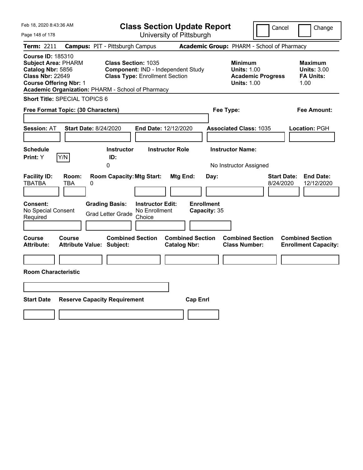| Feb 18, 2020 8:43:36 AM                                                                                                                                                                      |                                                                                            | <b>Class Section Update Report</b>                                          |                                                |           |                                                                                        | Cancel                          | Change                                                           |
|----------------------------------------------------------------------------------------------------------------------------------------------------------------------------------------------|--------------------------------------------------------------------------------------------|-----------------------------------------------------------------------------|------------------------------------------------|-----------|----------------------------------------------------------------------------------------|---------------------------------|------------------------------------------------------------------|
| Page 148 of 178                                                                                                                                                                              |                                                                                            |                                                                             | University of Pittsburgh                       |           |                                                                                        |                                 |                                                                  |
| Term: 2211                                                                                                                                                                                   | <b>Campus: PIT - Pittsburgh Campus</b>                                                     |                                                                             |                                                |           | Academic Group: PHARM - School of Pharmacy                                             |                                 |                                                                  |
| <b>Course ID: 185310</b><br><b>Subject Area: PHARM</b><br>Catalog Nbr: 5856<br><b>Class Nbr: 22649</b><br><b>Course Offering Nbr: 1</b><br>Academic Organization: PHARM - School of Pharmacy | <b>Class Section: 1035</b>                                                                 | Component: IND - Independent Study<br><b>Class Type: Enrollment Section</b> |                                                |           | <b>Minimum</b><br><b>Units: 1.00</b><br><b>Academic Progress</b><br><b>Units: 1.00</b> |                                 | <b>Maximum</b><br><b>Units: 3.00</b><br><b>FA Units:</b><br>1.00 |
| Short Title: SPECIAL TOPICS 6                                                                                                                                                                |                                                                                            |                                                                             |                                                |           |                                                                                        |                                 |                                                                  |
| Free Format Topic: (30 Characters)                                                                                                                                                           |                                                                                            |                                                                             |                                                | Fee Type: |                                                                                        |                                 | Fee Amount:                                                      |
| <b>Session: AT</b><br><b>Schedule</b><br>Y/N<br><b>Print:</b> Y                                                                                                                              | <b>Start Date: 8/24/2020</b><br><b>Instructor</b><br>ID:<br>0                              | End Date: 12/12/2020<br><b>Instructor Role</b>                              |                                                |           | <b>Associated Class: 1035</b><br><b>Instructor Name:</b><br>No Instructor Assigned     |                                 | Location: PGH                                                    |
| <b>Facility ID:</b><br>Room:<br><b>TBATBA</b><br>TBA<br><b>Consent:</b><br>No Special Consent<br>Required                                                                                    | <b>Room Capacity: Mtg Start:</b><br>0<br><b>Grading Basis:</b><br><b>Grad Letter Grade</b> | <b>Instructor Edit:</b><br>No Enrollment<br>Choice                          | Mtg End:<br><b>Enrollment</b><br>Capacity: 35  | Day:      |                                                                                        | <b>Start Date:</b><br>8/24/2020 | <b>End Date:</b><br>12/12/2020                                   |
| Course<br>Course<br><b>Attribute:</b><br><b>Room Characteristic</b>                                                                                                                          | <b>Combined Section</b><br><b>Attribute Value: Subject:</b>                                |                                                                             | <b>Combined Section</b><br><b>Catalog Nbr:</b> |           | <b>Combined Section</b><br><b>Class Number:</b>                                        |                                 | <b>Combined Section</b><br><b>Enrollment Capacity:</b>           |
| <b>Start Date</b>                                                                                                                                                                            | <b>Reserve Capacity Requirement</b>                                                        |                                                                             | <b>Cap Enrl</b>                                |           |                                                                                        |                                 |                                                                  |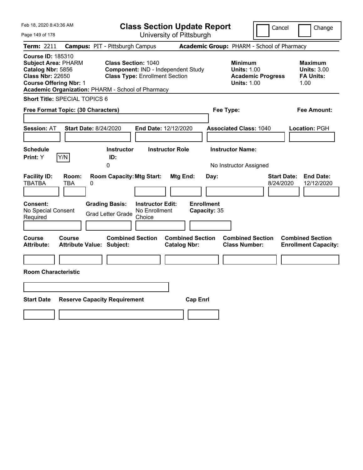| Feb 18, 2020 8:43:36 AM                                                                                                                                                                      |                                                                                                 |                                          | <b>Class Section Update Report</b>             |                                           |                                                                                        | Cancel                          | Change                                                           |
|----------------------------------------------------------------------------------------------------------------------------------------------------------------------------------------------|-------------------------------------------------------------------------------------------------|------------------------------------------|------------------------------------------------|-------------------------------------------|----------------------------------------------------------------------------------------|---------------------------------|------------------------------------------------------------------|
| Page 149 of 178                                                                                                                                                                              |                                                                                                 |                                          | University of Pittsburgh                       |                                           |                                                                                        |                                 |                                                                  |
| Term: 2211                                                                                                                                                                                   | <b>Campus: PIT - Pittsburgh Campus</b>                                                          |                                          |                                                |                                           | Academic Group: PHARM - School of Pharmacy                                             |                                 |                                                                  |
| <b>Course ID: 185310</b><br><b>Subject Area: PHARM</b><br>Catalog Nbr: 5856<br><b>Class Nbr: 22650</b><br><b>Course Offering Nbr: 1</b><br>Academic Organization: PHARM - School of Pharmacy | <b>Class Section: 1040</b>                                                                      | <b>Class Type: Enrollment Section</b>    | <b>Component: IND - Independent Study</b>      |                                           | <b>Minimum</b><br><b>Units: 1.00</b><br><b>Academic Progress</b><br><b>Units: 1.00</b> |                                 | <b>Maximum</b><br><b>Units: 3.00</b><br><b>FA Units:</b><br>1.00 |
| <b>Short Title: SPECIAL TOPICS 6</b>                                                                                                                                                         |                                                                                                 |                                          |                                                |                                           |                                                                                        |                                 |                                                                  |
| Free Format Topic: (30 Characters)                                                                                                                                                           |                                                                                                 |                                          |                                                | Fee Type:                                 |                                                                                        |                                 | Fee Amount:                                                      |
| <b>Session: AT</b><br><b>Schedule</b><br>Y/N<br>Print: Y                                                                                                                                     | <b>Start Date: 8/24/2020</b><br><b>Instructor</b><br>ID:                                        | End Date: 12/12/2020                     | <b>Instructor Role</b>                         |                                           | <b>Associated Class: 1040</b><br><b>Instructor Name:</b>                               |                                 | Location: PGH                                                    |
| <b>Facility ID:</b><br>Room:<br><b>TBATBA</b><br>TBA<br>Consent:<br>No Special Consent                                                                                                       | 0<br><b>Room Capacity: Mtg Start:</b><br>0<br><b>Grading Basis:</b><br><b>Grad Letter Grade</b> | <b>Instructor Edit:</b><br>No Enrollment | Mtg End:                                       | Day:<br><b>Enrollment</b><br>Capacity: 35 | No Instructor Assigned                                                                 | <b>Start Date:</b><br>8/24/2020 | <b>End Date:</b><br>12/12/2020                                   |
| Required                                                                                                                                                                                     |                                                                                                 | Choice                                   |                                                |                                           |                                                                                        |                                 |                                                                  |
| Course<br>Course<br><b>Attribute:</b><br><b>Room Characteristic</b>                                                                                                                          | <b>Combined Section</b><br><b>Attribute Value: Subject:</b>                                     |                                          | <b>Combined Section</b><br><b>Catalog Nbr:</b> |                                           | <b>Combined Section</b><br><b>Class Number:</b>                                        |                                 | <b>Combined Section</b><br><b>Enrollment Capacity:</b>           |
|                                                                                                                                                                                              |                                                                                                 |                                          |                                                |                                           |                                                                                        |                                 |                                                                  |
|                                                                                                                                                                                              |                                                                                                 |                                          |                                                |                                           |                                                                                        |                                 |                                                                  |
| <b>Start Date</b>                                                                                                                                                                            | <b>Reserve Capacity Requirement</b>                                                             |                                          | <b>Cap Enrl</b>                                |                                           |                                                                                        |                                 |                                                                  |
|                                                                                                                                                                                              |                                                                                                 |                                          |                                                |                                           |                                                                                        |                                 |                                                                  |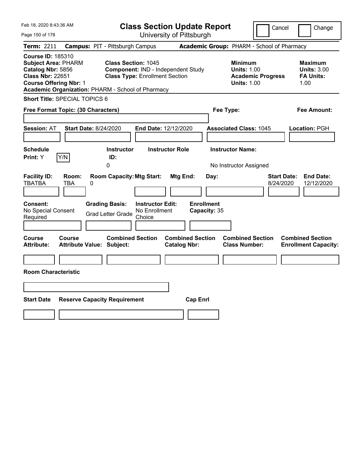| Feb 18, 2020 8:43:36 AM                                                                                                                                                                      |                                                                                            |                                                                             | <b>Class Section Update Report</b>                    |                                                                                        | Cancel<br>Change                                                  |
|----------------------------------------------------------------------------------------------------------------------------------------------------------------------------------------------|--------------------------------------------------------------------------------------------|-----------------------------------------------------------------------------|-------------------------------------------------------|----------------------------------------------------------------------------------------|-------------------------------------------------------------------|
| Page 150 of 178                                                                                                                                                                              |                                                                                            |                                                                             | University of Pittsburgh                              |                                                                                        |                                                                   |
| Term: 2211                                                                                                                                                                                   | <b>Campus: PIT - Pittsburgh Campus</b>                                                     |                                                                             |                                                       | Academic Group: PHARM - School of Pharmacy                                             |                                                                   |
| <b>Course ID: 185310</b><br><b>Subject Area: PHARM</b><br>Catalog Nbr: 5856<br><b>Class Nbr: 22651</b><br><b>Course Offering Nbr: 1</b><br>Academic Organization: PHARM - School of Pharmacy | <b>Class Section: 1045</b>                                                                 | Component: IND - Independent Study<br><b>Class Type: Enrollment Section</b> |                                                       | <b>Minimum</b><br><b>Units: 1.00</b><br><b>Academic Progress</b><br><b>Units: 1.00</b> | <b>Maximum</b><br><b>Units: 3.00</b><br><b>FA Units:</b><br>1.00  |
| Short Title: SPECIAL TOPICS 6                                                                                                                                                                |                                                                                            |                                                                             |                                                       |                                                                                        |                                                                   |
| Free Format Topic: (30 Characters)                                                                                                                                                           |                                                                                            |                                                                             |                                                       | Fee Type:                                                                              | Fee Amount:                                                       |
| <b>Session: AT</b><br><b>Schedule</b><br>Y/N<br><b>Print:</b> Y                                                                                                                              | <b>Start Date: 8/24/2020</b><br><b>Instructor</b><br>ID:<br>0                              | End Date: 12/12/2020<br><b>Instructor Role</b>                              |                                                       | <b>Associated Class: 1045</b><br><b>Instructor Name:</b><br>No Instructor Assigned     | Location: PGH                                                     |
| <b>Facility ID:</b><br>Room:<br><b>TBATBA</b><br>TBA<br><b>Consent:</b><br>No Special Consent<br>Required                                                                                    | <b>Room Capacity: Mtg Start:</b><br>0<br><b>Grading Basis:</b><br><b>Grad Letter Grade</b> | <b>Instructor Edit:</b><br>No Enrollment<br>Choice                          | Mtg End:<br>Day:<br><b>Enrollment</b><br>Capacity: 35 |                                                                                        | <b>Start Date:</b><br><b>End Date:</b><br>8/24/2020<br>12/12/2020 |
| Course<br>Course<br><b>Attribute:</b><br><b>Room Characteristic</b>                                                                                                                          | <b>Combined Section</b><br><b>Attribute Value: Subject:</b>                                |                                                                             | <b>Combined Section</b><br><b>Catalog Nbr:</b>        | <b>Combined Section</b><br><b>Class Number:</b>                                        | <b>Combined Section</b><br><b>Enrollment Capacity:</b>            |
| <b>Start Date</b>                                                                                                                                                                            | <b>Reserve Capacity Requirement</b>                                                        |                                                                             | <b>Cap Enrl</b>                                       |                                                                                        |                                                                   |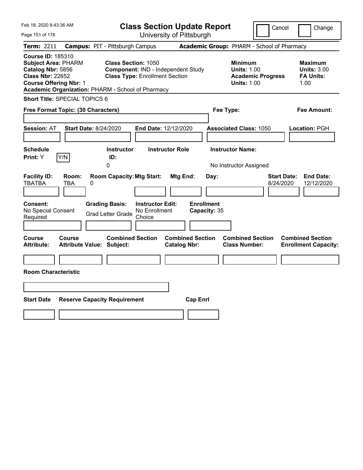| Feb 18, 2020 8:43:36 AM                                                                                                                                                                      |                                                                                                           | <b>Class Section Update Report</b>             | Cancel                                                                                 | Change                                                           |
|----------------------------------------------------------------------------------------------------------------------------------------------------------------------------------------------|-----------------------------------------------------------------------------------------------------------|------------------------------------------------|----------------------------------------------------------------------------------------|------------------------------------------------------------------|
| Page 151 of 178                                                                                                                                                                              |                                                                                                           | University of Pittsburgh                       |                                                                                        |                                                                  |
| Term: 2211                                                                                                                                                                                   | <b>Campus: PIT - Pittsburgh Campus</b>                                                                    |                                                | Academic Group: PHARM - School of Pharmacy                                             |                                                                  |
| <b>Course ID: 185310</b><br><b>Subject Area: PHARM</b><br>Catalog Nbr: 5856<br><b>Class Nbr: 22652</b><br><b>Course Offering Nbr: 1</b><br>Academic Organization: PHARM - School of Pharmacy | <b>Class Section: 1050</b><br>Component: IND - Independent Study<br><b>Class Type: Enrollment Section</b> |                                                | <b>Minimum</b><br><b>Units: 1.00</b><br><b>Academic Progress</b><br><b>Units: 1.00</b> | <b>Maximum</b><br><b>Units: 3.00</b><br><b>FA Units:</b><br>1.00 |
| Short Title: SPECIAL TOPICS 6                                                                                                                                                                |                                                                                                           |                                                |                                                                                        |                                                                  |
| Free Format Topic: (30 Characters)                                                                                                                                                           |                                                                                                           | Fee Type:                                      |                                                                                        | Fee Amount:                                                      |
| <b>Start Date: 8/24/2020</b><br><b>Session: AT</b><br><b>Schedule</b>                                                                                                                        | End Date: 12/12/2020<br><b>Instructor</b><br><b>Instructor Role</b>                                       |                                                | <b>Associated Class: 1050</b><br><b>Instructor Name:</b>                               | Location: PGH                                                    |
| Y/N<br><b>Print:</b> Y                                                                                                                                                                       | ID:                                                                                                       |                                                |                                                                                        |                                                                  |
|                                                                                                                                                                                              | 0                                                                                                         |                                                | No Instructor Assigned                                                                 |                                                                  |
| <b>Facility ID:</b><br>Room:<br><b>TBATBA</b><br>TBA<br>0                                                                                                                                    | <b>Room Capacity: Mtg Start:</b>                                                                          | Mtg End:<br>Day:                               | <b>Start Date:</b><br>8/24/2020                                                        | <b>End Date:</b><br>12/12/2020                                   |
| <b>Consent:</b><br>No Special Consent<br>Required                                                                                                                                            | <b>Grading Basis:</b><br><b>Instructor Edit:</b><br>No Enrollment<br><b>Grad Letter Grade</b><br>Choice   | <b>Enrollment</b><br>Capacity: 35              |                                                                                        |                                                                  |
| Course<br>Course<br><b>Attribute:</b><br><b>Attribute Value: Subject:</b>                                                                                                                    | <b>Combined Section</b>                                                                                   | <b>Combined Section</b><br><b>Catalog Nbr:</b> | <b>Combined Section</b><br><b>Class Number:</b>                                        | <b>Combined Section</b><br><b>Enrollment Capacity:</b>           |
|                                                                                                                                                                                              |                                                                                                           |                                                |                                                                                        |                                                                  |
| <b>Room Characteristic</b>                                                                                                                                                                   |                                                                                                           |                                                |                                                                                        |                                                                  |
|                                                                                                                                                                                              |                                                                                                           |                                                |                                                                                        |                                                                  |
| <b>Start Date</b><br><b>Reserve Capacity Requirement</b>                                                                                                                                     |                                                                                                           | <b>Cap Enrl</b>                                |                                                                                        |                                                                  |
|                                                                                                                                                                                              |                                                                                                           |                                                |                                                                                        |                                                                  |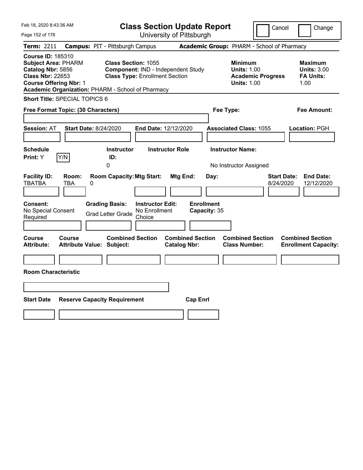| Feb 18, 2020 8:43:36 AM                                                                                                                                                                      |                                                             |                                                    | <b>Class Section Update Report</b>             |                                   |                                                                                        | Cancel                          | Change                                                           |
|----------------------------------------------------------------------------------------------------------------------------------------------------------------------------------------------|-------------------------------------------------------------|----------------------------------------------------|------------------------------------------------|-----------------------------------|----------------------------------------------------------------------------------------|---------------------------------|------------------------------------------------------------------|
| Page 152 of 178                                                                                                                                                                              |                                                             |                                                    | University of Pittsburgh                       |                                   |                                                                                        |                                 |                                                                  |
| Term: 2211                                                                                                                                                                                   | <b>Campus: PIT - Pittsburgh Campus</b>                      |                                                    |                                                |                                   | Academic Group: PHARM - School of Pharmacy                                             |                                 |                                                                  |
| <b>Course ID: 185310</b><br><b>Subject Area: PHARM</b><br>Catalog Nbr: 5856<br><b>Class Nbr: 22653</b><br><b>Course Offering Nbr: 1</b><br>Academic Organization: PHARM - School of Pharmacy | <b>Class Section: 1055</b>                                  | <b>Class Type: Enrollment Section</b>              | Component: IND - Independent Study             |                                   | <b>Minimum</b><br><b>Units: 1.00</b><br><b>Academic Progress</b><br><b>Units: 1.00</b> |                                 | <b>Maximum</b><br><b>Units: 3.00</b><br><b>FA Units:</b><br>1.00 |
| <b>Short Title: SPECIAL TOPICS 6</b>                                                                                                                                                         |                                                             |                                                    |                                                |                                   |                                                                                        |                                 |                                                                  |
| Free Format Topic: (30 Characters)                                                                                                                                                           |                                                             |                                                    |                                                | Fee Type:                         |                                                                                        |                                 | Fee Amount:                                                      |
| <b>Session: AT</b><br><b>Schedule</b><br>Y/N<br>Print: Y                                                                                                                                     | <b>Start Date: 8/24/2020</b><br><b>Instructor</b><br>ID:    | End Date: 12/12/2020                               | <b>Instructor Role</b>                         |                                   | <b>Associated Class: 1055</b><br><b>Instructor Name:</b>                               |                                 | Location: PGH                                                    |
|                                                                                                                                                                                              | 0                                                           |                                                    |                                                |                                   | No Instructor Assigned                                                                 |                                 |                                                                  |
| <b>Facility ID:</b><br>Room:<br><b>TBATBA</b><br>TBA                                                                                                                                         | <b>Room Capacity: Mtg Start:</b><br>0                       |                                                    | Mtg End:                                       | Day:                              |                                                                                        | <b>Start Date:</b><br>8/24/2020 | <b>End Date:</b><br>12/12/2020                                   |
| Consent:<br>No Special Consent<br>Required                                                                                                                                                   | <b>Grading Basis:</b><br><b>Grad Letter Grade</b>           | <b>Instructor Edit:</b><br>No Enrollment<br>Choice |                                                | <b>Enrollment</b><br>Capacity: 35 |                                                                                        |                                 |                                                                  |
| Course<br>Course<br><b>Attribute:</b>                                                                                                                                                        | <b>Combined Section</b><br><b>Attribute Value: Subject:</b> |                                                    | <b>Combined Section</b><br><b>Catalog Nbr:</b> |                                   | <b>Combined Section</b><br><b>Class Number:</b>                                        |                                 | <b>Combined Section</b><br><b>Enrollment Capacity:</b>           |
|                                                                                                                                                                                              |                                                             |                                                    |                                                |                                   |                                                                                        |                                 |                                                                  |
| <b>Room Characteristic</b>                                                                                                                                                                   |                                                             |                                                    |                                                |                                   |                                                                                        |                                 |                                                                  |
|                                                                                                                                                                                              |                                                             |                                                    |                                                |                                   |                                                                                        |                                 |                                                                  |
| <b>Start Date</b>                                                                                                                                                                            | <b>Reserve Capacity Requirement</b>                         |                                                    | <b>Cap Enrl</b>                                |                                   |                                                                                        |                                 |                                                                  |
|                                                                                                                                                                                              |                                                             |                                                    |                                                |                                   |                                                                                        |                                 |                                                                  |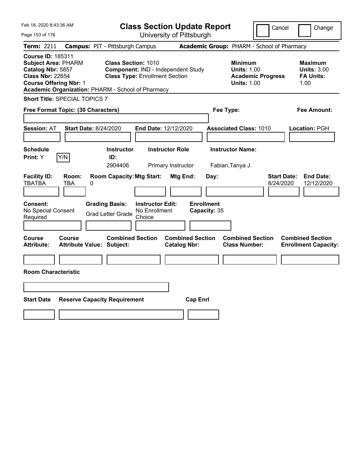| Feb 18, 2020 8:43:36 AM                                                                                                                                                                      |                                        |                                                                                                           | <b>Class Section Update Report</b>                 |                        |                                            |           |                                                                                        | Cancel                          | Change                                                           |  |
|----------------------------------------------------------------------------------------------------------------------------------------------------------------------------------------------|----------------------------------------|-----------------------------------------------------------------------------------------------------------|----------------------------------------------------|------------------------|--------------------------------------------|-----------|----------------------------------------------------------------------------------------|---------------------------------|------------------------------------------------------------------|--|
| Page 153 of 178                                                                                                                                                                              |                                        |                                                                                                           |                                                    |                        | University of Pittsburgh                   |           |                                                                                        |                                 |                                                                  |  |
| Term: 2211                                                                                                                                                                                   | <b>Campus: PIT - Pittsburgh Campus</b> |                                                                                                           |                                                    |                        | Academic Group: PHARM - School of Pharmacy |           |                                                                                        |                                 |                                                                  |  |
| <b>Course ID: 185311</b><br><b>Subject Area: PHARM</b><br>Catalog Nbr: 5857<br><b>Class Nbr: 22654</b><br><b>Course Offering Nbr: 1</b><br>Academic Organization: PHARM - School of Pharmacy |                                        | <b>Class Section: 1010</b><br>Component: IND - Independent Study<br><b>Class Type: Enrollment Section</b> |                                                    |                        |                                            |           | <b>Minimum</b><br><b>Units: 1.00</b><br><b>Academic Progress</b><br><b>Units: 1.00</b> |                                 | <b>Maximum</b><br><b>Units: 3.00</b><br><b>FA Units:</b><br>1.00 |  |
| Short Title: SPECIAL TOPICS 7                                                                                                                                                                |                                        |                                                                                                           |                                                    |                        |                                            |           |                                                                                        |                                 |                                                                  |  |
| Free Format Topic: (30 Characters)                                                                                                                                                           |                                        |                                                                                                           |                                                    |                        |                                            | Fee Type: |                                                                                        |                                 | Fee Amount:                                                      |  |
| <b>Session: AT</b><br><b>Schedule</b><br>Y/N<br>Print: Y                                                                                                                                     | <b>Start Date: 8/24/2020</b>           | <b>Instructor</b><br>ID:                                                                                  | End Date: 12/12/2020                               | <b>Instructor Role</b> |                                            |           | <b>Associated Class: 1010</b><br><b>Instructor Name:</b>                               |                                 | Location: PGH                                                    |  |
|                                                                                                                                                                                              |                                        | 2904406                                                                                                   |                                                    | Primary Instructor     |                                            |           | Fabian, Tanya J.                                                                       |                                 |                                                                  |  |
| <b>Facility ID:</b><br><b>TBATBA</b><br>TBA                                                                                                                                                  | Room:<br>0                             | <b>Room Capacity: Mtg Start:</b>                                                                          |                                                    | Mtg End:               |                                            | Day:      |                                                                                        | <b>Start Date:</b><br>8/24/2020 | <b>End Date:</b><br>12/12/2020                                   |  |
| Consent:<br>No Special Consent<br>Required                                                                                                                                                   |                                        | <b>Grading Basis:</b><br><b>Grad Letter Grade</b>                                                         | <b>Instructor Edit:</b><br>No Enrollment<br>Choice |                        | <b>Enrollment</b><br>Capacity: 35          |           |                                                                                        |                                 |                                                                  |  |
| Course<br>Course<br>Attribute:                                                                                                                                                               | <b>Attribute Value: Subject:</b>       | <b>Combined Section</b>                                                                                   |                                                    | <b>Catalog Nbr:</b>    | <b>Combined Section</b>                    |           | <b>Combined Section</b><br><b>Class Number:</b>                                        |                                 | <b>Combined Section</b><br><b>Enrollment Capacity:</b>           |  |
| <b>Room Characteristic</b>                                                                                                                                                                   |                                        |                                                                                                           |                                                    |                        |                                            |           |                                                                                        |                                 |                                                                  |  |
|                                                                                                                                                                                              |                                        |                                                                                                           |                                                    |                        |                                            |           |                                                                                        |                                 |                                                                  |  |
| <b>Start Date</b>                                                                                                                                                                            | <b>Reserve Capacity Requirement</b>    |                                                                                                           |                                                    |                        | <b>Cap Enrl</b>                            |           |                                                                                        |                                 |                                                                  |  |
|                                                                                                                                                                                              |                                        |                                                                                                           |                                                    |                        |                                            |           |                                                                                        |                                 |                                                                  |  |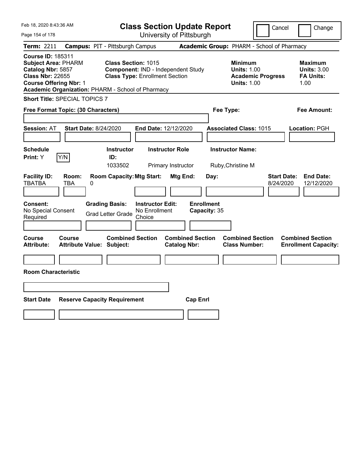| Feb 18, 2020 8:43:36 AM                                                                                                                                                                      |                                                             |                                                                             | <b>Class Section Update Report</b>             |           |                                                                                        | Cancel                          | Change                                                           |
|----------------------------------------------------------------------------------------------------------------------------------------------------------------------------------------------|-------------------------------------------------------------|-----------------------------------------------------------------------------|------------------------------------------------|-----------|----------------------------------------------------------------------------------------|---------------------------------|------------------------------------------------------------------|
| Page 154 of 178                                                                                                                                                                              |                                                             |                                                                             | University of Pittsburgh                       |           |                                                                                        |                                 |                                                                  |
| Term: 2211                                                                                                                                                                                   | <b>Campus: PIT - Pittsburgh Campus</b>                      |                                                                             |                                                |           | Academic Group: PHARM - School of Pharmacy                                             |                                 |                                                                  |
| <b>Course ID: 185311</b><br><b>Subject Area: PHARM</b><br>Catalog Nbr: 5857<br><b>Class Nbr: 22655</b><br><b>Course Offering Nbr: 1</b><br>Academic Organization: PHARM - School of Pharmacy | <b>Class Section: 1015</b>                                  | Component: IND - Independent Study<br><b>Class Type: Enrollment Section</b> |                                                |           | <b>Minimum</b><br><b>Units: 1.00</b><br><b>Academic Progress</b><br><b>Units: 1.00</b> |                                 | <b>Maximum</b><br><b>Units: 3.00</b><br><b>FA Units:</b><br>1.00 |
| <b>Short Title: SPECIAL TOPICS 7</b>                                                                                                                                                         |                                                             |                                                                             |                                                |           |                                                                                        |                                 |                                                                  |
| Free Format Topic: (30 Characters)                                                                                                                                                           |                                                             |                                                                             |                                                | Fee Type: |                                                                                        |                                 | Fee Amount:                                                      |
| <b>Session: AT</b>                                                                                                                                                                           | <b>Start Date: 8/24/2020</b>                                | End Date: 12/12/2020                                                        |                                                |           | <b>Associated Class: 1015</b>                                                          |                                 | Location: PGH                                                    |
| <b>Schedule</b><br>Y/N<br>Print: Y                                                                                                                                                           | <b>Instructor</b><br>ID:<br>1033502                         | <b>Instructor Role</b>                                                      | Primary Instructor                             |           | <b>Instructor Name:</b><br>Ruby, Christine M                                           |                                 |                                                                  |
| <b>Facility ID:</b><br>Room:<br><b>TBATBA</b><br>TBA                                                                                                                                         | <b>Room Capacity: Mtg Start:</b><br>0                       |                                                                             | <b>Mtg End:</b>                                | Day:      |                                                                                        | <b>Start Date:</b><br>8/24/2020 | <b>End Date:</b><br>12/12/2020                                   |
| <b>Consent:</b><br>No Special Consent<br>Required                                                                                                                                            | <b>Grading Basis:</b><br><b>Grad Letter Grade</b>           | <b>Instructor Edit:</b><br>No Enrollment<br>Choice                          | <b>Enrollment</b><br>Capacity: 35              |           |                                                                                        |                                 |                                                                  |
| Course<br><b>Course</b><br><b>Attribute:</b>                                                                                                                                                 | <b>Combined Section</b><br><b>Attribute Value: Subject:</b> |                                                                             | <b>Combined Section</b><br><b>Catalog Nbr:</b> |           | <b>Combined Section</b><br><b>Class Number:</b>                                        |                                 | <b>Combined Section</b><br><b>Enrollment Capacity:</b>           |
| <b>Room Characteristic</b>                                                                                                                                                                   |                                                             |                                                                             |                                                |           |                                                                                        |                                 |                                                                  |
| <b>Start Date</b>                                                                                                                                                                            | <b>Reserve Capacity Requirement</b>                         |                                                                             | <b>Cap Enrl</b>                                |           |                                                                                        |                                 |                                                                  |
|                                                                                                                                                                                              |                                                             |                                                                             |                                                |           |                                                                                        |                                 |                                                                  |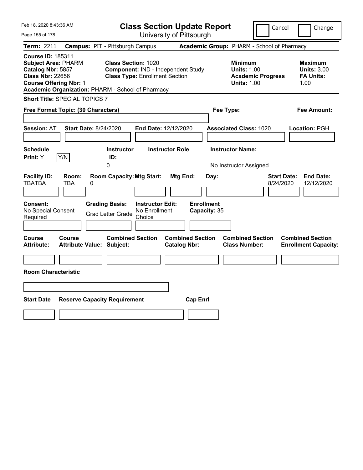| Feb 18, 2020 8:43:36 AM                                                                                                                                                                      |                                                   |                                                                                       |                                                    | <b>Class Section Update Report</b>             |                                           |                                                                                    | Cancel                                     | Change                                                            |
|----------------------------------------------------------------------------------------------------------------------------------------------------------------------------------------------|---------------------------------------------------|---------------------------------------------------------------------------------------|----------------------------------------------------|------------------------------------------------|-------------------------------------------|------------------------------------------------------------------------------------|--------------------------------------------|-------------------------------------------------------------------|
| Page 155 of 178                                                                                                                                                                              |                                                   |                                                                                       |                                                    | University of Pittsburgh                       |                                           |                                                                                    |                                            |                                                                   |
| Term: 2211                                                                                                                                                                                   |                                                   | <b>Campus: PIT - Pittsburgh Campus</b>                                                |                                                    |                                                |                                           |                                                                                    | Academic Group: PHARM - School of Pharmacy |                                                                   |
| <b>Course ID: 185311</b><br><b>Subject Area: PHARM</b><br>Catalog Nbr: 5857<br><b>Class Nbr: 22656</b><br><b>Course Offering Nbr: 1</b><br>Academic Organization: PHARM - School of Pharmacy |                                                   | <b>Class Section: 1020</b><br><b>Class Type: Enrollment Section</b>                   |                                                    | Component: IND - Independent Study             |                                           | <b>Minimum</b><br><b>Units: 1.00</b><br><b>Units: 1.00</b>                         | <b>Academic Progress</b>                   | <b>Maximum</b><br><b>Units: 3.00</b><br><b>FA Units:</b><br>1.00  |
| <b>Short Title: SPECIAL TOPICS 7</b>                                                                                                                                                         |                                                   |                                                                                       |                                                    |                                                |                                           |                                                                                    |                                            |                                                                   |
| Free Format Topic: (30 Characters)                                                                                                                                                           |                                                   |                                                                                       |                                                    |                                                | Fee Type:                                 |                                                                                    |                                            | Fee Amount:                                                       |
| <b>Session: AT</b><br><b>Schedule</b><br>Print: Y                                                                                                                                            | <b>Start Date: 8/24/2020</b><br>Y/N               | <b>Instructor</b><br>ID:<br>0                                                         |                                                    | End Date: 12/12/2020<br><b>Instructor Role</b> |                                           | <b>Associated Class: 1020</b><br><b>Instructor Name:</b><br>No Instructor Assigned |                                            | Location: PGH                                                     |
| <b>Facility ID:</b><br><b>TBATBA</b><br><b>Consent:</b><br>No Special Consent<br>Required                                                                                                    | Room:<br>TBA<br>0                                 | <b>Room Capacity: Mtg Start:</b><br><b>Grading Basis:</b><br><b>Grad Letter Grade</b> | <b>Instructor Edit:</b><br>No Enrollment<br>Choice | Mtg End:                                       | Day:<br><b>Enrollment</b><br>Capacity: 35 |                                                                                    |                                            | <b>Start Date:</b><br><b>End Date:</b><br>8/24/2020<br>12/12/2020 |
| Course<br><b>Attribute:</b><br><b>Room Characteristic</b>                                                                                                                                    | <b>Course</b><br><b>Attribute Value: Subject:</b> | <b>Combined Section</b>                                                               |                                                    | <b>Combined Section</b><br><b>Catalog Nbr:</b> |                                           | <b>Combined Section</b><br><b>Class Number:</b>                                    |                                            | <b>Combined Section</b><br><b>Enrollment Capacity:</b>            |
| <b>Start Date</b>                                                                                                                                                                            |                                                   | <b>Reserve Capacity Requirement</b>                                                   |                                                    | <b>Cap Enrl</b>                                |                                           |                                                                                    |                                            |                                                                   |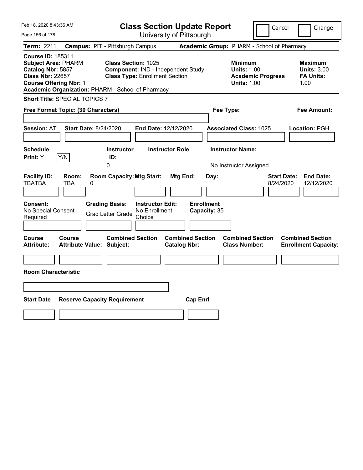| Feb 18, 2020 8:43:36 AM                                                                                                                                                                      |                                                   |                                                                                       |                                                    | <b>Class Section Update Report</b>             |                                           |                                                                                    | Cancel                                     | Change                                                            |
|----------------------------------------------------------------------------------------------------------------------------------------------------------------------------------------------|---------------------------------------------------|---------------------------------------------------------------------------------------|----------------------------------------------------|------------------------------------------------|-------------------------------------------|------------------------------------------------------------------------------------|--------------------------------------------|-------------------------------------------------------------------|
| Page 156 of 178                                                                                                                                                                              |                                                   |                                                                                       |                                                    | University of Pittsburgh                       |                                           |                                                                                    |                                            |                                                                   |
| Term: 2211                                                                                                                                                                                   |                                                   | <b>Campus: PIT - Pittsburgh Campus</b>                                                |                                                    |                                                |                                           |                                                                                    | Academic Group: PHARM - School of Pharmacy |                                                                   |
| <b>Course ID: 185311</b><br><b>Subject Area: PHARM</b><br>Catalog Nbr: 5857<br><b>Class Nbr: 22657</b><br><b>Course Offering Nbr: 1</b><br>Academic Organization: PHARM - School of Pharmacy |                                                   | Class Section: 1025<br><b>Class Type: Enrollment Section</b>                          |                                                    | Component: IND - Independent Study             |                                           | <b>Minimum</b><br><b>Units: 1.00</b><br><b>Units: 1.00</b>                         | <b>Academic Progress</b>                   | <b>Maximum</b><br><b>Units: 3.00</b><br><b>FA Units:</b><br>1.00  |
| <b>Short Title: SPECIAL TOPICS 7</b>                                                                                                                                                         |                                                   |                                                                                       |                                                    |                                                |                                           |                                                                                    |                                            |                                                                   |
| Free Format Topic: (30 Characters)                                                                                                                                                           |                                                   |                                                                                       |                                                    |                                                | Fee Type:                                 |                                                                                    |                                            | Fee Amount:                                                       |
| <b>Session: AT</b><br><b>Schedule</b><br>Print: Y                                                                                                                                            | <b>Start Date: 8/24/2020</b><br>Y/N               | <b>Instructor</b><br>ID:<br>0                                                         |                                                    | End Date: 12/12/2020<br><b>Instructor Role</b> |                                           | <b>Associated Class: 1025</b><br><b>Instructor Name:</b><br>No Instructor Assigned |                                            | Location: PGH                                                     |
| <b>Facility ID:</b><br><b>TBATBA</b><br><b>Consent:</b><br>No Special Consent<br>Required                                                                                                    | Room:<br>TBA<br>0                                 | <b>Room Capacity: Mtg Start:</b><br><b>Grading Basis:</b><br><b>Grad Letter Grade</b> | <b>Instructor Edit:</b><br>No Enrollment<br>Choice | Mtg End:                                       | Day:<br><b>Enrollment</b><br>Capacity: 35 |                                                                                    |                                            | <b>Start Date:</b><br><b>End Date:</b><br>8/24/2020<br>12/12/2020 |
| Course<br><b>Attribute:</b><br><b>Room Characteristic</b>                                                                                                                                    | <b>Course</b><br><b>Attribute Value: Subject:</b> | <b>Combined Section</b>                                                               |                                                    | <b>Combined Section</b><br><b>Catalog Nbr:</b> |                                           | <b>Combined Section</b><br><b>Class Number:</b>                                    |                                            | <b>Combined Section</b><br><b>Enrollment Capacity:</b>            |
| <b>Start Date</b>                                                                                                                                                                            |                                                   | <b>Reserve Capacity Requirement</b>                                                   |                                                    | <b>Cap Enrl</b>                                |                                           |                                                                                    |                                            |                                                                   |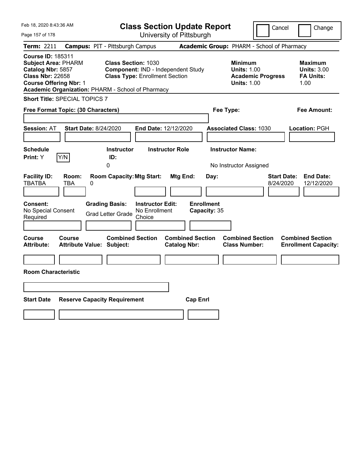| Feb 18, 2020 8:43:36 AM                                                                                                                                                                      |                                                   |                                                                                            |                                                    | <b>Class Section Update Report</b>             |                                           |                                                            | Cancel                                     | Change                                                            |
|----------------------------------------------------------------------------------------------------------------------------------------------------------------------------------------------|---------------------------------------------------|--------------------------------------------------------------------------------------------|----------------------------------------------------|------------------------------------------------|-------------------------------------------|------------------------------------------------------------|--------------------------------------------|-------------------------------------------------------------------|
| Page 157 of 178                                                                                                                                                                              |                                                   |                                                                                            |                                                    | University of Pittsburgh                       |                                           |                                                            |                                            |                                                                   |
| Term: 2211                                                                                                                                                                                   |                                                   | <b>Campus: PIT - Pittsburgh Campus</b>                                                     |                                                    |                                                |                                           |                                                            | Academic Group: PHARM - School of Pharmacy |                                                                   |
| <b>Course ID: 185311</b><br><b>Subject Area: PHARM</b><br>Catalog Nbr: 5857<br><b>Class Nbr: 22658</b><br><b>Course Offering Nbr: 1</b><br>Academic Organization: PHARM - School of Pharmacy |                                                   | <b>Class Section: 1030</b><br><b>Class Type: Enrollment Section</b>                        |                                                    | Component: IND - Independent Study             |                                           | <b>Minimum</b><br><b>Units: 1.00</b><br><b>Units: 1.00</b> | <b>Academic Progress</b>                   | <b>Maximum</b><br><b>Units: 3.00</b><br><b>FA Units:</b><br>1.00  |
| <b>Short Title: SPECIAL TOPICS 7</b>                                                                                                                                                         |                                                   |                                                                                            |                                                    |                                                |                                           |                                                            |                                            |                                                                   |
| Free Format Topic: (30 Characters)                                                                                                                                                           |                                                   |                                                                                            |                                                    |                                                | Fee Type:                                 |                                                            |                                            | Fee Amount:                                                       |
| <b>Session: AT</b><br><b>Schedule</b><br>Print: Y                                                                                                                                            | <b>Start Date: 8/24/2020</b><br>Y/N               | <b>Instructor</b><br>ID:                                                                   |                                                    | End Date: 12/12/2020<br><b>Instructor Role</b> |                                           | <b>Associated Class: 1030</b><br><b>Instructor Name:</b>   |                                            | Location: PGH                                                     |
| <b>Facility ID:</b><br><b>TBATBA</b><br><b>Consent:</b><br>No Special Consent<br>Required                                                                                                    | Room:<br>TBA<br>0                                 | 0<br><b>Room Capacity: Mtg Start:</b><br><b>Grading Basis:</b><br><b>Grad Letter Grade</b> | <b>Instructor Edit:</b><br>No Enrollment<br>Choice | Mtg End:                                       | Day:<br><b>Enrollment</b><br>Capacity: 35 | No Instructor Assigned                                     |                                            | <b>Start Date:</b><br><b>End Date:</b><br>8/24/2020<br>12/12/2020 |
| Course<br><b>Attribute:</b><br><b>Room Characteristic</b>                                                                                                                                    | <b>Course</b><br><b>Attribute Value: Subject:</b> | <b>Combined Section</b>                                                                    |                                                    | <b>Combined Section</b><br><b>Catalog Nbr:</b> |                                           | <b>Combined Section</b><br><b>Class Number:</b>            |                                            | <b>Combined Section</b><br><b>Enrollment Capacity:</b>            |
| <b>Start Date</b>                                                                                                                                                                            |                                                   | <b>Reserve Capacity Requirement</b>                                                        |                                                    | <b>Cap Enrl</b>                                |                                           |                                                            |                                            |                                                                   |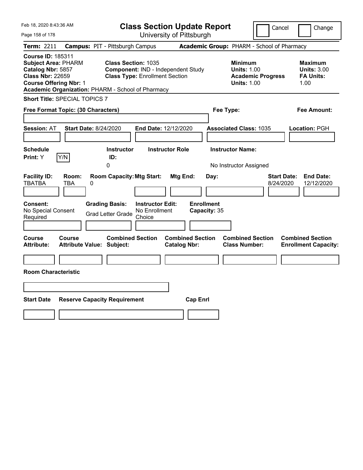| Feb 18, 2020 8:43:36 AM                                                                                                                                                                      |                                                                                            |                                                                             | <b>Class Section Update Report</b>                    |                                                                                        | Cancel<br>Change                                                  |
|----------------------------------------------------------------------------------------------------------------------------------------------------------------------------------------------|--------------------------------------------------------------------------------------------|-----------------------------------------------------------------------------|-------------------------------------------------------|----------------------------------------------------------------------------------------|-------------------------------------------------------------------|
| Page 158 of 178                                                                                                                                                                              |                                                                                            |                                                                             | University of Pittsburgh                              |                                                                                        |                                                                   |
| Term: 2211                                                                                                                                                                                   | <b>Campus: PIT - Pittsburgh Campus</b>                                                     |                                                                             |                                                       | Academic Group: PHARM - School of Pharmacy                                             |                                                                   |
| <b>Course ID: 185311</b><br><b>Subject Area: PHARM</b><br>Catalog Nbr: 5857<br><b>Class Nbr: 22659</b><br><b>Course Offering Nbr: 1</b><br>Academic Organization: PHARM - School of Pharmacy | <b>Class Section: 1035</b>                                                                 | Component: IND - Independent Study<br><b>Class Type: Enrollment Section</b> |                                                       | <b>Minimum</b><br><b>Units: 1.00</b><br><b>Academic Progress</b><br><b>Units: 1.00</b> | <b>Maximum</b><br><b>Units: 3.00</b><br><b>FA Units:</b><br>1.00  |
| <b>Short Title: SPECIAL TOPICS 7</b>                                                                                                                                                         |                                                                                            |                                                                             |                                                       |                                                                                        |                                                                   |
| Free Format Topic: (30 Characters)                                                                                                                                                           |                                                                                            |                                                                             |                                                       | Fee Type:                                                                              | Fee Amount:                                                       |
| <b>Session: AT</b><br><b>Schedule</b><br>Y/N<br>Print: Y                                                                                                                                     | Start Date: 8/24/2020<br><b>Instructor</b><br>ID:<br>0                                     | End Date: 12/12/2020<br><b>Instructor Role</b>                              |                                                       | <b>Associated Class: 1035</b><br><b>Instructor Name:</b><br>No Instructor Assigned     | Location: PGH                                                     |
| <b>Facility ID:</b><br>Room:<br><b>TBATBA</b><br>TBA<br>Consent:<br>No Special Consent<br>Required                                                                                           | <b>Room Capacity: Mtg Start:</b><br>0<br><b>Grading Basis:</b><br><b>Grad Letter Grade</b> | <b>Instructor Edit:</b><br>No Enrollment<br>Choice                          | Mtg End:<br>Day:<br><b>Enrollment</b><br>Capacity: 35 |                                                                                        | <b>Start Date:</b><br><b>End Date:</b><br>8/24/2020<br>12/12/2020 |
| Course<br>Course<br><b>Attribute:</b><br><b>Room Characteristic</b>                                                                                                                          | <b>Combined Section</b><br><b>Attribute Value: Subject:</b>                                |                                                                             | <b>Combined Section</b><br><b>Catalog Nbr:</b>        | <b>Combined Section</b><br><b>Class Number:</b>                                        | <b>Combined Section</b><br><b>Enrollment Capacity:</b>            |
| <b>Start Date</b>                                                                                                                                                                            | <b>Reserve Capacity Requirement</b>                                                        |                                                                             | <b>Cap Enrl</b>                                       |                                                                                        |                                                                   |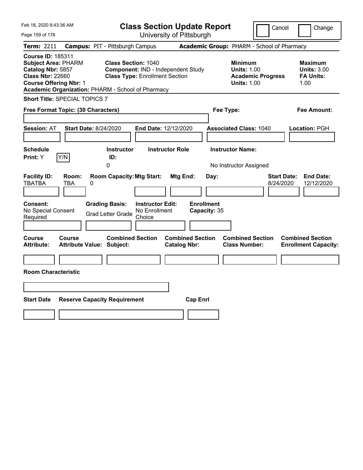| Feb 18, 2020 8:43:36 AM                                                                                                                 |                                                                                            |                                                                                                           | <b>Class Section Update Report</b>                    |                                                                                        | Cancel<br>Change                                                  |
|-----------------------------------------------------------------------------------------------------------------------------------------|--------------------------------------------------------------------------------------------|-----------------------------------------------------------------------------------------------------------|-------------------------------------------------------|----------------------------------------------------------------------------------------|-------------------------------------------------------------------|
| Page 159 of 178                                                                                                                         |                                                                                            |                                                                                                           | University of Pittsburgh                              |                                                                                        |                                                                   |
| Term: 2211                                                                                                                              | <b>Campus: PIT - Pittsburgh Campus</b>                                                     |                                                                                                           |                                                       | Academic Group: PHARM - School of Pharmacy                                             |                                                                   |
| <b>Course ID: 185311</b><br><b>Subject Area: PHARM</b><br>Catalog Nbr: 5857<br><b>Class Nbr: 22660</b><br><b>Course Offering Nbr: 1</b> | Academic Organization: PHARM - School of Pharmacy                                          | <b>Class Section: 1040</b><br>Component: IND - Independent Study<br><b>Class Type: Enrollment Section</b> |                                                       | <b>Minimum</b><br><b>Units: 1.00</b><br><b>Academic Progress</b><br><b>Units: 1.00</b> | <b>Maximum</b><br><b>Units: 3.00</b><br><b>FA Units:</b><br>1.00  |
| <b>Short Title: SPECIAL TOPICS 7</b>                                                                                                    |                                                                                            |                                                                                                           |                                                       |                                                                                        |                                                                   |
| Free Format Topic: (30 Characters)                                                                                                      |                                                                                            |                                                                                                           |                                                       | Fee Type:                                                                              | Fee Amount:                                                       |
| <b>Session: AT</b><br><b>Schedule</b><br>Y/N<br>Print: Y                                                                                | <b>Start Date: 8/24/2020</b><br><b>Instructor</b><br>ID:<br>0                              | End Date: 12/12/2020<br><b>Instructor Role</b>                                                            |                                                       | <b>Associated Class: 1040</b><br><b>Instructor Name:</b><br>No Instructor Assigned     | Location: PGH                                                     |
| <b>Facility ID:</b><br>Room:<br><b>TBATBA</b><br>TBA<br>Consent:<br>No Special Consent<br>Required                                      | <b>Room Capacity: Mtg Start:</b><br>0<br><b>Grading Basis:</b><br><b>Grad Letter Grade</b> | <b>Instructor Edit:</b><br>No Enrollment<br>Choice                                                        | Mtg End:<br>Day:<br><b>Enrollment</b><br>Capacity: 35 |                                                                                        | <b>Start Date:</b><br><b>End Date:</b><br>12/12/2020<br>8/24/2020 |
| Course<br>Course<br><b>Attribute:</b><br><b>Room Characteristic</b>                                                                     | <b>Combined Section</b><br><b>Attribute Value: Subject:</b>                                |                                                                                                           | <b>Combined Section</b><br><b>Catalog Nbr:</b>        | <b>Combined Section</b><br><b>Class Number:</b>                                        | <b>Combined Section</b><br><b>Enrollment Capacity:</b>            |
| <b>Start Date</b>                                                                                                                       | <b>Reserve Capacity Requirement</b>                                                        |                                                                                                           | <b>Cap Enrl</b>                                       |                                                                                        |                                                                   |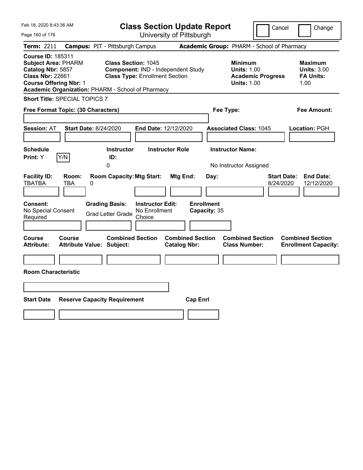| Feb 18, 2020 8:43:36 AM                                                                                                                 |                                     |                                                                                       |                                                    | <b>Class Section Update Report</b>             |                                           |                                                                                    | Cancel                          | Change                                                           |
|-----------------------------------------------------------------------------------------------------------------------------------------|-------------------------------------|---------------------------------------------------------------------------------------|----------------------------------------------------|------------------------------------------------|-------------------------------------------|------------------------------------------------------------------------------------|---------------------------------|------------------------------------------------------------------|
| Page 160 of 178                                                                                                                         |                                     |                                                                                       |                                                    | University of Pittsburgh                       |                                           |                                                                                    |                                 |                                                                  |
| Term: 2211                                                                                                                              |                                     | <b>Campus: PIT - Pittsburgh Campus</b>                                                |                                                    |                                                |                                           | Academic Group: PHARM - School of Pharmacy                                         |                                 |                                                                  |
| <b>Course ID: 185311</b><br><b>Subject Area: PHARM</b><br>Catalog Nbr: 5857<br><b>Class Nbr: 22661</b><br><b>Course Offering Nbr: 1</b> |                                     | <b>Class Section: 1045</b><br>Academic Organization: PHARM - School of Pharmacy       | <b>Class Type: Enrollment Section</b>              | Component: IND - Independent Study             |                                           | Minimum<br><b>Units: 1.00</b><br><b>Academic Progress</b><br><b>Units: 1.00</b>    |                                 | <b>Maximum</b><br><b>Units: 3.00</b><br><b>FA Units:</b><br>1.00 |
| <b>Short Title: SPECIAL TOPICS 7</b>                                                                                                    |                                     |                                                                                       |                                                    |                                                |                                           |                                                                                    |                                 |                                                                  |
| Free Format Topic: (30 Characters)                                                                                                      |                                     |                                                                                       |                                                    |                                                | Fee Type:                                 |                                                                                    |                                 | Fee Amount:                                                      |
| <b>Session: AT</b><br><b>Schedule</b><br>Print: Y                                                                                       | <b>Start Date: 8/24/2020</b><br>Y/N | <b>Instructor</b><br>ID:<br>0                                                         | End Date: 12/12/2020                               | <b>Instructor Role</b>                         |                                           | <b>Associated Class: 1045</b><br><b>Instructor Name:</b><br>No Instructor Assigned |                                 | Location: PGH                                                    |
| <b>Facility ID:</b><br>TBATBA<br><b>Consent:</b><br>No Special Consent<br>Required                                                      | Room:<br>TBA<br>0                   | <b>Room Capacity: Mtg Start:</b><br><b>Grading Basis:</b><br><b>Grad Letter Grade</b> | <b>Instructor Edit:</b><br>No Enrollment<br>Choice | Mtg End:                                       | Day:<br><b>Enrollment</b><br>Capacity: 35 |                                                                                    | <b>Start Date:</b><br>8/24/2020 | <b>End Date:</b><br>12/12/2020                                   |
| Course<br><b>Attribute:</b><br><b>Room Characteristic</b>                                                                               | <b>Course</b>                       | <b>Combined Section</b><br><b>Attribute Value: Subject:</b>                           |                                                    | <b>Combined Section</b><br><b>Catalog Nbr:</b> |                                           | <b>Combined Section</b><br><b>Class Number:</b>                                    |                                 | <b>Combined Section</b><br><b>Enrollment Capacity:</b>           |
| <b>Start Date</b>                                                                                                                       |                                     | <b>Reserve Capacity Requirement</b>                                                   |                                                    | <b>Cap Enrl</b>                                |                                           |                                                                                    |                                 |                                                                  |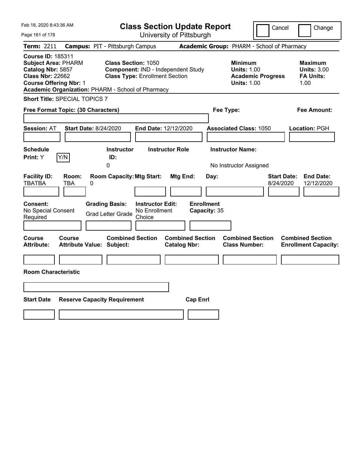| Feb 18, 2020 8:43:36 AM                                                                                                                                                                      |                                                                                            |                                                    | <b>Class Section Update Report</b>             |           |                                                                                        | Cancel                          | Change                                                           |
|----------------------------------------------------------------------------------------------------------------------------------------------------------------------------------------------|--------------------------------------------------------------------------------------------|----------------------------------------------------|------------------------------------------------|-----------|----------------------------------------------------------------------------------------|---------------------------------|------------------------------------------------------------------|
| Page 161 of 178                                                                                                                                                                              |                                                                                            |                                                    | University of Pittsburgh                       |           |                                                                                        |                                 |                                                                  |
| Term: 2211                                                                                                                                                                                   | <b>Campus: PIT - Pittsburgh Campus</b>                                                     |                                                    |                                                |           | Academic Group: PHARM - School of Pharmacy                                             |                                 |                                                                  |
| <b>Course ID: 185311</b><br><b>Subject Area: PHARM</b><br>Catalog Nbr: 5857<br><b>Class Nbr: 22662</b><br><b>Course Offering Nbr: 1</b><br>Academic Organization: PHARM - School of Pharmacy | <b>Class Section: 1050</b>                                                                 | <b>Class Type: Enrollment Section</b>              | Component: IND - Independent Study             |           | <b>Minimum</b><br><b>Units: 1.00</b><br><b>Academic Progress</b><br><b>Units: 1.00</b> |                                 | <b>Maximum</b><br><b>Units: 3.00</b><br><b>FA Units:</b><br>1.00 |
| <b>Short Title: SPECIAL TOPICS 7</b>                                                                                                                                                         |                                                                                            |                                                    |                                                |           |                                                                                        |                                 |                                                                  |
| Free Format Topic: (30 Characters)                                                                                                                                                           |                                                                                            |                                                    |                                                | Fee Type: |                                                                                        |                                 | Fee Amount:                                                      |
| <b>Session: AT</b><br><b>Schedule</b><br>Y/N<br>Print: Y                                                                                                                                     | <b>Start Date: 8/24/2020</b><br><b>Instructor</b><br>ID:<br>0                              | End Date: 12/12/2020                               | <b>Instructor Role</b>                         |           | <b>Associated Class: 1050</b><br><b>Instructor Name:</b><br>No Instructor Assigned     |                                 | Location: PGH                                                    |
| <b>Facility ID:</b><br>Room:<br><b>TBATBA</b><br>TBA<br>Consent:<br>No Special Consent<br>Required                                                                                           | <b>Room Capacity: Mtg Start:</b><br>0<br><b>Grading Basis:</b><br><b>Grad Letter Grade</b> | <b>Instructor Edit:</b><br>No Enrollment<br>Choice | Mtg End:<br><b>Enrollment</b><br>Capacity: 35  | Day:      |                                                                                        | <b>Start Date:</b><br>8/24/2020 | <b>End Date:</b><br>12/12/2020                                   |
| Course<br>Course<br><b>Attribute:</b><br><b>Room Characteristic</b>                                                                                                                          | <b>Combined Section</b><br><b>Attribute Value: Subject:</b>                                |                                                    | <b>Combined Section</b><br><b>Catalog Nbr:</b> |           | <b>Combined Section</b><br><b>Class Number:</b>                                        |                                 | <b>Combined Section</b><br><b>Enrollment Capacity:</b>           |
| <b>Start Date</b>                                                                                                                                                                            | <b>Reserve Capacity Requirement</b>                                                        |                                                    | <b>Cap Enrl</b>                                |           |                                                                                        |                                 |                                                                  |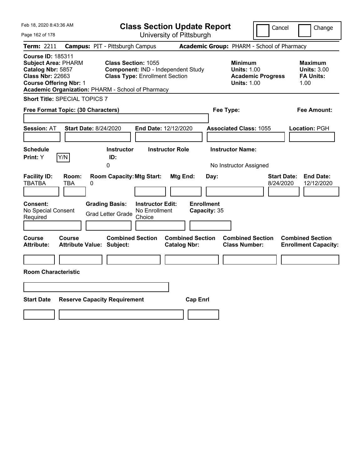| Feb 18, 2020 8:43:36 AM                                                                                                                                                                      |                                                                                            |                                                                             | <b>Class Section Update Report</b>             |                                                                                    | Cancel                          | Change                                                           |
|----------------------------------------------------------------------------------------------------------------------------------------------------------------------------------------------|--------------------------------------------------------------------------------------------|-----------------------------------------------------------------------------|------------------------------------------------|------------------------------------------------------------------------------------|---------------------------------|------------------------------------------------------------------|
| Page 162 of 178                                                                                                                                                                              |                                                                                            |                                                                             | University of Pittsburgh                       |                                                                                    |                                 |                                                                  |
| Term: 2211                                                                                                                                                                                   | <b>Campus: PIT - Pittsburgh Campus</b>                                                     |                                                                             |                                                | Academic Group: PHARM - School of Pharmacy                                         |                                 |                                                                  |
| <b>Course ID: 185311</b><br><b>Subject Area: PHARM</b><br>Catalog Nbr: 5857<br><b>Class Nbr: 22663</b><br><b>Course Offering Nbr: 1</b><br>Academic Organization: PHARM - School of Pharmacy | <b>Class Section: 1055</b>                                                                 | Component: IND - Independent Study<br><b>Class Type: Enrollment Section</b> |                                                | <b>Minimum</b><br><b>Units: 1.00</b><br><b>Units: 1.00</b>                         | <b>Academic Progress</b>        | <b>Maximum</b><br><b>Units: 3.00</b><br><b>FA Units:</b><br>1.00 |
| <b>Short Title: SPECIAL TOPICS 7</b>                                                                                                                                                         |                                                                                            |                                                                             |                                                |                                                                                    |                                 |                                                                  |
| Free Format Topic: (30 Characters)                                                                                                                                                           |                                                                                            |                                                                             |                                                | Fee Type:                                                                          |                                 | Fee Amount:                                                      |
| <b>Session: AT</b><br><b>Schedule</b><br>Y/N<br>Print: Y                                                                                                                                     | Start Date: 8/24/2020<br><b>Instructor</b><br>ID:<br>0                                     | End Date: 12/12/2020<br><b>Instructor Role</b>                              |                                                | <b>Associated Class: 1055</b><br><b>Instructor Name:</b><br>No Instructor Assigned |                                 | Location: PGH                                                    |
| <b>Facility ID:</b><br>Room:<br><b>TBATBA</b><br>TBA<br>Consent:<br>No Special Consent<br>Required                                                                                           | <b>Room Capacity: Mtg Start:</b><br>0<br><b>Grading Basis:</b><br><b>Grad Letter Grade</b> | <b>Instructor Edit:</b><br>No Enrollment<br>Choice                          | Mtg End:<br><b>Enrollment</b><br>Capacity: 35  | Day:                                                                               | <b>Start Date:</b><br>8/24/2020 | <b>End Date:</b><br>12/12/2020                                   |
| Course<br>Course<br><b>Attribute:</b><br><b>Room Characteristic</b>                                                                                                                          | <b>Combined Section</b><br><b>Attribute Value: Subject:</b>                                |                                                                             | <b>Combined Section</b><br><b>Catalog Nbr:</b> | <b>Combined Section</b><br><b>Class Number:</b>                                    |                                 | <b>Combined Section</b><br><b>Enrollment Capacity:</b>           |
| <b>Start Date</b>                                                                                                                                                                            | <b>Reserve Capacity Requirement</b>                                                        |                                                                             | <b>Cap Enrl</b>                                |                                                                                    |                                 |                                                                  |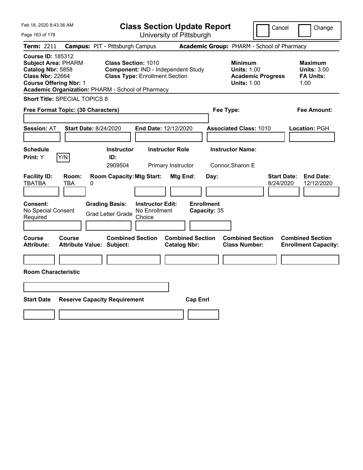| Feb 18, 2020 8:43:36 AM                                                                                                                                                                      |                                            |                                                                     |                                                    | <b>Class Section Update Report</b>             |                                   |                                                            | Cancel                          | Change                                                           |
|----------------------------------------------------------------------------------------------------------------------------------------------------------------------------------------------|--------------------------------------------|---------------------------------------------------------------------|----------------------------------------------------|------------------------------------------------|-----------------------------------|------------------------------------------------------------|---------------------------------|------------------------------------------------------------------|
| Page 163 of 178                                                                                                                                                                              |                                            |                                                                     |                                                    | University of Pittsburgh                       |                                   |                                                            |                                 |                                                                  |
| Term: 2211                                                                                                                                                                                   | <b>Campus: PIT - Pittsburgh Campus</b>     |                                                                     |                                                    |                                                |                                   | Academic Group: PHARM - School of Pharmacy                 |                                 |                                                                  |
| <b>Course ID: 185312</b><br><b>Subject Area: PHARM</b><br>Catalog Nbr: 5858<br><b>Class Nbr: 22664</b><br><b>Course Offering Nbr: 1</b><br>Academic Organization: PHARM - School of Pharmacy |                                            | <b>Class Section: 1010</b><br><b>Class Type: Enrollment Section</b> |                                                    | Component: IND - Independent Study             |                                   | <b>Minimum</b><br><b>Units: 1.00</b><br><b>Units: 1.00</b> | <b>Academic Progress</b>        | <b>Maximum</b><br><b>Units: 3.00</b><br><b>FA Units:</b><br>1.00 |
| <b>Short Title: SPECIAL TOPICS 8</b>                                                                                                                                                         |                                            |                                                                     |                                                    |                                                |                                   |                                                            |                                 |                                                                  |
| Free Format Topic: (30 Characters)                                                                                                                                                           |                                            |                                                                     |                                                    |                                                |                                   | Fee Type:                                                  |                                 | Fee Amount:                                                      |
| <b>Session: AT</b>                                                                                                                                                                           | <b>Start Date: 8/24/2020</b>               |                                                                     |                                                    | End Date: 12/12/2020                           |                                   | <b>Associated Class: 1010</b>                              |                                 | Location: PGH                                                    |
| <b>Schedule</b><br>Y/N<br>Print: Y                                                                                                                                                           |                                            | <b>Instructor</b><br>ID:<br>2909504                                 |                                                    | <b>Instructor Role</b><br>Primary Instructor   |                                   | <b>Instructor Name:</b><br>Connor, Sharon E                |                                 |                                                                  |
| <b>Facility ID:</b><br><b>TBATBA</b>                                                                                                                                                         | Room:<br>TBA<br>0                          | <b>Room Capacity: Mtg Start:</b>                                    |                                                    | Mtg End:                                       | Day:                              |                                                            | <b>Start Date:</b><br>8/24/2020 | <b>End Date:</b><br>12/12/2020                                   |
| Consent:<br>No Special Consent<br>Required                                                                                                                                                   |                                            | <b>Grading Basis:</b><br><b>Grad Letter Grade</b>                   | <b>Instructor Edit:</b><br>No Enrollment<br>Choice |                                                | <b>Enrollment</b><br>Capacity: 35 |                                                            |                                 |                                                                  |
| Course<br><b>Attribute:</b>                                                                                                                                                                  | Course<br><b>Attribute Value: Subject:</b> | <b>Combined Section</b>                                             |                                                    | <b>Combined Section</b><br><b>Catalog Nbr:</b> |                                   | <b>Combined Section</b><br><b>Class Number:</b>            |                                 | <b>Combined Section</b><br><b>Enrollment Capacity:</b>           |
| <b>Room Characteristic</b>                                                                                                                                                                   |                                            |                                                                     |                                                    |                                                |                                   |                                                            |                                 |                                                                  |
|                                                                                                                                                                                              |                                            |                                                                     |                                                    |                                                |                                   |                                                            |                                 |                                                                  |
| <b>Start Date</b>                                                                                                                                                                            | <b>Reserve Capacity Requirement</b>        |                                                                     |                                                    |                                                | <b>Cap Enrl</b>                   |                                                            |                                 |                                                                  |
|                                                                                                                                                                                              |                                            |                                                                     |                                                    |                                                |                                   |                                                            |                                 |                                                                  |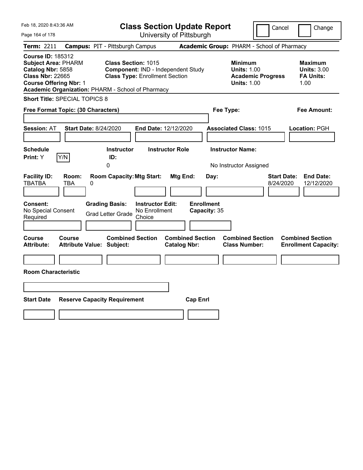| Feb 18, 2020 8:43:36 AM                                                                                                                                                                      |                                                                                            |                                                                             | <b>Class Section Update Report</b>             |                                                                                    | Cancel                          | Change                                                           |
|----------------------------------------------------------------------------------------------------------------------------------------------------------------------------------------------|--------------------------------------------------------------------------------------------|-----------------------------------------------------------------------------|------------------------------------------------|------------------------------------------------------------------------------------|---------------------------------|------------------------------------------------------------------|
| Page 164 of 178                                                                                                                                                                              |                                                                                            |                                                                             | University of Pittsburgh                       |                                                                                    |                                 |                                                                  |
| Term: 2211                                                                                                                                                                                   | <b>Campus: PIT - Pittsburgh Campus</b>                                                     |                                                                             |                                                | Academic Group: PHARM - School of Pharmacy                                         |                                 |                                                                  |
| <b>Course ID: 185312</b><br><b>Subject Area: PHARM</b><br>Catalog Nbr: 5858<br><b>Class Nbr: 22665</b><br><b>Course Offering Nbr: 1</b><br>Academic Organization: PHARM - School of Pharmacy | <b>Class Section: 1015</b>                                                                 | Component: IND - Independent Study<br><b>Class Type: Enrollment Section</b> |                                                | <b>Minimum</b><br><b>Units: 1.00</b><br><b>Units: 1.00</b>                         | <b>Academic Progress</b>        | <b>Maximum</b><br><b>Units: 3.00</b><br><b>FA Units:</b><br>1.00 |
| <b>Short Title: SPECIAL TOPICS 8</b>                                                                                                                                                         |                                                                                            |                                                                             |                                                |                                                                                    |                                 |                                                                  |
| Free Format Topic: (30 Characters)                                                                                                                                                           |                                                                                            |                                                                             |                                                | Fee Type:                                                                          |                                 | Fee Amount:                                                      |
| <b>Session: AT</b><br><b>Schedule</b><br>Y/N<br>Print: Y                                                                                                                                     | <b>Start Date: 8/24/2020</b><br><b>Instructor</b><br>ID:<br>0                              | End Date: 12/12/2020<br><b>Instructor Role</b>                              |                                                | <b>Associated Class: 1015</b><br><b>Instructor Name:</b><br>No Instructor Assigned |                                 | Location: PGH                                                    |
| <b>Facility ID:</b><br>Room:<br><b>TBATBA</b><br>TBA<br>Consent:<br>No Special Consent<br>Required                                                                                           | <b>Room Capacity: Mtg Start:</b><br>0<br><b>Grading Basis:</b><br><b>Grad Letter Grade</b> | <b>Instructor Edit:</b><br>No Enrollment<br>Choice                          | Mtg End:<br><b>Enrollment</b><br>Capacity: 35  | Day:                                                                               | <b>Start Date:</b><br>8/24/2020 | <b>End Date:</b><br>12/12/2020                                   |
| Course<br>Course<br><b>Attribute:</b><br><b>Room Characteristic</b>                                                                                                                          | <b>Combined Section</b><br><b>Attribute Value: Subject:</b>                                |                                                                             | <b>Combined Section</b><br><b>Catalog Nbr:</b> | <b>Combined Section</b><br><b>Class Number:</b>                                    |                                 | <b>Combined Section</b><br><b>Enrollment Capacity:</b>           |
| <b>Start Date</b>                                                                                                                                                                            | <b>Reserve Capacity Requirement</b>                                                        |                                                                             | <b>Cap Enrl</b>                                |                                                                                    |                                 |                                                                  |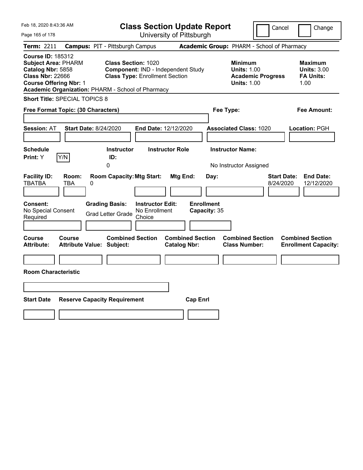| Feb 18, 2020 8:43:36 AM                                                                                                                                                                      |                                                                                            |                                                                                                           | <b>Class Section Update Report</b>                    |                                                                                        | Cancel<br>Change                                                  |
|----------------------------------------------------------------------------------------------------------------------------------------------------------------------------------------------|--------------------------------------------------------------------------------------------|-----------------------------------------------------------------------------------------------------------|-------------------------------------------------------|----------------------------------------------------------------------------------------|-------------------------------------------------------------------|
| Page 165 of 178                                                                                                                                                                              |                                                                                            |                                                                                                           | University of Pittsburgh                              |                                                                                        |                                                                   |
| Term: 2211                                                                                                                                                                                   | <b>Campus: PIT - Pittsburgh Campus</b>                                                     |                                                                                                           |                                                       | Academic Group: PHARM - School of Pharmacy                                             |                                                                   |
| <b>Course ID: 185312</b><br><b>Subject Area: PHARM</b><br>Catalog Nbr: 5858<br><b>Class Nbr: 22666</b><br><b>Course Offering Nbr: 1</b><br>Academic Organization: PHARM - School of Pharmacy |                                                                                            | <b>Class Section: 1020</b><br>Component: IND - Independent Study<br><b>Class Type: Enrollment Section</b> |                                                       | <b>Minimum</b><br><b>Units: 1.00</b><br><b>Academic Progress</b><br><b>Units: 1.00</b> | <b>Maximum</b><br><b>Units: 3.00</b><br><b>FA Units:</b><br>1.00  |
| <b>Short Title: SPECIAL TOPICS 8</b>                                                                                                                                                         |                                                                                            |                                                                                                           |                                                       |                                                                                        |                                                                   |
| Free Format Topic: (30 Characters)                                                                                                                                                           |                                                                                            |                                                                                                           |                                                       | Fee Type:                                                                              | Fee Amount:                                                       |
| <b>Session: AT</b><br><b>Schedule</b><br>Y/N<br><b>Print:</b> Y                                                                                                                              | <b>Start Date: 8/24/2020</b><br><b>Instructor</b><br>ID:<br>0                              | End Date: 12/12/2020<br><b>Instructor Role</b>                                                            |                                                       | <b>Associated Class: 1020</b><br><b>Instructor Name:</b><br>No Instructor Assigned     | Location: PGH                                                     |
| <b>Facility ID:</b><br>Room:<br><b>TBATBA</b><br>TBA<br><b>Consent:</b><br>No Special Consent<br>Required                                                                                    | <b>Room Capacity: Mtg Start:</b><br>0<br><b>Grading Basis:</b><br><b>Grad Letter Grade</b> | <b>Instructor Edit:</b><br>No Enrollment<br>Choice                                                        | Mtg End:<br>Day:<br><b>Enrollment</b><br>Capacity: 35 |                                                                                        | <b>Start Date:</b><br><b>End Date:</b><br>8/24/2020<br>12/12/2020 |
| Course<br>Course<br><b>Attribute:</b><br><b>Room Characteristic</b>                                                                                                                          | <b>Combined Section</b><br><b>Attribute Value: Subject:</b>                                |                                                                                                           | <b>Combined Section</b><br><b>Catalog Nbr:</b>        | <b>Combined Section</b><br><b>Class Number:</b>                                        | <b>Combined Section</b><br><b>Enrollment Capacity:</b>            |
| <b>Start Date</b>                                                                                                                                                                            | <b>Reserve Capacity Requirement</b>                                                        |                                                                                                           | <b>Cap Enrl</b>                                       |                                                                                        |                                                                   |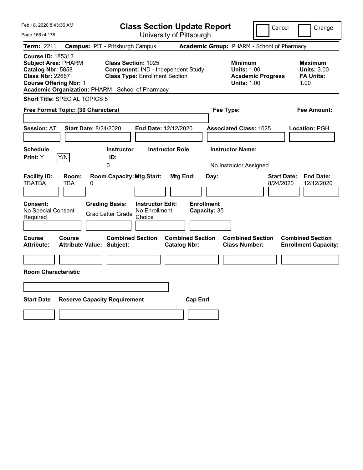| Feb 18, 2020 8:43:36 AM                                                                                                                                                                      |                                                                                            | <b>Class Section Update Report</b>                                          |                                                |                      |                                                                                        | Cancel                          | Change                                                           |
|----------------------------------------------------------------------------------------------------------------------------------------------------------------------------------------------|--------------------------------------------------------------------------------------------|-----------------------------------------------------------------------------|------------------------------------------------|----------------------|----------------------------------------------------------------------------------------|---------------------------------|------------------------------------------------------------------|
| Page 166 of 178                                                                                                                                                                              |                                                                                            |                                                                             | University of Pittsburgh                       |                      |                                                                                        |                                 |                                                                  |
| Term: 2211                                                                                                                                                                                   | <b>Campus: PIT - Pittsburgh Campus</b>                                                     |                                                                             |                                                |                      | Academic Group: PHARM - School of Pharmacy                                             |                                 |                                                                  |
| <b>Course ID: 185312</b><br><b>Subject Area: PHARM</b><br>Catalog Nbr: 5858<br><b>Class Nbr: 22667</b><br><b>Course Offering Nbr: 1</b><br>Academic Organization: PHARM - School of Pharmacy | <b>Class Section: 1025</b>                                                                 | Component: IND - Independent Study<br><b>Class Type: Enrollment Section</b> |                                                |                      | <b>Minimum</b><br><b>Units: 1.00</b><br><b>Academic Progress</b><br><b>Units: 1.00</b> |                                 | <b>Maximum</b><br><b>Units: 3.00</b><br><b>FA Units:</b><br>1.00 |
| <b>Short Title: SPECIAL TOPICS 8</b>                                                                                                                                                         |                                                                                            |                                                                             |                                                |                      |                                                                                        |                                 |                                                                  |
| Free Format Topic: (30 Characters)                                                                                                                                                           |                                                                                            |                                                                             |                                                | Fee Type:            |                                                                                        |                                 | Fee Amount:                                                      |
| <b>Session: AT</b><br><b>Schedule</b><br>Y/N<br><b>Print:</b> Y                                                                                                                              | <b>Start Date: 8/24/2020</b><br><b>Instructor</b><br>ID:<br>0                              | End Date: 12/12/2020<br><b>Instructor Role</b>                              |                                                |                      | <b>Associated Class: 1025</b><br><b>Instructor Name:</b><br>No Instructor Assigned     |                                 | Location: PGH                                                    |
| <b>Facility ID:</b><br>Room:<br><b>TBATBA</b><br>TBA<br><b>Consent:</b><br>No Special Consent<br>Required                                                                                    | <b>Room Capacity: Mtg Start:</b><br>0<br><b>Grading Basis:</b><br><b>Grad Letter Grade</b> | <b>Instructor Edit:</b><br>No Enrollment<br>Choice                          | Mtg End:<br><b>Enrollment</b>                  | Day:<br>Capacity: 35 |                                                                                        | <b>Start Date:</b><br>8/24/2020 | <b>End Date:</b><br>12/12/2020                                   |
| Course<br>Course<br><b>Attribute:</b><br><b>Room Characteristic</b>                                                                                                                          | <b>Combined Section</b><br><b>Attribute Value: Subject:</b>                                |                                                                             | <b>Combined Section</b><br><b>Catalog Nbr:</b> |                      | <b>Combined Section</b><br><b>Class Number:</b>                                        |                                 | <b>Combined Section</b><br><b>Enrollment Capacity:</b>           |
| <b>Start Date</b>                                                                                                                                                                            | <b>Reserve Capacity Requirement</b>                                                        |                                                                             | <b>Cap Enrl</b>                                |                      |                                                                                        |                                 |                                                                  |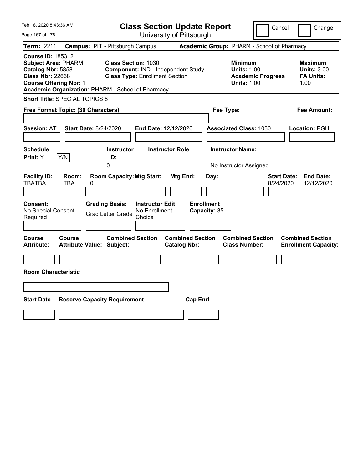| Feb 18, 2020 8:43:36 AM                                                                                                                                                                      |                                                   |                                                                                            |                                                    | <b>Class Section Update Report</b>             |                                           |                                                            | Cancel                                     | Change                                                            |
|----------------------------------------------------------------------------------------------------------------------------------------------------------------------------------------------|---------------------------------------------------|--------------------------------------------------------------------------------------------|----------------------------------------------------|------------------------------------------------|-------------------------------------------|------------------------------------------------------------|--------------------------------------------|-------------------------------------------------------------------|
| Page 167 of 178                                                                                                                                                                              |                                                   |                                                                                            |                                                    | University of Pittsburgh                       |                                           |                                                            |                                            |                                                                   |
| Term: 2211                                                                                                                                                                                   |                                                   | <b>Campus: PIT - Pittsburgh Campus</b>                                                     |                                                    |                                                |                                           |                                                            | Academic Group: PHARM - School of Pharmacy |                                                                   |
| <b>Course ID: 185312</b><br><b>Subject Area: PHARM</b><br>Catalog Nbr: 5858<br><b>Class Nbr: 22668</b><br><b>Course Offering Nbr: 1</b><br>Academic Organization: PHARM - School of Pharmacy |                                                   | <b>Class Section: 1030</b><br><b>Class Type: Enrollment Section</b>                        |                                                    | Component: IND - Independent Study             |                                           | <b>Minimum</b><br><b>Units: 1.00</b><br><b>Units: 1.00</b> | <b>Academic Progress</b>                   | <b>Maximum</b><br><b>Units: 3.00</b><br><b>FA Units:</b><br>1.00  |
| <b>Short Title: SPECIAL TOPICS 8</b>                                                                                                                                                         |                                                   |                                                                                            |                                                    |                                                |                                           |                                                            |                                            |                                                                   |
| Free Format Topic: (30 Characters)                                                                                                                                                           |                                                   |                                                                                            |                                                    |                                                | Fee Type:                                 |                                                            |                                            | Fee Amount:                                                       |
| <b>Session: AT</b><br><b>Schedule</b><br>Print: Y                                                                                                                                            | <b>Start Date: 8/24/2020</b><br>Y/N               | <b>Instructor</b><br>ID:                                                                   |                                                    | End Date: 12/12/2020<br><b>Instructor Role</b> |                                           | <b>Associated Class: 1030</b><br><b>Instructor Name:</b>   |                                            | Location: PGH                                                     |
| <b>Facility ID:</b><br><b>TBATBA</b><br><b>Consent:</b><br>No Special Consent<br>Required                                                                                                    | Room:<br>TBA<br>0                                 | 0<br><b>Room Capacity: Mtg Start:</b><br><b>Grading Basis:</b><br><b>Grad Letter Grade</b> | <b>Instructor Edit:</b><br>No Enrollment<br>Choice | Mtg End:                                       | Day:<br><b>Enrollment</b><br>Capacity: 35 | No Instructor Assigned                                     |                                            | <b>Start Date:</b><br><b>End Date:</b><br>8/24/2020<br>12/12/2020 |
| Course<br><b>Attribute:</b><br><b>Room Characteristic</b>                                                                                                                                    | <b>Course</b><br><b>Attribute Value: Subject:</b> | <b>Combined Section</b>                                                                    |                                                    | <b>Combined Section</b><br><b>Catalog Nbr:</b> |                                           | <b>Combined Section</b><br><b>Class Number:</b>            |                                            | <b>Combined Section</b><br><b>Enrollment Capacity:</b>            |
| <b>Start Date</b>                                                                                                                                                                            |                                                   | <b>Reserve Capacity Requirement</b>                                                        |                                                    | <b>Cap Enrl</b>                                |                                           |                                                            |                                            |                                                                   |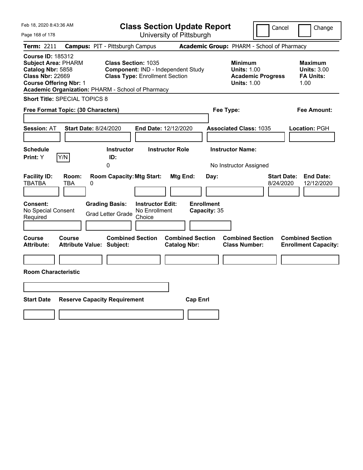| Feb 18, 2020 8:43:36 AM                                                                                                                                                                      |                                                                                            |                                                    | <b>Class Section Update Report</b>             |                                           |                                                                                        | Cancel                          | Change                                                           |
|----------------------------------------------------------------------------------------------------------------------------------------------------------------------------------------------|--------------------------------------------------------------------------------------------|----------------------------------------------------|------------------------------------------------|-------------------------------------------|----------------------------------------------------------------------------------------|---------------------------------|------------------------------------------------------------------|
| Page 168 of 178                                                                                                                                                                              |                                                                                            |                                                    | University of Pittsburgh                       |                                           |                                                                                        |                                 |                                                                  |
| Term: 2211                                                                                                                                                                                   | <b>Campus: PIT - Pittsburgh Campus</b>                                                     |                                                    |                                                |                                           | Academic Group: PHARM - School of Pharmacy                                             |                                 |                                                                  |
| <b>Course ID: 185312</b><br><b>Subject Area: PHARM</b><br>Catalog Nbr: 5858<br><b>Class Nbr: 22669</b><br><b>Course Offering Nbr: 1</b><br>Academic Organization: PHARM - School of Pharmacy | <b>Class Section: 1035</b>                                                                 | <b>Class Type: Enrollment Section</b>              | Component: IND - Independent Study             |                                           | <b>Minimum</b><br><b>Units: 1.00</b><br><b>Academic Progress</b><br><b>Units: 1.00</b> |                                 | <b>Maximum</b><br><b>Units: 3.00</b><br><b>FA Units:</b><br>1.00 |
| <b>Short Title: SPECIAL TOPICS 8</b>                                                                                                                                                         |                                                                                            |                                                    |                                                |                                           |                                                                                        |                                 |                                                                  |
| Free Format Topic: (30 Characters)                                                                                                                                                           |                                                                                            |                                                    |                                                | Fee Type:                                 |                                                                                        |                                 | Fee Amount:                                                      |
| <b>Session: AT</b><br><b>Schedule</b><br>Y/N<br><b>Print:</b> Y                                                                                                                              | <b>Start Date: 8/24/2020</b><br><b>Instructor</b><br>ID:<br>0                              | End Date: 12/12/2020                               | <b>Instructor Role</b>                         |                                           | <b>Associated Class: 1035</b><br><b>Instructor Name:</b><br>No Instructor Assigned     |                                 | Location: PGH                                                    |
| <b>Facility ID:</b><br>Room:<br><b>TBATBA</b><br>TBA<br><b>Consent:</b><br>No Special Consent<br>Required                                                                                    | <b>Room Capacity: Mtg Start:</b><br>0<br><b>Grading Basis:</b><br><b>Grad Letter Grade</b> | <b>Instructor Edit:</b><br>No Enrollment<br>Choice | Mtg End:                                       | Day:<br><b>Enrollment</b><br>Capacity: 35 |                                                                                        | <b>Start Date:</b><br>8/24/2020 | <b>End Date:</b><br>12/12/2020                                   |
| Course<br>Course<br><b>Attribute:</b><br><b>Room Characteristic</b>                                                                                                                          | <b>Combined Section</b><br><b>Attribute Value: Subject:</b>                                |                                                    | <b>Combined Section</b><br><b>Catalog Nbr:</b> |                                           | <b>Combined Section</b><br><b>Class Number:</b>                                        |                                 | <b>Combined Section</b><br><b>Enrollment Capacity:</b>           |
| <b>Start Date</b>                                                                                                                                                                            | <b>Reserve Capacity Requirement</b>                                                        |                                                    | <b>Cap Enrl</b>                                |                                           |                                                                                        |                                 |                                                                  |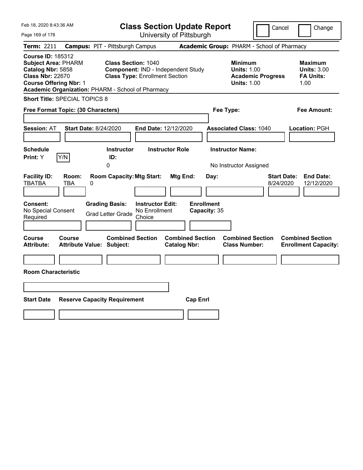| Feb 18, 2020 8:43:36 AM                                                                                                                                                                      |                                                                                            |                                                                             | <b>Class Section Update Report</b>                    |                                                                                        | Cancel<br>Change                                                  |
|----------------------------------------------------------------------------------------------------------------------------------------------------------------------------------------------|--------------------------------------------------------------------------------------------|-----------------------------------------------------------------------------|-------------------------------------------------------|----------------------------------------------------------------------------------------|-------------------------------------------------------------------|
| Page 169 of 178                                                                                                                                                                              |                                                                                            |                                                                             | University of Pittsburgh                              |                                                                                        |                                                                   |
| Term: 2211                                                                                                                                                                                   | <b>Campus: PIT - Pittsburgh Campus</b>                                                     |                                                                             |                                                       | Academic Group: PHARM - School of Pharmacy                                             |                                                                   |
| <b>Course ID: 185312</b><br><b>Subject Area: PHARM</b><br>Catalog Nbr: 5858<br><b>Class Nbr: 22670</b><br><b>Course Offering Nbr: 1</b><br>Academic Organization: PHARM - School of Pharmacy | <b>Class Section: 1040</b>                                                                 | Component: IND - Independent Study<br><b>Class Type: Enrollment Section</b> |                                                       | <b>Minimum</b><br><b>Units: 1.00</b><br><b>Academic Progress</b><br><b>Units: 1.00</b> | <b>Maximum</b><br><b>Units: 3.00</b><br><b>FA Units:</b><br>1.00  |
| <b>Short Title: SPECIAL TOPICS 8</b>                                                                                                                                                         |                                                                                            |                                                                             |                                                       |                                                                                        |                                                                   |
| Free Format Topic: (30 Characters)                                                                                                                                                           |                                                                                            |                                                                             |                                                       | Fee Type:                                                                              | Fee Amount:                                                       |
| <b>Session: AT</b><br><b>Schedule</b><br>Y/N<br><b>Print:</b> Y                                                                                                                              | <b>Start Date: 8/24/2020</b><br><b>Instructor</b><br>ID:<br>0                              | End Date: 12/12/2020<br><b>Instructor Role</b>                              |                                                       | <b>Associated Class: 1040</b><br><b>Instructor Name:</b><br>No Instructor Assigned     | Location: PGH                                                     |
| <b>Facility ID:</b><br>Room:<br><b>TBATBA</b><br>TBA<br><b>Consent:</b><br>No Special Consent<br>Required                                                                                    | <b>Room Capacity: Mtg Start:</b><br>0<br><b>Grading Basis:</b><br><b>Grad Letter Grade</b> | <b>Instructor Edit:</b><br>No Enrollment<br>Choice                          | Mtg End:<br>Day:<br><b>Enrollment</b><br>Capacity: 35 |                                                                                        | <b>Start Date:</b><br><b>End Date:</b><br>8/24/2020<br>12/12/2020 |
| Course<br>Course<br><b>Attribute:</b><br><b>Room Characteristic</b>                                                                                                                          | <b>Combined Section</b><br><b>Attribute Value: Subject:</b>                                |                                                                             | <b>Combined Section</b><br><b>Catalog Nbr:</b>        | <b>Combined Section</b><br><b>Class Number:</b>                                        | <b>Combined Section</b><br><b>Enrollment Capacity:</b>            |
| <b>Start Date</b>                                                                                                                                                                            | <b>Reserve Capacity Requirement</b>                                                        |                                                                             | <b>Cap Enrl</b>                                       |                                                                                        |                                                                   |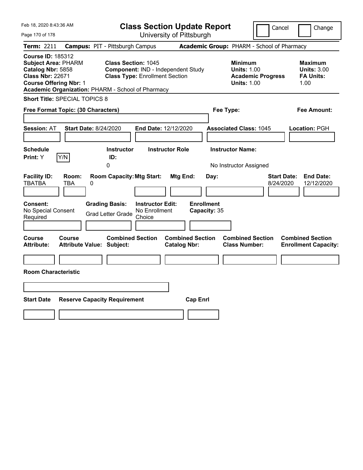| Feb 18, 2020 8:43:36 AM                                                                                                                 |                                     |                                                                                       |                                                    | <b>Class Section Update Report</b>             |                                           |                                                            | Cancel                                     | Change                                                            |
|-----------------------------------------------------------------------------------------------------------------------------------------|-------------------------------------|---------------------------------------------------------------------------------------|----------------------------------------------------|------------------------------------------------|-------------------------------------------|------------------------------------------------------------|--------------------------------------------|-------------------------------------------------------------------|
| Page 170 of 178                                                                                                                         |                                     |                                                                                       |                                                    | University of Pittsburgh                       |                                           |                                                            |                                            |                                                                   |
| Term: 2211                                                                                                                              |                                     | <b>Campus: PIT - Pittsburgh Campus</b>                                                |                                                    |                                                |                                           |                                                            | Academic Group: PHARM - School of Pharmacy |                                                                   |
| <b>Course ID: 185312</b><br><b>Subject Area: PHARM</b><br>Catalog Nbr: 5858<br><b>Class Nbr: 22671</b><br><b>Course Offering Nbr: 1</b> |                                     | <b>Class Section: 1045</b><br>Academic Organization: PHARM - School of Pharmacy       | <b>Class Type: Enrollment Section</b>              | Component: IND - Independent Study             |                                           | <b>Minimum</b><br><b>Units: 1.00</b><br><b>Units: 1.00</b> | <b>Academic Progress</b>                   | <b>Maximum</b><br><b>Units: 3.00</b><br><b>FA Units:</b><br>1.00  |
| Short Title: SPECIAL TOPICS 8                                                                                                           |                                     |                                                                                       |                                                    |                                                |                                           |                                                            |                                            |                                                                   |
| Free Format Topic: (30 Characters)                                                                                                      |                                     |                                                                                       |                                                    |                                                | Fee Type:                                 |                                                            |                                            | Fee Amount:                                                       |
| <b>Session: AT</b><br><b>Schedule</b><br>Print: Y                                                                                       | <b>Start Date: 8/24/2020</b><br>Y/N | <b>Instructor</b><br>ID:<br>0                                                         | End Date: 12/12/2020                               | <b>Instructor Role</b>                         |                                           | <b>Associated Class: 1045</b><br><b>Instructor Name:</b>   |                                            | Location: PGH                                                     |
| <b>Facility ID:</b><br><b>TBATBA</b><br><b>Consent:</b><br>No Special Consent<br>Required                                               | Room:<br>TBA<br>0                   | <b>Room Capacity: Mtg Start:</b><br><b>Grading Basis:</b><br><b>Grad Letter Grade</b> | <b>Instructor Edit:</b><br>No Enrollment<br>Choice | Mtg End:                                       | Day:<br><b>Enrollment</b><br>Capacity: 35 | No Instructor Assigned                                     |                                            | <b>Start Date:</b><br><b>End Date:</b><br>8/24/2020<br>12/12/2020 |
| Course<br><b>Attribute:</b><br><b>Room Characteristic</b>                                                                               | <b>Course</b>                       | <b>Combined Section</b><br><b>Attribute Value: Subject:</b>                           |                                                    | <b>Combined Section</b><br><b>Catalog Nbr:</b> |                                           | <b>Combined Section</b><br><b>Class Number:</b>            |                                            | <b>Combined Section</b><br><b>Enrollment Capacity:</b>            |
| <b>Start Date</b>                                                                                                                       |                                     | <b>Reserve Capacity Requirement</b>                                                   |                                                    | <b>Cap Enrl</b>                                |                                           |                                                            |                                            |                                                                   |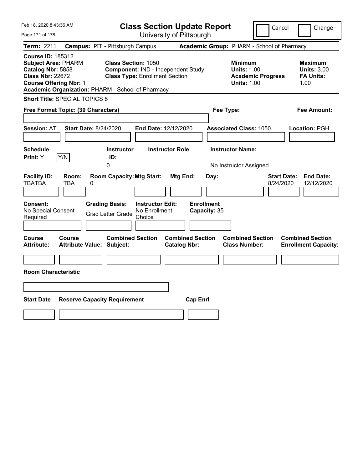| Feb 18, 2020 8:43:36 AM                                                                                                                                                                      |                              |                                                                     |                         | <b>Class Section Update Report</b>             |                           |                                                            | Cancel                                     | Change                                                            |
|----------------------------------------------------------------------------------------------------------------------------------------------------------------------------------------------|------------------------------|---------------------------------------------------------------------|-------------------------|------------------------------------------------|---------------------------|------------------------------------------------------------|--------------------------------------------|-------------------------------------------------------------------|
| Page 171 of 178                                                                                                                                                                              |                              |                                                                     |                         | University of Pittsburgh                       |                           |                                                            |                                            |                                                                   |
| Term: 2211                                                                                                                                                                                   |                              | <b>Campus: PIT - Pittsburgh Campus</b>                              |                         |                                                |                           |                                                            | Academic Group: PHARM - School of Pharmacy |                                                                   |
| <b>Course ID: 185312</b><br><b>Subject Area: PHARM</b><br>Catalog Nbr: 5858<br><b>Class Nbr: 22672</b><br><b>Course Offering Nbr: 1</b><br>Academic Organization: PHARM - School of Pharmacy |                              | <b>Class Section: 1050</b><br><b>Class Type: Enrollment Section</b> |                         | Component: IND - Independent Study             |                           | <b>Minimum</b><br><b>Units: 1.00</b><br><b>Units: 1.00</b> | <b>Academic Progress</b>                   | <b>Maximum</b><br><b>Units: 3.00</b><br><b>FA Units:</b><br>1.00  |
| <b>Short Title: SPECIAL TOPICS 8</b>                                                                                                                                                         |                              |                                                                     |                         |                                                |                           |                                                            |                                            |                                                                   |
| Free Format Topic: (30 Characters)                                                                                                                                                           |                              |                                                                     |                         |                                                | Fee Type:                 |                                                            |                                            | Fee Amount:                                                       |
| <b>Session: AT</b>                                                                                                                                                                           | <b>Start Date: 8/24/2020</b> |                                                                     |                         | End Date: 12/12/2020                           |                           | <b>Associated Class: 1050</b>                              |                                            | Location: PGH                                                     |
| <b>Schedule</b><br>Print: Y                                                                                                                                                                  | Y/N                          | <b>Instructor</b><br>ID:                                            |                         | <b>Instructor Role</b>                         |                           | <b>Instructor Name:</b>                                    |                                            |                                                                   |
|                                                                                                                                                                                              |                              | 0                                                                   |                         |                                                |                           | No Instructor Assigned                                     |                                            |                                                                   |
| <b>Facility ID:</b><br><b>TBATBA</b><br>Consent:                                                                                                                                             | Room:<br>TBA<br>0            | <b>Room Capacity: Mtg Start:</b><br><b>Grading Basis:</b>           | <b>Instructor Edit:</b> | Mtg End:                                       | Day:<br><b>Enrollment</b> |                                                            |                                            | <b>Start Date:</b><br><b>End Date:</b><br>8/24/2020<br>12/12/2020 |
| No Special Consent<br>Required                                                                                                                                                               |                              | <b>Grad Letter Grade</b>                                            | No Enrollment<br>Choice |                                                | Capacity: 35              |                                                            |                                            |                                                                   |
| Course<br>Attribute:                                                                                                                                                                         | Course                       | <b>Combined Section</b><br><b>Attribute Value: Subject:</b>         |                         | <b>Combined Section</b><br><b>Catalog Nbr:</b> |                           | <b>Combined Section</b><br><b>Class Number:</b>            |                                            | <b>Combined Section</b><br><b>Enrollment Capacity:</b>            |
| <b>Room Characteristic</b>                                                                                                                                                                   |                              |                                                                     |                         |                                                |                           |                                                            |                                            |                                                                   |
| <b>Start Date</b>                                                                                                                                                                            |                              | <b>Reserve Capacity Requirement</b>                                 |                         | <b>Cap Enrl</b>                                |                           |                                                            |                                            |                                                                   |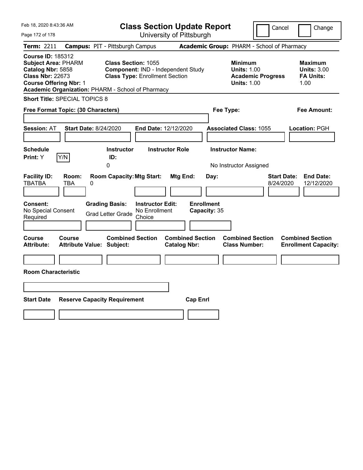| Feb 18, 2020 8:43:36 AM                                                                                                                                                                      |                                            |                                                              |                                          | <b>Class Section Update Report</b>             |                                           |                                                            | Cancel                          | Change                                                           |
|----------------------------------------------------------------------------------------------------------------------------------------------------------------------------------------------|--------------------------------------------|--------------------------------------------------------------|------------------------------------------|------------------------------------------------|-------------------------------------------|------------------------------------------------------------|---------------------------------|------------------------------------------------------------------|
| Page 172 of 178                                                                                                                                                                              |                                            |                                                              |                                          | University of Pittsburgh                       |                                           |                                                            |                                 |                                                                  |
| Term: 2211                                                                                                                                                                                   | <b>Campus: PIT - Pittsburgh Campus</b>     |                                                              |                                          |                                                |                                           | Academic Group: PHARM - School of Pharmacy                 |                                 |                                                                  |
| <b>Course ID: 185312</b><br><b>Subject Area: PHARM</b><br>Catalog Nbr: 5858<br><b>Class Nbr: 22673</b><br><b>Course Offering Nbr: 1</b><br>Academic Organization: PHARM - School of Pharmacy |                                            | Class Section: 1055<br><b>Class Type: Enrollment Section</b> |                                          | Component: IND - Independent Study             |                                           | <b>Minimum</b><br><b>Units: 1.00</b><br><b>Units: 1.00</b> | <b>Academic Progress</b>        | <b>Maximum</b><br><b>Units: 3.00</b><br><b>FA Units:</b><br>1.00 |
| <b>Short Title: SPECIAL TOPICS 8</b>                                                                                                                                                         |                                            |                                                              |                                          |                                                |                                           |                                                            |                                 |                                                                  |
| Free Format Topic: (30 Characters)                                                                                                                                                           |                                            |                                                              |                                          |                                                |                                           | Fee Type:                                                  |                                 | Fee Amount:                                                      |
| <b>Session: AT</b>                                                                                                                                                                           | <b>Start Date: 8/24/2020</b>               |                                                              |                                          | End Date: 12/12/2020                           |                                           | <b>Associated Class: 1055</b>                              |                                 | Location: PGH                                                    |
| <b>Schedule</b><br>Y/N<br>Print: Y                                                                                                                                                           |                                            | <b>Instructor</b><br>ID:                                     |                                          | <b>Instructor Role</b>                         |                                           | <b>Instructor Name:</b>                                    |                                 |                                                                  |
|                                                                                                                                                                                              |                                            | 0                                                            |                                          |                                                |                                           | No Instructor Assigned                                     |                                 |                                                                  |
| <b>Facility ID:</b><br><b>TBATBA</b><br>Consent:<br>No Special Consent                                                                                                                       | Room:<br>TBA<br>0                          | <b>Room Capacity: Mtg Start:</b><br><b>Grading Basis:</b>    | <b>Instructor Edit:</b><br>No Enrollment | Mtg End:                                       | Day:<br><b>Enrollment</b><br>Capacity: 35 |                                                            | <b>Start Date:</b><br>8/24/2020 | <b>End Date:</b><br>12/12/2020                                   |
| Required                                                                                                                                                                                     |                                            | <b>Grad Letter Grade</b>                                     | Choice                                   |                                                |                                           |                                                            |                                 |                                                                  |
| Course<br>Attribute:<br><b>Room Characteristic</b>                                                                                                                                           | Course<br><b>Attribute Value: Subject:</b> | <b>Combined Section</b>                                      |                                          | <b>Combined Section</b><br><b>Catalog Nbr:</b> |                                           | <b>Combined Section</b><br><b>Class Number:</b>            |                                 | <b>Combined Section</b><br><b>Enrollment Capacity:</b>           |
|                                                                                                                                                                                              |                                            |                                                              |                                          |                                                |                                           |                                                            |                                 |                                                                  |
| <b>Start Date</b>                                                                                                                                                                            | <b>Reserve Capacity Requirement</b>        |                                                              |                                          |                                                | <b>Cap Enrl</b>                           |                                                            |                                 |                                                                  |
|                                                                                                                                                                                              |                                            |                                                              |                                          |                                                |                                           |                                                            |                                 |                                                                  |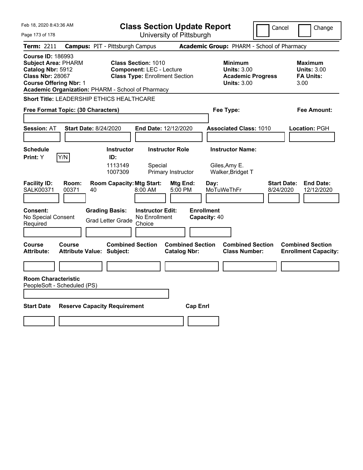| Feb 18, 2020 8:43:36 AM                                                                                                                                                                      | <b>Class Section Update Report</b>                                                                      | Cancel                                                                                 | Change                                                    |
|----------------------------------------------------------------------------------------------------------------------------------------------------------------------------------------------|---------------------------------------------------------------------------------------------------------|----------------------------------------------------------------------------------------|-----------------------------------------------------------|
| Page 173 of 178                                                                                                                                                                              | University of Pittsburgh                                                                                |                                                                                        |                                                           |
| <b>Term: 2211</b>                                                                                                                                                                            | <b>Campus: PIT - Pittsburgh Campus</b>                                                                  | Academic Group: PHARM - School of Pharmacy                                             |                                                           |
| <b>Course ID: 186993</b><br><b>Subject Area: PHARM</b><br>Catalog Nbr: 5912<br><b>Class Nbr: 28067</b><br><b>Course Offering Nbr: 1</b><br>Academic Organization: PHARM - School of Pharmacy | <b>Class Section: 1010</b><br><b>Component: LEC - Lecture</b><br><b>Class Type: Enrollment Section</b>  | <b>Minimum</b><br><b>Units: 3.00</b><br><b>Academic Progress</b><br><b>Units: 3.00</b> | Maximum<br><b>Units: 3.00</b><br><b>FA Units:</b><br>3.00 |
| <b>Short Title: LEADERSHIP ETHICS HEALTHCARE</b>                                                                                                                                             |                                                                                                         |                                                                                        |                                                           |
| Free Format Topic: (30 Characters)                                                                                                                                                           |                                                                                                         | Fee Type:                                                                              | Fee Amount:                                               |
| <b>Session: AT</b><br><b>Start Date: 8/24/2020</b>                                                                                                                                           | End Date: 12/12/2020                                                                                    | <b>Associated Class: 1010</b>                                                          | <b>Location: PGH</b>                                      |
| <b>Schedule</b>                                                                                                                                                                              | <b>Instructor</b><br><b>Instructor Role</b>                                                             | <b>Instructor Name:</b>                                                                |                                                           |
| Y/N<br>Print: Y                                                                                                                                                                              | ID:<br>1113149<br>Special<br>1007309<br><b>Primary Instructor</b>                                       | Giles, Amy E.<br>Walker, Bridget T                                                     |                                                           |
| <b>Facility ID:</b><br>Room:<br><b>SALK00371</b><br>00371<br>40                                                                                                                              | <b>Room Capacity: Mtg Start:</b><br><b>Mtg End:</b><br>5:00 PM<br>8:00 AM                               | <b>Start Date:</b><br>Day:<br>MoTuWeThFr<br>8/24/2020                                  | <b>End Date:</b><br>12/12/2020                            |
| <b>Consent:</b><br>No Special Consent<br>Required                                                                                                                                            | <b>Grading Basis:</b><br><b>Instructor Edit:</b><br>No Enrollment<br><b>Grad Letter Grade</b><br>Choice | <b>Enrollment</b><br>Capacity: 40                                                      |                                                           |
| <b>Course</b><br>Course<br><b>Attribute:</b><br><b>Attribute Value: Subject:</b>                                                                                                             | <b>Combined Section</b><br><b>Combined Section</b><br><b>Catalog Nbr:</b>                               | <b>Combined Section</b><br><b>Class Number:</b>                                        | <b>Combined Section</b><br><b>Enrollment Capacity:</b>    |
|                                                                                                                                                                                              |                                                                                                         |                                                                                        |                                                           |
| <b>Room Characteristic</b><br>PeopleSoft - Scheduled (PS)                                                                                                                                    |                                                                                                         |                                                                                        |                                                           |
| <b>Reserve Capacity Requirement</b><br><b>Start Date</b>                                                                                                                                     |                                                                                                         | <b>Cap Enrl</b>                                                                        |                                                           |
|                                                                                                                                                                                              |                                                                                                         |                                                                                        |                                                           |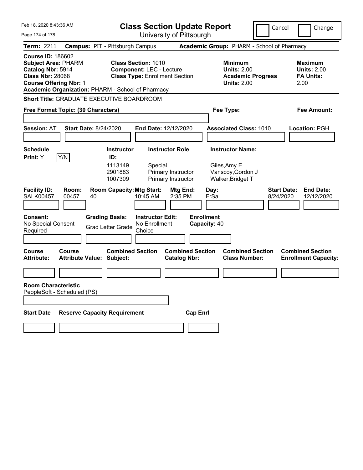| Feb 18, 2020 8:43:36 AM                                                                                                                 |                                                   |                                                   | <b>Class Section Update Report</b>                                                                     |                                                |                                   |                                                                                        | Cancel | Change                                                            |
|-----------------------------------------------------------------------------------------------------------------------------------------|---------------------------------------------------|---------------------------------------------------|--------------------------------------------------------------------------------------------------------|------------------------------------------------|-----------------------------------|----------------------------------------------------------------------------------------|--------|-------------------------------------------------------------------|
| Page 174 of 178                                                                                                                         |                                                   |                                                   | University of Pittsburgh                                                                               |                                                |                                   |                                                                                        |        |                                                                   |
| <b>Term: 2211</b>                                                                                                                       |                                                   | <b>Campus: PIT - Pittsburgh Campus</b>            |                                                                                                        |                                                |                                   | Academic Group: PHARM - School of Pharmacy                                             |        |                                                                   |
| <b>Course ID: 186602</b><br><b>Subject Area: PHARM</b><br>Catalog Nbr: 5914<br><b>Class Nbr: 28068</b><br><b>Course Offering Nbr: 1</b> | Academic Organization: PHARM - School of Pharmacy |                                                   | <b>Class Section: 1010</b><br><b>Component: LEC - Lecture</b><br><b>Class Type: Enrollment Section</b> |                                                |                                   | <b>Minimum</b><br><b>Units: 2.00</b><br><b>Academic Progress</b><br><b>Units: 2.00</b> |        | Maximum<br><b>Units: 2.00</b><br><b>FA Units:</b><br>2.00         |
|                                                                                                                                         | <b>Short Title: GRADUATE EXECUTIVE BOARDROOM</b>  |                                                   |                                                                                                        |                                                |                                   |                                                                                        |        |                                                                   |
|                                                                                                                                         | Free Format Topic: (30 Characters)                |                                                   |                                                                                                        |                                                |                                   | Fee Type:                                                                              |        | Fee Amount:                                                       |
|                                                                                                                                         |                                                   |                                                   |                                                                                                        |                                                |                                   |                                                                                        |        |                                                                   |
| <b>Session: AT</b>                                                                                                                      | <b>Start Date: 8/24/2020</b>                      |                                                   | <b>End Date: 12/12/2020</b>                                                                            |                                                |                                   | <b>Associated Class: 1010</b>                                                          |        | Location: PGH                                                     |
|                                                                                                                                         |                                                   |                                                   |                                                                                                        |                                                |                                   |                                                                                        |        |                                                                   |
| <b>Schedule</b><br><b>Print:</b> Y                                                                                                      | Y/N                                               | <b>Instructor</b><br>ID:                          | <b>Instructor Role</b>                                                                                 |                                                |                                   | <b>Instructor Name:</b>                                                                |        |                                                                   |
|                                                                                                                                         |                                                   | 1113149<br>2901883<br>1007309                     | Special                                                                                                | Primary Instructor<br>Primary Instructor       |                                   | Giles, Amy E.<br>Vanscoy, Gordon J<br>Walker, Bridget T                                |        |                                                                   |
| <b>Facility ID:</b><br><b>SALK00457</b>                                                                                                 | Room:<br>00457<br>40                              | <b>Room Capacity: Mtg Start:</b>                  | 10:45 AM                                                                                               | Mtg End:<br>2:35 PM                            | Day:<br>FrSa                      |                                                                                        |        | <b>Start Date:</b><br><b>End Date:</b><br>8/24/2020<br>12/12/2020 |
| <b>Consent:</b><br>No Special Consent<br>Required                                                                                       |                                                   | <b>Grading Basis:</b><br><b>Grad Letter Grade</b> | <b>Instructor Edit:</b><br>No Enrollment<br>Choice                                                     |                                                | <b>Enrollment</b><br>Capacity: 40 |                                                                                        |        |                                                                   |
| Course<br><b>Attribute:</b>                                                                                                             | Course<br><b>Attribute Value: Subject:</b>        | <b>Combined Section</b>                           |                                                                                                        | <b>Combined Section</b><br><b>Catalog Nbr:</b> |                                   | <b>Combined Section</b><br><b>Class Number:</b>                                        |        | <b>Combined Section</b><br><b>Enrollment Capacity:</b>            |
|                                                                                                                                         |                                                   |                                                   |                                                                                                        |                                                |                                   |                                                                                        |        |                                                                   |
| <b>Room Characteristic</b>                                                                                                              | PeopleSoft - Scheduled (PS)                       |                                                   |                                                                                                        |                                                |                                   |                                                                                        |        |                                                                   |
|                                                                                                                                         |                                                   |                                                   |                                                                                                        |                                                |                                   |                                                                                        |        |                                                                   |
| <b>Start Date</b>                                                                                                                       | <b>Reserve Capacity Requirement</b>               |                                                   |                                                                                                        | <b>Cap Enrl</b>                                |                                   |                                                                                        |        |                                                                   |
|                                                                                                                                         |                                                   |                                                   |                                                                                                        |                                                |                                   |                                                                                        |        |                                                                   |
|                                                                                                                                         |                                                   |                                                   |                                                                                                        |                                                |                                   |                                                                                        |        |                                                                   |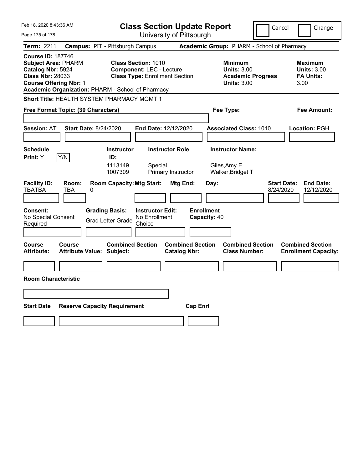| Feb 18, 2020 8:43:36 AM                                                                                                                                                                      |                                  |                                                                                       |                                                                                                        | <b>Class Section Update Report</b>             |                                           |                                                                                        | Cancel                          | Change                                                           |
|----------------------------------------------------------------------------------------------------------------------------------------------------------------------------------------------|----------------------------------|---------------------------------------------------------------------------------------|--------------------------------------------------------------------------------------------------------|------------------------------------------------|-------------------------------------------|----------------------------------------------------------------------------------------|---------------------------------|------------------------------------------------------------------|
| Page 175 of 178                                                                                                                                                                              |                                  |                                                                                       |                                                                                                        | University of Pittsburgh                       |                                           |                                                                                        |                                 |                                                                  |
| Term: 2211                                                                                                                                                                                   |                                  | <b>Campus: PIT - Pittsburgh Campus</b>                                                |                                                                                                        |                                                |                                           | Academic Group: PHARM - School of Pharmacy                                             |                                 |                                                                  |
| <b>Course ID: 187746</b><br><b>Subject Area: PHARM</b><br>Catalog Nbr: 5924<br><b>Class Nbr: 28033</b><br><b>Course Offering Nbr: 1</b><br>Academic Organization: PHARM - School of Pharmacy |                                  |                                                                                       | <b>Class Section: 1010</b><br><b>Component: LEC - Lecture</b><br><b>Class Type: Enrollment Section</b> |                                                |                                           | <b>Minimum</b><br><b>Units: 3.00</b><br><b>Academic Progress</b><br><b>Units: 3.00</b> |                                 | <b>Maximum</b><br><b>Units: 3.00</b><br><b>FA Units:</b><br>3.00 |
| Short Title: HEALTH SYSTEM PHARMACY MGMT 1                                                                                                                                                   |                                  |                                                                                       |                                                                                                        |                                                |                                           |                                                                                        |                                 |                                                                  |
| Free Format Topic: (30 Characters)                                                                                                                                                           |                                  |                                                                                       |                                                                                                        |                                                | Fee Type:                                 |                                                                                        |                                 | Fee Amount:                                                      |
| <b>Session: AT</b>                                                                                                                                                                           | <b>Start Date: 8/24/2020</b>     |                                                                                       | <b>End Date: 12/12/2020</b>                                                                            |                                                |                                           | <b>Associated Class: 1010</b>                                                          |                                 | Location: PGH                                                    |
| <b>Schedule</b>                                                                                                                                                                              |                                  | <b>Instructor</b>                                                                     |                                                                                                        | <b>Instructor Role</b>                         | <b>Instructor Name:</b>                   |                                                                                        |                                 |                                                                  |
| Y/N<br>Print: Y                                                                                                                                                                              |                                  | ID:                                                                                   |                                                                                                        |                                                |                                           |                                                                                        |                                 |                                                                  |
|                                                                                                                                                                                              |                                  | 1113149<br>1007309                                                                    | Special                                                                                                | Primary Instructor                             | Giles, Amy E.<br>Walker, Bridget T        |                                                                                        |                                 |                                                                  |
| <b>Facility ID:</b><br>Room:<br><b>TBATBA</b><br>TBA<br>Consent:<br>No Special Consent<br>Required                                                                                           | 0                                | <b>Room Capacity: Mtg Start:</b><br><b>Grading Basis:</b><br><b>Grad Letter Grade</b> | <b>Instructor Edit:</b><br>No Enrollment<br>Choice                                                     | Mtg End:                                       | Day:<br><b>Enrollment</b><br>Capacity: 40 |                                                                                        | <b>Start Date:</b><br>8/24/2020 | <b>End Date:</b><br>12/12/2020                                   |
| <b>Course</b><br>Course<br><b>Attribute:</b>                                                                                                                                                 | <b>Attribute Value: Subject:</b> | <b>Combined Section</b>                                                               |                                                                                                        | <b>Combined Section</b><br><b>Catalog Nbr:</b> |                                           | <b>Combined Section</b><br><b>Class Number:</b>                                        |                                 | <b>Combined Section</b><br><b>Enrollment Capacity:</b>           |
|                                                                                                                                                                                              |                                  |                                                                                       |                                                                                                        |                                                |                                           |                                                                                        |                                 |                                                                  |
| <b>Room Characteristic</b>                                                                                                                                                                   |                                  |                                                                                       |                                                                                                        |                                                |                                           |                                                                                        |                                 |                                                                  |
|                                                                                                                                                                                              |                                  |                                                                                       |                                                                                                        |                                                |                                           |                                                                                        |                                 |                                                                  |
| <b>Start Date</b>                                                                                                                                                                            |                                  | <b>Reserve Capacity Requirement</b>                                                   |                                                                                                        | <b>Cap Enri</b>                                |                                           |                                                                                        |                                 |                                                                  |
|                                                                                                                                                                                              |                                  |                                                                                       |                                                                                                        |                                                |                                           |                                                                                        |                                 |                                                                  |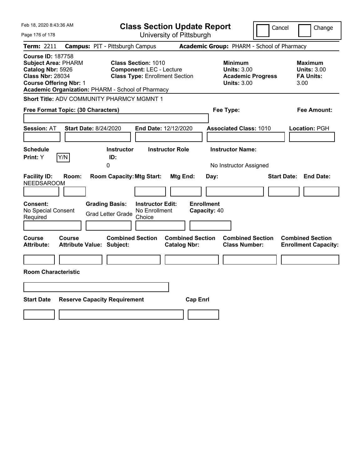| Feb 18, 2020 8:43:36 AM                                                                                                                                                                      | <b>Class Section Update Report</b>                                                                      |                                                | Cancel                                                                                 | Change                                                           |
|----------------------------------------------------------------------------------------------------------------------------------------------------------------------------------------------|---------------------------------------------------------------------------------------------------------|------------------------------------------------|----------------------------------------------------------------------------------------|------------------------------------------------------------------|
| Page 176 of 178                                                                                                                                                                              |                                                                                                         | University of Pittsburgh                       |                                                                                        |                                                                  |
| Term: 2211                                                                                                                                                                                   | <b>Campus: PIT - Pittsburgh Campus</b>                                                                  |                                                | Academic Group: PHARM - School of Pharmacy                                             |                                                                  |
| <b>Course ID: 187758</b><br><b>Subject Area: PHARM</b><br>Catalog Nbr: 5926<br><b>Class Nbr: 28034</b><br><b>Course Offering Nbr: 1</b><br>Academic Organization: PHARM - School of Pharmacy | <b>Class Section: 1010</b><br><b>Component: LEC - Lecture</b><br><b>Class Type: Enrollment Section</b>  |                                                | <b>Minimum</b><br><b>Units: 3.00</b><br><b>Academic Progress</b><br><b>Units: 3.00</b> | <b>Maximum</b><br><b>Units: 3.00</b><br><b>FA Units:</b><br>3.00 |
| <b>Short Title: ADV COMMUNITY PHARMCY MGMNT 1</b>                                                                                                                                            |                                                                                                         |                                                |                                                                                        |                                                                  |
| Free Format Topic: (30 Characters)                                                                                                                                                           |                                                                                                         | Fee Type:                                      |                                                                                        | Fee Amount:                                                      |
| <b>Session: AT</b><br><b>Start Date: 8/24/2020</b>                                                                                                                                           | End Date: 12/12/2020                                                                                    |                                                | <b>Associated Class: 1010</b>                                                          | Location: PGH                                                    |
| <b>Schedule</b><br>Print: Y<br>Y/N                                                                                                                                                           | <b>Instructor Role</b><br><b>Instructor</b><br>ID:<br>0                                                 |                                                | <b>Instructor Name:</b><br>No Instructor Assigned                                      |                                                                  |
| <b>Facility ID:</b><br>Room:<br><b>NEEDSAROOM</b>                                                                                                                                            | <b>Room Capacity: Mtg Start:</b>                                                                        | Mtg End:<br>Day:                               |                                                                                        | <b>Start Date:</b><br><b>End Date:</b>                           |
| Consent:<br>No Special Consent<br>Required                                                                                                                                                   | <b>Grading Basis:</b><br><b>Instructor Edit:</b><br>No Enrollment<br><b>Grad Letter Grade</b><br>Choice | <b>Enrollment</b><br>Capacity: 40              |                                                                                        |                                                                  |
| Course<br>Course<br><b>Attribute:</b><br><b>Attribute Value: Subject:</b>                                                                                                                    | <b>Combined Section</b>                                                                                 | <b>Combined Section</b><br><b>Catalog Nbr:</b> | <b>Combined Section</b><br><b>Class Number:</b>                                        | <b>Combined Section</b><br><b>Enrollment Capacity:</b>           |
| <b>Room Characteristic</b>                                                                                                                                                                   |                                                                                                         |                                                |                                                                                        |                                                                  |
|                                                                                                                                                                                              |                                                                                                         |                                                |                                                                                        |                                                                  |
| <b>Start Date</b><br><b>Reserve Capacity Requirement</b>                                                                                                                                     |                                                                                                         | <b>Cap Enrl</b>                                |                                                                                        |                                                                  |
|                                                                                                                                                                                              |                                                                                                         |                                                |                                                                                        |                                                                  |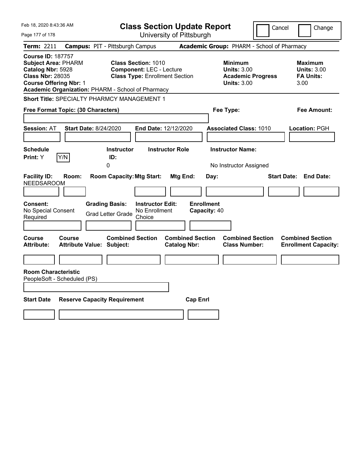| Feb 18, 2020 8:43:36 AM                                                                                                                                                                      | <b>Class Section Update Report</b>                                                                                                                      |                                                                                        | Cancel<br>Change                                                 |
|----------------------------------------------------------------------------------------------------------------------------------------------------------------------------------------------|---------------------------------------------------------------------------------------------------------------------------------------------------------|----------------------------------------------------------------------------------------|------------------------------------------------------------------|
| Page 177 of 178                                                                                                                                                                              | University of Pittsburgh                                                                                                                                |                                                                                        |                                                                  |
| Term: 2211                                                                                                                                                                                   | <b>Campus: PIT - Pittsburgh Campus</b>                                                                                                                  | Academic Group: PHARM - School of Pharmacy                                             |                                                                  |
| <b>Course ID: 187757</b><br><b>Subject Area: PHARM</b><br>Catalog Nbr: 5928<br><b>Class Nbr: 28035</b><br><b>Course Offering Nbr: 1</b><br>Academic Organization: PHARM - School of Pharmacy | <b>Class Section: 1010</b><br><b>Component: LEC - Lecture</b><br><b>Class Type: Enrollment Section</b>                                                  | <b>Minimum</b><br><b>Units: 3.00</b><br><b>Academic Progress</b><br><b>Units: 3.00</b> | <b>Maximum</b><br><b>Units: 3.00</b><br><b>FA Units:</b><br>3.00 |
| Short Title: SPECIALTY PHARMCY MANAGEMENT 1                                                                                                                                                  |                                                                                                                                                         |                                                                                        |                                                                  |
| Free Format Topic: (30 Characters)                                                                                                                                                           |                                                                                                                                                         | Fee Type:                                                                              | Fee Amount:                                                      |
| <b>Session: AT</b><br><b>Start Date: 8/24/2020</b><br><b>Schedule</b>                                                                                                                        | End Date: 12/12/2020<br><b>Instructor Role</b><br><b>Instructor</b>                                                                                     | <b>Associated Class: 1010</b><br><b>Instructor Name:</b>                               | <b>Location: PGH</b>                                             |
| Y/N<br>Print: Y                                                                                                                                                                              | ID:<br>0                                                                                                                                                | No Instructor Assigned                                                                 |                                                                  |
| <b>Facility ID:</b><br>Room:<br><b>NEEDSAROOM</b><br>Consent:<br>No Special Consent<br>Required                                                                                              | <b>Room Capacity: Mtg Start:</b><br>Mtg End:<br><b>Grading Basis:</b><br><b>Instructor Edit:</b><br>No Enrollment<br><b>Grad Letter Grade</b><br>Choice | Day:<br><b>Enrollment</b><br>Capacity: 40                                              | <b>Start Date:</b><br><b>End Date:</b>                           |
| Course<br><b>Course</b><br><b>Attribute:</b><br><b>Attribute Value: Subject:</b>                                                                                                             | <b>Combined Section</b><br><b>Catalog Nbr:</b>                                                                                                          | <b>Combined Section</b><br><b>Combined Section</b><br><b>Class Number:</b>             | <b>Combined Section</b><br><b>Enrollment Capacity:</b>           |
|                                                                                                                                                                                              |                                                                                                                                                         |                                                                                        |                                                                  |
| <b>Room Characteristic</b><br>PeopleSoft - Scheduled (PS)                                                                                                                                    |                                                                                                                                                         |                                                                                        |                                                                  |
| <b>Start Date</b><br><b>Reserve Capacity Requirement</b>                                                                                                                                     |                                                                                                                                                         | <b>Cap Enrl</b>                                                                        |                                                                  |
|                                                                                                                                                                                              |                                                                                                                                                         |                                                                                        |                                                                  |